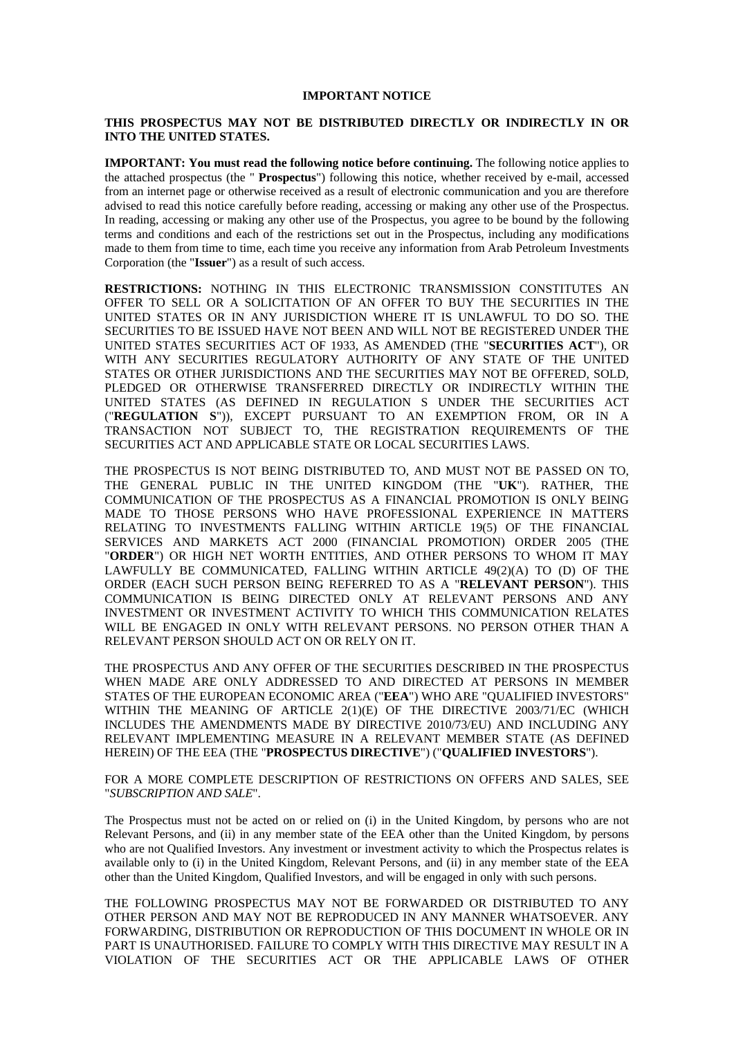#### **IMPORTANT NOTICE**

### **THIS PROSPECTUS MAY NOT BE DISTRIBUTED DIRECTLY OR INDIRECTLY IN OR INTO THE UNITED STATES.**

**IMPORTANT: You must read the following notice before continuing.** The following notice applies to the attached prospectus (the " **Prospectus**") following this notice, whether received by e-mail, accessed from an internet page or otherwise received as a result of electronic communication and you are therefore advised to read this notice carefully before reading, accessing or making any other use of the Prospectus. In reading, accessing or making any other use of the Prospectus, you agree to be bound by the following terms and conditions and each of the restrictions set out in the Prospectus, including any modifications made to them from time to time, each time you receive any information from Arab Petroleum Investments Corporation (the "**Issuer**") as a result of such access.

**RESTRICTIONS:** NOTHING IN THIS ELECTRONIC TRANSMISSION CONSTITUTES AN OFFER TO SELL OR A SOLICITATION OF AN OFFER TO BUY THE SECURITIES IN THE UNITED STATES OR IN ANY JURISDICTION WHERE IT IS UNLAWFUL TO DO SO. THE SECURITIES TO BE ISSUED HAVE NOT BEEN AND WILL NOT BE REGISTERED UNDER THE UNITED STATES SECURITIES ACT OF 1933, AS AMENDED (THE "**SECURITIES ACT**"), OR WITH ANY SECURITIES REGULATORY AUTHORITY OF ANY STATE OF THE UNITED STATES OR OTHER JURISDICTIONS AND THE SECURITIES MAY NOT BE OFFERED, SOLD, PLEDGED OR OTHERWISE TRANSFERRED DIRECTLY OR INDIRECTLY WITHIN THE UNITED STATES (AS DEFINED IN REGULATION S UNDER THE SECURITIES ACT ("**REGULATION S**")), EXCEPT PURSUANT TO AN EXEMPTION FROM, OR IN A TRANSACTION NOT SUBJECT TO, THE REGISTRATION REQUIREMENTS OF THE SECURITIES ACT AND APPLICABLE STATE OR LOCAL SECURITIES LAWS.

THE PROSPECTUS IS NOT BEING DISTRIBUTED TO, AND MUST NOT BE PASSED ON TO, THE GENERAL PUBLIC IN THE UNITED KINGDOM (THE "**UK**"). RATHER, THE COMMUNICATION OF THE PROSPECTUS AS A FINANCIAL PROMOTION IS ONLY BEING MADE TO THOSE PERSONS WHO HAVE PROFESSIONAL EXPERIENCE IN MATTERS RELATING TO INVESTMENTS FALLING WITHIN ARTICLE 19(5) OF THE FINANCIAL SERVICES AND MARKETS ACT 2000 (FINANCIAL PROMOTION) ORDER 2005 (THE "**ORDER**") OR HIGH NET WORTH ENTITIES, AND OTHER PERSONS TO WHOM IT MAY LAWFULLY BE COMMUNICATED, FALLING WITHIN ARTICLE 49(2)(A) TO (D) OF THE ORDER (EACH SUCH PERSON BEING REFERRED TO AS A "**RELEVANT PERSON**"). THIS COMMUNICATION IS BEING DIRECTED ONLY AT RELEVANT PERSONS AND ANY INVESTMENT OR INVESTMENT ACTIVITY TO WHICH THIS COMMUNICATION RELATES WILL BE ENGAGED IN ONLY WITH RELEVANT PERSONS. NO PERSON OTHER THAN A RELEVANT PERSON SHOULD ACT ON OR RELY ON IT.

THE PROSPECTUS AND ANY OFFER OF THE SECURITIES DESCRIBED IN THE PROSPECTUS WHEN MADE ARE ONLY ADDRESSED TO AND DIRECTED AT PERSONS IN MEMBER STATES OF THE EUROPEAN ECONOMIC AREA ("**EEA**") WHO ARE "QUALIFIED INVESTORS" WITHIN THE MEANING OF ARTICLE 2(1)(E) OF THE DIRECTIVE 2003/71/EC (WHICH INCLUDES THE AMENDMENTS MADE BY DIRECTIVE 2010/73/EU) AND INCLUDING ANY RELEVANT IMPLEMENTING MEASURE IN A RELEVANT MEMBER STATE (AS DEFINED HEREIN) OF THE EEA (THE "**PROSPECTUS DIRECTIVE**") ("**QUALIFIED INVESTORS**").

FOR A MORE COMPLETE DESCRIPTION OF RESTRICTIONS ON OFFERS AND SALES, SEE "*SUBSCRIPTION AND SALE*".

The Prospectus must not be acted on or relied on (i) in the United Kingdom, by persons who are not Relevant Persons, and (ii) in any member state of the EEA other than the United Kingdom, by persons who are not Qualified Investors. Any investment or investment activity to which the Prospectus relates is available only to (i) in the United Kingdom, Relevant Persons, and (ii) in any member state of the EEA other than the United Kingdom, Qualified Investors, and will be engaged in only with such persons.

THE FOLLOWING PROSPECTUS MAY NOT BE FORWARDED OR DISTRIBUTED TO ANY OTHER PERSON AND MAY NOT BE REPRODUCED IN ANY MANNER WHATSOEVER. ANY FORWARDING, DISTRIBUTION OR REPRODUCTION OF THIS DOCUMENT IN WHOLE OR IN PART IS UNAUTHORISED. FAILURE TO COMPLY WITH THIS DIRECTIVE MAY RESULT IN A VIOLATION OF THE SECURITIES ACT OR THE APPLICABLE LAWS OF OTHER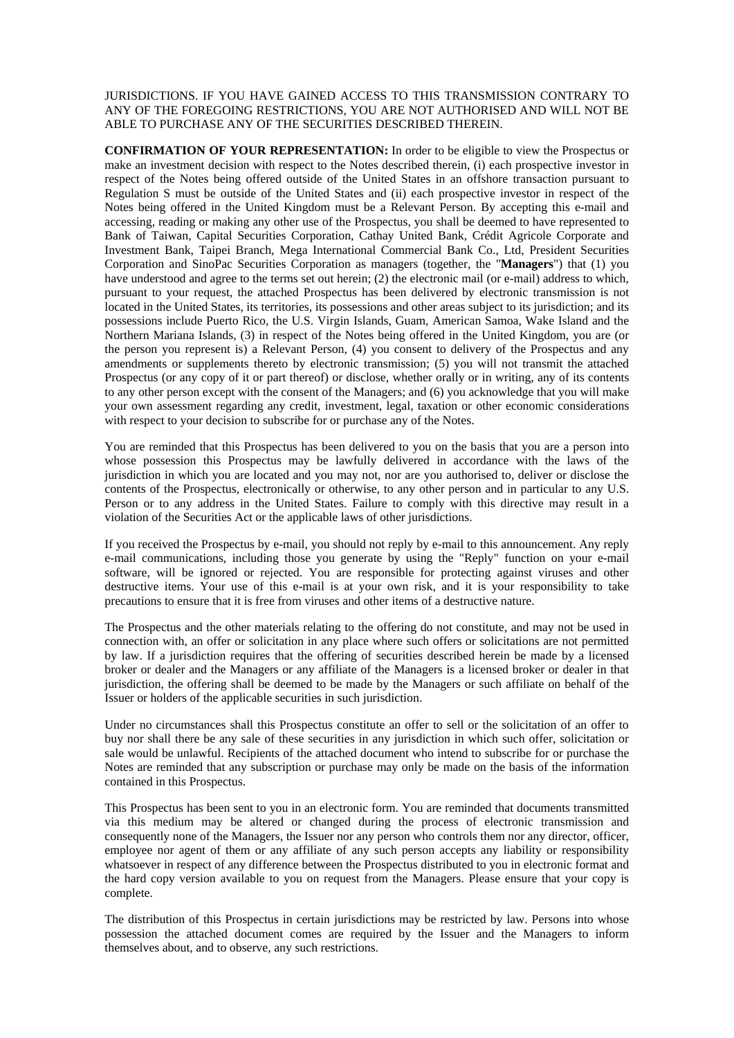JURISDICTIONS. IF YOU HAVE GAINED ACCESS TO THIS TRANSMISSION CONTRARY TO ANY OF THE FOREGOING RESTRICTIONS, YOU ARE NOT AUTHORISED AND WILL NOT BE ABLE TO PURCHASE ANY OF THE SECURITIES DESCRIBED THEREIN.

**CONFIRMATION OF YOUR REPRESENTATION:** In order to be eligible to view the Prospectus or make an investment decision with respect to the Notes described therein, (i) each prospective investor in respect of the Notes being offered outside of the United States in an offshore transaction pursuant to Regulation S must be outside of the United States and (ii) each prospective investor in respect of the Notes being offered in the United Kingdom must be a Relevant Person. By accepting this e-mail and accessing, reading or making any other use of the Prospectus, you shall be deemed to have represented to Bank of Taiwan, Capital Securities Corporation, Cathay United Bank, Crédit Agricole Corporate and Investment Bank, Taipei Branch, Mega International Commercial Bank Co., Ltd, President Securities Corporation and SinoPac Securities Corporation as managers (together, the "**Managers**") that (1) you have understood and agree to the terms set out herein; (2) the electronic mail (or e-mail) address to which, pursuant to your request, the attached Prospectus has been delivered by electronic transmission is not located in the United States, its territories, its possessions and other areas subject to its jurisdiction; and its possessions include Puerto Rico, the U.S. Virgin Islands, Guam, American Samoa, Wake Island and the Northern Mariana Islands, (3) in respect of the Notes being offered in the United Kingdom, you are (or the person you represent is) a Relevant Person, (4) you consent to delivery of the Prospectus and any amendments or supplements thereto by electronic transmission; (5) you will not transmit the attached Prospectus (or any copy of it or part thereof) or disclose, whether orally or in writing, any of its contents to any other person except with the consent of the Managers; and (6) you acknowledge that you will make your own assessment regarding any credit, investment, legal, taxation or other economic considerations with respect to your decision to subscribe for or purchase any of the Notes.

You are reminded that this Prospectus has been delivered to you on the basis that you are a person into whose possession this Prospectus may be lawfully delivered in accordance with the laws of the jurisdiction in which you are located and you may not, nor are you authorised to, deliver or disclose the contents of the Prospectus, electronically or otherwise, to any other person and in particular to any U.S. Person or to any address in the United States. Failure to comply with this directive may result in a violation of the Securities Act or the applicable laws of other jurisdictions.

If you received the Prospectus by e-mail, you should not reply by e-mail to this announcement. Any reply e-mail communications, including those you generate by using the "Reply" function on your e-mail software, will be ignored or rejected. You are responsible for protecting against viruses and other destructive items. Your use of this e-mail is at your own risk, and it is your responsibility to take precautions to ensure that it is free from viruses and other items of a destructive nature.

The Prospectus and the other materials relating to the offering do not constitute, and may not be used in connection with, an offer or solicitation in any place where such offers or solicitations are not permitted by law. If a jurisdiction requires that the offering of securities described herein be made by a licensed broker or dealer and the Managers or any affiliate of the Managers is a licensed broker or dealer in that jurisdiction, the offering shall be deemed to be made by the Managers or such affiliate on behalf of the Issuer or holders of the applicable securities in such jurisdiction.

Under no circumstances shall this Prospectus constitute an offer to sell or the solicitation of an offer to buy nor shall there be any sale of these securities in any jurisdiction in which such offer, solicitation or sale would be unlawful. Recipients of the attached document who intend to subscribe for or purchase the Notes are reminded that any subscription or purchase may only be made on the basis of the information contained in this Prospectus.

This Prospectus has been sent to you in an electronic form. You are reminded that documents transmitted via this medium may be altered or changed during the process of electronic transmission and consequently none of the Managers, the Issuer nor any person who controls them nor any director, officer, employee nor agent of them or any affiliate of any such person accepts any liability or responsibility whatsoever in respect of any difference between the Prospectus distributed to you in electronic format and the hard copy version available to you on request from the Managers. Please ensure that your copy is complete.

The distribution of this Prospectus in certain jurisdictions may be restricted by law. Persons into whose possession the attached document comes are required by the Issuer and the Managers to inform themselves about, and to observe, any such restrictions.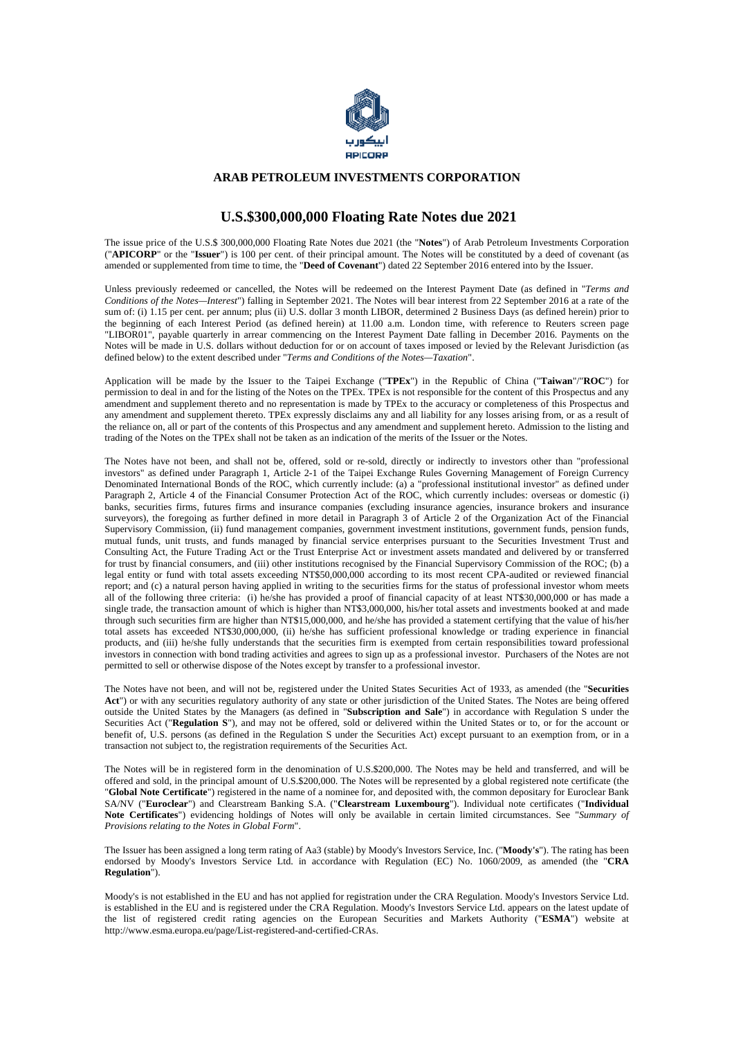

### **ARAB PETROLEUM INVESTMENTS CORPORATION**

## **U.S.\$300,000,000 Floating Rate Notes due 2021**

The issue price of the U.S.\$ 300,000,000 Floating Rate Notes due 2021 (the "**Notes**") of Arab Petroleum Investments Corporation ("**APICORP**" or the "**Issuer**") is 100 per cent. of their principal amount. The Notes will be constituted by a deed of covenant (as amended or supplemented from time to time, the "**Deed of Covenant**") dated 22 September 2016 entered into by the Issuer.

Unless previously redeemed or cancelled, the Notes will be redeemed on the Interest Payment Date (as defined in "*Terms and Conditions of the Notes—Interest*") falling in September 2021. The Notes will bear interest from 22 September 2016 at a rate of the sum of: (i) 1.15 per cent. per annum; plus (ii) U.S. dollar 3 month LIBOR, determined 2 Business Days (as defined herein) prior to the beginning of each Interest Period (as defined herein) at 11.00 a.m. London time, with reference to Reuters screen page "LIBOR01", payable quarterly in arrear commencing on the Interest Payment Date falling in December 2016. Payments on the Notes will be made in U.S. dollars without deduction for or on account of taxes imposed or levied by the Relevant Jurisdiction (as defined below) to the extent described under "*Terms and Conditions of the Notes—Taxation*".

Application will be made by the Issuer to the Taipei Exchange ("**TPEx**") in the Republic of China ("**Taiwan**"/"**ROC**") for permission to deal in and for the listing of the Notes on the TPEx. TPEx is not responsible for the content of this Prospectus and any amendment and supplement thereto and no representation is made by TPEx to the accuracy or completeness of this Prospectus and any amendment and supplement thereto. TPEx expressly disclaims any and all liability for any losses arising from, or as a result of the reliance on, all or part of the contents of this Prospectus and any amendment and supplement hereto. Admission to the listing and trading of the Notes on the TPEx shall not be taken as an indication of the merits of the Issuer or the Notes.

The Notes have not been, and shall not be, offered, sold or re-sold, directly or indirectly to investors other than "professional investors" as defined under Paragraph 1, Article 2-1 of the Taipei Exchange Rules Governing Management of Foreign Currency Denominated International Bonds of the ROC, which currently include: (a) a "professional institutional investor" as defined under Paragraph 2, Article 4 of the Financial Consumer Protection Act of the ROC, which currently includes: overseas or domestic (i) banks, securities firms, futures firms and insurance companies (excluding insurance agencies, insurance brokers and insurance surveyors), the foregoing as further defined in more detail in Paragraph 3 of Article 2 of the Organization Act of the Financial Supervisory Commission, (ii) fund management companies, government investment institutions, government funds, pension funds, mutual funds, unit trusts, and funds managed by financial service enterprises pursuant to the Securities Investment Trust and Consulting Act, the Future Trading Act or the Trust Enterprise Act or investment assets mandated and delivered by or transferred for trust by financial consumers, and (iii) other institutions recognised by the Financial Supervisory Commission of the ROC; (b) a legal entity or fund with total assets exceeding NT\$50,000,000 according to its most recent CPA-audited or reviewed financial report; and (c) a natural person having applied in writing to the securities firms for the status of professional investor whom meets all of the following three criteria: (i) he/she has provided a proof of financial capacity of at least NT\$30,000,000 or has made a single trade, the transaction amount of which is higher than NT\$3,000,000, his/her total assets and investments booked at and made through such securities firm are higher than NT\$15,000,000, and he/she has provided a statement certifying that the value of his/her total assets has exceeded NT\$30,000,000, (ii) he/she has sufficient professional knowledge or trading experience in financial products, and (iii) he/she fully understands that the securities firm is exempted from certain responsibilities toward professional investors in connection with bond trading activities and agrees to sign up as a professional investor. Purchasers of the Notes are not permitted to sell or otherwise dispose of the Notes except by transfer to a professional investor.

The Notes have not been, and will not be, registered under the United States Securities Act of 1933, as amended (the "**Securities Act**") or with any securities regulatory authority of any state or other jurisdiction of the United States. The Notes are being offered outside the United States by the Managers (as defined in "**Subscription and Sale**") in accordance with Regulation S under the Securities Act ("**Regulation S**"), and may not be offered, sold or delivered within the United States or to, or for the account or benefit of, U.S. persons (as defined in the Regulation S under the Securities Act) except pursuant to an exemption from, or in a transaction not subject to, the registration requirements of the Securities Act.

The Notes will be in registered form in the denomination of U.S.\$200,000. The Notes may be held and transferred, and will be offered and sold, in the principal amount of U.S.\$200,000. The Notes will be represented by a global registered note certificate (the "**Global Note Certificate**") registered in the name of a nominee for, and deposited with, the common depositary for Euroclear Bank SA/NV ("**Euroclear**") and Clearstream Banking S.A. ("**Clearstream Luxembourg**"). Individual note certificates ("**Individual Note Certificates**") evidencing holdings of Notes will only be available in certain limited circumstances. See "*Summary of Provisions relating to the Notes in Global Form*".

The Issuer has been assigned a long term rating of Aa3 (stable) by Moody's Investors Service, Inc. ("**Moody's**"). The rating has been endorsed by Moody's Investors Service Ltd. in accordance with Regulation (EC) No. 1060/2009, as amended (the "**CRA Regulation**").

Moody's is not established in the EU and has not applied for registration under the CRA Regulation. Moody's Investors Service Ltd. is established in the EU and is registered under the CRA Regulation. Moody's Investors Service Ltd. appears on the latest update of the list of registered credit rating agencies on the European Securities and Markets Authority ("**ESMA**") website at http://www.esma.europa.eu/page/List-registered-and-certified-CRAs.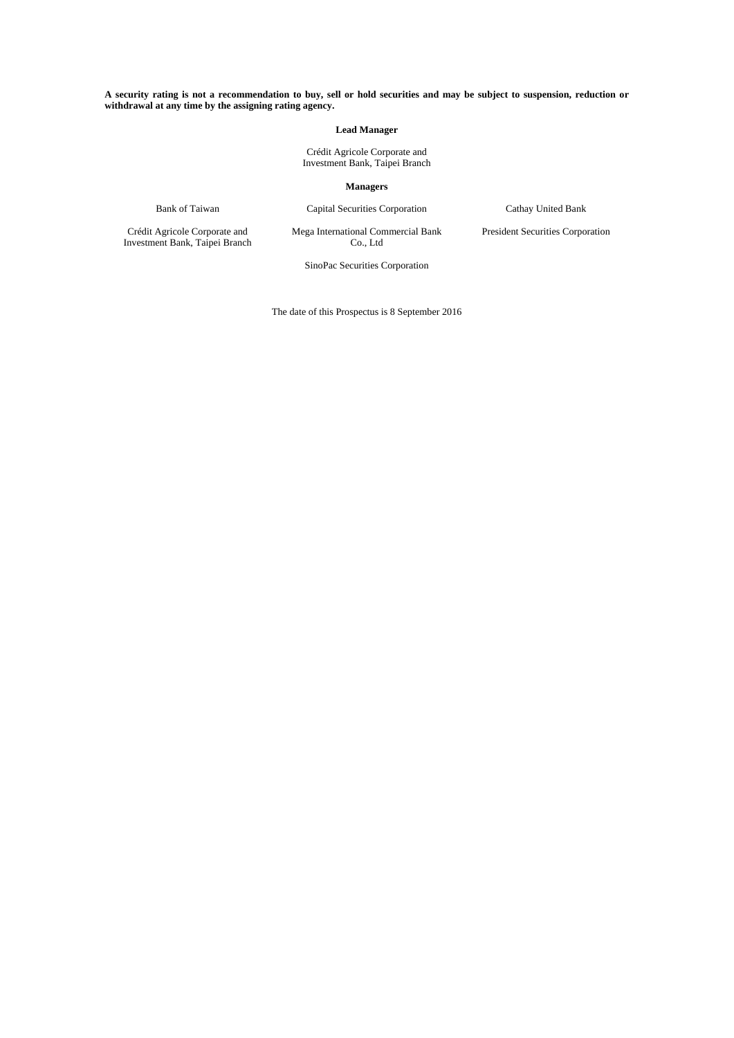#### **A security rating is not a recommendation to buy, sell or hold securities and may be subject to suspension, reduction or withdrawal at any time by the assigning rating agency.**

#### **Lead Manager**

Crédit Agricole Corporate and Investment Bank, Taipei Branch

 **Managers** 

Bank of Taiwan Capital Securities Corporation Cathay United Bank

Crédit Agricole Corporate and Investment Bank, Taipei Branch Mega International Commercial Bank Co., Ltd

President Securities Corporation

SinoPac Securities Corporation

The date of this Prospectus is 8 September 2016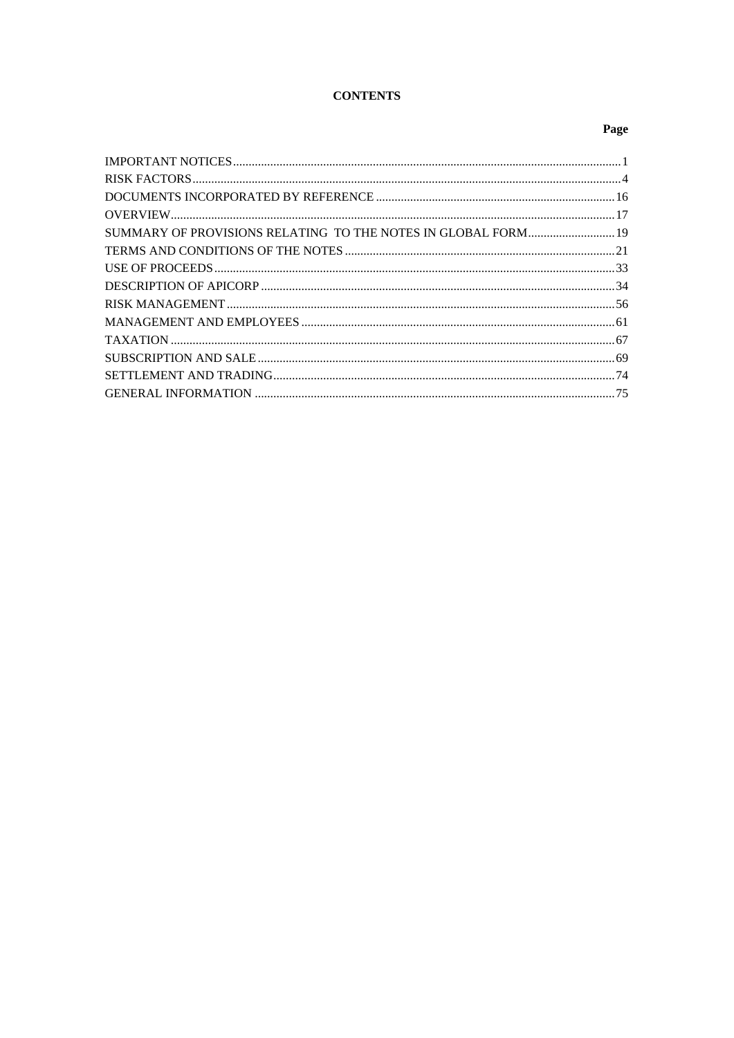# **CONTENTS**

## Page

| SUMMARY OF PROVISIONS RELATING TO THE NOTES IN GLOBAL FORM 19 |  |
|---------------------------------------------------------------|--|
|                                                               |  |
|                                                               |  |
|                                                               |  |
|                                                               |  |
|                                                               |  |
|                                                               |  |
|                                                               |  |
|                                                               |  |
|                                                               |  |
|                                                               |  |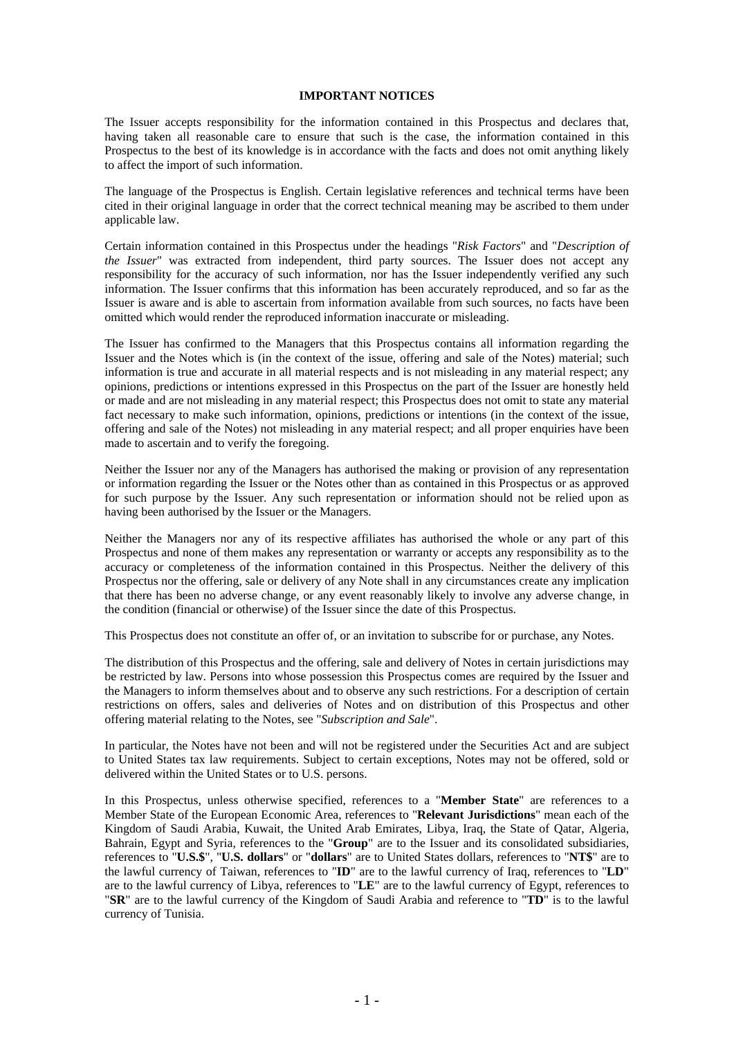### **IMPORTANT NOTICES**

The Issuer accepts responsibility for the information contained in this Prospectus and declares that, having taken all reasonable care to ensure that such is the case, the information contained in this Prospectus to the best of its knowledge is in accordance with the facts and does not omit anything likely to affect the import of such information.

The language of the Prospectus is English. Certain legislative references and technical terms have been cited in their original language in order that the correct technical meaning may be ascribed to them under applicable law.

Certain information contained in this Prospectus under the headings "*Risk Factors*" and "*Description of the Issuer*" was extracted from independent, third party sources. The Issuer does not accept any responsibility for the accuracy of such information, nor has the Issuer independently verified any such information. The Issuer confirms that this information has been accurately reproduced, and so far as the Issuer is aware and is able to ascertain from information available from such sources, no facts have been omitted which would render the reproduced information inaccurate or misleading.

The Issuer has confirmed to the Managers that this Prospectus contains all information regarding the Issuer and the Notes which is (in the context of the issue, offering and sale of the Notes) material; such information is true and accurate in all material respects and is not misleading in any material respect; any opinions, predictions or intentions expressed in this Prospectus on the part of the Issuer are honestly held or made and are not misleading in any material respect; this Prospectus does not omit to state any material fact necessary to make such information, opinions, predictions or intentions (in the context of the issue, offering and sale of the Notes) not misleading in any material respect; and all proper enquiries have been made to ascertain and to verify the foregoing.

Neither the Issuer nor any of the Managers has authorised the making or provision of any representation or information regarding the Issuer or the Notes other than as contained in this Prospectus or as approved for such purpose by the Issuer. Any such representation or information should not be relied upon as having been authorised by the Issuer or the Managers.

Neither the Managers nor any of its respective affiliates has authorised the whole or any part of this Prospectus and none of them makes any representation or warranty or accepts any responsibility as to the accuracy or completeness of the information contained in this Prospectus. Neither the delivery of this Prospectus nor the offering, sale or delivery of any Note shall in any circumstances create any implication that there has been no adverse change, or any event reasonably likely to involve any adverse change, in the condition (financial or otherwise) of the Issuer since the date of this Prospectus.

This Prospectus does not constitute an offer of, or an invitation to subscribe for or purchase, any Notes.

The distribution of this Prospectus and the offering, sale and delivery of Notes in certain jurisdictions may be restricted by law. Persons into whose possession this Prospectus comes are required by the Issuer and the Managers to inform themselves about and to observe any such restrictions. For a description of certain restrictions on offers, sales and deliveries of Notes and on distribution of this Prospectus and other offering material relating to the Notes, see "*Subscription and Sale*".

In particular, the Notes have not been and will not be registered under the Securities Act and are subject to United States tax law requirements. Subject to certain exceptions, Notes may not be offered, sold or delivered within the United States or to U.S. persons.

In this Prospectus, unless otherwise specified, references to a "**Member State**" are references to a Member State of the European Economic Area, references to "**Relevant Jurisdictions**" mean each of the Kingdom of Saudi Arabia, Kuwait, the United Arab Emirates, Libya, Iraq, the State of Qatar, Algeria, Bahrain, Egypt and Syria, references to the "**Group**" are to the Issuer and its consolidated subsidiaries, references to "**U.S.\$**", "**U.S. dollars**" or "**dollars**" are to United States dollars, references to "**NT\$**" are to the lawful currency of Taiwan, references to "**ID**" are to the lawful currency of Iraq, references to "**LD**" are to the lawful currency of Libya, references to "**LE**" are to the lawful currency of Egypt, references to "**SR**" are to the lawful currency of the Kingdom of Saudi Arabia and reference to "**TD**" is to the lawful currency of Tunisia.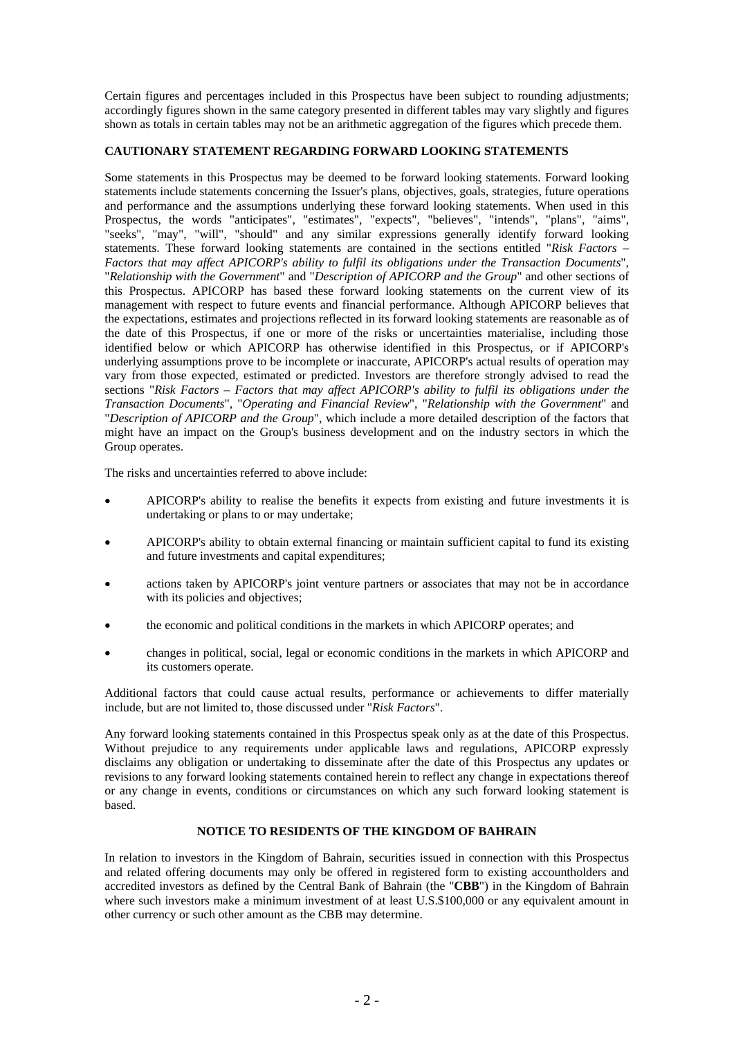Certain figures and percentages included in this Prospectus have been subject to rounding adjustments; accordingly figures shown in the same category presented in different tables may vary slightly and figures shown as totals in certain tables may not be an arithmetic aggregation of the figures which precede them.

### **CAUTIONARY STATEMENT REGARDING FORWARD LOOKING STATEMENTS**

Some statements in this Prospectus may be deemed to be forward looking statements. Forward looking statements include statements concerning the Issuer's plans, objectives, goals, strategies, future operations and performance and the assumptions underlying these forward looking statements. When used in this Prospectus, the words "anticipates", "estimates", "expects", "believes", "intends", "plans", "aims", "seeks", "may", "will", "should" and any similar expressions generally identify forward looking statements. These forward looking statements are contained in the sections entitled "*Risk Factors – Factors that may affect APICORP's ability to fulfil its obligations under the Transaction Documents*", "*Relationship with the Government*" and "*Description of APICORP and the Group*" and other sections of this Prospectus. APICORP has based these forward looking statements on the current view of its management with respect to future events and financial performance. Although APICORP believes that the expectations, estimates and projections reflected in its forward looking statements are reasonable as of the date of this Prospectus, if one or more of the risks or uncertainties materialise, including those identified below or which APICORP has otherwise identified in this Prospectus, or if APICORP's underlying assumptions prove to be incomplete or inaccurate, APICORP's actual results of operation may vary from those expected, estimated or predicted. Investors are therefore strongly advised to read the sections "*Risk Factors – Factors that may affect APICORP's ability to fulfil its obligations under the Transaction Documents*", "*Operating and Financial Review*", "*Relationship with the Government*" and "*Description of APICORP and the Group*", which include a more detailed description of the factors that might have an impact on the Group's business development and on the industry sectors in which the Group operates.

The risks and uncertainties referred to above include:

- APICORP's ability to realise the benefits it expects from existing and future investments it is undertaking or plans to or may undertake;
- APICORP's ability to obtain external financing or maintain sufficient capital to fund its existing and future investments and capital expenditures;
- actions taken by APICORP's joint venture partners or associates that may not be in accordance with its policies and objectives;
- the economic and political conditions in the markets in which APICORP operates; and
- changes in political, social, legal or economic conditions in the markets in which APICORP and its customers operate.

Additional factors that could cause actual results, performance or achievements to differ materially include, but are not limited to, those discussed under "*Risk Factors*".

Any forward looking statements contained in this Prospectus speak only as at the date of this Prospectus. Without prejudice to any requirements under applicable laws and regulations, APICORP expressly disclaims any obligation or undertaking to disseminate after the date of this Prospectus any updates or revisions to any forward looking statements contained herein to reflect any change in expectations thereof or any change in events, conditions or circumstances on which any such forward looking statement is based.

## **NOTICE TO RESIDENTS OF THE KINGDOM OF BAHRAIN**

In relation to investors in the Kingdom of Bahrain, securities issued in connection with this Prospectus and related offering documents may only be offered in registered form to existing accountholders and accredited investors as defined by the Central Bank of Bahrain (the "**CBB**") in the Kingdom of Bahrain where such investors make a minimum investment of at least U.S.\$100,000 or any equivalent amount in other currency or such other amount as the CBB may determine.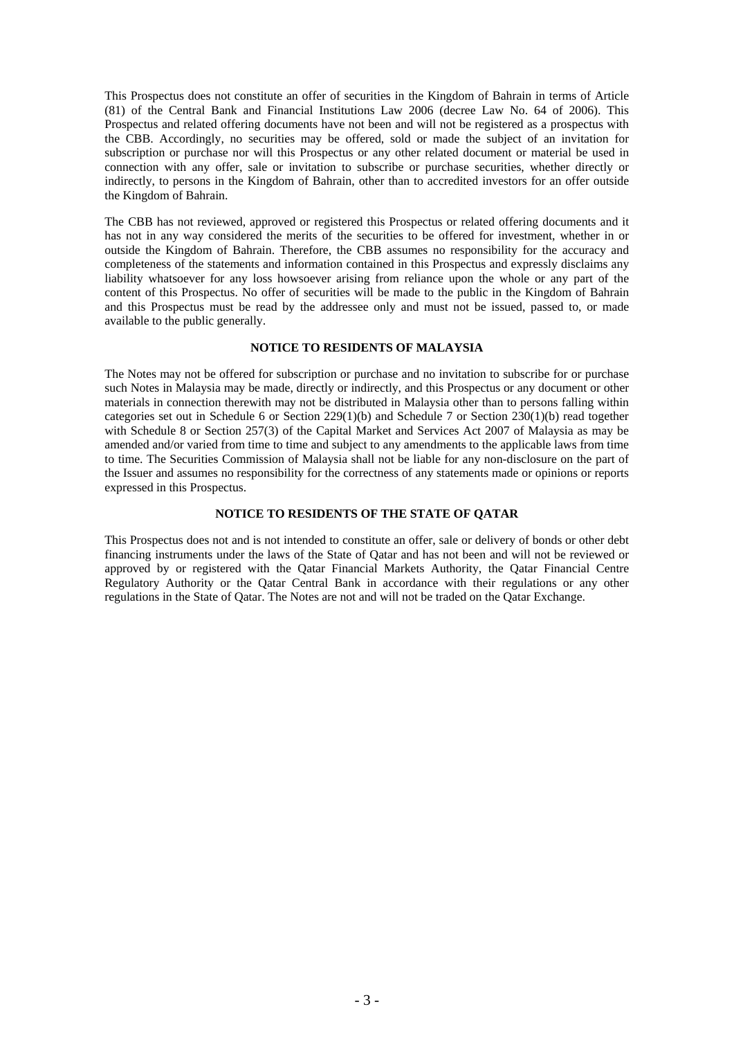This Prospectus does not constitute an offer of securities in the Kingdom of Bahrain in terms of Article (81) of the Central Bank and Financial Institutions Law 2006 (decree Law No. 64 of 2006). This Prospectus and related offering documents have not been and will not be registered as a prospectus with the CBB. Accordingly, no securities may be offered, sold or made the subject of an invitation for subscription or purchase nor will this Prospectus or any other related document or material be used in connection with any offer, sale or invitation to subscribe or purchase securities, whether directly or indirectly, to persons in the Kingdom of Bahrain, other than to accredited investors for an offer outside the Kingdom of Bahrain.

The CBB has not reviewed, approved or registered this Prospectus or related offering documents and it has not in any way considered the merits of the securities to be offered for investment, whether in or outside the Kingdom of Bahrain. Therefore, the CBB assumes no responsibility for the accuracy and completeness of the statements and information contained in this Prospectus and expressly disclaims any liability whatsoever for any loss howsoever arising from reliance upon the whole or any part of the content of this Prospectus. No offer of securities will be made to the public in the Kingdom of Bahrain and this Prospectus must be read by the addressee only and must not be issued, passed to, or made available to the public generally.

## **NOTICE TO RESIDENTS OF MALAYSIA**

The Notes may not be offered for subscription or purchase and no invitation to subscribe for or purchase such Notes in Malaysia may be made, directly or indirectly, and this Prospectus or any document or other materials in connection therewith may not be distributed in Malaysia other than to persons falling within categories set out in Schedule 6 or Section 229(1)(b) and Schedule 7 or Section 230(1)(b) read together with Schedule 8 or Section 257(3) of the Capital Market and Services Act 2007 of Malaysia as may be amended and/or varied from time to time and subject to any amendments to the applicable laws from time to time. The Securities Commission of Malaysia shall not be liable for any non-disclosure on the part of the Issuer and assumes no responsibility for the correctness of any statements made or opinions or reports expressed in this Prospectus.

### **NOTICE TO RESIDENTS OF THE STATE OF QATAR**

This Prospectus does not and is not intended to constitute an offer, sale or delivery of bonds or other debt financing instruments under the laws of the State of Qatar and has not been and will not be reviewed or approved by or registered with the Qatar Financial Markets Authority, the Qatar Financial Centre Regulatory Authority or the Qatar Central Bank in accordance with their regulations or any other regulations in the State of Qatar. The Notes are not and will not be traded on the Qatar Exchange.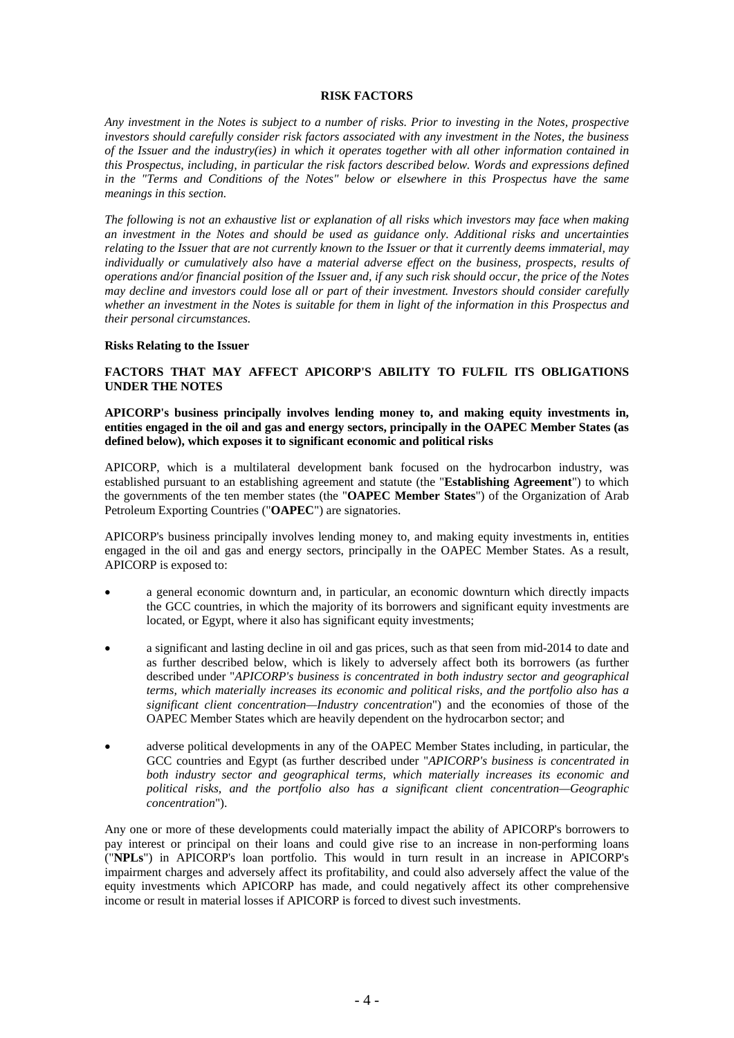### **RISK FACTORS**

*Any investment in the Notes is subject to a number of risks. Prior to investing in the Notes, prospective investors should carefully consider risk factors associated with any investment in the Notes, the business of the Issuer and the industry(ies) in which it operates together with all other information contained in this Prospectus, including, in particular the risk factors described below. Words and expressions defined in the "Terms and Conditions of the Notes" below or elsewhere in this Prospectus have the same meanings in this section.* 

*The following is not an exhaustive list or explanation of all risks which investors may face when making an investment in the Notes and should be used as guidance only. Additional risks and uncertainties relating to the Issuer that are not currently known to the Issuer or that it currently deems immaterial, may individually or cumulatively also have a material adverse effect on the business, prospects, results of operations and/or financial position of the Issuer and, if any such risk should occur, the price of the Notes may decline and investors could lose all or part of their investment. Investors should consider carefully whether an investment in the Notes is suitable for them in light of the information in this Prospectus and their personal circumstances.* 

#### **Risks Relating to the Issuer**

### **FACTORS THAT MAY AFFECT APICORP'S ABILITY TO FULFIL ITS OBLIGATIONS UNDER THE NOTES**

**APICORP's business principally involves lending money to, and making equity investments in, entities engaged in the oil and gas and energy sectors, principally in the OAPEC Member States (as defined below), which exposes it to significant economic and political risks** 

APICORP, which is a multilateral development bank focused on the hydrocarbon industry, was established pursuant to an establishing agreement and statute (the "**Establishing Agreement**") to which the governments of the ten member states (the "**OAPEC Member States**") of the Organization of Arab Petroleum Exporting Countries ("**OAPEC**") are signatories.

APICORP's business principally involves lending money to, and making equity investments in, entities engaged in the oil and gas and energy sectors, principally in the OAPEC Member States. As a result, APICORP is exposed to:

- a general economic downturn and, in particular, an economic downturn which directly impacts the GCC countries, in which the majority of its borrowers and significant equity investments are located, or Egypt, where it also has significant equity investments;
- a significant and lasting decline in oil and gas prices, such as that seen from mid-2014 to date and as further described below, which is likely to adversely affect both its borrowers (as further described under "*APICORP's business is concentrated in both industry sector and geographical terms, which materially increases its economic and political risks, and the portfolio also has a significant client concentration—Industry concentration*") and the economies of those of the OAPEC Member States which are heavily dependent on the hydrocarbon sector; and
- adverse political developments in any of the OAPEC Member States including, in particular, the GCC countries and Egypt (as further described under "*APICORP's business is concentrated in both industry sector and geographical terms, which materially increases its economic and political risks, and the portfolio also has a significant client concentration—Geographic concentration*").

Any one or more of these developments could materially impact the ability of APICORP's borrowers to pay interest or principal on their loans and could give rise to an increase in non-performing loans ("**NPLs**") in APICORP's loan portfolio. This would in turn result in an increase in APICORP's impairment charges and adversely affect its profitability, and could also adversely affect the value of the equity investments which APICORP has made, and could negatively affect its other comprehensive income or result in material losses if APICORP is forced to divest such investments.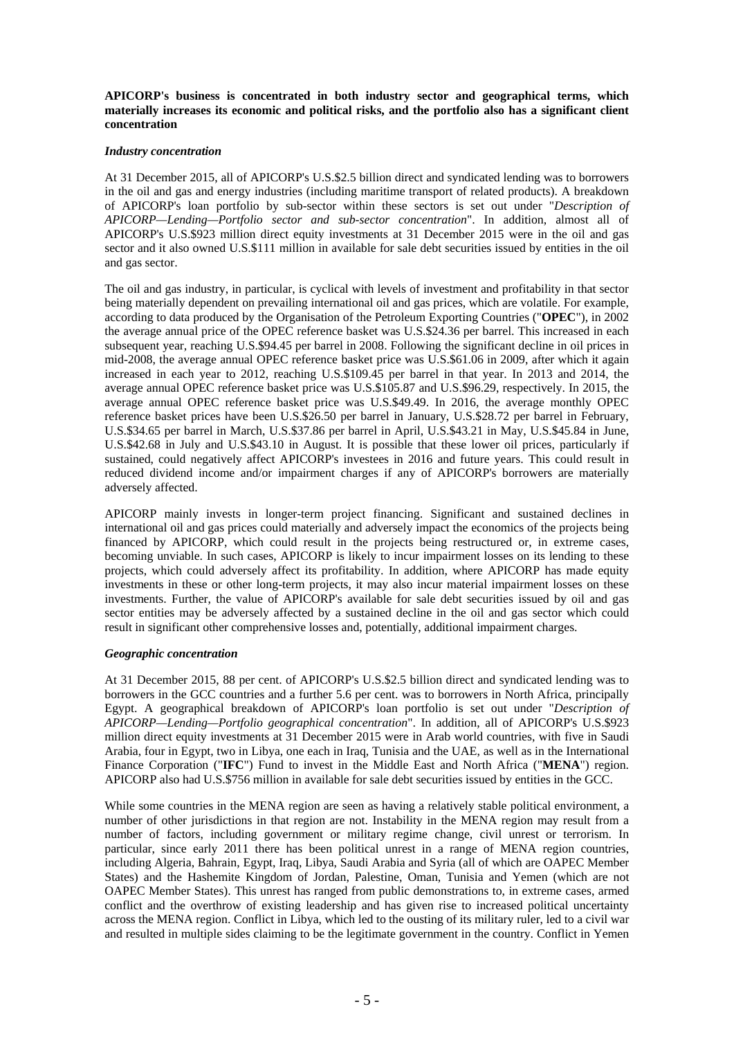**APICORP's business is concentrated in both industry sector and geographical terms, which materially increases its economic and political risks, and the portfolio also has a significant client concentration** 

### *Industry concentration*

At 31 December 2015, all of APICORP's U.S.\$2.5 billion direct and syndicated lending was to borrowers in the oil and gas and energy industries (including maritime transport of related products). A breakdown of APICORP's loan portfolio by sub-sector within these sectors is set out under "*Description of APICORP—Lending—Portfolio sector and sub-sector concentration*". In addition, almost all of APICORP's U.S.\$923 million direct equity investments at 31 December 2015 were in the oil and gas sector and it also owned U.S.\$111 million in available for sale debt securities issued by entities in the oil and gas sector.

The oil and gas industry, in particular, is cyclical with levels of investment and profitability in that sector being materially dependent on prevailing international oil and gas prices, which are volatile. For example, according to data produced by the Organisation of the Petroleum Exporting Countries ("**OPEC**"), in 2002 the average annual price of the OPEC reference basket was U.S.\$24.36 per barrel. This increased in each subsequent year, reaching U.S.\$94.45 per barrel in 2008. Following the significant decline in oil prices in mid-2008, the average annual OPEC reference basket price was U.S.\$61.06 in 2009, after which it again increased in each year to 2012, reaching U.S.\$109.45 per barrel in that year. In 2013 and 2014, the average annual OPEC reference basket price was U.S.\$105.87 and U.S.\$96.29, respectively. In 2015, the average annual OPEC reference basket price was U.S.\$49.49. In 2016, the average monthly OPEC reference basket prices have been U.S.\$26.50 per barrel in January, U.S.\$28.72 per barrel in February, U.S.\$34.65 per barrel in March, U.S.\$37.86 per barrel in April, U.S.\$43.21 in May, U.S.\$45.84 in June, U.S.\$42.68 in July and U.S.\$43.10 in August. It is possible that these lower oil prices, particularly if sustained, could negatively affect APICORP's investees in 2016 and future years. This could result in reduced dividend income and/or impairment charges if any of APICORP's borrowers are materially adversely affected.

APICORP mainly invests in longer-term project financing. Significant and sustained declines in international oil and gas prices could materially and adversely impact the economics of the projects being financed by APICORP, which could result in the projects being restructured or, in extreme cases, becoming unviable. In such cases, APICORP is likely to incur impairment losses on its lending to these projects, which could adversely affect its profitability. In addition, where APICORP has made equity investments in these or other long-term projects, it may also incur material impairment losses on these investments. Further, the value of APICORP's available for sale debt securities issued by oil and gas sector entities may be adversely affected by a sustained decline in the oil and gas sector which could result in significant other comprehensive losses and, potentially, additional impairment charges.

### *Geographic concentration*

At 31 December 2015, 88 per cent. of APICORP's U.S.\$2.5 billion direct and syndicated lending was to borrowers in the GCC countries and a further 5.6 per cent. was to borrowers in North Africa, principally Egypt. A geographical breakdown of APICORP's loan portfolio is set out under "*Description of APICORP—Lending—Portfolio geographical concentration*". In addition, all of APICORP's U.S.\$923 million direct equity investments at 31 December 2015 were in Arab world countries, with five in Saudi Arabia, four in Egypt, two in Libya, one each in Iraq, Tunisia and the UAE, as well as in the International Finance Corporation ("**IFC**") Fund to invest in the Middle East and North Africa ("**MENA**") region. APICORP also had U.S.\$756 million in available for sale debt securities issued by entities in the GCC.

While some countries in the MENA region are seen as having a relatively stable political environment, a number of other jurisdictions in that region are not. Instability in the MENA region may result from a number of factors, including government or military regime change, civil unrest or terrorism. In particular, since early 2011 there has been political unrest in a range of MENA region countries, including Algeria, Bahrain, Egypt, Iraq, Libya, Saudi Arabia and Syria (all of which are OAPEC Member States) and the Hashemite Kingdom of Jordan, Palestine, Oman, Tunisia and Yemen (which are not OAPEC Member States). This unrest has ranged from public demonstrations to, in extreme cases, armed conflict and the overthrow of existing leadership and has given rise to increased political uncertainty across the MENA region. Conflict in Libya, which led to the ousting of its military ruler, led to a civil war and resulted in multiple sides claiming to be the legitimate government in the country. Conflict in Yemen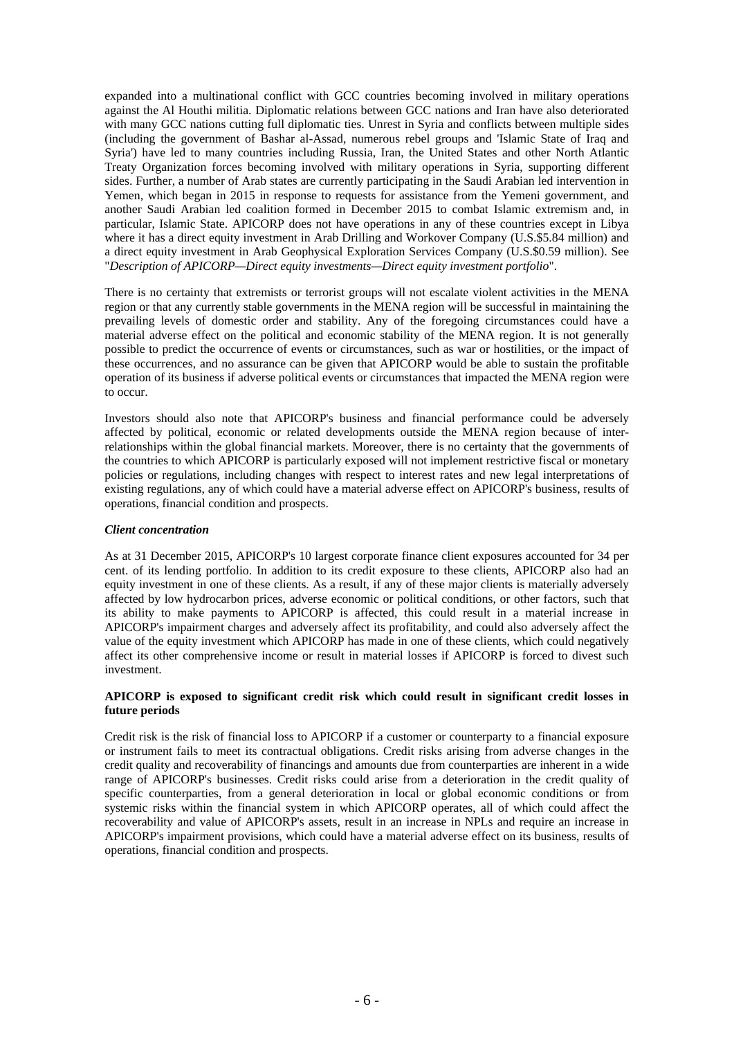expanded into a multinational conflict with GCC countries becoming involved in military operations against the Al Houthi militia. Diplomatic relations between GCC nations and Iran have also deteriorated with many GCC nations cutting full diplomatic ties. Unrest in Syria and conflicts between multiple sides (including the government of Bashar al-Assad, numerous rebel groups and 'Islamic State of Iraq and Syria') have led to many countries including Russia, Iran, the United States and other North Atlantic Treaty Organization forces becoming involved with military operations in Syria, supporting different sides. Further, a number of Arab states are currently participating in the Saudi Arabian led intervention in Yemen, which began in 2015 in response to requests for assistance from the Yemeni government, and another Saudi Arabian led coalition formed in December 2015 to combat Islamic extremism and, in particular, Islamic State. APICORP does not have operations in any of these countries except in Libya where it has a direct equity investment in Arab Drilling and Workover Company (U.S.\$5.84 million) and a direct equity investment in Arab Geophysical Exploration Services Company (U.S.\$0.59 million). See "*Description of APICORP—Direct equity investments—Direct equity investment portfolio*".

There is no certainty that extremists or terrorist groups will not escalate violent activities in the MENA region or that any currently stable governments in the MENA region will be successful in maintaining the prevailing levels of domestic order and stability. Any of the foregoing circumstances could have a material adverse effect on the political and economic stability of the MENA region. It is not generally possible to predict the occurrence of events or circumstances, such as war or hostilities, or the impact of these occurrences, and no assurance can be given that APICORP would be able to sustain the profitable operation of its business if adverse political events or circumstances that impacted the MENA region were to occur.

Investors should also note that APICORP's business and financial performance could be adversely affected by political, economic or related developments outside the MENA region because of interrelationships within the global financial markets. Moreover, there is no certainty that the governments of the countries to which APICORP is particularly exposed will not implement restrictive fiscal or monetary policies or regulations, including changes with respect to interest rates and new legal interpretations of existing regulations, any of which could have a material adverse effect on APICORP's business, results of operations, financial condition and prospects.

### *Client concentration*

As at 31 December 2015, APICORP's 10 largest corporate finance client exposures accounted for 34 per cent. of its lending portfolio. In addition to its credit exposure to these clients, APICORP also had an equity investment in one of these clients. As a result, if any of these major clients is materially adversely affected by low hydrocarbon prices, adverse economic or political conditions, or other factors, such that its ability to make payments to APICORP is affected, this could result in a material increase in APICORP's impairment charges and adversely affect its profitability, and could also adversely affect the value of the equity investment which APICORP has made in one of these clients, which could negatively affect its other comprehensive income or result in material losses if APICORP is forced to divest such investment.

### **APICORP is exposed to significant credit risk which could result in significant credit losses in future periods**

Credit risk is the risk of financial loss to APICORP if a customer or counterparty to a financial exposure or instrument fails to meet its contractual obligations. Credit risks arising from adverse changes in the credit quality and recoverability of financings and amounts due from counterparties are inherent in a wide range of APICORP's businesses. Credit risks could arise from a deterioration in the credit quality of specific counterparties, from a general deterioration in local or global economic conditions or from systemic risks within the financial system in which APICORP operates, all of which could affect the recoverability and value of APICORP's assets, result in an increase in NPLs and require an increase in APICORP's impairment provisions, which could have a material adverse effect on its business, results of operations, financial condition and prospects.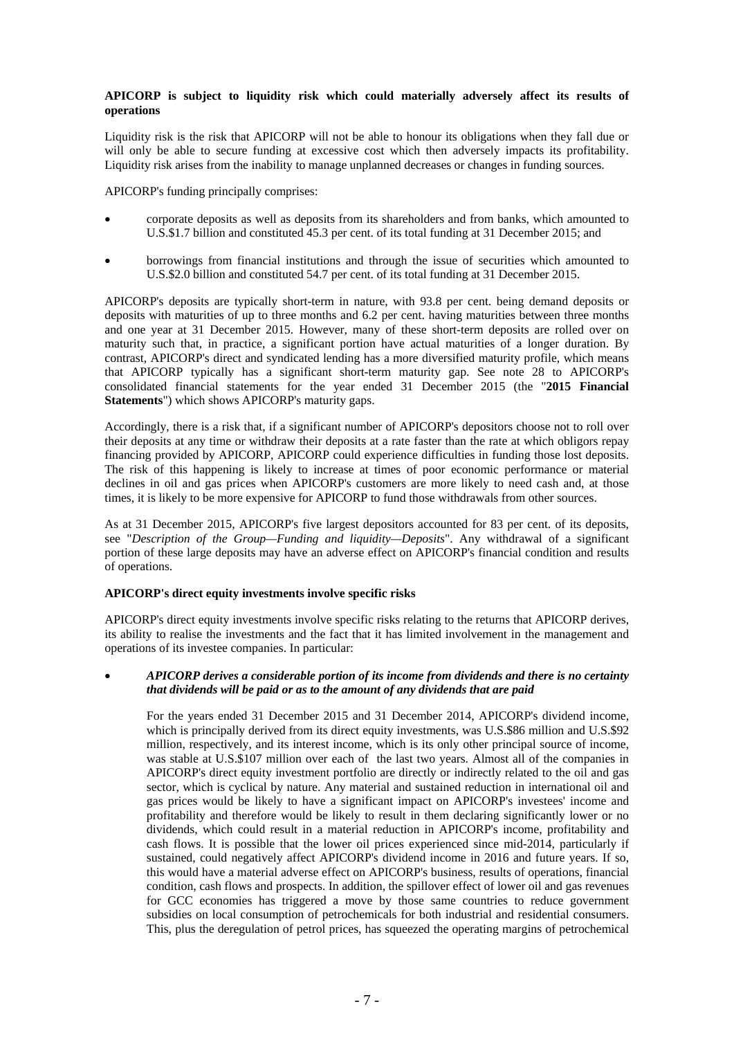### **APICORP is subject to liquidity risk which could materially adversely affect its results of operations**

Liquidity risk is the risk that APICORP will not be able to honour its obligations when they fall due or will only be able to secure funding at excessive cost which then adversely impacts its profitability. Liquidity risk arises from the inability to manage unplanned decreases or changes in funding sources.

APICORP's funding principally comprises:

- corporate deposits as well as deposits from its shareholders and from banks, which amounted to U.S.\$1.7 billion and constituted 45.3 per cent. of its total funding at 31 December 2015; and
- borrowings from financial institutions and through the issue of securities which amounted to U.S.\$2.0 billion and constituted 54.7 per cent. of its total funding at 31 December 2015.

APICORP's deposits are typically short-term in nature, with 93.8 per cent. being demand deposits or deposits with maturities of up to three months and 6.2 per cent. having maturities between three months and one year at 31 December 2015. However, many of these short-term deposits are rolled over on maturity such that, in practice, a significant portion have actual maturities of a longer duration. By contrast, APICORP's direct and syndicated lending has a more diversified maturity profile, which means that APICORP typically has a significant short-term maturity gap. See note 28 to APICORP's consolidated financial statements for the year ended 31 December 2015 (the "**2015 Financial Statements**") which shows APICORP's maturity gaps.

Accordingly, there is a risk that, if a significant number of APICORP's depositors choose not to roll over their deposits at any time or withdraw their deposits at a rate faster than the rate at which obligors repay financing provided by APICORP, APICORP could experience difficulties in funding those lost deposits. The risk of this happening is likely to increase at times of poor economic performance or material declines in oil and gas prices when APICORP's customers are more likely to need cash and, at those times, it is likely to be more expensive for APICORP to fund those withdrawals from other sources.

As at 31 December 2015, APICORP's five largest depositors accounted for 83 per cent. of its deposits, see "*Description of the Group—Funding and liquidity—Deposits*". Any withdrawal of a significant portion of these large deposits may have an adverse effect on APICORP's financial condition and results of operations.

### **APICORP's direct equity investments involve specific risks**

APICORP's direct equity investments involve specific risks relating to the returns that APICORP derives, its ability to realise the investments and the fact that it has limited involvement in the management and operations of its investee companies. In particular:

## *APICORP derives a considerable portion of its income from dividends and there is no certainty that dividends will be paid or as to the amount of any dividends that are paid*

For the years ended 31 December 2015 and 31 December 2014, APICORP's dividend income, which is principally derived from its direct equity investments, was U.S.\$86 million and U.S.\$92 million, respectively, and its interest income, which is its only other principal source of income, was stable at U.S.\$107 million over each of the last two years. Almost all of the companies in APICORP's direct equity investment portfolio are directly or indirectly related to the oil and gas sector, which is cyclical by nature. Any material and sustained reduction in international oil and gas prices would be likely to have a significant impact on APICORP's investees' income and profitability and therefore would be likely to result in them declaring significantly lower or no dividends, which could result in a material reduction in APICORP's income, profitability and cash flows. It is possible that the lower oil prices experienced since mid-2014, particularly if sustained, could negatively affect APICORP's dividend income in 2016 and future years. If so, this would have a material adverse effect on APICORP's business, results of operations, financial condition, cash flows and prospects. In addition, the spillover effect of lower oil and gas revenues for GCC economies has triggered a move by those same countries to reduce government subsidies on local consumption of petrochemicals for both industrial and residential consumers. This, plus the deregulation of petrol prices, has squeezed the operating margins of petrochemical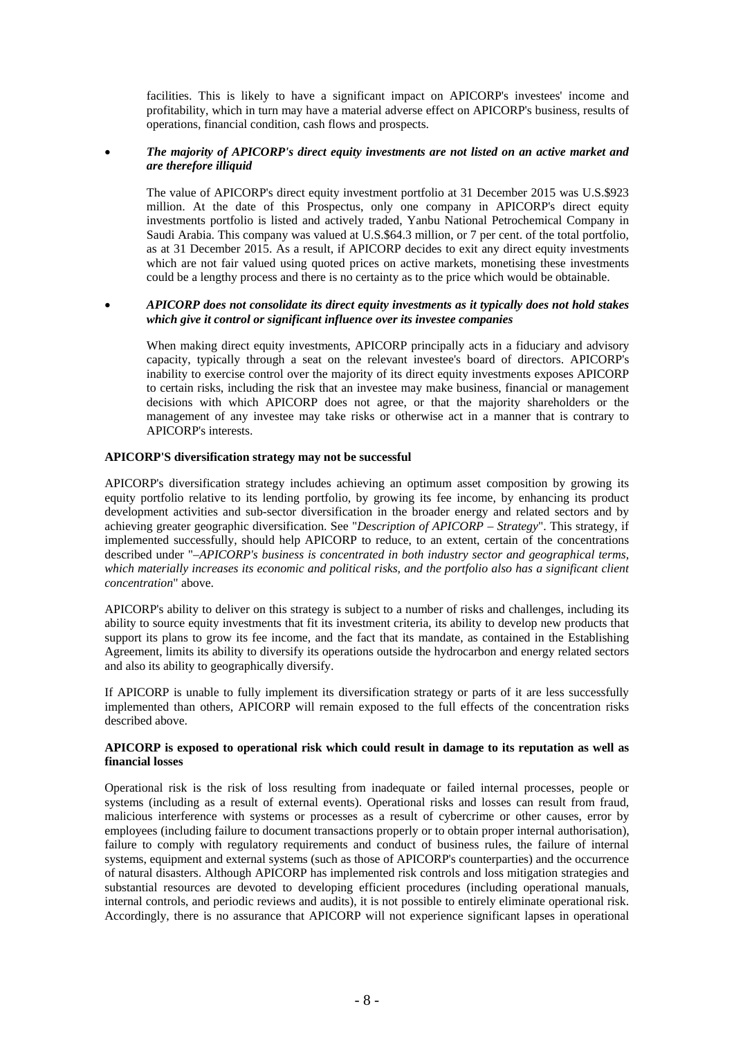facilities. This is likely to have a significant impact on APICORP's investees' income and profitability, which in turn may have a material adverse effect on APICORP's business, results of operations, financial condition, cash flows and prospects.

### *The majority of APICORP's direct equity investments are not listed on an active market and are therefore illiquid*

The value of APICORP's direct equity investment portfolio at 31 December 2015 was U.S.\$923 million. At the date of this Prospectus, only one company in APICORP's direct equity investments portfolio is listed and actively traded, Yanbu National Petrochemical Company in Saudi Arabia. This company was valued at U.S.\$64.3 million, or 7 per cent. of the total portfolio, as at 31 December 2015. As a result, if APICORP decides to exit any direct equity investments which are not fair valued using quoted prices on active markets, monetising these investments could be a lengthy process and there is no certainty as to the price which would be obtainable.

### *APICORP does not consolidate its direct equity investments as it typically does not hold stakes which give it control or significant influence over its investee companies*

When making direct equity investments, APICORP principally acts in a fiduciary and advisory capacity, typically through a seat on the relevant investee's board of directors. APICORP's inability to exercise control over the majority of its direct equity investments exposes APICORP to certain risks, including the risk that an investee may make business, financial or management decisions with which APICORP does not agree, or that the majority shareholders or the management of any investee may take risks or otherwise act in a manner that is contrary to APICORP's interests.

### **APICORP'S diversification strategy may not be successful**

APICORP's diversification strategy includes achieving an optimum asset composition by growing its equity portfolio relative to its lending portfolio, by growing its fee income, by enhancing its product development activities and sub-sector diversification in the broader energy and related sectors and by achieving greater geographic diversification. See "*Description of APICORP – Strategy*". This strategy, if implemented successfully, should help APICORP to reduce, to an extent, certain of the concentrations described under "*–APICORP's business is concentrated in both industry sector and geographical terms, which materially increases its economic and political risks, and the portfolio also has a significant client concentration*" above.

APICORP's ability to deliver on this strategy is subject to a number of risks and challenges, including its ability to source equity investments that fit its investment criteria, its ability to develop new products that support its plans to grow its fee income, and the fact that its mandate, as contained in the Establishing Agreement, limits its ability to diversify its operations outside the hydrocarbon and energy related sectors and also its ability to geographically diversify.

If APICORP is unable to fully implement its diversification strategy or parts of it are less successfully implemented than others, APICORP will remain exposed to the full effects of the concentration risks described above.

### **APICORP is exposed to operational risk which could result in damage to its reputation as well as financial losses**

Operational risk is the risk of loss resulting from inadequate or failed internal processes, people or systems (including as a result of external events). Operational risks and losses can result from fraud, malicious interference with systems or processes as a result of cybercrime or other causes, error by employees (including failure to document transactions properly or to obtain proper internal authorisation), failure to comply with regulatory requirements and conduct of business rules, the failure of internal systems, equipment and external systems (such as those of APICORP's counterparties) and the occurrence of natural disasters. Although APICORP has implemented risk controls and loss mitigation strategies and substantial resources are devoted to developing efficient procedures (including operational manuals, internal controls, and periodic reviews and audits), it is not possible to entirely eliminate operational risk. Accordingly, there is no assurance that APICORP will not experience significant lapses in operational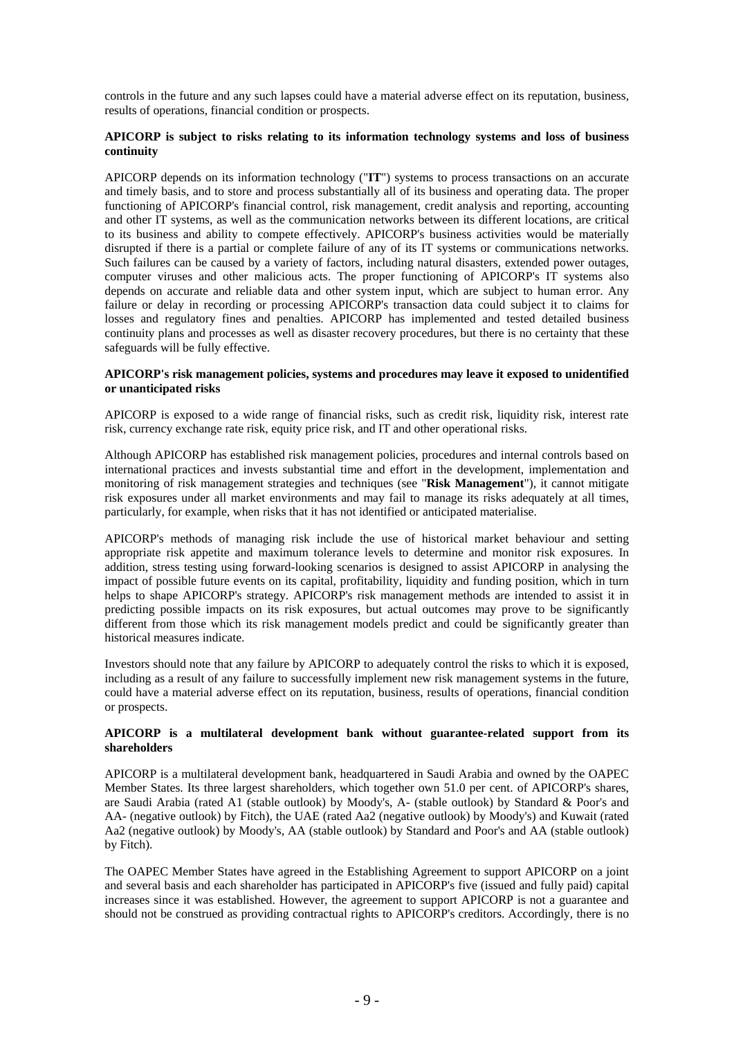controls in the future and any such lapses could have a material adverse effect on its reputation, business, results of operations, financial condition or prospects.

### **APICORP is subject to risks relating to its information technology systems and loss of business continuity**

APICORP depends on its information technology ("**IT**") systems to process transactions on an accurate and timely basis, and to store and process substantially all of its business and operating data. The proper functioning of APICORP's financial control, risk management, credit analysis and reporting, accounting and other IT systems, as well as the communication networks between its different locations, are critical to its business and ability to compete effectively. APICORP's business activities would be materially disrupted if there is a partial or complete failure of any of its IT systems or communications networks. Such failures can be caused by a variety of factors, including natural disasters, extended power outages, computer viruses and other malicious acts. The proper functioning of APICORP's IT systems also depends on accurate and reliable data and other system input, which are subject to human error. Any failure or delay in recording or processing APICORP's transaction data could subject it to claims for losses and regulatory fines and penalties. APICORP has implemented and tested detailed business continuity plans and processes as well as disaster recovery procedures, but there is no certainty that these safeguards will be fully effective.

### **APICORP's risk management policies, systems and procedures may leave it exposed to unidentified or unanticipated risks**

APICORP is exposed to a wide range of financial risks, such as credit risk, liquidity risk, interest rate risk, currency exchange rate risk, equity price risk, and IT and other operational risks.

Although APICORP has established risk management policies, procedures and internal controls based on international practices and invests substantial time and effort in the development, implementation and monitoring of risk management strategies and techniques (see "**Risk Management**"), it cannot mitigate risk exposures under all market environments and may fail to manage its risks adequately at all times, particularly, for example, when risks that it has not identified or anticipated materialise.

APICORP's methods of managing risk include the use of historical market behaviour and setting appropriate risk appetite and maximum tolerance levels to determine and monitor risk exposures. In addition, stress testing using forward-looking scenarios is designed to assist APICORP in analysing the impact of possible future events on its capital, profitability, liquidity and funding position, which in turn helps to shape APICORP's strategy. APICORP's risk management methods are intended to assist it in predicting possible impacts on its risk exposures, but actual outcomes may prove to be significantly different from those which its risk management models predict and could be significantly greater than historical measures indicate.

Investors should note that any failure by APICORP to adequately control the risks to which it is exposed, including as a result of any failure to successfully implement new risk management systems in the future, could have a material adverse effect on its reputation, business, results of operations, financial condition or prospects.

### **APICORP is a multilateral development bank without guarantee-related support from its shareholders**

APICORP is a multilateral development bank, headquartered in Saudi Arabia and owned by the OAPEC Member States. Its three largest shareholders, which together own 51.0 per cent. of APICORP's shares, are Saudi Arabia (rated A1 (stable outlook) by Moody's, A- (stable outlook) by Standard & Poor's and AA- (negative outlook) by Fitch), the UAE (rated Aa2 (negative outlook) by Moody's) and Kuwait (rated Aa2 (negative outlook) by Moody's, AA (stable outlook) by Standard and Poor's and AA (stable outlook) by Fitch).

The OAPEC Member States have agreed in the Establishing Agreement to support APICORP on a joint and several basis and each shareholder has participated in APICORP's five (issued and fully paid) capital increases since it was established. However, the agreement to support APICORP is not a guarantee and should not be construed as providing contractual rights to APICORP's creditors. Accordingly, there is no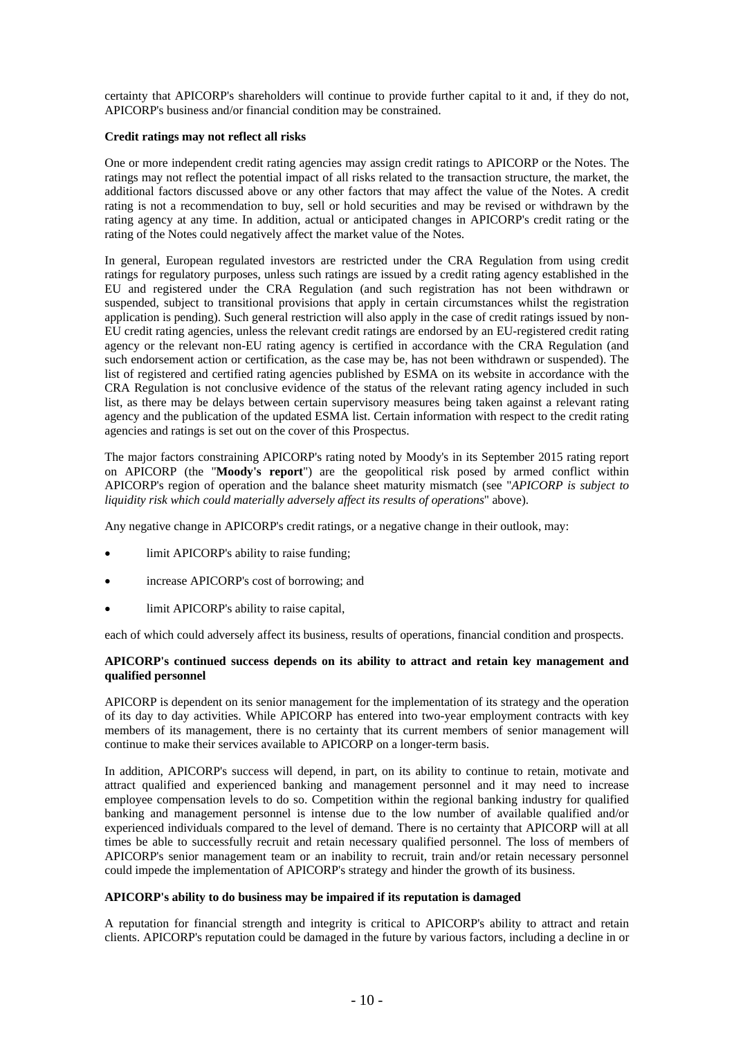certainty that APICORP's shareholders will continue to provide further capital to it and, if they do not, APICORP's business and/or financial condition may be constrained.

### **Credit ratings may not reflect all risks**

One or more independent credit rating agencies may assign credit ratings to APICORP or the Notes. The ratings may not reflect the potential impact of all risks related to the transaction structure, the market, the additional factors discussed above or any other factors that may affect the value of the Notes. A credit rating is not a recommendation to buy, sell or hold securities and may be revised or withdrawn by the rating agency at any time. In addition, actual or anticipated changes in APICORP's credit rating or the rating of the Notes could negatively affect the market value of the Notes.

In general, European regulated investors are restricted under the CRA Regulation from using credit ratings for regulatory purposes, unless such ratings are issued by a credit rating agency established in the EU and registered under the CRA Regulation (and such registration has not been withdrawn or suspended, subject to transitional provisions that apply in certain circumstances whilst the registration application is pending). Such general restriction will also apply in the case of credit ratings issued by non-EU credit rating agencies, unless the relevant credit ratings are endorsed by an EU-registered credit rating agency or the relevant non-EU rating agency is certified in accordance with the CRA Regulation (and such endorsement action or certification, as the case may be, has not been withdrawn or suspended). The list of registered and certified rating agencies published by ESMA on its website in accordance with the CRA Regulation is not conclusive evidence of the status of the relevant rating agency included in such list, as there may be delays between certain supervisory measures being taken against a relevant rating agency and the publication of the updated ESMA list. Certain information with respect to the credit rating agencies and ratings is set out on the cover of this Prospectus.

The major factors constraining APICORP's rating noted by Moody's in its September 2015 rating report on APICORP (the "**Moody's report**") are the geopolitical risk posed by armed conflict within APICORP's region of operation and the balance sheet maturity mismatch (see "*APICORP is subject to liquidity risk which could materially adversely affect its results of operations*" above).

Any negative change in APICORP's credit ratings, or a negative change in their outlook, may:

- limit APICORP's ability to raise funding;
- increase APICORP's cost of borrowing; and
- limit APICORP's ability to raise capital,

each of which could adversely affect its business, results of operations, financial condition and prospects.

### **APICORP's continued success depends on its ability to attract and retain key management and qualified personnel**

APICORP is dependent on its senior management for the implementation of its strategy and the operation of its day to day activities. While APICORP has entered into two-year employment contracts with key members of its management, there is no certainty that its current members of senior management will continue to make their services available to APICORP on a longer-term basis.

In addition, APICORP's success will depend, in part, on its ability to continue to retain, motivate and attract qualified and experienced banking and management personnel and it may need to increase employee compensation levels to do so. Competition within the regional banking industry for qualified banking and management personnel is intense due to the low number of available qualified and/or experienced individuals compared to the level of demand. There is no certainty that APICORP will at all times be able to successfully recruit and retain necessary qualified personnel. The loss of members of APICORP's senior management team or an inability to recruit, train and/or retain necessary personnel could impede the implementation of APICORP's strategy and hinder the growth of its business.

## **APICORP's ability to do business may be impaired if its reputation is damaged**

A reputation for financial strength and integrity is critical to APICORP's ability to attract and retain clients. APICORP's reputation could be damaged in the future by various factors, including a decline in or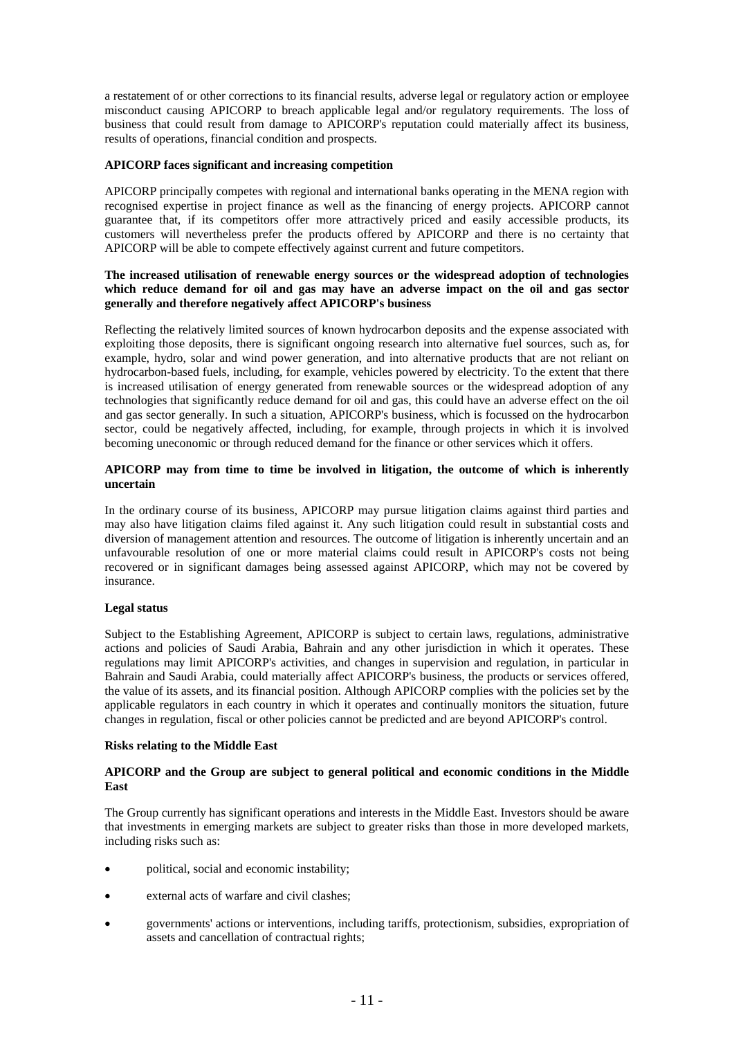a restatement of or other corrections to its financial results, adverse legal or regulatory action or employee misconduct causing APICORP to breach applicable legal and/or regulatory requirements. The loss of business that could result from damage to APICORP's reputation could materially affect its business, results of operations, financial condition and prospects.

### **APICORP faces significant and increasing competition**

APICORP principally competes with regional and international banks operating in the MENA region with recognised expertise in project finance as well as the financing of energy projects. APICORP cannot guarantee that, if its competitors offer more attractively priced and easily accessible products, its customers will nevertheless prefer the products offered by APICORP and there is no certainty that APICORP will be able to compete effectively against current and future competitors.

### **The increased utilisation of renewable energy sources or the widespread adoption of technologies which reduce demand for oil and gas may have an adverse impact on the oil and gas sector generally and therefore negatively affect APICORP's business**

Reflecting the relatively limited sources of known hydrocarbon deposits and the expense associated with exploiting those deposits, there is significant ongoing research into alternative fuel sources, such as, for example, hydro, solar and wind power generation, and into alternative products that are not reliant on hydrocarbon-based fuels, including, for example, vehicles powered by electricity. To the extent that there is increased utilisation of energy generated from renewable sources or the widespread adoption of any technologies that significantly reduce demand for oil and gas, this could have an adverse effect on the oil and gas sector generally. In such a situation, APICORP's business, which is focussed on the hydrocarbon sector, could be negatively affected, including, for example, through projects in which it is involved becoming uneconomic or through reduced demand for the finance or other services which it offers.

### **APICORP may from time to time be involved in litigation, the outcome of which is inherently uncertain**

In the ordinary course of its business, APICORP may pursue litigation claims against third parties and may also have litigation claims filed against it. Any such litigation could result in substantial costs and diversion of management attention and resources. The outcome of litigation is inherently uncertain and an unfavourable resolution of one or more material claims could result in APICORP's costs not being recovered or in significant damages being assessed against APICORP, which may not be covered by insurance.

### **Legal status**

Subject to the Establishing Agreement, APICORP is subject to certain laws, regulations, administrative actions and policies of Saudi Arabia, Bahrain and any other jurisdiction in which it operates. These regulations may limit APICORP's activities, and changes in supervision and regulation, in particular in Bahrain and Saudi Arabia, could materially affect APICORP's business, the products or services offered, the value of its assets, and its financial position. Although APICORP complies with the policies set by the applicable regulators in each country in which it operates and continually monitors the situation, future changes in regulation, fiscal or other policies cannot be predicted and are beyond APICORP's control.

#### **Risks relating to the Middle East**

### **APICORP and the Group are subject to general political and economic conditions in the Middle East**

The Group currently has significant operations and interests in the Middle East. Investors should be aware that investments in emerging markets are subject to greater risks than those in more developed markets, including risks such as:

- political, social and economic instability;
- external acts of warfare and civil clashes;
- governments' actions or interventions, including tariffs, protectionism, subsidies, expropriation of assets and cancellation of contractual rights;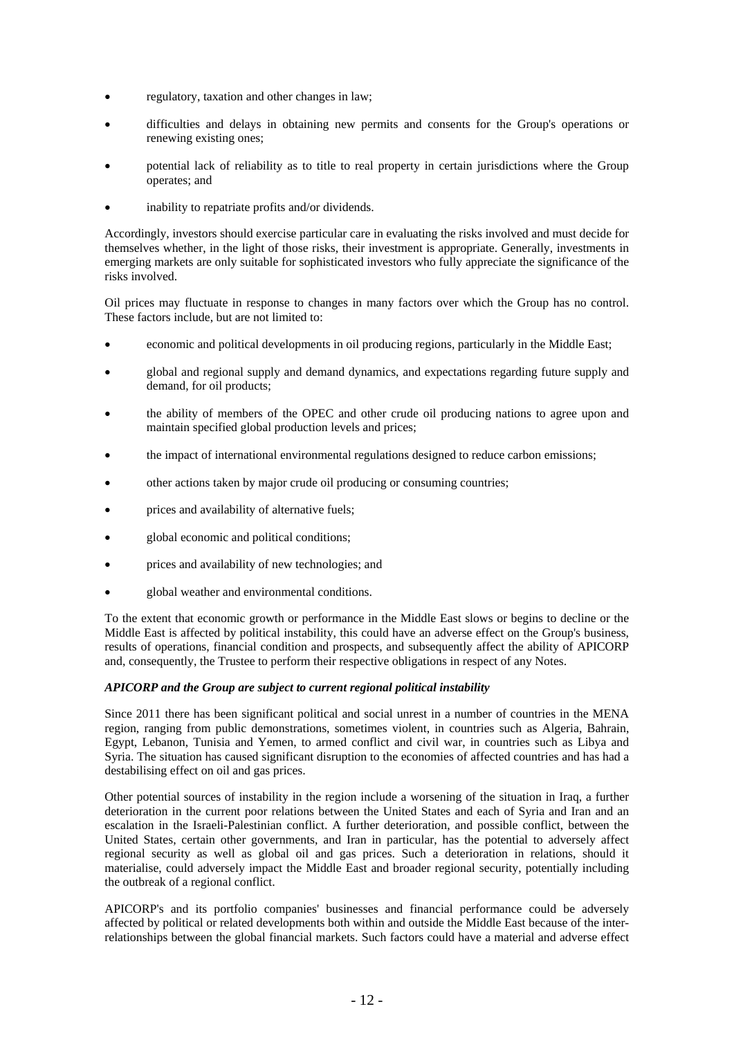- regulatory, taxation and other changes in law;
- difficulties and delays in obtaining new permits and consents for the Group's operations or renewing existing ones;
- potential lack of reliability as to title to real property in certain jurisdictions where the Group operates; and
- inability to repatriate profits and/or dividends.

Accordingly, investors should exercise particular care in evaluating the risks involved and must decide for themselves whether, in the light of those risks, their investment is appropriate. Generally, investments in emerging markets are only suitable for sophisticated investors who fully appreciate the significance of the risks involved.

Oil prices may fluctuate in response to changes in many factors over which the Group has no control. These factors include, but are not limited to:

- economic and political developments in oil producing regions, particularly in the Middle East;
- global and regional supply and demand dynamics, and expectations regarding future supply and demand, for oil products;
- the ability of members of the OPEC and other crude oil producing nations to agree upon and maintain specified global production levels and prices;
- the impact of international environmental regulations designed to reduce carbon emissions;
- other actions taken by major crude oil producing or consuming countries;
- prices and availability of alternative fuels;
- global economic and political conditions;
- prices and availability of new technologies; and
- global weather and environmental conditions.

To the extent that economic growth or performance in the Middle East slows or begins to decline or the Middle East is affected by political instability, this could have an adverse effect on the Group's business, results of operations, financial condition and prospects, and subsequently affect the ability of APICORP and, consequently, the Trustee to perform their respective obligations in respect of any Notes.

### *APICORP and the Group are subject to current regional political instability*

Since 2011 there has been significant political and social unrest in a number of countries in the MENA region, ranging from public demonstrations, sometimes violent, in countries such as Algeria, Bahrain, Egypt, Lebanon, Tunisia and Yemen, to armed conflict and civil war, in countries such as Libya and Syria. The situation has caused significant disruption to the economies of affected countries and has had a destabilising effect on oil and gas prices.

Other potential sources of instability in the region include a worsening of the situation in Iraq, a further deterioration in the current poor relations between the United States and each of Syria and Iran and an escalation in the Israeli-Palestinian conflict. A further deterioration, and possible conflict, between the United States, certain other governments, and Iran in particular, has the potential to adversely affect regional security as well as global oil and gas prices. Such a deterioration in relations, should it materialise, could adversely impact the Middle East and broader regional security, potentially including the outbreak of a regional conflict.

APICORP's and its portfolio companies' businesses and financial performance could be adversely affected by political or related developments both within and outside the Middle East because of the interrelationships between the global financial markets. Such factors could have a material and adverse effect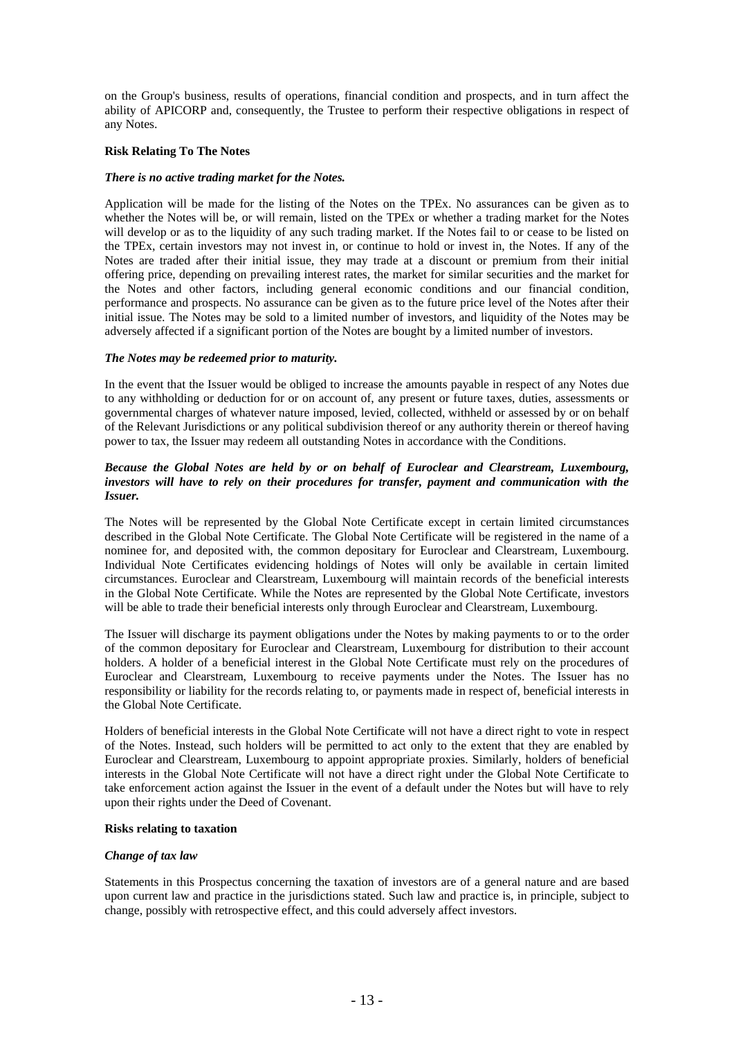on the Group's business, results of operations, financial condition and prospects, and in turn affect the ability of APICORP and, consequently, the Trustee to perform their respective obligations in respect of any Notes.

### **Risk Relating To The Notes**

#### *There is no active trading market for the Notes.*

Application will be made for the listing of the Notes on the TPEx. No assurances can be given as to whether the Notes will be, or will remain, listed on the TPEx or whether a trading market for the Notes will develop or as to the liquidity of any such trading market. If the Notes fail to or cease to be listed on the TPEx, certain investors may not invest in, or continue to hold or invest in, the Notes. If any of the Notes are traded after their initial issue, they may trade at a discount or premium from their initial offering price, depending on prevailing interest rates, the market for similar securities and the market for the Notes and other factors, including general economic conditions and our financial condition, performance and prospects. No assurance can be given as to the future price level of the Notes after their initial issue. The Notes may be sold to a limited number of investors, and liquidity of the Notes may be adversely affected if a significant portion of the Notes are bought by a limited number of investors.

### *The Notes may be redeemed prior to maturity.*

In the event that the Issuer would be obliged to increase the amounts payable in respect of any Notes due to any withholding or deduction for or on account of, any present or future taxes, duties, assessments or governmental charges of whatever nature imposed, levied, collected, withheld or assessed by or on behalf of the Relevant Jurisdictions or any political subdivision thereof or any authority therein or thereof having power to tax, the Issuer may redeem all outstanding Notes in accordance with the Conditions.

### *Because the Global Notes are held by or on behalf of Euroclear and Clearstream, Luxembourg, investors will have to rely on their procedures for transfer, payment and communication with the Issuer.*

The Notes will be represented by the Global Note Certificate except in certain limited circumstances described in the Global Note Certificate. The Global Note Certificate will be registered in the name of a nominee for, and deposited with, the common depositary for Euroclear and Clearstream, Luxembourg. Individual Note Certificates evidencing holdings of Notes will only be available in certain limited circumstances. Euroclear and Clearstream, Luxembourg will maintain records of the beneficial interests in the Global Note Certificate. While the Notes are represented by the Global Note Certificate, investors will be able to trade their beneficial interests only through Euroclear and Clearstream, Luxembourg.

The Issuer will discharge its payment obligations under the Notes by making payments to or to the order of the common depositary for Euroclear and Clearstream, Luxembourg for distribution to their account holders. A holder of a beneficial interest in the Global Note Certificate must rely on the procedures of Euroclear and Clearstream, Luxembourg to receive payments under the Notes. The Issuer has no responsibility or liability for the records relating to, or payments made in respect of, beneficial interests in the Global Note Certificate.

Holders of beneficial interests in the Global Note Certificate will not have a direct right to vote in respect of the Notes. Instead, such holders will be permitted to act only to the extent that they are enabled by Euroclear and Clearstream, Luxembourg to appoint appropriate proxies. Similarly, holders of beneficial interests in the Global Note Certificate will not have a direct right under the Global Note Certificate to take enforcement action against the Issuer in the event of a default under the Notes but will have to rely upon their rights under the Deed of Covenant.

#### **Risks relating to taxation**

### *Change of tax law*

Statements in this Prospectus concerning the taxation of investors are of a general nature and are based upon current law and practice in the jurisdictions stated. Such law and practice is, in principle, subject to change, possibly with retrospective effect, and this could adversely affect investors.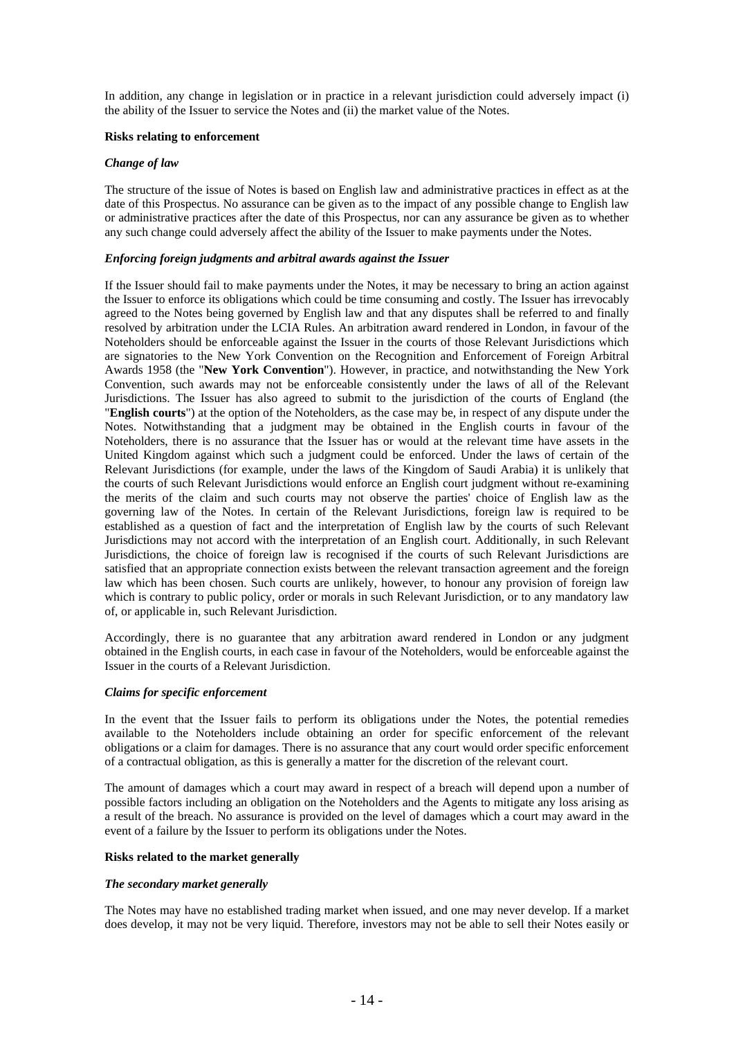In addition, any change in legislation or in practice in a relevant jurisdiction could adversely impact (i) the ability of the Issuer to service the Notes and (ii) the market value of the Notes.

### **Risks relating to enforcement**

### *Change of law*

The structure of the issue of Notes is based on English law and administrative practices in effect as at the date of this Prospectus. No assurance can be given as to the impact of any possible change to English law or administrative practices after the date of this Prospectus, nor can any assurance be given as to whether any such change could adversely affect the ability of the Issuer to make payments under the Notes.

#### *Enforcing foreign judgments and arbitral awards against the Issuer*

If the Issuer should fail to make payments under the Notes, it may be necessary to bring an action against the Issuer to enforce its obligations which could be time consuming and costly. The Issuer has irrevocably agreed to the Notes being governed by English law and that any disputes shall be referred to and finally resolved by arbitration under the LCIA Rules. An arbitration award rendered in London, in favour of the Noteholders should be enforceable against the Issuer in the courts of those Relevant Jurisdictions which are signatories to the New York Convention on the Recognition and Enforcement of Foreign Arbitral Awards 1958 (the "**New York Convention**"). However, in practice, and notwithstanding the New York Convention, such awards may not be enforceable consistently under the laws of all of the Relevant Jurisdictions. The Issuer has also agreed to submit to the jurisdiction of the courts of England (the "**English courts**") at the option of the Noteholders, as the case may be, in respect of any dispute under the Notes. Notwithstanding that a judgment may be obtained in the English courts in favour of the Noteholders, there is no assurance that the Issuer has or would at the relevant time have assets in the United Kingdom against which such a judgment could be enforced. Under the laws of certain of the Relevant Jurisdictions (for example, under the laws of the Kingdom of Saudi Arabia) it is unlikely that the courts of such Relevant Jurisdictions would enforce an English court judgment without re-examining the merits of the claim and such courts may not observe the parties' choice of English law as the governing law of the Notes. In certain of the Relevant Jurisdictions, foreign law is required to be established as a question of fact and the interpretation of English law by the courts of such Relevant Jurisdictions may not accord with the interpretation of an English court. Additionally, in such Relevant Jurisdictions, the choice of foreign law is recognised if the courts of such Relevant Jurisdictions are satisfied that an appropriate connection exists between the relevant transaction agreement and the foreign law which has been chosen. Such courts are unlikely, however, to honour any provision of foreign law which is contrary to public policy, order or morals in such Relevant Jurisdiction, or to any mandatory law of, or applicable in, such Relevant Jurisdiction.

Accordingly, there is no guarantee that any arbitration award rendered in London or any judgment obtained in the English courts, in each case in favour of the Noteholders, would be enforceable against the Issuer in the courts of a Relevant Jurisdiction.

### *Claims for specific enforcement*

In the event that the Issuer fails to perform its obligations under the Notes, the potential remedies available to the Noteholders include obtaining an order for specific enforcement of the relevant obligations or a claim for damages. There is no assurance that any court would order specific enforcement of a contractual obligation, as this is generally a matter for the discretion of the relevant court.

The amount of damages which a court may award in respect of a breach will depend upon a number of possible factors including an obligation on the Noteholders and the Agents to mitigate any loss arising as a result of the breach. No assurance is provided on the level of damages which a court may award in the event of a failure by the Issuer to perform its obligations under the Notes.

#### **Risks related to the market generally**

#### *The secondary market generally*

The Notes may have no established trading market when issued, and one may never develop. If a market does develop, it may not be very liquid. Therefore, investors may not be able to sell their Notes easily or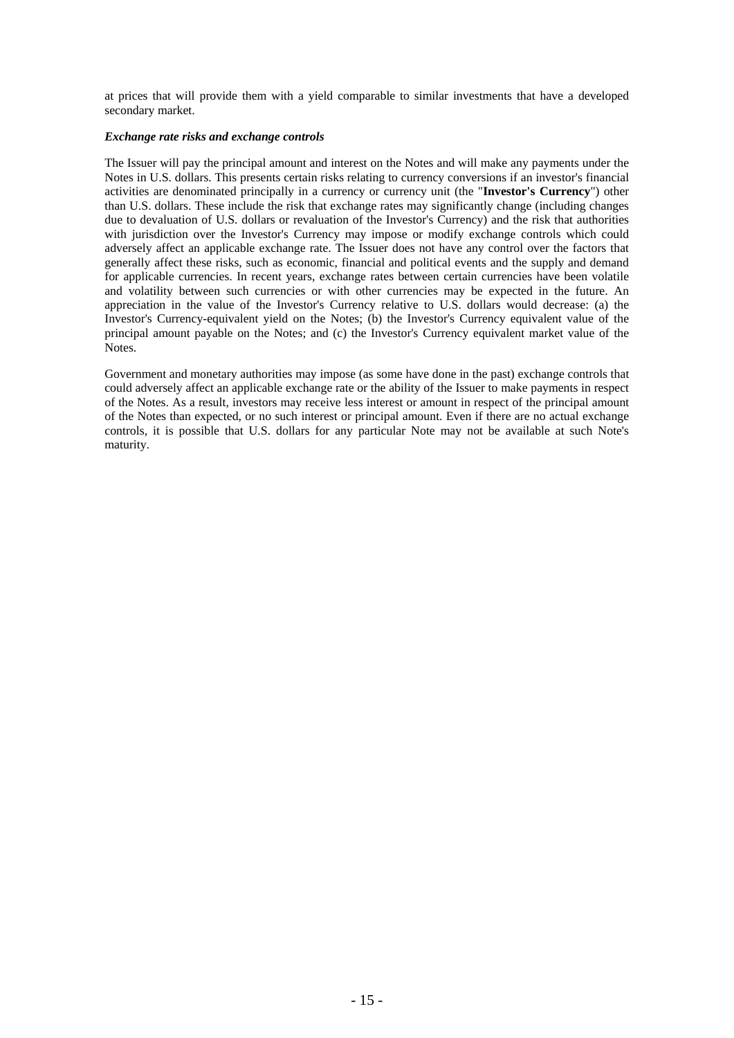at prices that will provide them with a yield comparable to similar investments that have a developed secondary market.

### *Exchange rate risks and exchange controls*

The Issuer will pay the principal amount and interest on the Notes and will make any payments under the Notes in U.S. dollars. This presents certain risks relating to currency conversions if an investor's financial activities are denominated principally in a currency or currency unit (the "**Investor's Currency**") other than U.S. dollars. These include the risk that exchange rates may significantly change (including changes due to devaluation of U.S. dollars or revaluation of the Investor's Currency) and the risk that authorities with jurisdiction over the Investor's Currency may impose or modify exchange controls which could adversely affect an applicable exchange rate. The Issuer does not have any control over the factors that generally affect these risks, such as economic, financial and political events and the supply and demand for applicable currencies. In recent years, exchange rates between certain currencies have been volatile and volatility between such currencies or with other currencies may be expected in the future. An appreciation in the value of the Investor's Currency relative to U.S. dollars would decrease: (a) the Investor's Currency-equivalent yield on the Notes; (b) the Investor's Currency equivalent value of the principal amount payable on the Notes; and (c) the Investor's Currency equivalent market value of the Notes<sup>.</sup>

Government and monetary authorities may impose (as some have done in the past) exchange controls that could adversely affect an applicable exchange rate or the ability of the Issuer to make payments in respect of the Notes. As a result, investors may receive less interest or amount in respect of the principal amount of the Notes than expected, or no such interest or principal amount. Even if there are no actual exchange controls, it is possible that U.S. dollars for any particular Note may not be available at such Note's maturity.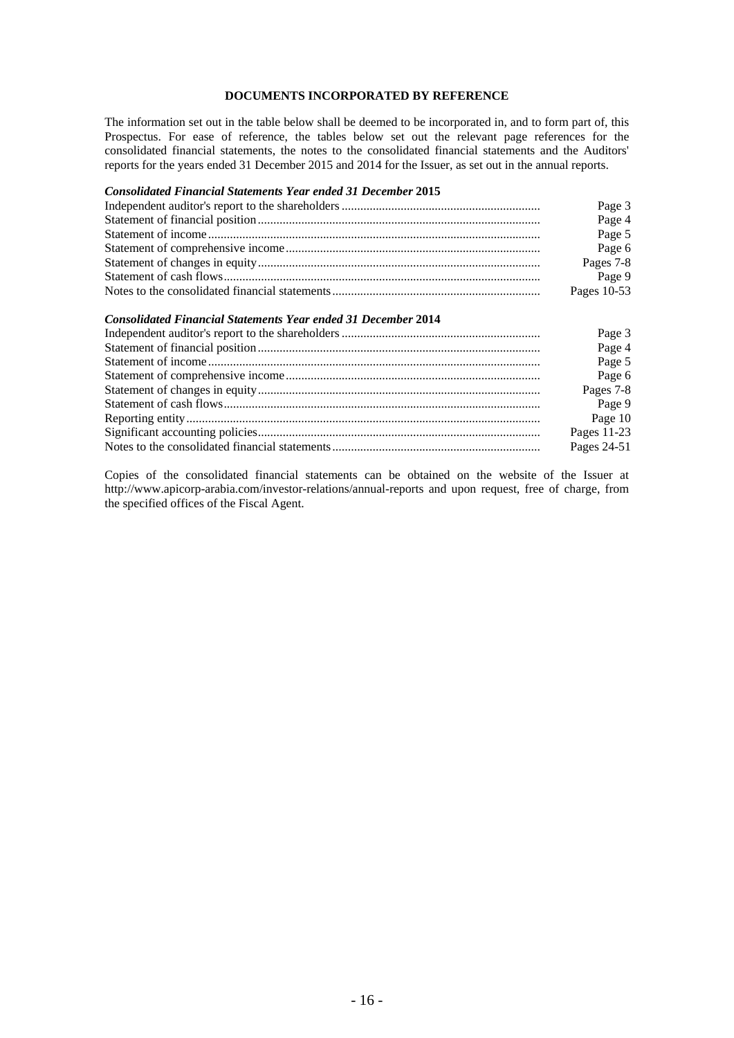## **DOCUMENTS INCORPORATED BY REFERENCE**

The information set out in the table below shall be deemed to be incorporated in, and to form part of, this Prospectus. For ease of reference, the tables below set out the relevant page references for the consolidated financial statements, the notes to the consolidated financial statements and the Auditors' reports for the years ended 31 December 2015 and 2014 for the Issuer, as set out in the annual reports.

## *Consolidated Financial Statements Year ended 31 December* **2015**

| Page 3      |
|-------------|
| Page 4      |
| Page 5      |
| Page 6      |
| Pages 7-8   |
| Page 9      |
| Pages 10-53 |

### *Consolidated Financial Statements Year ended 31 December* **2014**

| Page 3      |
|-------------|
| Page 4      |
| Page 5      |
| Page 6      |
| Pages 7-8   |
| Page 9      |
| Page 10     |
| Pages 11-23 |
| Pages 24-51 |

Copies of the consolidated financial statements can be obtained on the website of the Issuer at http://www.apicorp-arabia.com/investor-relations/annual-reports and upon request, free of charge, from the specified offices of the Fiscal Agent.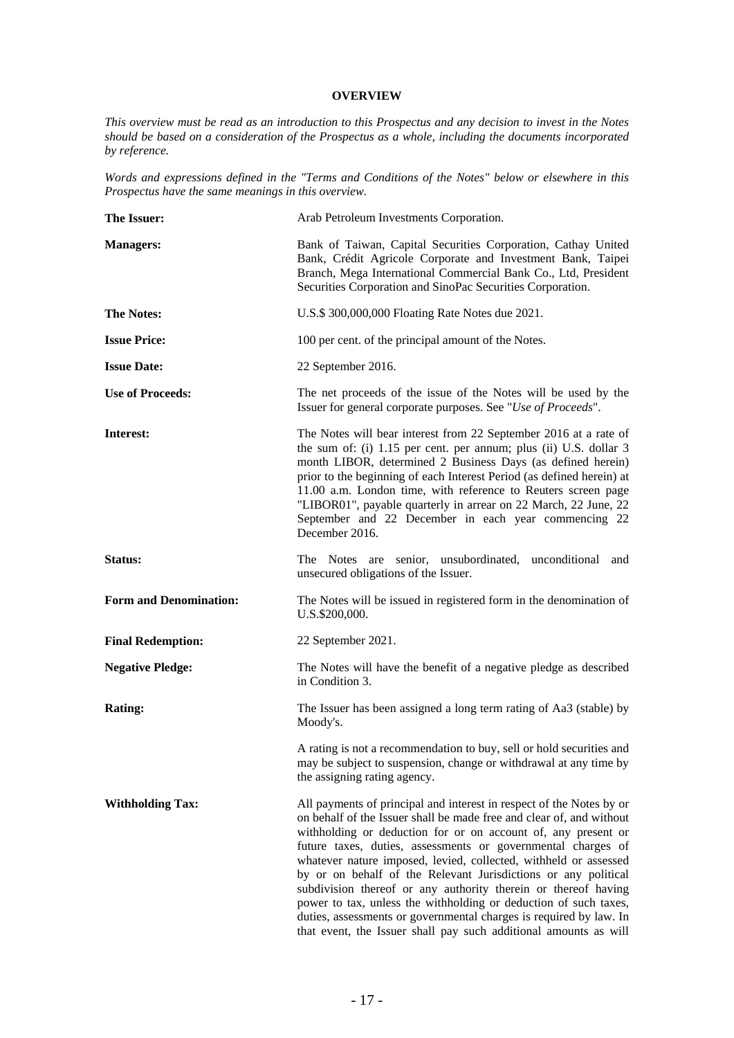### **OVERVIEW**

*This overview must be read as an introduction to this Prospectus and any decision to invest in the Notes should be based on a consideration of the Prospectus as a whole, including the documents incorporated by reference.* 

*Words and expressions defined in the "Terms and Conditions of the Notes" below or elsewhere in this Prospectus have the same meanings in this overview.* 

| The Issuer:                   | Arab Petroleum Investments Corporation.                                                                                                                                                                                                                                                                                                                                                                                                                                                                                                                                                                                                                                                             |
|-------------------------------|-----------------------------------------------------------------------------------------------------------------------------------------------------------------------------------------------------------------------------------------------------------------------------------------------------------------------------------------------------------------------------------------------------------------------------------------------------------------------------------------------------------------------------------------------------------------------------------------------------------------------------------------------------------------------------------------------------|
| <b>Managers:</b>              | Bank of Taiwan, Capital Securities Corporation, Cathay United<br>Bank, Crédit Agricole Corporate and Investment Bank, Taipei<br>Branch, Mega International Commercial Bank Co., Ltd, President<br>Securities Corporation and SinoPac Securities Corporation.                                                                                                                                                                                                                                                                                                                                                                                                                                        |
| <b>The Notes:</b>             | U.S.\$ 300,000,000 Floating Rate Notes due 2021.                                                                                                                                                                                                                                                                                                                                                                                                                                                                                                                                                                                                                                                    |
| <b>Issue Price:</b>           | 100 per cent. of the principal amount of the Notes.                                                                                                                                                                                                                                                                                                                                                                                                                                                                                                                                                                                                                                                 |
| <b>Issue Date:</b>            | 22 September 2016.                                                                                                                                                                                                                                                                                                                                                                                                                                                                                                                                                                                                                                                                                  |
| <b>Use of Proceeds:</b>       | The net proceeds of the issue of the Notes will be used by the<br>Issuer for general corporate purposes. See "Use of Proceeds".                                                                                                                                                                                                                                                                                                                                                                                                                                                                                                                                                                     |
| Interest:                     | The Notes will bear interest from 22 September 2016 at a rate of<br>the sum of: (i) 1.15 per cent. per annum; plus (ii) U.S. dollar 3<br>month LIBOR, determined 2 Business Days (as defined herein)<br>prior to the beginning of each Interest Period (as defined herein) at<br>11.00 a.m. London time, with reference to Reuters screen page<br>"LIBOR01", payable quarterly in arrear on 22 March, 22 June, 22<br>September and 22 December in each year commencing 22<br>December 2016.                                                                                                                                                                                                         |
| Status:                       | The Notes are senior, unsubordinated, unconditional<br>and<br>unsecured obligations of the Issuer.                                                                                                                                                                                                                                                                                                                                                                                                                                                                                                                                                                                                  |
| <b>Form and Denomination:</b> | The Notes will be issued in registered form in the denomination of<br>U.S.\$200,000.                                                                                                                                                                                                                                                                                                                                                                                                                                                                                                                                                                                                                |
| <b>Final Redemption:</b>      | 22 September 2021.                                                                                                                                                                                                                                                                                                                                                                                                                                                                                                                                                                                                                                                                                  |
| <b>Negative Pledge:</b>       | The Notes will have the benefit of a negative pledge as described<br>in Condition 3.                                                                                                                                                                                                                                                                                                                                                                                                                                                                                                                                                                                                                |
| <b>Rating:</b>                | The Issuer has been assigned a long term rating of Aa3 (stable) by<br>Moody's.                                                                                                                                                                                                                                                                                                                                                                                                                                                                                                                                                                                                                      |
|                               | A rating is not a recommendation to buy, sell or hold securities and<br>may be subject to suspension, change or withdrawal at any time by<br>the assigning rating agency.                                                                                                                                                                                                                                                                                                                                                                                                                                                                                                                           |
| <b>Withholding Tax:</b>       | All payments of principal and interest in respect of the Notes by or<br>on behalf of the Issuer shall be made free and clear of, and without<br>withholding or deduction for or on account of, any present or<br>future taxes, duties, assessments or governmental charges of<br>whatever nature imposed, levied, collected, withheld or assessed<br>by or on behalf of the Relevant Jurisdictions or any political<br>subdivision thereof or any authority therein or thereof having<br>power to tax, unless the withholding or deduction of such taxes,<br>duties, assessments or governmental charges is required by law. In<br>that event, the Issuer shall pay such additional amounts as will |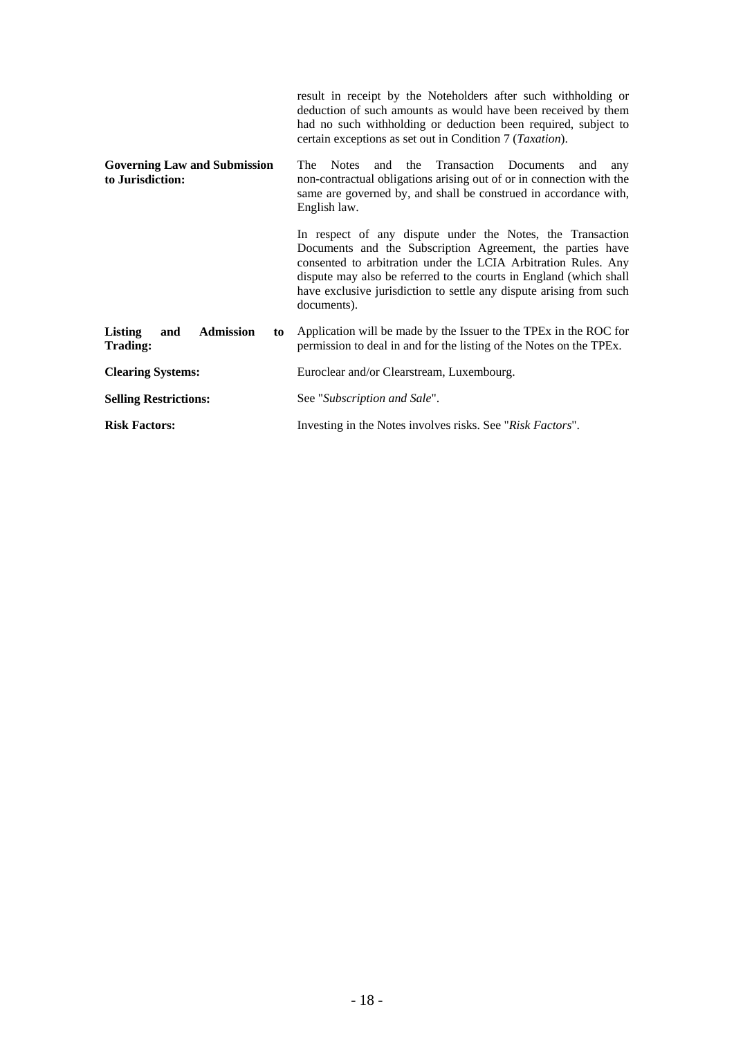|                                                         | result in receipt by the Noteholders after such withholding or<br>deduction of such amounts as would have been received by them<br>had no such withholding or deduction been required, subject to<br>certain exceptions as set out in Condition 7 (Taxation).                                                                                          |
|---------------------------------------------------------|--------------------------------------------------------------------------------------------------------------------------------------------------------------------------------------------------------------------------------------------------------------------------------------------------------------------------------------------------------|
| <b>Governing Law and Submission</b><br>to Jurisdiction: | Transaction Documents<br><b>The</b><br><b>Notes</b><br>and the<br>and<br>any<br>non-contractual obligations arising out of or in connection with the<br>same are governed by, and shall be construed in accordance with,<br>English law.                                                                                                               |
|                                                         | In respect of any dispute under the Notes, the Transaction<br>Documents and the Subscription Agreement, the parties have<br>consented to arbitration under the LCIA Arbitration Rules. Any<br>dispute may also be referred to the courts in England (which shall<br>have exclusive jurisdiction to settle any dispute arising from such<br>documents). |
| Listing<br><b>Admission</b><br>and<br>to<br>Trading:    | Application will be made by the Issuer to the TPEx in the ROC for<br>permission to deal in and for the listing of the Notes on the TPEx.                                                                                                                                                                                                               |
| <b>Clearing Systems:</b>                                | Euroclear and/or Clearstream, Luxembourg.                                                                                                                                                                                                                                                                                                              |
| <b>Selling Restrictions:</b>                            | See "Subscription and Sale".                                                                                                                                                                                                                                                                                                                           |
| <b>Risk Factors:</b>                                    | Investing in the Notes involves risks. See "Risk Factors".                                                                                                                                                                                                                                                                                             |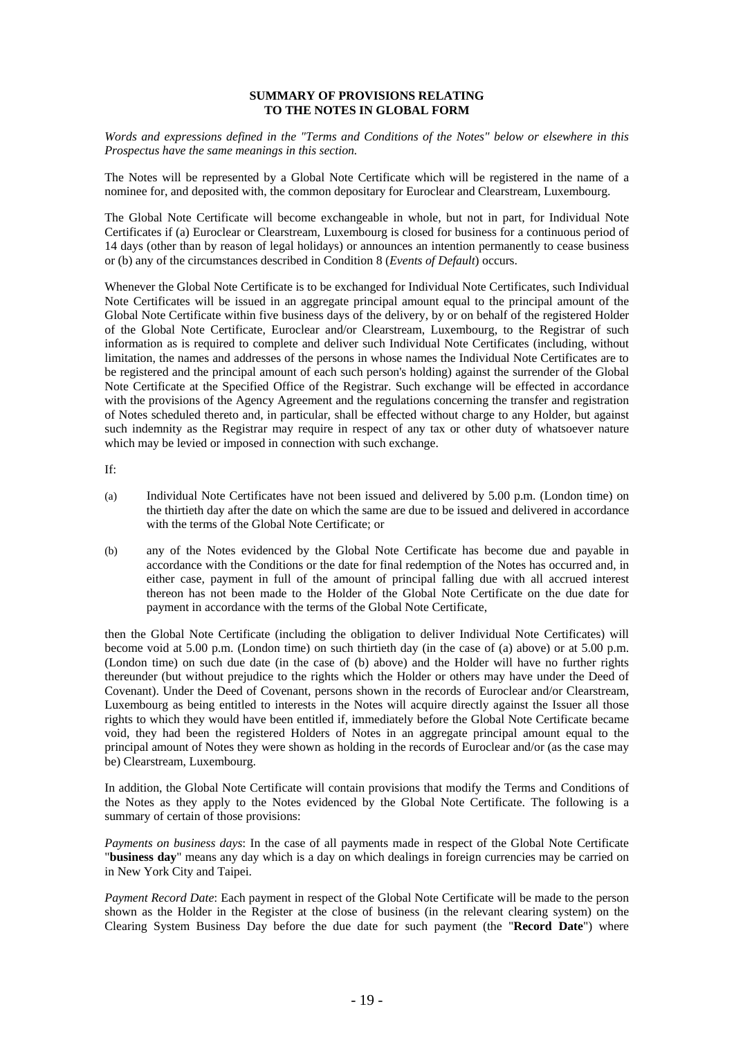### **SUMMARY OF PROVISIONS RELATING TO THE NOTES IN GLOBAL FORM**

*Words and expressions defined in the "Terms and Conditions of the Notes" below or elsewhere in this Prospectus have the same meanings in this section.* 

The Notes will be represented by a Global Note Certificate which will be registered in the name of a nominee for, and deposited with, the common depositary for Euroclear and Clearstream, Luxembourg.

The Global Note Certificate will become exchangeable in whole, but not in part, for Individual Note Certificates if (a) Euroclear or Clearstream, Luxembourg is closed for business for a continuous period of 14 days (other than by reason of legal holidays) or announces an intention permanently to cease business or (b) any of the circumstances described in Condition 8 (*Events of Default*) occurs.

Whenever the Global Note Certificate is to be exchanged for Individual Note Certificates, such Individual Note Certificates will be issued in an aggregate principal amount equal to the principal amount of the Global Note Certificate within five business days of the delivery, by or on behalf of the registered Holder of the Global Note Certificate, Euroclear and/or Clearstream, Luxembourg, to the Registrar of such information as is required to complete and deliver such Individual Note Certificates (including, without limitation, the names and addresses of the persons in whose names the Individual Note Certificates are to be registered and the principal amount of each such person's holding) against the surrender of the Global Note Certificate at the Specified Office of the Registrar. Such exchange will be effected in accordance with the provisions of the Agency Agreement and the regulations concerning the transfer and registration of Notes scheduled thereto and, in particular, shall be effected without charge to any Holder, but against such indemnity as the Registrar may require in respect of any tax or other duty of whatsoever nature which may be levied or imposed in connection with such exchange.

If:

- (a) Individual Note Certificates have not been issued and delivered by 5.00 p.m. (London time) on the thirtieth day after the date on which the same are due to be issued and delivered in accordance with the terms of the Global Note Certificate; or
- (b) any of the Notes evidenced by the Global Note Certificate has become due and payable in accordance with the Conditions or the date for final redemption of the Notes has occurred and, in either case, payment in full of the amount of principal falling due with all accrued interest thereon has not been made to the Holder of the Global Note Certificate on the due date for payment in accordance with the terms of the Global Note Certificate,

then the Global Note Certificate (including the obligation to deliver Individual Note Certificates) will become void at 5.00 p.m. (London time) on such thirtieth day (in the case of (a) above) or at 5.00 p.m. (London time) on such due date (in the case of (b) above) and the Holder will have no further rights thereunder (but without prejudice to the rights which the Holder or others may have under the Deed of Covenant). Under the Deed of Covenant, persons shown in the records of Euroclear and/or Clearstream, Luxembourg as being entitled to interests in the Notes will acquire directly against the Issuer all those rights to which they would have been entitled if, immediately before the Global Note Certificate became void, they had been the registered Holders of Notes in an aggregate principal amount equal to the principal amount of Notes they were shown as holding in the records of Euroclear and/or (as the case may be) Clearstream, Luxembourg.

In addition, the Global Note Certificate will contain provisions that modify the Terms and Conditions of the Notes as they apply to the Notes evidenced by the Global Note Certificate. The following is a summary of certain of those provisions:

*Payments on business days*: In the case of all payments made in respect of the Global Note Certificate "**business day**" means any day which is a day on which dealings in foreign currencies may be carried on in New York City and Taipei.

*Payment Record Date*: Each payment in respect of the Global Note Certificate will be made to the person shown as the Holder in the Register at the close of business (in the relevant clearing system) on the Clearing System Business Day before the due date for such payment (the "**Record Date**") where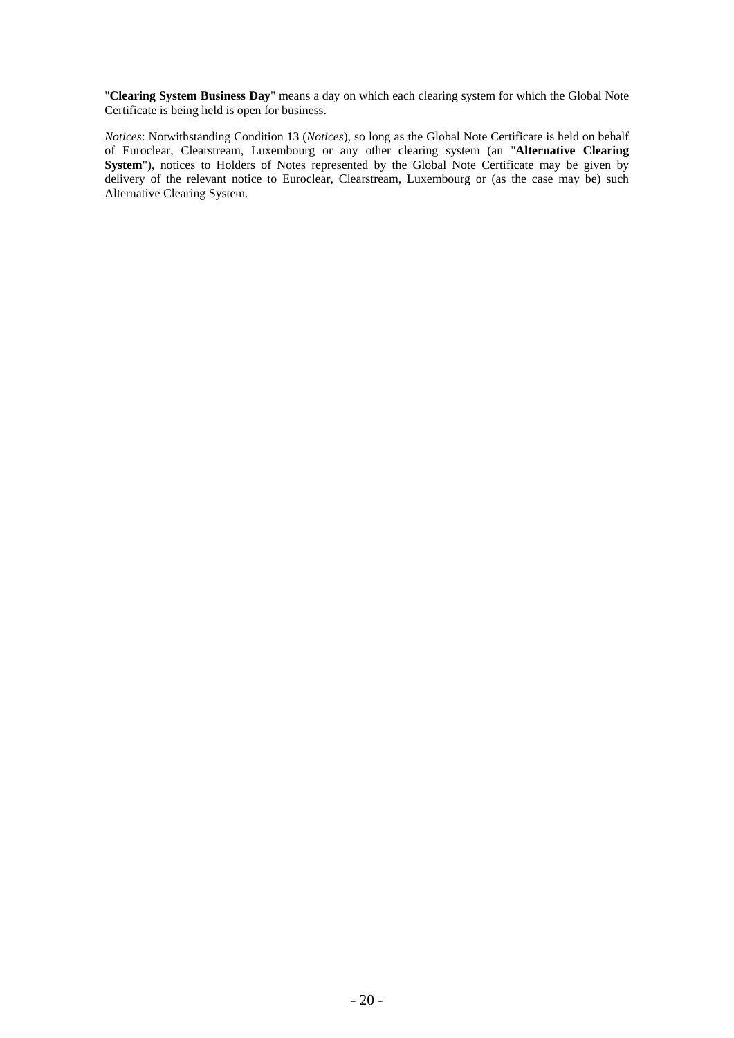"**Clearing System Business Day**" means a day on which each clearing system for which the Global Note Certificate is being held is open for business.

*Notices*: Notwithstanding Condition 13 (*Notices*), so long as the Global Note Certificate is held on behalf of Euroclear, Clearstream, Luxembourg or any other clearing system (an "**Alternative Clearing**  System"), notices to Holders of Notes represented by the Global Note Certificate may be given by delivery of the relevant notice to Euroclear, Clearstream, Luxembourg or (as the case may be) such Alternative Clearing System.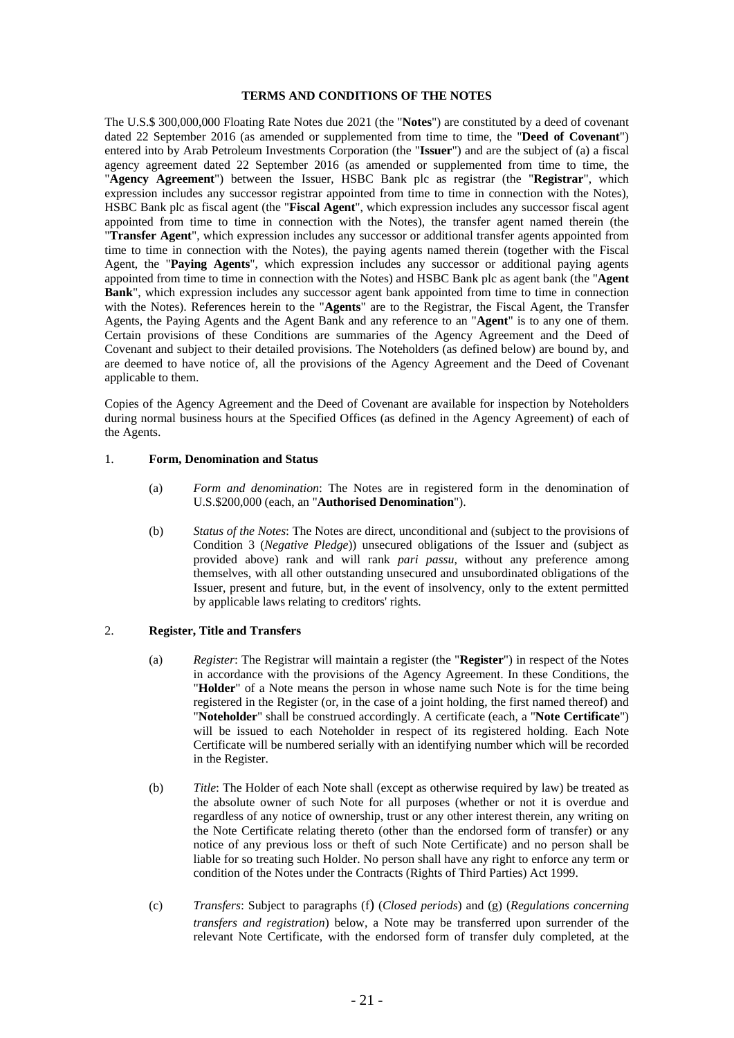### **TERMS AND CONDITIONS OF THE NOTES**

The U.S.\$ 300,000,000 Floating Rate Notes due 2021 (the "**Notes**") are constituted by a deed of covenant dated 22 September 2016 (as amended or supplemented from time to time, the "**Deed of Covenant**") entered into by Arab Petroleum Investments Corporation (the "**Issuer**") and are the subject of (a) a fiscal agency agreement dated 22 September 2016 (as amended or supplemented from time to time, the "**Agency Agreement**") between the Issuer, HSBC Bank plc as registrar (the "**Registrar**", which expression includes any successor registrar appointed from time to time in connection with the Notes), HSBC Bank plc as fiscal agent (the "**Fiscal Agent**", which expression includes any successor fiscal agent appointed from time to time in connection with the Notes), the transfer agent named therein (the "**Transfer Agent**", which expression includes any successor or additional transfer agents appointed from time to time in connection with the Notes), the paying agents named therein (together with the Fiscal Agent, the "**Paying Agents**", which expression includes any successor or additional paying agents appointed from time to time in connection with the Notes) and HSBC Bank plc as agent bank (the "**Agent Bank**", which expression includes any successor agent bank appointed from time to time in connection with the Notes). References herein to the "**Agents**" are to the Registrar, the Fiscal Agent, the Transfer Agents, the Paying Agents and the Agent Bank and any reference to an "**Agent**" is to any one of them. Certain provisions of these Conditions are summaries of the Agency Agreement and the Deed of Covenant and subject to their detailed provisions. The Noteholders (as defined below) are bound by, and are deemed to have notice of, all the provisions of the Agency Agreement and the Deed of Covenant applicable to them.

Copies of the Agency Agreement and the Deed of Covenant are available for inspection by Noteholders during normal business hours at the Specified Offices (as defined in the Agency Agreement) of each of the Agents.

### 1. **Form, Denomination and Status**

- (a) *Form and denomination*: The Notes are in registered form in the denomination of U.S.\$200,000 (each, an "**Authorised Denomination**").
- (b) *Status of the Notes*: The Notes are direct, unconditional and (subject to the provisions of Condition 3 (*Negative Pledge*)) unsecured obligations of the Issuer and (subject as provided above) rank and will rank *pari passu*, without any preference among themselves, with all other outstanding unsecured and unsubordinated obligations of the Issuer, present and future, but, in the event of insolvency, only to the extent permitted by applicable laws relating to creditors' rights.

### 2. **Register, Title and Transfers**

- (a) *Register*: The Registrar will maintain a register (the "**Register**") in respect of the Notes in accordance with the provisions of the Agency Agreement. In these Conditions, the "**Holder**" of a Note means the person in whose name such Note is for the time being registered in the Register (or, in the case of a joint holding, the first named thereof) and "**Noteholder**" shall be construed accordingly. A certificate (each, a "**Note Certificate**") will be issued to each Noteholder in respect of its registered holding. Each Note Certificate will be numbered serially with an identifying number which will be recorded in the Register.
- (b) *Title*: The Holder of each Note shall (except as otherwise required by law) be treated as the absolute owner of such Note for all purposes (whether or not it is overdue and regardless of any notice of ownership, trust or any other interest therein, any writing on the Note Certificate relating thereto (other than the endorsed form of transfer) or any notice of any previous loss or theft of such Note Certificate) and no person shall be liable for so treating such Holder. No person shall have any right to enforce any term or condition of the Notes under the Contracts (Rights of Third Parties) Act 1999.
- (c) *Transfers*: Subject to paragraphs (f) (*Closed periods*) and (g) (*Regulations concerning transfers and registration*) below, a Note may be transferred upon surrender of the relevant Note Certificate, with the endorsed form of transfer duly completed, at the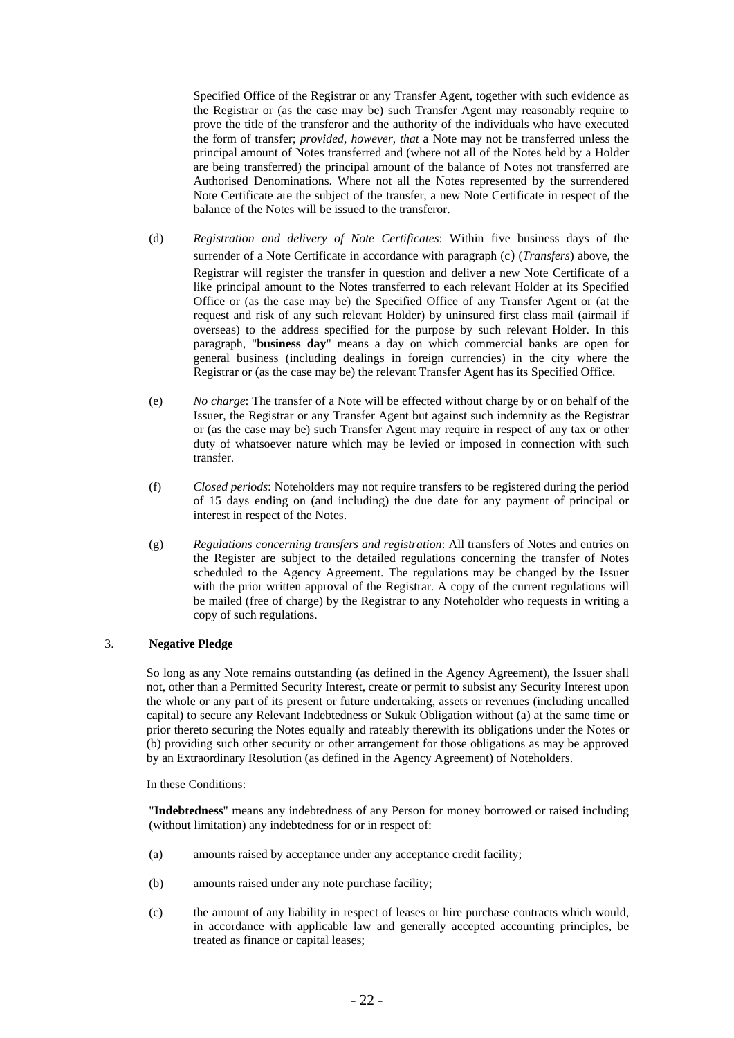Specified Office of the Registrar or any Transfer Agent, together with such evidence as the Registrar or (as the case may be) such Transfer Agent may reasonably require to prove the title of the transferor and the authority of the individuals who have executed the form of transfer; *provided, however, that* a Note may not be transferred unless the principal amount of Notes transferred and (where not all of the Notes held by a Holder are being transferred) the principal amount of the balance of Notes not transferred are Authorised Denominations. Where not all the Notes represented by the surrendered Note Certificate are the subject of the transfer, a new Note Certificate in respect of the balance of the Notes will be issued to the transferor.

- (d) *Registration and delivery of Note Certificates*: Within five business days of the surrender of a Note Certificate in accordance with paragraph (c) (*Transfers*) above, the Registrar will register the transfer in question and deliver a new Note Certificate of a like principal amount to the Notes transferred to each relevant Holder at its Specified Office or (as the case may be) the Specified Office of any Transfer Agent or (at the request and risk of any such relevant Holder) by uninsured first class mail (airmail if overseas) to the address specified for the purpose by such relevant Holder. In this paragraph, "**business day**" means a day on which commercial banks are open for general business (including dealings in foreign currencies) in the city where the Registrar or (as the case may be) the relevant Transfer Agent has its Specified Office.
- (e) *No charge*: The transfer of a Note will be effected without charge by or on behalf of the Issuer, the Registrar or any Transfer Agent but against such indemnity as the Registrar or (as the case may be) such Transfer Agent may require in respect of any tax or other duty of whatsoever nature which may be levied or imposed in connection with such transfer.
- (f) *Closed periods*: Noteholders may not require transfers to be registered during the period of 15 days ending on (and including) the due date for any payment of principal or interest in respect of the Notes.
- (g) *Regulations concerning transfers and registration*: All transfers of Notes and entries on the Register are subject to the detailed regulations concerning the transfer of Notes scheduled to the Agency Agreement. The regulations may be changed by the Issuer with the prior written approval of the Registrar. A copy of the current regulations will be mailed (free of charge) by the Registrar to any Noteholder who requests in writing a copy of such regulations.

### 3. **Negative Pledge**

So long as any Note remains outstanding (as defined in the Agency Agreement), the Issuer shall not, other than a Permitted Security Interest, create or permit to subsist any Security Interest upon the whole or any part of its present or future undertaking, assets or revenues (including uncalled capital) to secure any Relevant Indebtedness or Sukuk Obligation without (a) at the same time or prior thereto securing the Notes equally and rateably therewith its obligations under the Notes or (b) providing such other security or other arrangement for those obligations as may be approved by an Extraordinary Resolution (as defined in the Agency Agreement) of Noteholders.

In these Conditions:

"**Indebtedness**" means any indebtedness of any Person for money borrowed or raised including (without limitation) any indebtedness for or in respect of:

- (a) amounts raised by acceptance under any acceptance credit facility;
- (b) amounts raised under any note purchase facility;
- (c) the amount of any liability in respect of leases or hire purchase contracts which would, in accordance with applicable law and generally accepted accounting principles, be treated as finance or capital leases;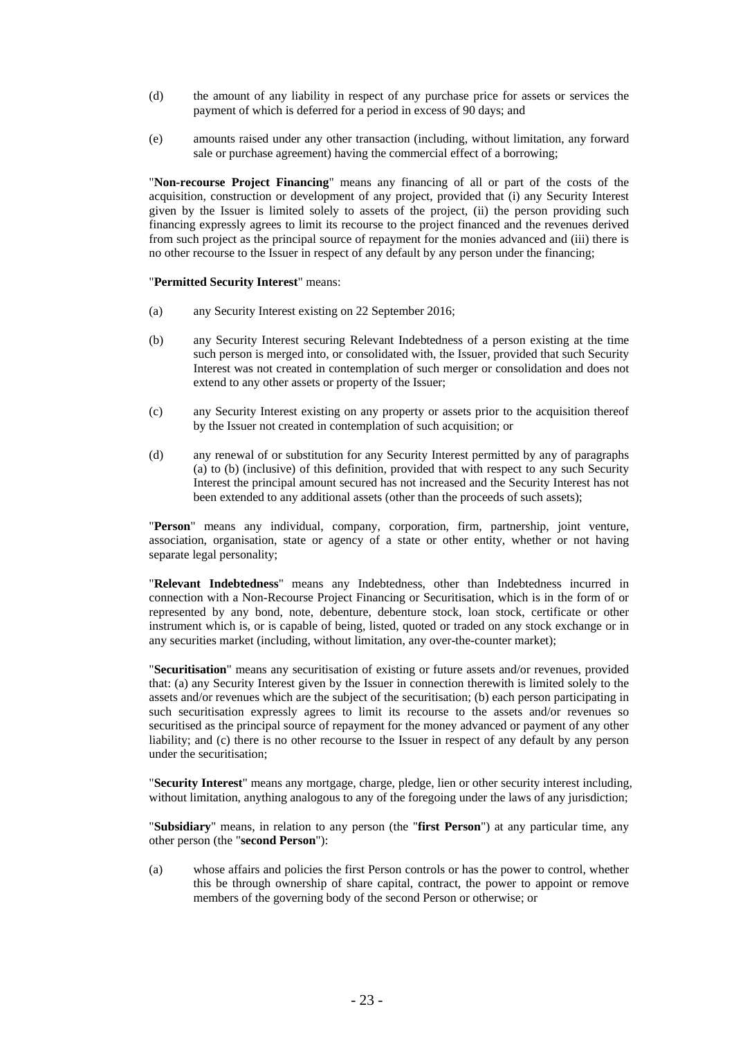- (d) the amount of any liability in respect of any purchase price for assets or services the payment of which is deferred for a period in excess of 90 days; and
- (e) amounts raised under any other transaction (including, without limitation, any forward sale or purchase agreement) having the commercial effect of a borrowing;

"**Non-recourse Project Financing**" means any financing of all or part of the costs of the acquisition, construction or development of any project, provided that (i) any Security Interest given by the Issuer is limited solely to assets of the project, (ii) the person providing such financing expressly agrees to limit its recourse to the project financed and the revenues derived from such project as the principal source of repayment for the monies advanced and (iii) there is no other recourse to the Issuer in respect of any default by any person under the financing;

### "**Permitted Security Interest**" means:

- (a) any Security Interest existing on 22 September 2016;
- (b) any Security Interest securing Relevant Indebtedness of a person existing at the time such person is merged into, or consolidated with, the Issuer, provided that such Security Interest was not created in contemplation of such merger or consolidation and does not extend to any other assets or property of the Issuer;
- (c) any Security Interest existing on any property or assets prior to the acquisition thereof by the Issuer not created in contemplation of such acquisition; or
- (d) any renewal of or substitution for any Security Interest permitted by any of paragraphs (a) to (b) (inclusive) of this definition, provided that with respect to any such Security Interest the principal amount secured has not increased and the Security Interest has not been extended to any additional assets (other than the proceeds of such assets);

"**Person**" means any individual, company, corporation, firm, partnership, joint venture, association, organisation, state or agency of a state or other entity, whether or not having separate legal personality;

"**Relevant Indebtedness**" means any Indebtedness, other than Indebtedness incurred in connection with a Non-Recourse Project Financing or Securitisation, which is in the form of or represented by any bond, note, debenture, debenture stock, loan stock, certificate or other instrument which is, or is capable of being, listed, quoted or traded on any stock exchange or in any securities market (including, without limitation, any over-the-counter market);

"**Securitisation**" means any securitisation of existing or future assets and/or revenues, provided that: (a) any Security Interest given by the Issuer in connection therewith is limited solely to the assets and/or revenues which are the subject of the securitisation; (b) each person participating in such securitisation expressly agrees to limit its recourse to the assets and/or revenues so securitised as the principal source of repayment for the money advanced or payment of any other liability; and (c) there is no other recourse to the Issuer in respect of any default by any person under the securitisation;

"**Security Interest**" means any mortgage, charge, pledge, lien or other security interest including, without limitation, anything analogous to any of the foregoing under the laws of any jurisdiction;

"**Subsidiary**" means, in relation to any person (the "**first Person**") at any particular time, any other person (the "**second Person**"):

(a) whose affairs and policies the first Person controls or has the power to control, whether this be through ownership of share capital, contract, the power to appoint or remove members of the governing body of the second Person or otherwise; or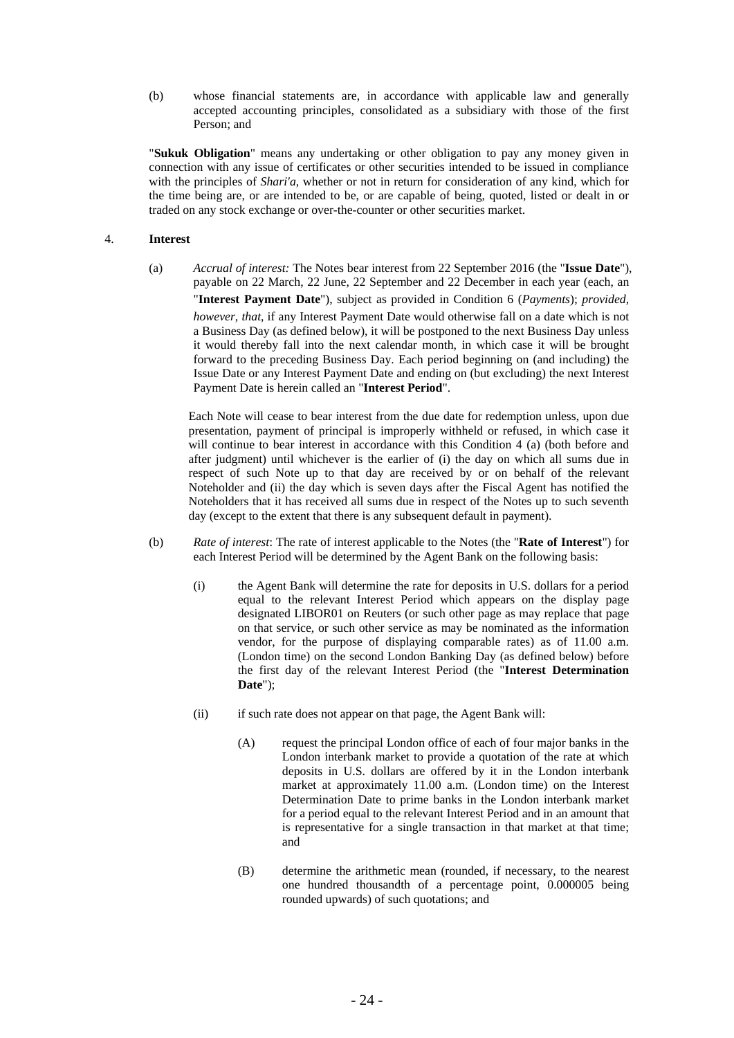(b) whose financial statements are, in accordance with applicable law and generally accepted accounting principles, consolidated as a subsidiary with those of the first Person; and

"**Sukuk Obligation**" means any undertaking or other obligation to pay any money given in connection with any issue of certificates or other securities intended to be issued in compliance with the principles of *Shari'a*, whether or not in return for consideration of any kind, which for the time being are, or are intended to be, or are capable of being, quoted, listed or dealt in or traded on any stock exchange or over-the-counter or other securities market.

### 4. **Interest**

(a) *Accrual of interest:* The Notes bear interest from 22 September 2016 (the "**Issue Date**"), payable on 22 March, 22 June, 22 September and 22 December in each year (each, an "**Interest Payment Date**"), subject as provided in Condition 6 (*Payments*); *provided, however, that*, if any Interest Payment Date would otherwise fall on a date which is not a Business Day (as defined below), it will be postponed to the next Business Day unless it would thereby fall into the next calendar month, in which case it will be brought forward to the preceding Business Day. Each period beginning on (and including) the Issue Date or any Interest Payment Date and ending on (but excluding) the next Interest Payment Date is herein called an "**Interest Period**".

Each Note will cease to bear interest from the due date for redemption unless, upon due presentation, payment of principal is improperly withheld or refused, in which case it will continue to bear interest in accordance with this Condition 4 (a) (both before and after judgment) until whichever is the earlier of (i) the day on which all sums due in respect of such Note up to that day are received by or on behalf of the relevant Noteholder and (ii) the day which is seven days after the Fiscal Agent has notified the Noteholders that it has received all sums due in respect of the Notes up to such seventh day (except to the extent that there is any subsequent default in payment).

- (b) *Rate of interest*: The rate of interest applicable to the Notes (the "**Rate of Interest**") for each Interest Period will be determined by the Agent Bank on the following basis:
	- (i) the Agent Bank will determine the rate for deposits in U.S. dollars for a period equal to the relevant Interest Period which appears on the display page designated LIBOR01 on Reuters (or such other page as may replace that page on that service, or such other service as may be nominated as the information vendor, for the purpose of displaying comparable rates) as of 11.00 a.m. (London time) on the second London Banking Day (as defined below) before the first day of the relevant Interest Period (the "**Interest Determination Date**");
	- (ii) if such rate does not appear on that page, the Agent Bank will:
		- (A) request the principal London office of each of four major banks in the London interbank market to provide a quotation of the rate at which deposits in U.S. dollars are offered by it in the London interbank market at approximately 11.00 a.m. (London time) on the Interest Determination Date to prime banks in the London interbank market for a period equal to the relevant Interest Period and in an amount that is representative for a single transaction in that market at that time; and
		- (B) determine the arithmetic mean (rounded, if necessary, to the nearest one hundred thousandth of a percentage point, 0.000005 being rounded upwards) of such quotations; and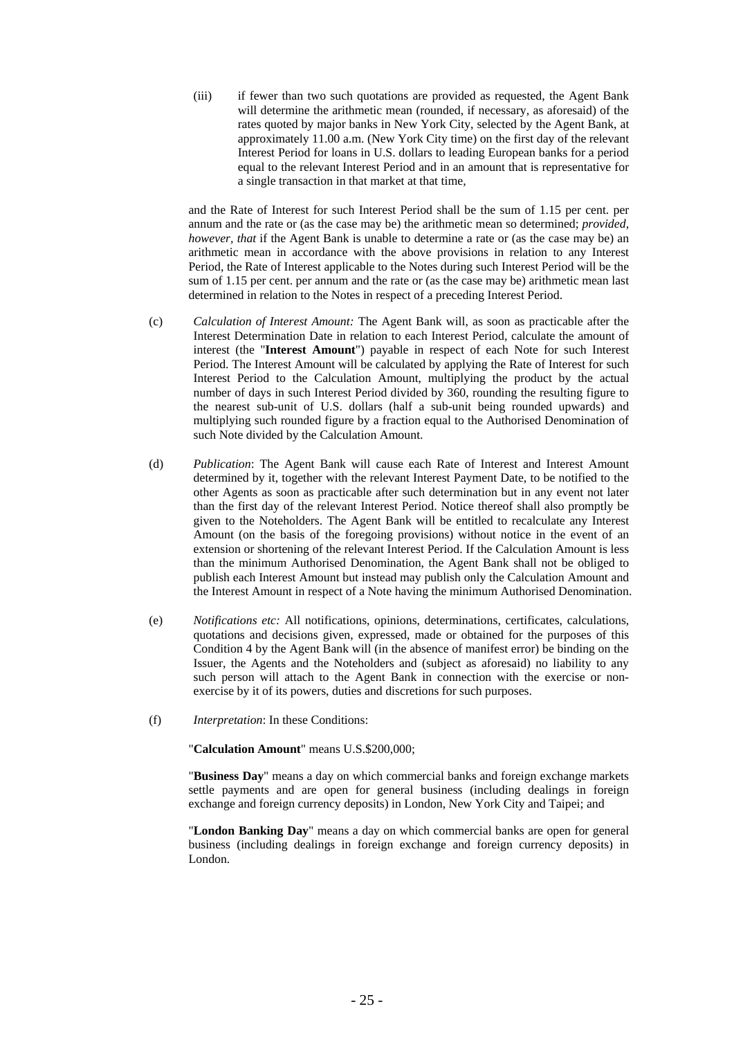(iii) if fewer than two such quotations are provided as requested, the Agent Bank will determine the arithmetic mean (rounded, if necessary, as aforesaid) of the rates quoted by major banks in New York City, selected by the Agent Bank, at approximately 11.00 a.m. (New York City time) on the first day of the relevant Interest Period for loans in U.S. dollars to leading European banks for a period equal to the relevant Interest Period and in an amount that is representative for a single transaction in that market at that time,

and the Rate of Interest for such Interest Period shall be the sum of 1.15 per cent. per annum and the rate or (as the case may be) the arithmetic mean so determined; *provided, however, that* if the Agent Bank is unable to determine a rate or (as the case may be) an arithmetic mean in accordance with the above provisions in relation to any Interest Period, the Rate of Interest applicable to the Notes during such Interest Period will be the sum of 1.15 per cent. per annum and the rate or (as the case may be) arithmetic mean last determined in relation to the Notes in respect of a preceding Interest Period.

- (c) *Calculation of Interest Amount:* The Agent Bank will, as soon as practicable after the Interest Determination Date in relation to each Interest Period, calculate the amount of interest (the "**Interest Amount**") payable in respect of each Note for such Interest Period. The Interest Amount will be calculated by applying the Rate of Interest for such Interest Period to the Calculation Amount, multiplying the product by the actual number of days in such Interest Period divided by 360, rounding the resulting figure to the nearest sub-unit of U.S. dollars (half a sub-unit being rounded upwards) and multiplying such rounded figure by a fraction equal to the Authorised Denomination of such Note divided by the Calculation Amount.
- (d) *Publication*: The Agent Bank will cause each Rate of Interest and Interest Amount determined by it, together with the relevant Interest Payment Date, to be notified to the other Agents as soon as practicable after such determination but in any event not later than the first day of the relevant Interest Period. Notice thereof shall also promptly be given to the Noteholders. The Agent Bank will be entitled to recalculate any Interest Amount (on the basis of the foregoing provisions) without notice in the event of an extension or shortening of the relevant Interest Period. If the Calculation Amount is less than the minimum Authorised Denomination, the Agent Bank shall not be obliged to publish each Interest Amount but instead may publish only the Calculation Amount and the Interest Amount in respect of a Note having the minimum Authorised Denomination.
- (e) *Notifications etc:* All notifications, opinions, determinations, certificates, calculations, quotations and decisions given, expressed, made or obtained for the purposes of this Condition 4 by the Agent Bank will (in the absence of manifest error) be binding on the Issuer, the Agents and the Noteholders and (subject as aforesaid) no liability to any such person will attach to the Agent Bank in connection with the exercise or nonexercise by it of its powers, duties and discretions for such purposes.
- (f) *Interpretation*: In these Conditions:

"**Calculation Amount**" means U.S.\$200,000;

"**Business Day**" means a day on which commercial banks and foreign exchange markets settle payments and are open for general business (including dealings in foreign exchange and foreign currency deposits) in London, New York City and Taipei; and

"**London Banking Day**" means a day on which commercial banks are open for general business (including dealings in foreign exchange and foreign currency deposits) in London.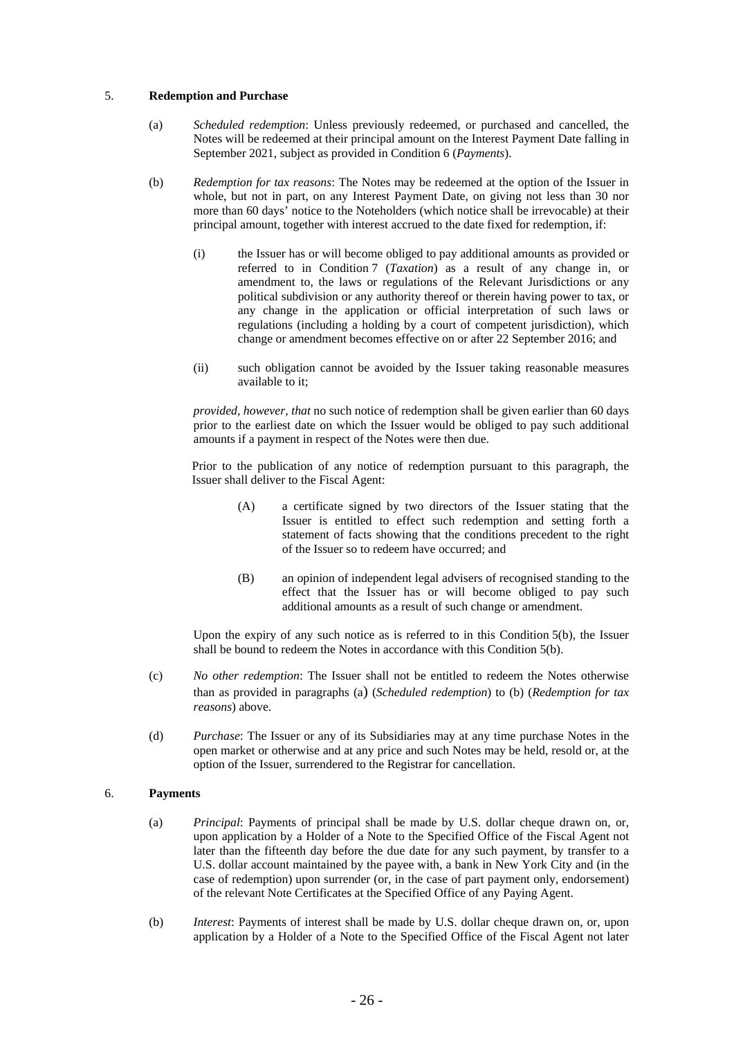### 5. **Redemption and Purchase**

- (a) *Scheduled redemption*: Unless previously redeemed, or purchased and cancelled, the Notes will be redeemed at their principal amount on the Interest Payment Date falling in September 2021, subject as provided in Condition 6 (*Payments*).
- (b) *Redemption for tax reasons*: The Notes may be redeemed at the option of the Issuer in whole, but not in part, on any Interest Payment Date, on giving not less than 30 nor more than 60 days' notice to the Noteholders (which notice shall be irrevocable) at their principal amount, together with interest accrued to the date fixed for redemption, if:
	- (i) the Issuer has or will become obliged to pay additional amounts as provided or referred to in Condition 7 (*Taxation*) as a result of any change in, or amendment to, the laws or regulations of the Relevant Jurisdictions or any political subdivision or any authority thereof or therein having power to tax, or any change in the application or official interpretation of such laws or regulations (including a holding by a court of competent jurisdiction), which change or amendment becomes effective on or after 22 September 2016; and
	- (ii) such obligation cannot be avoided by the Issuer taking reasonable measures available to it;

*provided, however, that* no such notice of redemption shall be given earlier than 60 days prior to the earliest date on which the Issuer would be obliged to pay such additional amounts if a payment in respect of the Notes were then due.

Prior to the publication of any notice of redemption pursuant to this paragraph, the Issuer shall deliver to the Fiscal Agent:

- (A) a certificate signed by two directors of the Issuer stating that the Issuer is entitled to effect such redemption and setting forth a statement of facts showing that the conditions precedent to the right of the Issuer so to redeem have occurred; and
- (B) an opinion of independent legal advisers of recognised standing to the effect that the Issuer has or will become obliged to pay such additional amounts as a result of such change or amendment.

Upon the expiry of any such notice as is referred to in this Condition  $5(b)$ , the Issuer shall be bound to redeem the Notes in accordance with this Condition 5(b).

- (c) *No other redemption*: The Issuer shall not be entitled to redeem the Notes otherwise than as provided in paragraphs (a) (*Scheduled redemption*) to (b) (*Redemption for tax reasons*) above.
- (d) *Purchase*: The Issuer or any of its Subsidiaries may at any time purchase Notes in the open market or otherwise and at any price and such Notes may be held, resold or, at the option of the Issuer, surrendered to the Registrar for cancellation.

### 6. **Payments**

- (a) *Principal*: Payments of principal shall be made by U.S. dollar cheque drawn on, or, upon application by a Holder of a Note to the Specified Office of the Fiscal Agent not later than the fifteenth day before the due date for any such payment, by transfer to a U.S. dollar account maintained by the payee with, a bank in New York City and (in the case of redemption) upon surrender (or, in the case of part payment only, endorsement) of the relevant Note Certificates at the Specified Office of any Paying Agent.
- (b) *Interest*: Payments of interest shall be made by U.S. dollar cheque drawn on, or, upon application by a Holder of a Note to the Specified Office of the Fiscal Agent not later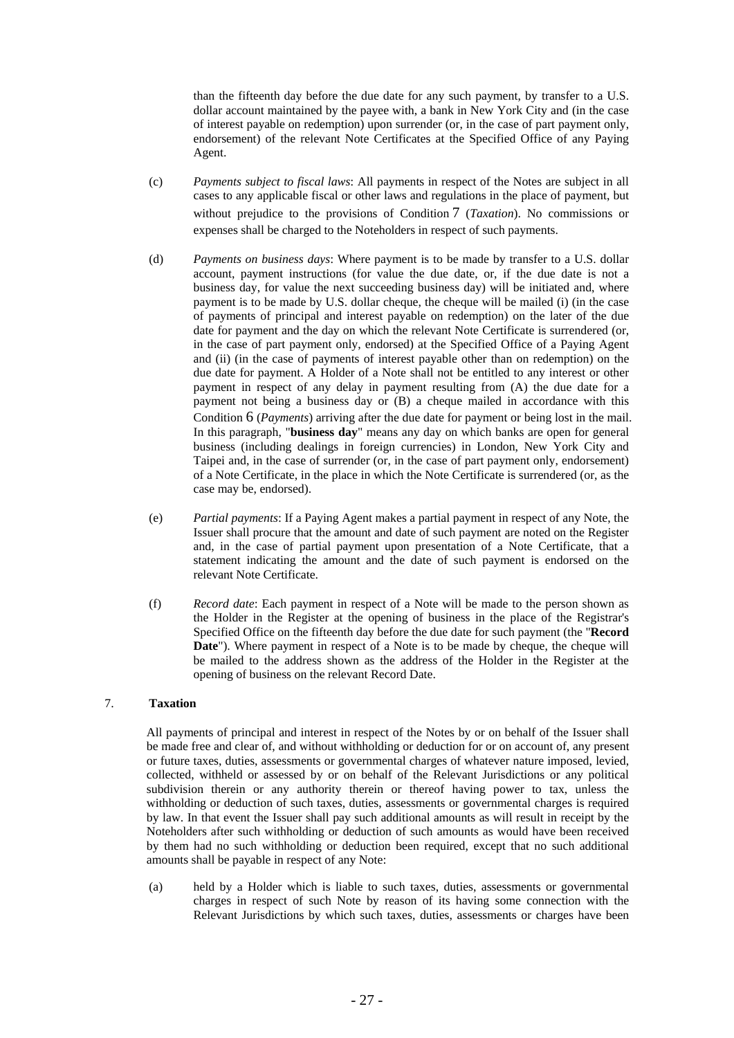than the fifteenth day before the due date for any such payment, by transfer to a U.S. dollar account maintained by the payee with, a bank in New York City and (in the case of interest payable on redemption) upon surrender (or, in the case of part payment only, endorsement) of the relevant Note Certificates at the Specified Office of any Paying Agent.

- (c) *Payments subject to fiscal laws*: All payments in respect of the Notes are subject in all cases to any applicable fiscal or other laws and regulations in the place of payment, but without prejudice to the provisions of Condition 7 (*Taxation*). No commissions or expenses shall be charged to the Noteholders in respect of such payments.
- (d) *Payments on business days*: Where payment is to be made by transfer to a U.S. dollar account, payment instructions (for value the due date, or, if the due date is not a business day, for value the next succeeding business day) will be initiated and, where payment is to be made by U.S. dollar cheque, the cheque will be mailed (i) (in the case of payments of principal and interest payable on redemption) on the later of the due date for payment and the day on which the relevant Note Certificate is surrendered (or, in the case of part payment only, endorsed) at the Specified Office of a Paying Agent and (ii) (in the case of payments of interest payable other than on redemption) on the due date for payment. A Holder of a Note shall not be entitled to any interest or other payment in respect of any delay in payment resulting from (A) the due date for a payment not being a business day or  $(B)$  a cheque mailed in accordance with this Condition 6 (*Payments*) arriving after the due date for payment or being lost in the mail. In this paragraph, "**business day**" means any day on which banks are open for general business (including dealings in foreign currencies) in London, New York City and Taipei and, in the case of surrender (or, in the case of part payment only, endorsement) of a Note Certificate, in the place in which the Note Certificate is surrendered (or, as the case may be, endorsed).
- (e) *Partial payments*: If a Paying Agent makes a partial payment in respect of any Note, the Issuer shall procure that the amount and date of such payment are noted on the Register and, in the case of partial payment upon presentation of a Note Certificate, that a statement indicating the amount and the date of such payment is endorsed on the relevant Note Certificate.
- (f) *Record date*: Each payment in respect of a Note will be made to the person shown as the Holder in the Register at the opening of business in the place of the Registrar's Specified Office on the fifteenth day before the due date for such payment (the "**Record Date**"). Where payment in respect of a Note is to be made by cheque, the cheque will be mailed to the address shown as the address of the Holder in the Register at the opening of business on the relevant Record Date.

### 7. **Taxation**

All payments of principal and interest in respect of the Notes by or on behalf of the Issuer shall be made free and clear of, and without withholding or deduction for or on account of, any present or future taxes, duties, assessments or governmental charges of whatever nature imposed, levied, collected, withheld or assessed by or on behalf of the Relevant Jurisdictions or any political subdivision therein or any authority therein or thereof having power to tax, unless the withholding or deduction of such taxes, duties, assessments or governmental charges is required by law. In that event the Issuer shall pay such additional amounts as will result in receipt by the Noteholders after such withholding or deduction of such amounts as would have been received by them had no such withholding or deduction been required, except that no such additional amounts shall be payable in respect of any Note:

(a) held by a Holder which is liable to such taxes, duties, assessments or governmental charges in respect of such Note by reason of its having some connection with the Relevant Jurisdictions by which such taxes, duties, assessments or charges have been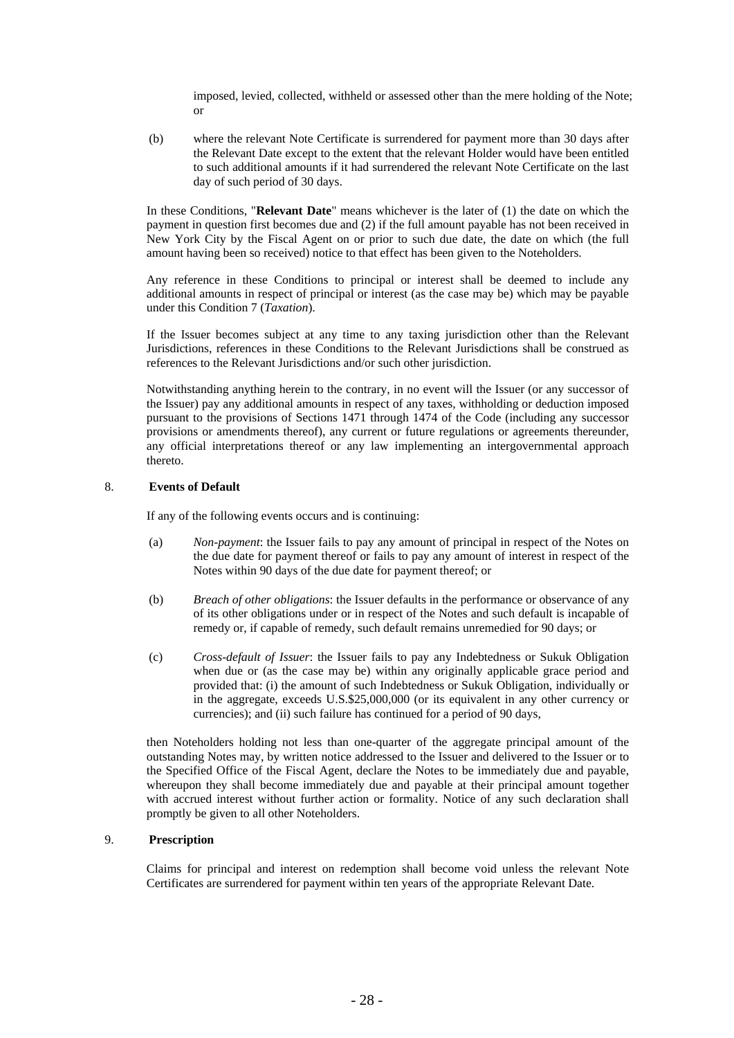imposed, levied, collected, withheld or assessed other than the mere holding of the Note; or

(b) where the relevant Note Certificate is surrendered for payment more than 30 days after the Relevant Date except to the extent that the relevant Holder would have been entitled to such additional amounts if it had surrendered the relevant Note Certificate on the last day of such period of 30 days.

In these Conditions, "**Relevant Date**" means whichever is the later of (1) the date on which the payment in question first becomes due and (2) if the full amount payable has not been received in New York City by the Fiscal Agent on or prior to such due date, the date on which (the full amount having been so received) notice to that effect has been given to the Noteholders.

Any reference in these Conditions to principal or interest shall be deemed to include any additional amounts in respect of principal or interest (as the case may be) which may be payable under this Condition 7 (*Taxation*).

If the Issuer becomes subject at any time to any taxing jurisdiction other than the Relevant Jurisdictions, references in these Conditions to the Relevant Jurisdictions shall be construed as references to the Relevant Jurisdictions and/or such other jurisdiction.

Notwithstanding anything herein to the contrary, in no event will the Issuer (or any successor of the Issuer) pay any additional amounts in respect of any taxes, withholding or deduction imposed pursuant to the provisions of Sections 1471 through 1474 of the Code (including any successor provisions or amendments thereof), any current or future regulations or agreements thereunder, any official interpretations thereof or any law implementing an intergovernmental approach thereto.

### 8. **Events of Default**

If any of the following events occurs and is continuing:

- (a) *Non-payment*: the Issuer fails to pay any amount of principal in respect of the Notes on the due date for payment thereof or fails to pay any amount of interest in respect of the Notes within 90 days of the due date for payment thereof; or
- (b) *Breach of other obligations*: the Issuer defaults in the performance or observance of any of its other obligations under or in respect of the Notes and such default is incapable of remedy or, if capable of remedy, such default remains unremedied for 90 days; or
- (c) *Cross-default of Issuer*: the Issuer fails to pay any Indebtedness or Sukuk Obligation when due or (as the case may be) within any originally applicable grace period and provided that: (i) the amount of such Indebtedness or Sukuk Obligation, individually or in the aggregate, exceeds U.S.\$25,000,000 (or its equivalent in any other currency or currencies); and (ii) such failure has continued for a period of 90 days,

then Noteholders holding not less than one-quarter of the aggregate principal amount of the outstanding Notes may, by written notice addressed to the Issuer and delivered to the Issuer or to the Specified Office of the Fiscal Agent, declare the Notes to be immediately due and payable, whereupon they shall become immediately due and payable at their principal amount together with accrued interest without further action or formality. Notice of any such declaration shall promptly be given to all other Noteholders.

### 9. **Prescription**

Claims for principal and interest on redemption shall become void unless the relevant Note Certificates are surrendered for payment within ten years of the appropriate Relevant Date.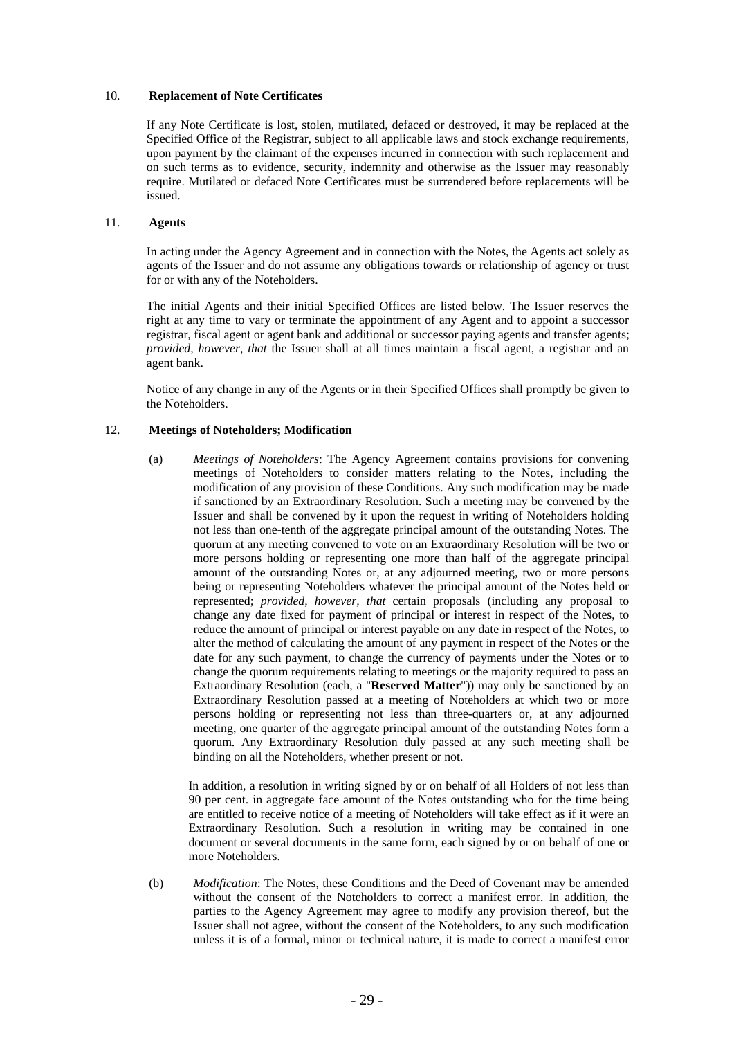### 10. **Replacement of Note Certificates**

If any Note Certificate is lost, stolen, mutilated, defaced or destroyed, it may be replaced at the Specified Office of the Registrar, subject to all applicable laws and stock exchange requirements, upon payment by the claimant of the expenses incurred in connection with such replacement and on such terms as to evidence, security, indemnity and otherwise as the Issuer may reasonably require. Mutilated or defaced Note Certificates must be surrendered before replacements will be issued.

### 11. **Agents**

In acting under the Agency Agreement and in connection with the Notes, the Agents act solely as agents of the Issuer and do not assume any obligations towards or relationship of agency or trust for or with any of the Noteholders.

The initial Agents and their initial Specified Offices are listed below. The Issuer reserves the right at any time to vary or terminate the appointment of any Agent and to appoint a successor registrar, fiscal agent or agent bank and additional or successor paying agents and transfer agents; *provided, however, that* the Issuer shall at all times maintain a fiscal agent, a registrar and an agent bank.

Notice of any change in any of the Agents or in their Specified Offices shall promptly be given to the Noteholders.

### 12. **Meetings of Noteholders; Modification**

(a) *Meetings of Noteholders*: The Agency Agreement contains provisions for convening meetings of Noteholders to consider matters relating to the Notes, including the modification of any provision of these Conditions. Any such modification may be made if sanctioned by an Extraordinary Resolution. Such a meeting may be convened by the Issuer and shall be convened by it upon the request in writing of Noteholders holding not less than one-tenth of the aggregate principal amount of the outstanding Notes. The quorum at any meeting convened to vote on an Extraordinary Resolution will be two or more persons holding or representing one more than half of the aggregate principal amount of the outstanding Notes or, at any adjourned meeting, two or more persons being or representing Noteholders whatever the principal amount of the Notes held or represented; *provided, however, that* certain proposals (including any proposal to change any date fixed for payment of principal or interest in respect of the Notes, to reduce the amount of principal or interest payable on any date in respect of the Notes, to alter the method of calculating the amount of any payment in respect of the Notes or the date for any such payment, to change the currency of payments under the Notes or to change the quorum requirements relating to meetings or the majority required to pass an Extraordinary Resolution (each, a "**Reserved Matter**")) may only be sanctioned by an Extraordinary Resolution passed at a meeting of Noteholders at which two or more persons holding or representing not less than three-quarters or, at any adjourned meeting, one quarter of the aggregate principal amount of the outstanding Notes form a quorum. Any Extraordinary Resolution duly passed at any such meeting shall be binding on all the Noteholders, whether present or not.

In addition, a resolution in writing signed by or on behalf of all Holders of not less than 90 per cent. in aggregate face amount of the Notes outstanding who for the time being are entitled to receive notice of a meeting of Noteholders will take effect as if it were an Extraordinary Resolution. Such a resolution in writing may be contained in one document or several documents in the same form, each signed by or on behalf of one or more Noteholders.

(b) *Modification*: The Notes, these Conditions and the Deed of Covenant may be amended without the consent of the Noteholders to correct a manifest error. In addition, the parties to the Agency Agreement may agree to modify any provision thereof, but the Issuer shall not agree, without the consent of the Noteholders, to any such modification unless it is of a formal, minor or technical nature, it is made to correct a manifest error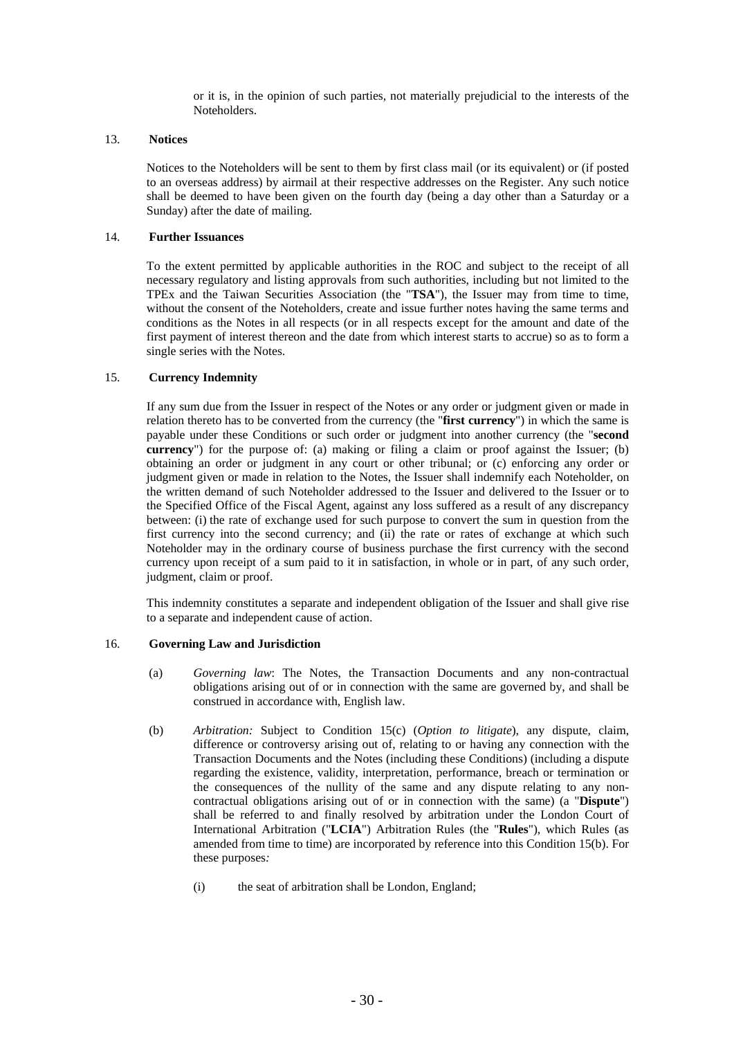or it is, in the opinion of such parties, not materially prejudicial to the interests of the Noteholders.

### 13. **Notices**

Notices to the Noteholders will be sent to them by first class mail (or its equivalent) or (if posted to an overseas address) by airmail at their respective addresses on the Register. Any such notice shall be deemed to have been given on the fourth day (being a day other than a Saturday or a Sunday) after the date of mailing.

### 14. **Further Issuances**

To the extent permitted by applicable authorities in the ROC and subject to the receipt of all necessary regulatory and listing approvals from such authorities, including but not limited to the TPEx and the Taiwan Securities Association (the "**TSA**"), the Issuer may from time to time, without the consent of the Noteholders, create and issue further notes having the same terms and conditions as the Notes in all respects (or in all respects except for the amount and date of the first payment of interest thereon and the date from which interest starts to accrue) so as to form a single series with the Notes.

### 15. **Currency Indemnity**

If any sum due from the Issuer in respect of the Notes or any order or judgment given or made in relation thereto has to be converted from the currency (the "**first currency**") in which the same is payable under these Conditions or such order or judgment into another currency (the "**second currency**") for the purpose of: (a) making or filing a claim or proof against the Issuer; (b) obtaining an order or judgment in any court or other tribunal; or (c) enforcing any order or judgment given or made in relation to the Notes, the Issuer shall indemnify each Noteholder, on the written demand of such Noteholder addressed to the Issuer and delivered to the Issuer or to the Specified Office of the Fiscal Agent, against any loss suffered as a result of any discrepancy between: (i) the rate of exchange used for such purpose to convert the sum in question from the first currency into the second currency; and (ii) the rate or rates of exchange at which such Noteholder may in the ordinary course of business purchase the first currency with the second currency upon receipt of a sum paid to it in satisfaction, in whole or in part, of any such order, judgment, claim or proof.

This indemnity constitutes a separate and independent obligation of the Issuer and shall give rise to a separate and independent cause of action.

#### 16. **Governing Law and Jurisdiction**

- (a) *Governing law*: The Notes, the Transaction Documents and any non-contractual obligations arising out of or in connection with the same are governed by, and shall be construed in accordance with, English law.
- (b) *Arbitration:* Subject to Condition 15(c) (*Option to litigate*), any dispute, claim, difference or controversy arising out of, relating to or having any connection with the Transaction Documents and the Notes (including these Conditions) (including a dispute regarding the existence, validity, interpretation, performance, breach or termination or the consequences of the nullity of the same and any dispute relating to any noncontractual obligations arising out of or in connection with the same) (a "**Dispute**") shall be referred to and finally resolved by arbitration under the London Court of International Arbitration ("**LCIA**") Arbitration Rules (the "**Rules**"), which Rules (as amended from time to time) are incorporated by reference into this Condition 15(b). For these purposes*:* 
	- (i) the seat of arbitration shall be London, England;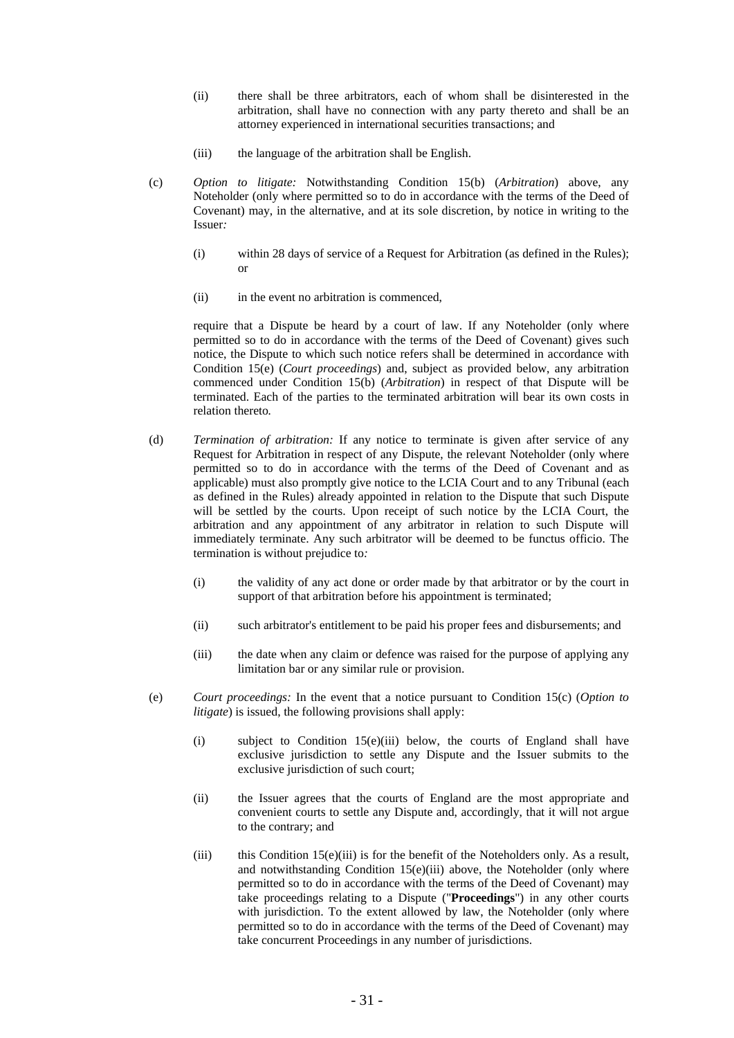- (ii) there shall be three arbitrators, each of whom shall be disinterested in the arbitration, shall have no connection with any party thereto and shall be an attorney experienced in international securities transactions; and
- (iii) the language of the arbitration shall be English.
- (c) *Option to litigate:* Notwithstanding Condition 15(b) (*Arbitration*) above, any Noteholder (only where permitted so to do in accordance with the terms of the Deed of Covenant) may, in the alternative, and at its sole discretion, by notice in writing to the Issuer*:* 
	- (i) within 28 days of service of a Request for Arbitration (as defined in the Rules); or
	- (ii) in the event no arbitration is commenced,

require that a Dispute be heard by a court of law. If any Noteholder (only where permitted so to do in accordance with the terms of the Deed of Covenant) gives such notice, the Dispute to which such notice refers shall be determined in accordance with Condition 15(e) (*Court proceedings*) and, subject as provided below, any arbitration commenced under Condition 15(b) (*Arbitration*) in respect of that Dispute will be terminated. Each of the parties to the terminated arbitration will bear its own costs in relation thereto*.* 

- (d) *Termination of arbitration:* If any notice to terminate is given after service of any Request for Arbitration in respect of any Dispute, the relevant Noteholder (only where permitted so to do in accordance with the terms of the Deed of Covenant and as applicable) must also promptly give notice to the LCIA Court and to any Tribunal (each as defined in the Rules) already appointed in relation to the Dispute that such Dispute will be settled by the courts. Upon receipt of such notice by the LCIA Court, the arbitration and any appointment of any arbitrator in relation to such Dispute will immediately terminate. Any such arbitrator will be deemed to be functus officio. The termination is without prejudice to*:* 
	- (i) the validity of any act done or order made by that arbitrator or by the court in support of that arbitration before his appointment is terminated;
	- (ii) such arbitrator's entitlement to be paid his proper fees and disbursements; and
	- (iii) the date when any claim or defence was raised for the purpose of applying any limitation bar or any similar rule or provision.
- (e) *Court proceedings:* In the event that a notice pursuant to Condition 15(c) (*Option to litigate*) is issued, the following provisions shall apply:
	- (i) subject to Condition 15(e)(iii) below, the courts of England shall have exclusive jurisdiction to settle any Dispute and the Issuer submits to the exclusive jurisdiction of such court:
	- (ii) the Issuer agrees that the courts of England are the most appropriate and convenient courts to settle any Dispute and, accordingly, that it will not argue to the contrary; and
	- (iii) this Condition 15(e)(iii) is for the benefit of the Noteholders only. As a result, and notwithstanding Condition 15(e)(iii) above, the Noteholder (only where permitted so to do in accordance with the terms of the Deed of Covenant) may take proceedings relating to a Dispute ("**Proceedings**") in any other courts with jurisdiction. To the extent allowed by law, the Noteholder (only where permitted so to do in accordance with the terms of the Deed of Covenant) may take concurrent Proceedings in any number of jurisdictions.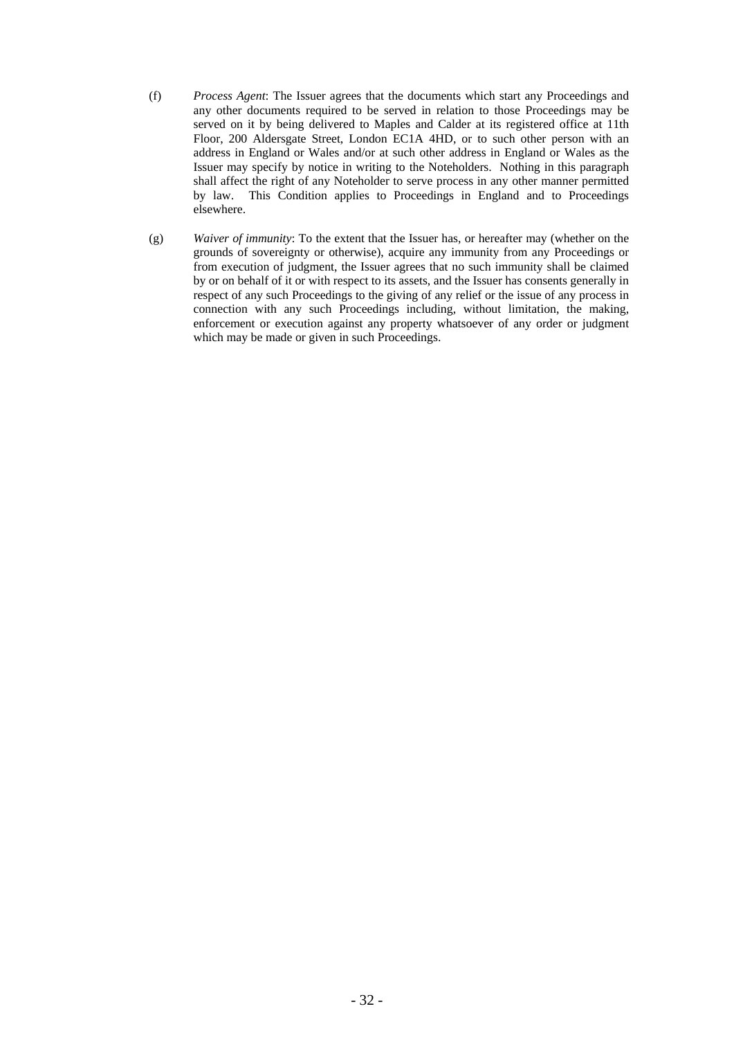- (f) *Process Agent*: The Issuer agrees that the documents which start any Proceedings and any other documents required to be served in relation to those Proceedings may be served on it by being delivered to Maples and Calder at its registered office at 11th Floor, 200 Aldersgate Street, London EC1A 4HD, or to such other person with an address in England or Wales and/or at such other address in England or Wales as the Issuer may specify by notice in writing to the Noteholders. Nothing in this paragraph shall affect the right of any Noteholder to serve process in any other manner permitted by law. This Condition applies to Proceedings in England and to Proceedings elsewhere.
- (g) *Waiver of immunity*: To the extent that the Issuer has, or hereafter may (whether on the grounds of sovereignty or otherwise), acquire any immunity from any Proceedings or from execution of judgment, the Issuer agrees that no such immunity shall be claimed by or on behalf of it or with respect to its assets, and the Issuer has consents generally in respect of any such Proceedings to the giving of any relief or the issue of any process in connection with any such Proceedings including, without limitation, the making, enforcement or execution against any property whatsoever of any order or judgment which may be made or given in such Proceedings.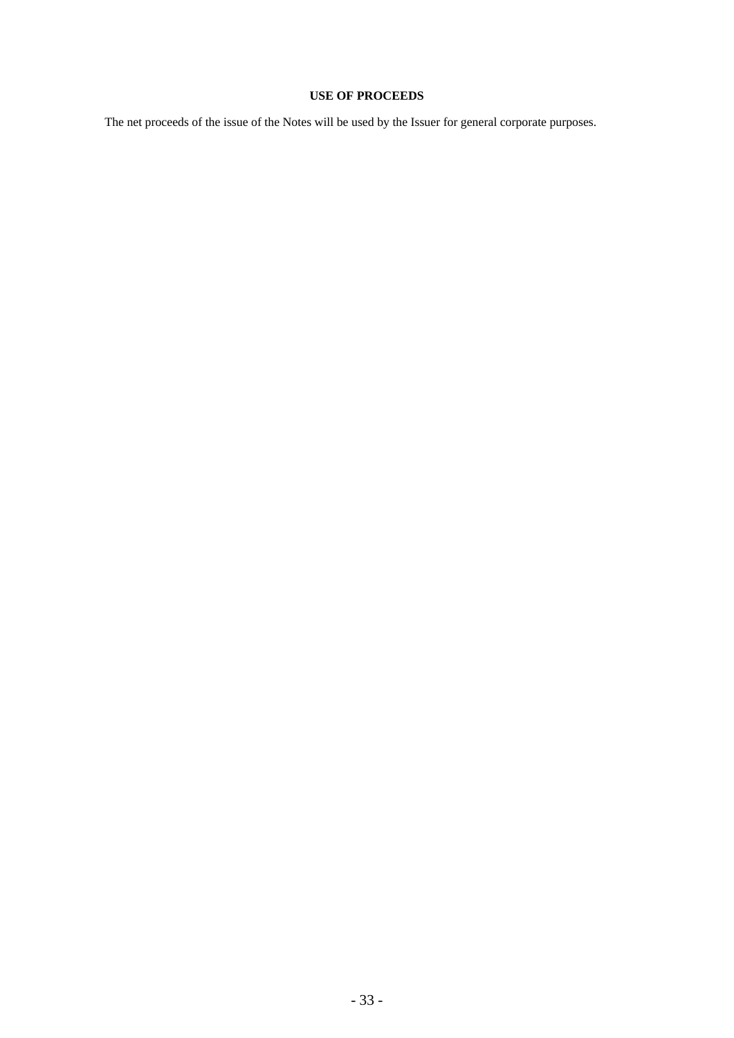# **USE OF PROCEEDS**

The net proceeds of the issue of the Notes will be used by the Issuer for general corporate purposes.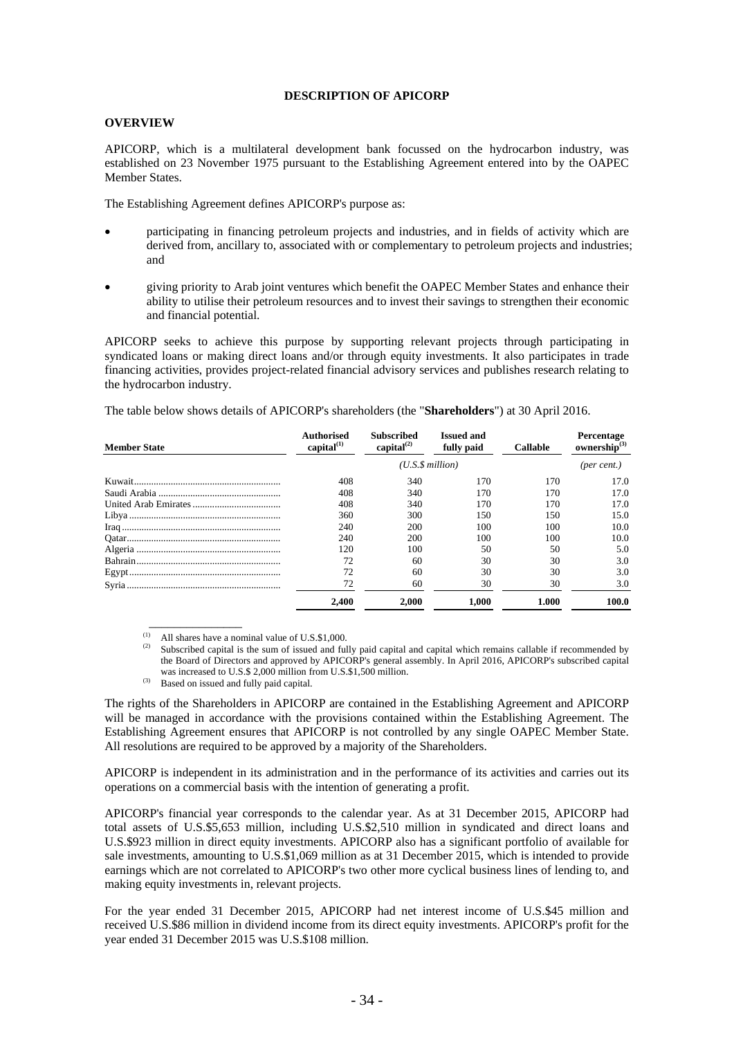#### **DESCRIPTION OF APICORP**

## **OVERVIEW**

APICORP, which is a multilateral development bank focussed on the hydrocarbon industry, was established on 23 November 1975 pursuant to the Establishing Agreement entered into by the OAPEC Member States.

The Establishing Agreement defines APICORP's purpose as:

- participating in financing petroleum projects and industries, and in fields of activity which are derived from, ancillary to, associated with or complementary to petroleum projects and industries; and
- giving priority to Arab joint ventures which benefit the OAPEC Member States and enhance their ability to utilise their petroleum resources and to invest their savings to strengthen their economic and financial potential.

APICORP seeks to achieve this purpose by supporting relevant projects through participating in syndicated loans or making direct loans and/or through equity investments. It also participates in trade financing activities, provides project-related financial advisory services and publishes research relating to the hydrocarbon industry.

| <b>Member State</b> | Authorised<br>capital $^{(1)}$ | <b>Subscribed</b><br>capital $^{(2)}$ | <b>Issued and</b><br>fully paid | <b>Callable</b> | Percentage<br>ownership $^{(3)}$ |  |
|---------------------|--------------------------------|---------------------------------------|---------------------------------|-----------------|----------------------------------|--|
|                     |                                | $(U.S.\$ \$ million)                  |                                 |                 | (per cent.)                      |  |
|                     | 408                            | 340                                   | 170                             | 170             | 17.0                             |  |
|                     | 408                            | 340                                   | 170                             | 170             | 17.0                             |  |
|                     | 408                            | 340                                   | 170                             | 170             | 17.0                             |  |
|                     | 360                            | 300                                   | 150                             | 150             | 15.0                             |  |
|                     | 240                            | 200                                   | 100                             | 100             | 10.0                             |  |
|                     | 240                            | 200                                   | 100                             | 100             | 10.0                             |  |
|                     | 120                            | 100                                   | 50                              | 50              | 5.0                              |  |
|                     | 72                             | 60                                    | 30                              | 30              | 3.0                              |  |
|                     | 72                             | 60                                    | 30                              | 30              | 3.0                              |  |
|                     | 72                             | 60                                    | 30                              | 30              | 3.0                              |  |
|                     | 2,400                          | 2.000                                 | 1.000                           | 1.000           | 100.0                            |  |

The table below shows details of APICORP's shareholders (the "**Shareholders**") at 30 April 2016.

(1) All shares have a nominal value of U.S.\$1,000.<br>(2) Subscribed capital is the sum of issued and fully paid capital and capital which remains callable if recommended by the Board of Directors and approved by APICORP's general assembly. In April 2016, APICORP's subscribed capital was increased to U.S.\$ 2,000 million from U.S.\$1,500 million.

 $W = U \cdot W$ . Based on issued and fully paid capital.

 $\overline{\phantom{a}}$  , which is a set of the set of the set of the set of the set of the set of the set of the set of the set of the set of the set of the set of the set of the set of the set of the set of the set of the set of th

The rights of the Shareholders in APICORP are contained in the Establishing Agreement and APICORP will be managed in accordance with the provisions contained within the Establishing Agreement. The Establishing Agreement ensures that APICORP is not controlled by any single OAPEC Member State. All resolutions are required to be approved by a majority of the Shareholders.

APICORP is independent in its administration and in the performance of its activities and carries out its operations on a commercial basis with the intention of generating a profit.

APICORP's financial year corresponds to the calendar year. As at 31 December 2015, APICORP had total assets of U.S.\$5,653 million, including U.S.\$2,510 million in syndicated and direct loans and U.S.\$923 million in direct equity investments. APICORP also has a significant portfolio of available for sale investments, amounting to U.S.\$1,069 million as at 31 December 2015, which is intended to provide earnings which are not correlated to APICORP's two other more cyclical business lines of lending to, and making equity investments in, relevant projects.

For the year ended 31 December 2015, APICORP had net interest income of U.S.\$45 million and received U.S.\$86 million in dividend income from its direct equity investments. APICORP's profit for the year ended 31 December 2015 was U.S.\$108 million.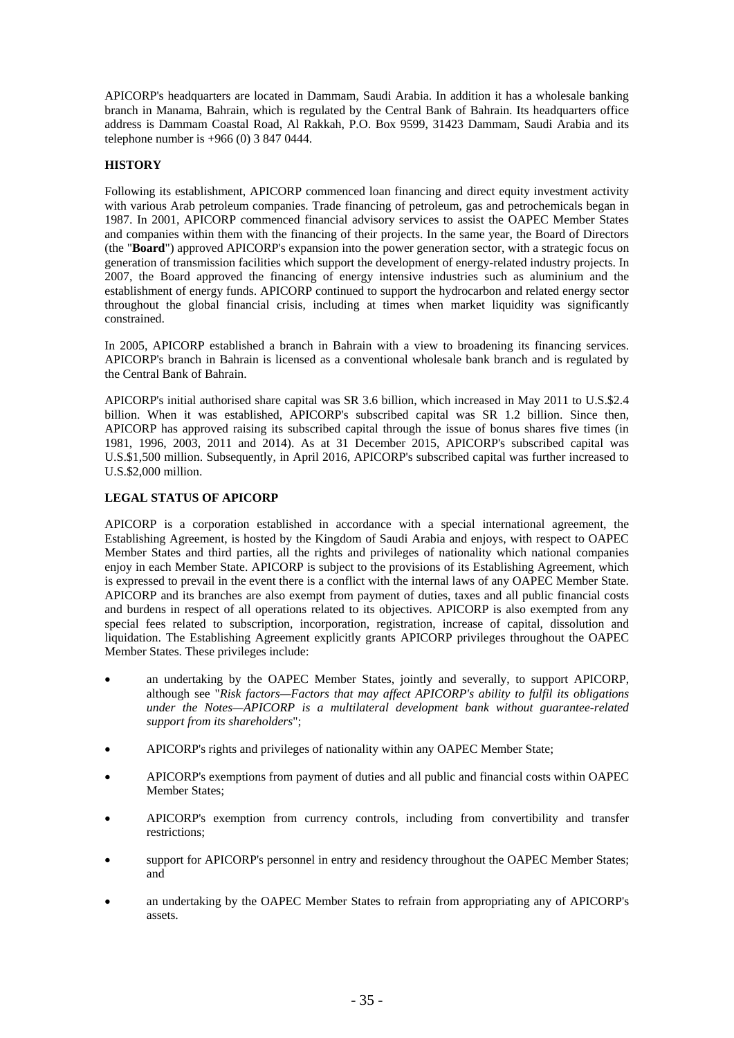APICORP's headquarters are located in Dammam, Saudi Arabia. In addition it has a wholesale banking branch in Manama, Bahrain, which is regulated by the Central Bank of Bahrain. Its headquarters office address is Dammam Coastal Road, Al Rakkah, P.O. Box 9599, 31423 Dammam, Saudi Arabia and its telephone number is +966 (0) 3 847 0444.

## **HISTORY**

Following its establishment, APICORP commenced loan financing and direct equity investment activity with various Arab petroleum companies. Trade financing of petroleum, gas and petrochemicals began in 1987. In 2001, APICORP commenced financial advisory services to assist the OAPEC Member States and companies within them with the financing of their projects. In the same year, the Board of Directors (the "**Board**") approved APICORP's expansion into the power generation sector, with a strategic focus on generation of transmission facilities which support the development of energy-related industry projects. In 2007, the Board approved the financing of energy intensive industries such as aluminium and the establishment of energy funds. APICORP continued to support the hydrocarbon and related energy sector throughout the global financial crisis, including at times when market liquidity was significantly constrained.

In 2005, APICORP established a branch in Bahrain with a view to broadening its financing services. APICORP's branch in Bahrain is licensed as a conventional wholesale bank branch and is regulated by the Central Bank of Bahrain.

APICORP's initial authorised share capital was SR 3.6 billion, which increased in May 2011 to U.S.\$2.4 billion. When it was established, APICORP's subscribed capital was SR 1.2 billion. Since then, APICORP has approved raising its subscribed capital through the issue of bonus shares five times (in 1981, 1996, 2003, 2011 and 2014). As at 31 December 2015, APICORP's subscribed capital was U.S.\$1,500 million. Subsequently, in April 2016, APICORP's subscribed capital was further increased to U.S.\$2,000 million.

## **LEGAL STATUS OF APICORP**

APICORP is a corporation established in accordance with a special international agreement, the Establishing Agreement, is hosted by the Kingdom of Saudi Arabia and enjoys, with respect to OAPEC Member States and third parties, all the rights and privileges of nationality which national companies enjoy in each Member State. APICORP is subject to the provisions of its Establishing Agreement, which is expressed to prevail in the event there is a conflict with the internal laws of any OAPEC Member State. APICORP and its branches are also exempt from payment of duties, taxes and all public financial costs and burdens in respect of all operations related to its objectives. APICORP is also exempted from any special fees related to subscription, incorporation, registration, increase of capital, dissolution and liquidation. The Establishing Agreement explicitly grants APICORP privileges throughout the OAPEC Member States. These privileges include:

- an undertaking by the OAPEC Member States, jointly and severally, to support APICORP, although see "*Risk factors—Factors that may affect APICORP's ability to fulfil its obligations under the Notes—APICORP is a multilateral development bank without guarantee-related support from its shareholders*";
- APICORP's rights and privileges of nationality within any OAPEC Member State;
- APICORP's exemptions from payment of duties and all public and financial costs within OAPEC Member States;
- APICORP's exemption from currency controls, including from convertibility and transfer restrictions;
- support for APICORP's personnel in entry and residency throughout the OAPEC Member States; and
- an undertaking by the OAPEC Member States to refrain from appropriating any of APICORP's assets.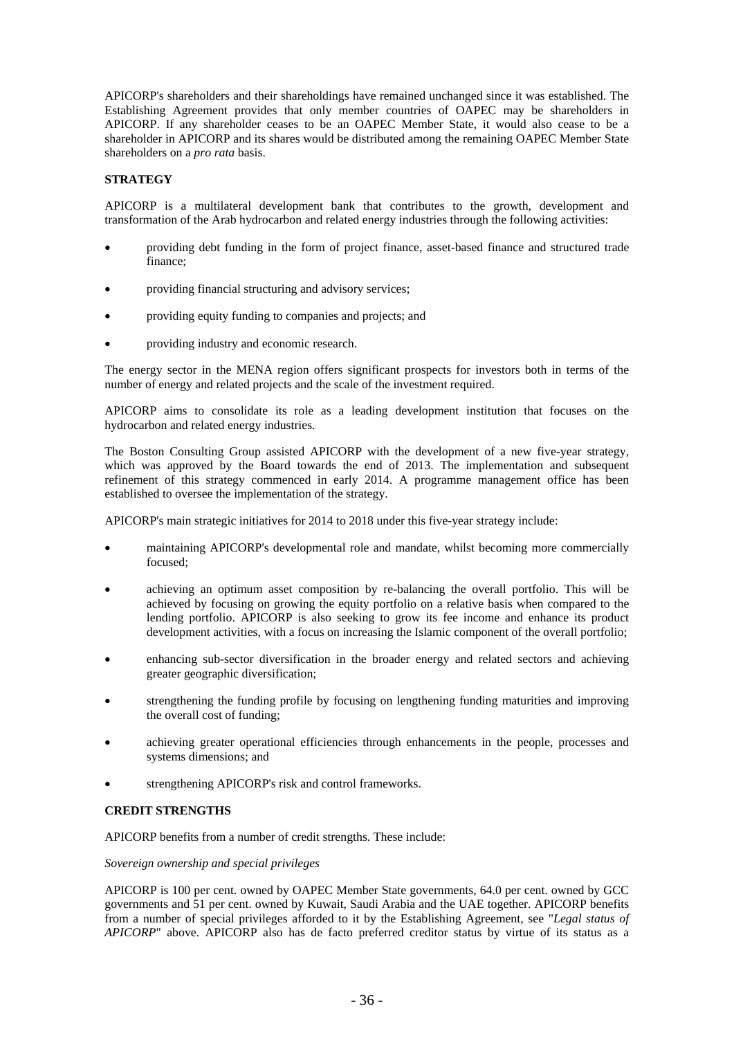APICORP's shareholders and their shareholdings have remained unchanged since it was established. The Establishing Agreement provides that only member countries of OAPEC may be shareholders in APICORP. If any shareholder ceases to be an OAPEC Member State, it would also cease to be a shareholder in APICORP and its shares would be distributed among the remaining OAPEC Member State shareholders on a *pro rata* basis.

## **STRATEGY**

APICORP is a multilateral development bank that contributes to the growth, development and transformation of the Arab hydrocarbon and related energy industries through the following activities:

- providing debt funding in the form of project finance, asset-based finance and structured trade finance;
- providing financial structuring and advisory services;
- providing equity funding to companies and projects; and
- providing industry and economic research.

The energy sector in the MENA region offers significant prospects for investors both in terms of the number of energy and related projects and the scale of the investment required.

APICORP aims to consolidate its role as a leading development institution that focuses on the hydrocarbon and related energy industries.

The Boston Consulting Group assisted APICORP with the development of a new five-year strategy, which was approved by the Board towards the end of 2013. The implementation and subsequent refinement of this strategy commenced in early 2014. A programme management office has been established to oversee the implementation of the strategy.

APICORP's main strategic initiatives for 2014 to 2018 under this five-year strategy include:

- maintaining APICORP's developmental role and mandate, whilst becoming more commercially focused;
- achieving an optimum asset composition by re-balancing the overall portfolio. This will be achieved by focusing on growing the equity portfolio on a relative basis when compared to the lending portfolio. APICORP is also seeking to grow its fee income and enhance its product development activities, with a focus on increasing the Islamic component of the overall portfolio;
- enhancing sub-sector diversification in the broader energy and related sectors and achieving greater geographic diversification;
- strengthening the funding profile by focusing on lengthening funding maturities and improving the overall cost of funding;
- achieving greater operational efficiencies through enhancements in the people, processes and systems dimensions; and
- strengthening APICORP's risk and control frameworks.

### **CREDIT STRENGTHS**

APICORP benefits from a number of credit strengths. These include:

#### *Sovereign ownership and special privileges*

APICORP is 100 per cent. owned by OAPEC Member State governments, 64.0 per cent. owned by GCC governments and 51 per cent. owned by Kuwait, Saudi Arabia and the UAE together. APICORP benefits from a number of special privileges afforded to it by the Establishing Agreement, see "*Legal status of APICORP*" above. APICORP also has de facto preferred creditor status by virtue of its status as a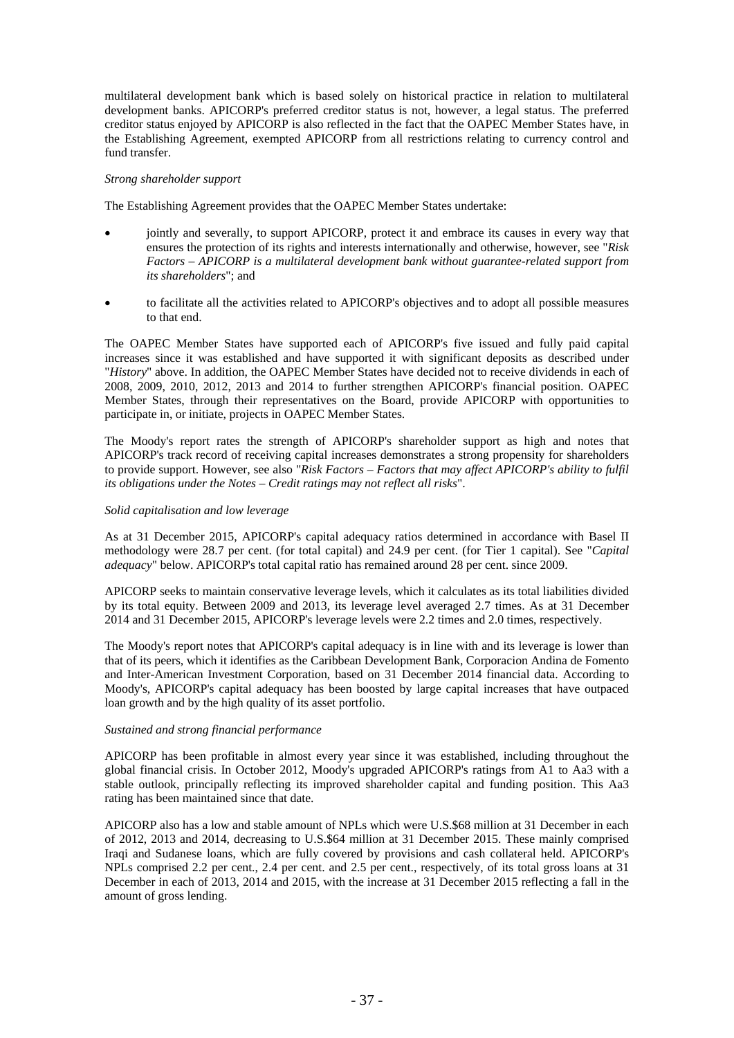multilateral development bank which is based solely on historical practice in relation to multilateral development banks. APICORP's preferred creditor status is not, however, a legal status. The preferred creditor status enjoyed by APICORP is also reflected in the fact that the OAPEC Member States have, in the Establishing Agreement, exempted APICORP from all restrictions relating to currency control and fund transfer.

#### *Strong shareholder support*

The Establishing Agreement provides that the OAPEC Member States undertake:

- jointly and severally, to support APICORP, protect it and embrace its causes in every way that ensures the protection of its rights and interests internationally and otherwise, however, see "*Risk Factors – APICORP is a multilateral development bank without guarantee-related support from its shareholders*"; and
- to facilitate all the activities related to APICORP's objectives and to adopt all possible measures to that end.

The OAPEC Member States have supported each of APICORP's five issued and fully paid capital increases since it was established and have supported it with significant deposits as described under "*History*" above. In addition, the OAPEC Member States have decided not to receive dividends in each of 2008, 2009, 2010, 2012, 2013 and 2014 to further strengthen APICORP's financial position. OAPEC Member States, through their representatives on the Board, provide APICORP with opportunities to participate in, or initiate, projects in OAPEC Member States.

The Moody's report rates the strength of APICORP's shareholder support as high and notes that APICORP's track record of receiving capital increases demonstrates a strong propensity for shareholders to provide support. However, see also "*Risk Factors – Factors that may affect APICORP's ability to fulfil its obligations under the Notes – Credit ratings may not reflect all risks*".

### *Solid capitalisation and low leverage*

As at 31 December 2015, APICORP's capital adequacy ratios determined in accordance with Basel II methodology were 28.7 per cent. (for total capital) and 24.9 per cent. (for Tier 1 capital). See "*Capital adequacy*" below. APICORP's total capital ratio has remained around 28 per cent. since 2009.

APICORP seeks to maintain conservative leverage levels, which it calculates as its total liabilities divided by its total equity. Between 2009 and 2013, its leverage level averaged 2.7 times. As at 31 December 2014 and 31 December 2015, APICORP's leverage levels were 2.2 times and 2.0 times, respectively.

The Moody's report notes that APICORP's capital adequacy is in line with and its leverage is lower than that of its peers, which it identifies as the Caribbean Development Bank, Corporacion Andina de Fomento and Inter-American Investment Corporation, based on 31 December 2014 financial data. According to Moody's, APICORP's capital adequacy has been boosted by large capital increases that have outpaced loan growth and by the high quality of its asset portfolio.

#### *Sustained and strong financial performance*

APICORP has been profitable in almost every year since it was established, including throughout the global financial crisis. In October 2012, Moody's upgraded APICORP's ratings from A1 to Aa3 with a stable outlook, principally reflecting its improved shareholder capital and funding position. This Aa3 rating has been maintained since that date.

APICORP also has a low and stable amount of NPLs which were U.S.\$68 million at 31 December in each of 2012, 2013 and 2014, decreasing to U.S.\$64 million at 31 December 2015. These mainly comprised Iraqi and Sudanese loans, which are fully covered by provisions and cash collateral held. APICORP's NPLs comprised 2.2 per cent., 2.4 per cent. and 2.5 per cent., respectively, of its total gross loans at 31 December in each of 2013, 2014 and 2015, with the increase at 31 December 2015 reflecting a fall in the amount of gross lending.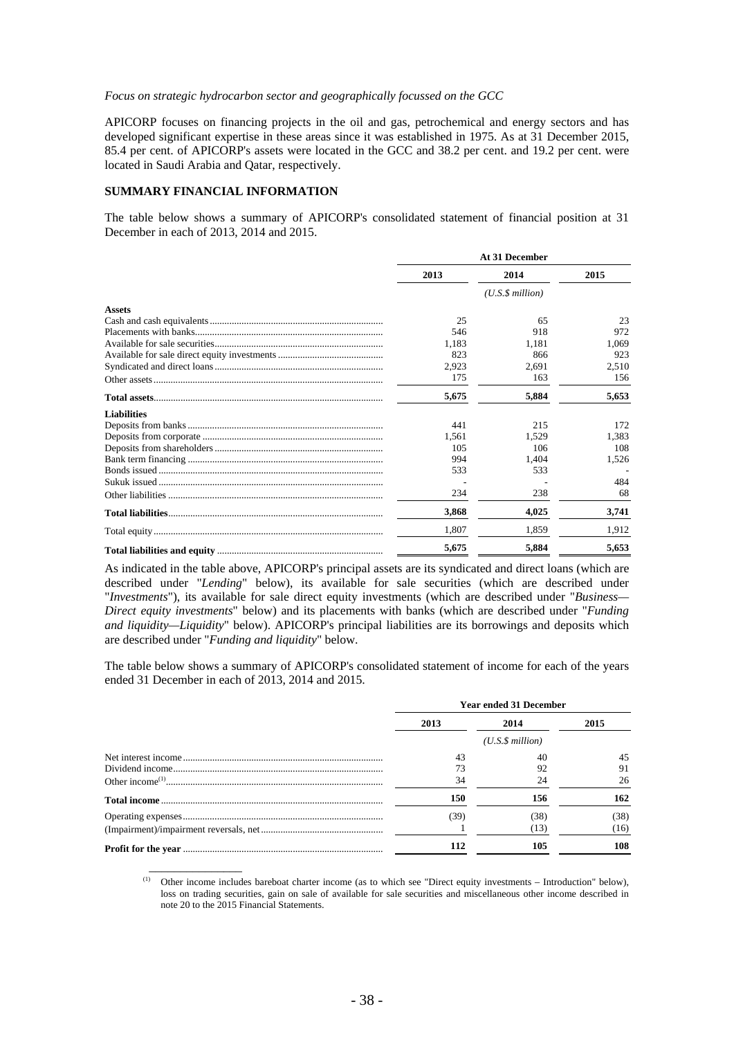#### *Focus on strategic hydrocarbon sector and geographically focussed on the GCC*

APICORP focuses on financing projects in the oil and gas, petrochemical and energy sectors and has developed significant expertise in these areas since it was established in 1975. As at 31 December 2015, 85.4 per cent. of APICORP's assets were located in the GCC and 38.2 per cent. and 19.2 per cent. were located in Saudi Arabia and Qatar, respectively.

#### **SUMMARY FINANCIAL INFORMATION**

 $\overline{\phantom{a}}$   $\overline{\phantom{a}}$   $\overline{\phantom{a}}$   $\overline{\phantom{a}}$   $\overline{\phantom{a}}$   $\overline{\phantom{a}}$   $\overline{\phantom{a}}$   $\overline{\phantom{a}}$   $\overline{\phantom{a}}$   $\overline{\phantom{a}}$   $\overline{\phantom{a}}$   $\overline{\phantom{a}}$   $\overline{\phantom{a}}$   $\overline{\phantom{a}}$   $\overline{\phantom{a}}$   $\overline{\phantom{a}}$   $\overline{\phantom{a}}$   $\overline{\phantom{a}}$   $\overline{\$ 

The table below shows a summary of APICORP's consolidated statement of financial position at 31 December in each of 2013, 2014 and 2015.

|                    | At 31 December |                      |       |  |  |
|--------------------|----------------|----------------------|-------|--|--|
|                    | 2013           | 2014                 | 2015  |  |  |
|                    |                | $(U.S.\$ \$ million) |       |  |  |
| <b>Assets</b>      |                |                      |       |  |  |
|                    | 25             | 65                   | 23    |  |  |
|                    | 546            | 918                  | 972   |  |  |
|                    | 1.183          | 1.181                | 1.069 |  |  |
|                    | 823            | 866                  | 923   |  |  |
|                    | 2.923          | 2.691                | 2.510 |  |  |
|                    | 175            | 163                  | 156   |  |  |
|                    | 5,675          | 5,884                | 5,653 |  |  |
| <b>Liabilities</b> |                |                      |       |  |  |
|                    | 441            | 215                  | 172   |  |  |
|                    | 1,561          | 1,529                | 1.383 |  |  |
|                    | 105            | 106                  | 108   |  |  |
|                    | 994            | 1,404                | 1,526 |  |  |
|                    | 533            | 533                  |       |  |  |
|                    |                |                      | 484   |  |  |
|                    | 234            | 238                  | 68    |  |  |
|                    | 3,868          | 4,025                | 3,741 |  |  |
|                    | 1.807          | 1.859                | 1.912 |  |  |
|                    | 5,675          | 5,884                | 5,653 |  |  |

As indicated in the table above, APICORP's principal assets are its syndicated and direct loans (which are described under "*Lending*" below), its available for sale securities (which are described under "*Investments*"), its available for sale direct equity investments (which are described under "*Business— Direct equity investments*" below) and its placements with banks (which are described under "*Funding and liquidity—Liquidity*" below). APICORP's principal liabilities are its borrowings and deposits which are described under "*Funding and liquidity*" below.

The table below shows a summary of APICORP's consolidated statement of income for each of the years ended 31 December in each of 2013, 2014 and 2015.

| <b>Year ended 31 December</b> |                 |      |  |
|-------------------------------|-----------------|------|--|
| 2013                          | 2014            | 2015 |  |
|                               | (U.S.S.million) |      |  |
| 43                            | 40              | 45   |  |
|                               | 92              | 91   |  |
| 34                            |                 | 26   |  |
| 150                           | 156             | 162  |  |
| (39)                          | 38)             | (38) |  |
|                               | (13)            | (16) |  |
| 112                           | 105             | 108  |  |

(1) Other income includes bareboat charter income (as to which see "Direct equity investments – Introduction" below), loss on trading securities, gain on sale of available for sale securities and miscellaneous other income described in note 20 to the 2015 Financial Statements.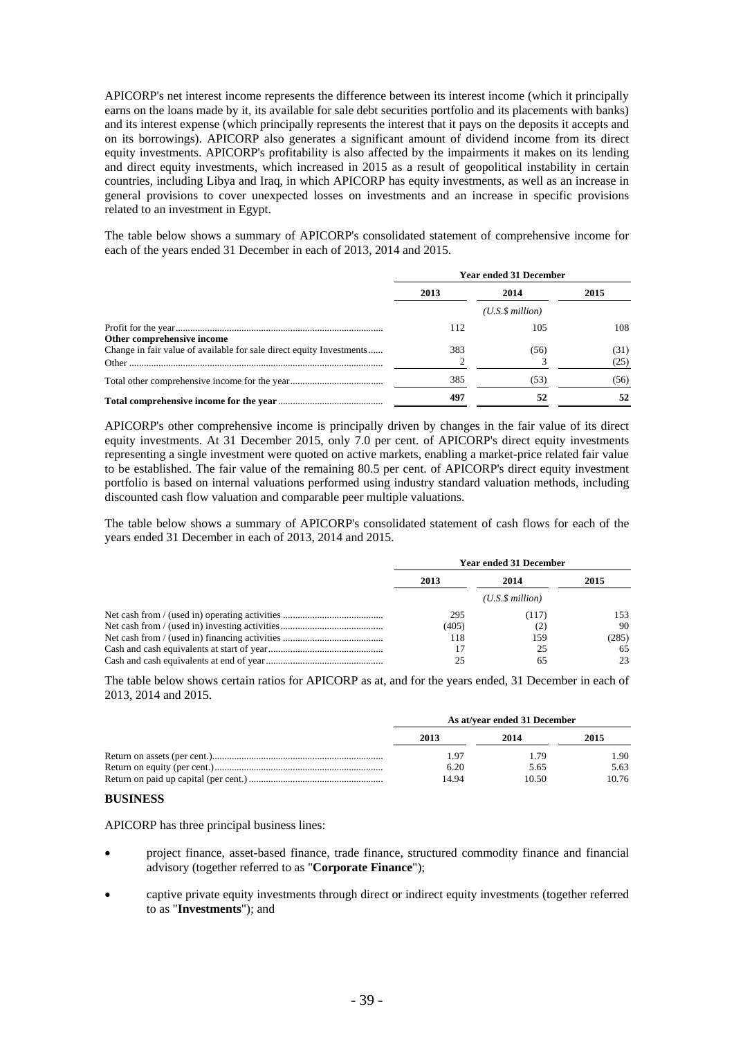APICORP's net interest income represents the difference between its interest income (which it principally earns on the loans made by it, its available for sale debt securities portfolio and its placements with banks) and its interest expense (which principally represents the interest that it pays on the deposits it accepts and on its borrowings). APICORP also generates a significant amount of dividend income from its direct equity investments. APICORP's profitability is also affected by the impairments it makes on its lending and direct equity investments, which increased in 2015 as a result of geopolitical instability in certain countries, including Libya and Iraq, in which APICORP has equity investments, as well as an increase in general provisions to cover unexpected losses on investments and an increase in specific provisions related to an investment in Egypt.

The table below shows a summary of APICORP's consolidated statement of comprehensive income for each of the years ended 31 December in each of 2013, 2014 and 2015.

|                                                                      | <b>Year ended 31 December</b> |                      |              |  |
|----------------------------------------------------------------------|-------------------------------|----------------------|--------------|--|
|                                                                      | 2013                          | 2014                 | 2015         |  |
|                                                                      |                               | $(U.S.\$ \$ million) |              |  |
| Other comprehensive income                                           | 112                           | 105                  | 108          |  |
| Change in fair value of available for sale direct equity Investments | 383                           | (56)                 | (31)<br>(25) |  |
|                                                                      | 385                           | (53)                 | (56)         |  |
|                                                                      | 497                           | 52                   | 52           |  |

APICORP's other comprehensive income is principally driven by changes in the fair value of its direct equity investments. At 31 December 2015, only 7.0 per cent. of APICORP's direct equity investments representing a single investment were quoted on active markets, enabling a market-price related fair value to be established. The fair value of the remaining 80.5 per cent. of APICORP's direct equity investment portfolio is based on internal valuations performed using industry standard valuation methods, including discounted cash flow valuation and comparable peer multiple valuations.

The table below shows a summary of APICORP's consolidated statement of cash flows for each of the years ended 31 December in each of 2013, 2014 and 2015.

| <b>Year ended 31 December</b> |       |       |  |
|-------------------------------|-------|-------|--|
| 2013                          | 2014  | 2015  |  |
|                               |       |       |  |
| 295                           | (117) | 153   |  |
| (405)                         | (2,   | 90    |  |
| 118                           | 159   | (285) |  |
|                               | 25    | 65    |  |
| 25                            | 65    | 23    |  |

The table below shows certain ratios for APICORP as at, and for the years ended, 31 December in each of 2013, 2014 and 2015.

| As at/vear ended 31 December |       |       |  |
|------------------------------|-------|-------|--|
| 2013                         | 2014  | 2015  |  |
| 1.97                         | 1.79  | 1.90  |  |
| 6.20                         | 5.65  | 5.63  |  |
| 14.94                        | 10.50 | 10.76 |  |

#### **BUSINESS**

APICORP has three principal business lines:

- project finance, asset-based finance, trade finance, structured commodity finance and financial advisory (together referred to as "**Corporate Finance**");
- captive private equity investments through direct or indirect equity investments (together referred to as "**Investments**"); and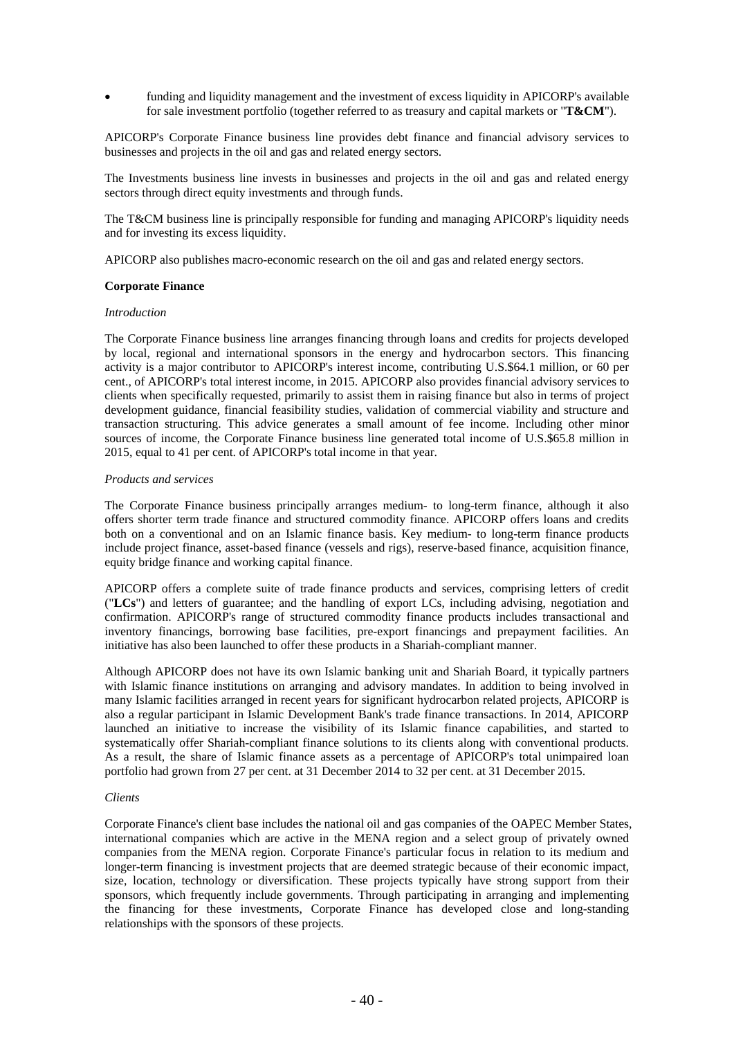funding and liquidity management and the investment of excess liquidity in APICORP's available for sale investment portfolio (together referred to as treasury and capital markets or "**T&CM**").

APICORP's Corporate Finance business line provides debt finance and financial advisory services to businesses and projects in the oil and gas and related energy sectors.

The Investments business line invests in businesses and projects in the oil and gas and related energy sectors through direct equity investments and through funds.

The T&CM business line is principally responsible for funding and managing APICORP's liquidity needs and for investing its excess liquidity.

APICORP also publishes macro-economic research on the oil and gas and related energy sectors.

### **Corporate Finance**

#### *Introduction*

The Corporate Finance business line arranges financing through loans and credits for projects developed by local, regional and international sponsors in the energy and hydrocarbon sectors. This financing activity is a major contributor to APICORP's interest income, contributing U.S.\$64.1 million, or 60 per cent., of APICORP's total interest income, in 2015. APICORP also provides financial advisory services to clients when specifically requested, primarily to assist them in raising finance but also in terms of project development guidance, financial feasibility studies, validation of commercial viability and structure and transaction structuring. This advice generates a small amount of fee income. Including other minor sources of income, the Corporate Finance business line generated total income of U.S.\$65.8 million in 2015, equal to 41 per cent. of APICORP's total income in that year.

#### *Products and services*

The Corporate Finance business principally arranges medium- to long-term finance, although it also offers shorter term trade finance and structured commodity finance. APICORP offers loans and credits both on a conventional and on an Islamic finance basis. Key medium- to long-term finance products include project finance, asset-based finance (vessels and rigs), reserve-based finance, acquisition finance, equity bridge finance and working capital finance.

APICORP offers a complete suite of trade finance products and services, comprising letters of credit ("**LCs**") and letters of guarantee; and the handling of export LCs, including advising, negotiation and confirmation. APICORP's range of structured commodity finance products includes transactional and inventory financings, borrowing base facilities, pre-export financings and prepayment facilities. An initiative has also been launched to offer these products in a Shariah-compliant manner.

Although APICORP does not have its own Islamic banking unit and Shariah Board, it typically partners with Islamic finance institutions on arranging and advisory mandates. In addition to being involved in many Islamic facilities arranged in recent years for significant hydrocarbon related projects, APICORP is also a regular participant in Islamic Development Bank's trade finance transactions. In 2014, APICORP launched an initiative to increase the visibility of its Islamic finance capabilities, and started to systematically offer Shariah-compliant finance solutions to its clients along with conventional products. As a result, the share of Islamic finance assets as a percentage of APICORP's total unimpaired loan portfolio had grown from 27 per cent. at 31 December 2014 to 32 per cent. at 31 December 2015.

### *Clients*

Corporate Finance's client base includes the national oil and gas companies of the OAPEC Member States, international companies which are active in the MENA region and a select group of privately owned companies from the MENA region. Corporate Finance's particular focus in relation to its medium and longer-term financing is investment projects that are deemed strategic because of their economic impact, size, location, technology or diversification. These projects typically have strong support from their sponsors, which frequently include governments. Through participating in arranging and implementing the financing for these investments, Corporate Finance has developed close and long-standing relationships with the sponsors of these projects.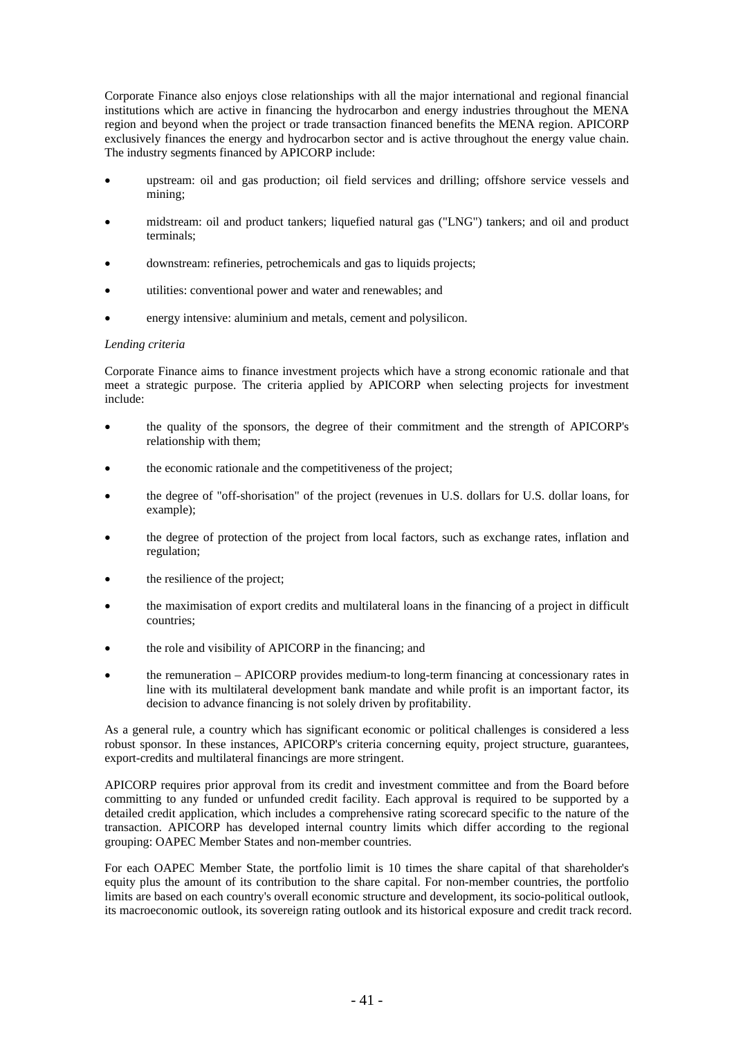Corporate Finance also enjoys close relationships with all the major international and regional financial institutions which are active in financing the hydrocarbon and energy industries throughout the MENA region and beyond when the project or trade transaction financed benefits the MENA region. APICORP exclusively finances the energy and hydrocarbon sector and is active throughout the energy value chain. The industry segments financed by APICORP include:

- upstream: oil and gas production; oil field services and drilling; offshore service vessels and mining;
- midstream: oil and product tankers; liquefied natural gas ("LNG") tankers; and oil and product terminals;
- downstream: refineries, petrochemicals and gas to liquids projects;
- utilities: conventional power and water and renewables; and
- energy intensive: aluminium and metals, cement and polysilicon.

#### *Lending criteria*

Corporate Finance aims to finance investment projects which have a strong economic rationale and that meet a strategic purpose. The criteria applied by APICORP when selecting projects for investment include:

- the quality of the sponsors, the degree of their commitment and the strength of APICORP's relationship with them;
- the economic rationale and the competitiveness of the project;
- the degree of "off-shorisation" of the project (revenues in U.S. dollars for U.S. dollar loans, for example);
- the degree of protection of the project from local factors, such as exchange rates, inflation and regulation;
- the resilience of the project;
- the maximisation of export credits and multilateral loans in the financing of a project in difficult countries;
- the role and visibility of APICORP in the financing; and
- the remuneration APICORP provides medium-to long-term financing at concessionary rates in line with its multilateral development bank mandate and while profit is an important factor, its decision to advance financing is not solely driven by profitability.

As a general rule, a country which has significant economic or political challenges is considered a less robust sponsor. In these instances, APICORP's criteria concerning equity, project structure, guarantees, export-credits and multilateral financings are more stringent.

APICORP requires prior approval from its credit and investment committee and from the Board before committing to any funded or unfunded credit facility. Each approval is required to be supported by a detailed credit application, which includes a comprehensive rating scorecard specific to the nature of the transaction. APICORP has developed internal country limits which differ according to the regional grouping: OAPEC Member States and non-member countries.

For each OAPEC Member State, the portfolio limit is 10 times the share capital of that shareholder's equity plus the amount of its contribution to the share capital. For non-member countries, the portfolio limits are based on each country's overall economic structure and development, its socio-political outlook, its macroeconomic outlook, its sovereign rating outlook and its historical exposure and credit track record.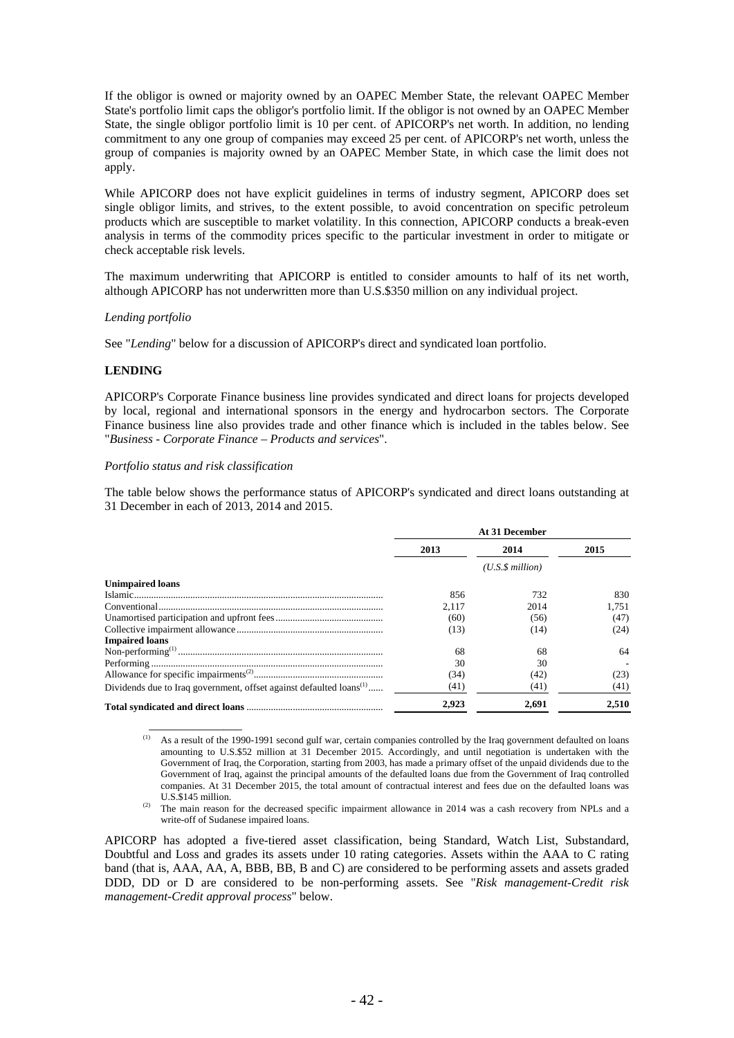If the obligor is owned or majority owned by an OAPEC Member State, the relevant OAPEC Member State's portfolio limit caps the obligor's portfolio limit. If the obligor is not owned by an OAPEC Member State, the single obligor portfolio limit is 10 per cent. of APICORP's net worth. In addition, no lending commitment to any one group of companies may exceed 25 per cent. of APICORP's net worth, unless the group of companies is majority owned by an OAPEC Member State, in which case the limit does not apply.

While APICORP does not have explicit guidelines in terms of industry segment, APICORP does set single obligor limits, and strives, to the extent possible, to avoid concentration on specific petroleum products which are susceptible to market volatility. In this connection, APICORP conducts a break-even analysis in terms of the commodity prices specific to the particular investment in order to mitigate or check acceptable risk levels.

The maximum underwriting that APICORP is entitled to consider amounts to half of its net worth, although APICORP has not underwritten more than U.S.\$350 million on any individual project.

#### *Lending portfolio*

See "*Lending*" below for a discussion of APICORP's direct and syndicated loan portfolio.

#### **LENDING**

APICORP's Corporate Finance business line provides syndicated and direct loans for projects developed by local, regional and international sponsors in the energy and hydrocarbon sectors. The Corporate Finance business line also provides trade and other finance which is included in the tables below. See "*Business - Corporate Finance – Products and services*".

#### *Portfolio status and risk classification*

 $\overline{\phantom{a}}$   $\overline{\phantom{a}}$   $\overline{\phantom{a}}$   $\overline{\phantom{a}}$   $\overline{\phantom{a}}$   $\overline{\phantom{a}}$   $\overline{\phantom{a}}$   $\overline{\phantom{a}}$   $\overline{\phantom{a}}$   $\overline{\phantom{a}}$   $\overline{\phantom{a}}$   $\overline{\phantom{a}}$   $\overline{\phantom{a}}$   $\overline{\phantom{a}}$   $\overline{\phantom{a}}$   $\overline{\phantom{a}}$   $\overline{\phantom{a}}$   $\overline{\phantom{a}}$   $\overline{\$ 

The table below shows the performance status of APICORP's syndicated and direct loans outstanding at 31 December in each of 2013, 2014 and 2015.

|                                                                                 | At 31 December |                  |       |  |
|---------------------------------------------------------------------------------|----------------|------------------|-------|--|
|                                                                                 | 2013           | 2014             | 2015  |  |
|                                                                                 |                | (U.S.S. million) |       |  |
| <b>Unimpaired loans</b>                                                         |                |                  |       |  |
|                                                                                 | 856            | 732              | 830   |  |
|                                                                                 | 2.117          | 2014             | 1.751 |  |
|                                                                                 | (60)           | (56)             | (47)  |  |
|                                                                                 | (13)           | (14)             | (24)  |  |
| <b>Impaired loans</b>                                                           |                |                  |       |  |
|                                                                                 | 68             | 68               | 64    |  |
|                                                                                 | 30             | 30               |       |  |
|                                                                                 | (34)           | (42)             | (23)  |  |
| Dividends due to Iraq government, offset against defaulted loans <sup>(1)</sup> | (41)           | (41)             | (41)  |  |
|                                                                                 | 2.923          | 2,691            | 2,510 |  |

As a result of the 1990-1991 second gulf war, certain companies controlled by the Iraq government defaulted on loans amounting to U.S.\$52 million at 31 December 2015. Accordingly, and until negotiation is undertaken with the Government of Iraq, the Corporation, starting from 2003, has made a primary offset of the unpaid dividends due to the Government of Iraq, against the principal amounts of the defaulted loans due from the Government of Iraq controlled companies. At 31 December 2015, the total amount of contractual interest and fees due on the defaulted loans was

U.S.\$145 million.<br><sup>(2)</sup> The main reason for the decreased specific impairment allowance in 2014 was a cash recovery from NPLs and a write-off of Sudanese impaired loans.

APICORP has adopted a five-tiered asset classification, being Standard, Watch List, Substandard, Doubtful and Loss and grades its assets under 10 rating categories. Assets within the AAA to C rating band (that is, AAA, AA, A, BBB, BB, B and C) are considered to be performing assets and assets graded DDD, DD or D are considered to be non-performing assets. See "*Risk management-Credit risk management-Credit approval process*" below.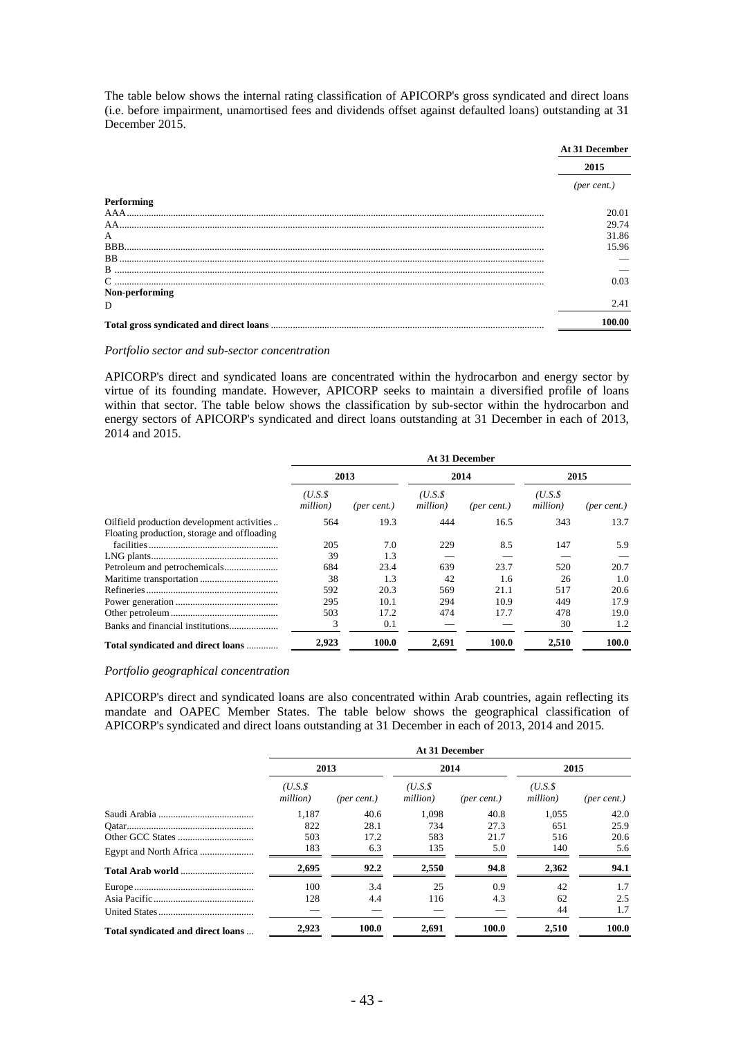The table below shows the internal rating classification of APICORP's gross syndicated and direct loans (i.e. before impairment, unamortised fees and dividends offset against defaulted loans) outstanding at 31 December 2015.

|                | At 31 December |
|----------------|----------------|
|                | 2015           |
|                | (per cent.)    |
| Performing     |                |
|                | 20.01          |
| AA             | 29.74          |
| A              | 31.86          |
| BBB.           | 15.96          |
|                |                |
|                |                |
|                | 0.03           |
| Non-performing |                |
| D              | 2.41           |
|                | 100.00         |

#### *Portfolio sector and sub-sector concentration*

APICORP's direct and syndicated loans are concentrated within the hydrocarbon and energy sector by virtue of its founding mandate. However, APICORP seeks to maintain a diversified profile of loans within that sector. The table below shows the classification by sub-sector within the hydrocarbon and energy sectors of APICORP's syndicated and direct loans outstanding at 31 December in each of 2013, 2014 and 2015.

|                                             | At 31 December     |             |                    |             |                    |             |  |
|---------------------------------------------|--------------------|-------------|--------------------|-------------|--------------------|-------------|--|
|                                             |                    | 2013        | 2014               |             | 2015               |             |  |
|                                             | (U.S.S<br>million) | (per cent.) | (U.S.S<br>million) | (per cent.) | (U.S.S<br>million) | (per cent.) |  |
| Oilfield production development activities  | 564                | 19.3        | 444                | 16.5        | 343                | 13.7        |  |
| Floating production, storage and offloading |                    |             |                    |             |                    |             |  |
|                                             | 205                | 7.0         | 229                | 8.5         | 147                | 5.9         |  |
|                                             | 39                 | 1.3         |                    |             |                    |             |  |
|                                             | 684                | 23.4        | 639                | 23.7        | 520                | 20.7        |  |
|                                             | 38                 | 1.3         | 42                 | 1.6         | 26                 | 1.0         |  |
|                                             | 592                | 20.3        | 569                | 21.1        | 517                | 20.6        |  |
|                                             | 295                | 10.1        | 294                | 10.9        | 449                | 17.9        |  |
|                                             | 503                | 17.2        | 474                | 17.7        | 478                | 19.0        |  |
| Banks and financial institutions            | 3                  | 0.1         |                    |             | 30                 | 1.2         |  |
| Total syndicated and direct loans           | 2.923              | 100.0       | 2,691              | 100.0       | 2,510              | 100.0       |  |

#### *Portfolio geographical concentration*

APICORP's direct and syndicated loans are also concentrated within Arab countries, again reflecting its mandate and OAPEC Member States. The table below shows the geographical classification of APICORP's syndicated and direct loans outstanding at 31 December in each of 2013, 2014 and 2015.

|                                   | At 31 December     |             |                      |             |                    |                      |  |
|-----------------------------------|--------------------|-------------|----------------------|-------------|--------------------|----------------------|--|
|                                   | 2013               |             |                      | 2014        |                    | 2015                 |  |
|                                   | (U.S.S<br>million) | (per cent.) | $(U.S.\$<br>million) | (per cent.) | (U.S.S<br>million) | $(\text{per cent.})$ |  |
|                                   | 1.187              | 40.6        | 1.098                | 40.8        | 1.055              | 42.0                 |  |
|                                   | 822                | 28.1        | 734                  | 27.3        | 651                | 25.9                 |  |
|                                   | 503                | 17.2        | 583                  | 21.7        | 516                | 20.6                 |  |
|                                   | 183                | 6.3         | 135                  | 5.0         | 140                | 5.6                  |  |
|                                   | 2,695              | 92.2        | 2,550                | 94.8        | 2,362              | 94.1                 |  |
|                                   | 100                | 3.4         | 25                   | 0.9         | 42                 | 1.7                  |  |
|                                   | 128                | 4.4         | 116                  | 4.3         | 62                 | 2.5                  |  |
|                                   |                    |             |                      |             | 44                 | 1.7                  |  |
| Total syndicated and direct loans | 2,923              | 100.0       | 2,691                | 100.0       | 2,510              | 100.0                |  |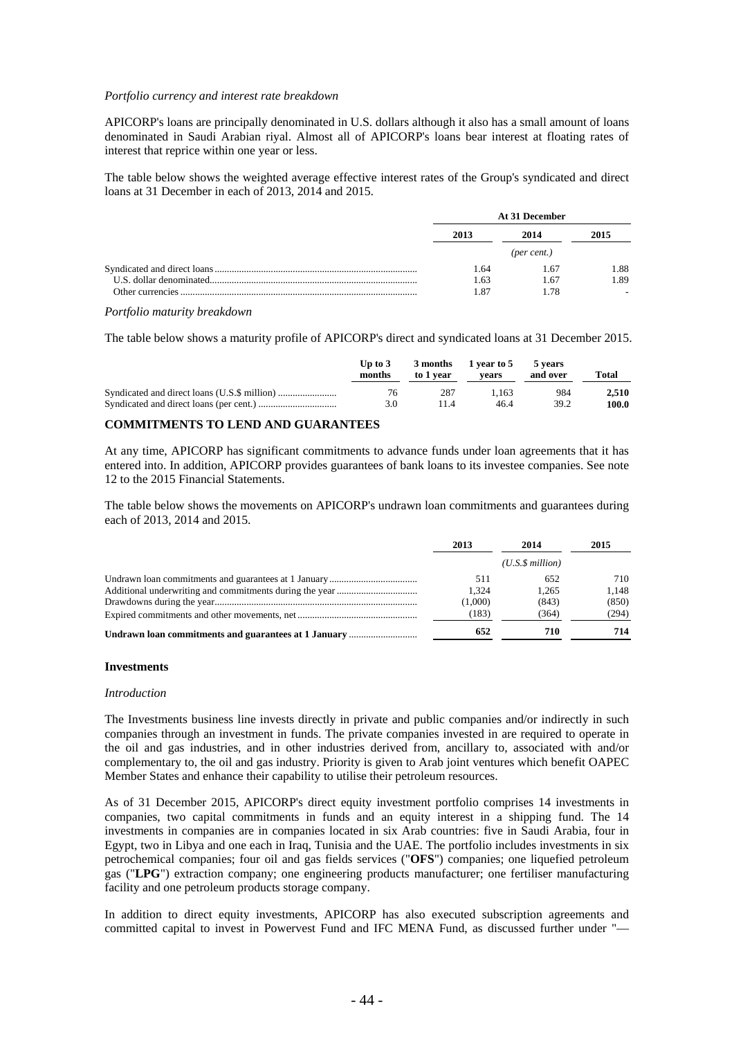#### *Portfolio currency and interest rate breakdown*

APICORP's loans are principally denominated in U.S. dollars although it also has a small amount of loans denominated in Saudi Arabian riyal. Almost all of APICORP's loans bear interest at floating rates of interest that reprice within one year or less.

The table below shows the weighted average effective interest rates of the Group's syndicated and direct loans at 31 December in each of 2013, 2014 and 2015.

| At 31 December |      |      |  |
|----------------|------|------|--|
| 2013           | 2014 | 2015 |  |
|                |      |      |  |
| 1.64           | 1.67 | 1.88 |  |
| 1.63           | 1.67 | 1.89 |  |
|                |      |      |  |

*Portfolio maturity breakdown* 

The table below shows a maturity profile of APICORP's direct and syndicated loans at 31 December 2015.

| Up to $3$<br>months | 3 months<br>to 1 year | 1 year to 5<br>vears | 5 vears<br>and over | Total |
|---------------------|-----------------------|----------------------|---------------------|-------|
| 76                  | 287                   | 1.163                | 984                 | 2.510 |
| 3.0                 | 11.4                  | 46.4                 | 39.2                | 100.0 |

### **COMMITMENTS TO LEND AND GUARANTEES**

At any time, APICORP has significant commitments to advance funds under loan agreements that it has entered into. In addition, APICORP provides guarantees of bank loans to its investee companies. See note 12 to the 2015 Financial Statements.

The table below shows the movements on APICORP's undrawn loan commitments and guarantees during each of 2013, 2014 and 2015.

|                                                      | 2013<br>2014 |                 | 2015  |  |
|------------------------------------------------------|--------------|-----------------|-------|--|
|                                                      |              | (U.S.S.million) |       |  |
|                                                      | 511          | 652             | 710   |  |
|                                                      | 1.324        | 1.265           | 1.148 |  |
|                                                      | (1,000)      | (843)           | (850) |  |
|                                                      | (183)        | (364)           | (294) |  |
| Undrawn loan commitments and guarantees at 1 January | 652          | 710             | 714   |  |

#### **Investments**

#### *Introduction*

The Investments business line invests directly in private and public companies and/or indirectly in such companies through an investment in funds. The private companies invested in are required to operate in the oil and gas industries, and in other industries derived from, ancillary to, associated with and/or complementary to, the oil and gas industry. Priority is given to Arab joint ventures which benefit OAPEC Member States and enhance their capability to utilise their petroleum resources.

As of 31 December 2015, APICORP's direct equity investment portfolio comprises 14 investments in companies, two capital commitments in funds and an equity interest in a shipping fund. The 14 investments in companies are in companies located in six Arab countries: five in Saudi Arabia, four in Egypt, two in Libya and one each in Iraq, Tunisia and the UAE. The portfolio includes investments in six petrochemical companies; four oil and gas fields services ("**OFS**") companies; one liquefied petroleum gas ("**LPG**") extraction company; one engineering products manufacturer; one fertiliser manufacturing facility and one petroleum products storage company.

In addition to direct equity investments, APICORP has also executed subscription agreements and committed capital to invest in Powervest Fund and IFC MENA Fund, as discussed further under "—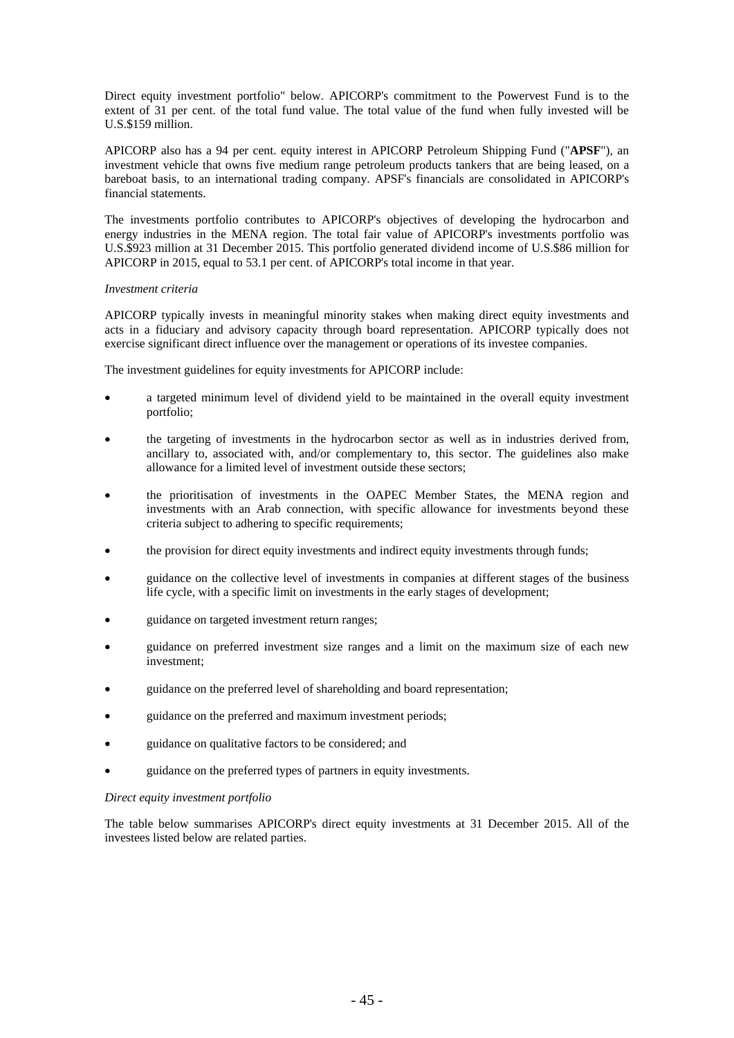Direct equity investment portfolio" below. APICORP's commitment to the Powervest Fund is to the extent of 31 per cent. of the total fund value. The total value of the fund when fully invested will be U.S.\$159 million.

APICORP also has a 94 per cent. equity interest in APICORP Petroleum Shipping Fund ("**APSF**"), an investment vehicle that owns five medium range petroleum products tankers that are being leased, on a bareboat basis, to an international trading company. APSF's financials are consolidated in APICORP's financial statements.

The investments portfolio contributes to APICORP's objectives of developing the hydrocarbon and energy industries in the MENA region. The total fair value of APICORP's investments portfolio was U.S.\$923 million at 31 December 2015. This portfolio generated dividend income of U.S.\$86 million for APICORP in 2015, equal to 53.1 per cent. of APICORP's total income in that year.

#### *Investment criteria*

APICORP typically invests in meaningful minority stakes when making direct equity investments and acts in a fiduciary and advisory capacity through board representation. APICORP typically does not exercise significant direct influence over the management or operations of its investee companies.

The investment guidelines for equity investments for APICORP include:

- a targeted minimum level of dividend yield to be maintained in the overall equity investment portfolio;
- the targeting of investments in the hydrocarbon sector as well as in industries derived from, ancillary to, associated with, and/or complementary to, this sector. The guidelines also make allowance for a limited level of investment outside these sectors;
- the prioritisation of investments in the OAPEC Member States, the MENA region and investments with an Arab connection, with specific allowance for investments beyond these criteria subject to adhering to specific requirements;
- the provision for direct equity investments and indirect equity investments through funds;
- guidance on the collective level of investments in companies at different stages of the business life cycle, with a specific limit on investments in the early stages of development;
- guidance on targeted investment return ranges;
- guidance on preferred investment size ranges and a limit on the maximum size of each new investment;
- guidance on the preferred level of shareholding and board representation;
- guidance on the preferred and maximum investment periods;
- guidance on qualitative factors to be considered; and
- guidance on the preferred types of partners in equity investments.

#### *Direct equity investment portfolio*

The table below summarises APICORP's direct equity investments at 31 December 2015. All of the investees listed below are related parties.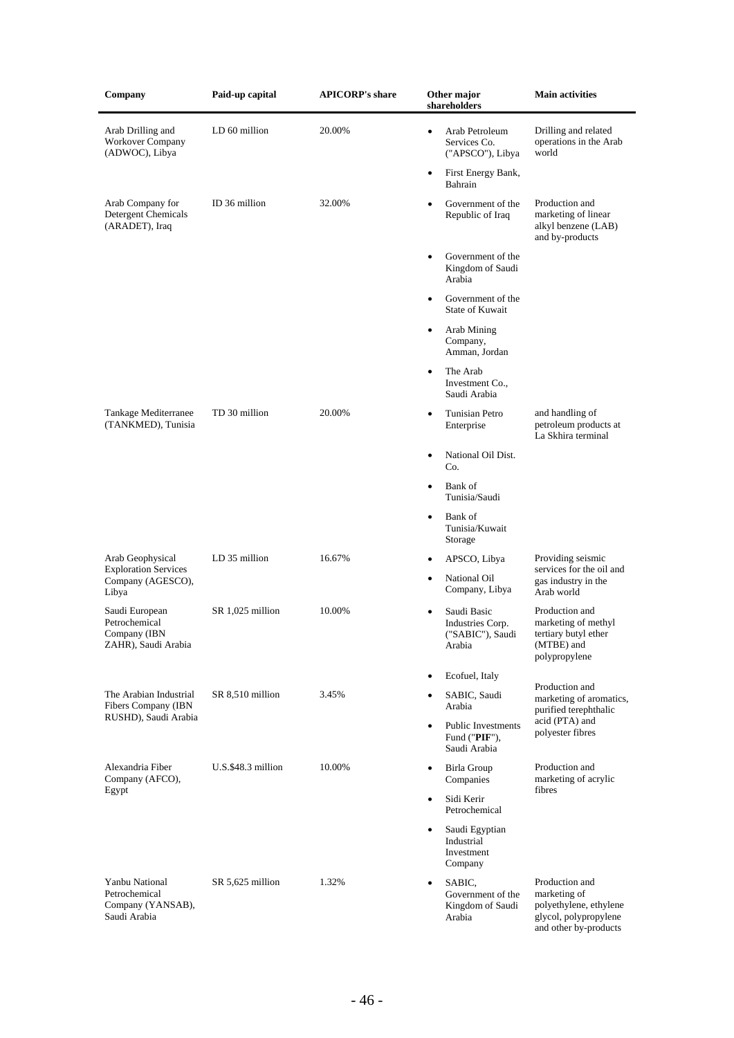| Company                                                                | Paid-up capital    | <b>APICORP's share</b> | Other major<br>shareholders                                                | Main activities                                                                                            |
|------------------------------------------------------------------------|--------------------|------------------------|----------------------------------------------------------------------------|------------------------------------------------------------------------------------------------------------|
| Arab Drilling and<br>Workover Company<br>(ADWOC), Libya                | LD 60 million      | 20.00%                 | Arab Petroleum<br>$\bullet$<br>Services Co.<br>("APSCO"), Libya            | Drilling and related<br>operations in the Arab<br>world                                                    |
|                                                                        |                    |                        | First Energy Bank,<br>٠<br>Bahrain                                         |                                                                                                            |
| Arab Company for<br>Detergent Chemicals<br>(ARADET), Iraq              | ID 36 million      | 32.00%                 | Government of the<br>$\bullet$<br>Republic of Iraq                         | Production and<br>marketing of linear<br>alkyl benzene (LAB)<br>and by-products                            |
|                                                                        |                    |                        | Government of the<br>$\bullet$<br>Kingdom of Saudi<br>Arabia               |                                                                                                            |
|                                                                        |                    |                        | Government of the<br>٠<br><b>State of Kuwait</b>                           |                                                                                                            |
|                                                                        |                    |                        | Arab Mining<br>٠<br>Company,<br>Amman, Jordan                              |                                                                                                            |
|                                                                        |                    |                        | The Arab<br>$\bullet$<br>Investment Co.,<br>Saudi Arabia                   |                                                                                                            |
| Tankage Mediterranee<br>(TANKMED), Tunisia                             | TD 30 million      | 20.00%                 | Tunisian Petro<br>$\bullet$<br>Enterprise                                  | and handling of<br>petroleum products at<br>La Skhira terminal                                             |
|                                                                        |                    |                        | National Oil Dist.<br>$\bullet$<br>Co.                                     |                                                                                                            |
|                                                                        |                    |                        | Bank of<br>$\bullet$<br>Tunisia/Saudi                                      |                                                                                                            |
|                                                                        |                    |                        | Bank of<br>$\bullet$<br>Tunisia/Kuwait<br>Storage                          |                                                                                                            |
| Arab Geophysical<br><b>Exploration Services</b>                        | LD 35 million      | 16.67%                 | APSCO, Libya<br>$\bullet$                                                  | Providing seismic<br>services for the oil and                                                              |
| Company (AGESCO),<br>Libya                                             |                    |                        | National Oil<br>$\bullet$<br>Company, Libya                                | gas industry in the<br>Arab world                                                                          |
| Saudi European<br>Petrochemical<br>Company (IBN<br>ZAHR), Saudi Arabia | SR 1,025 million   | 10.00%                 | Saudi Basic<br>$\bullet$<br>Industries Corp.<br>("SABIC"), Saudi<br>Arabia | Production and<br>marketing of methyl<br>tertiary butyl ether<br>(MTBE) and<br>polypropylene               |
|                                                                        |                    |                        | Ecofuel, Italy<br>٠                                                        |                                                                                                            |
| The Arabian Industrial<br>Fibers Company (IBN                          | SR 8,510 million   | 3.45%                  | SABIC, Saudi<br>٠<br>Arabia                                                | Production and<br>marketing of aromatics,<br>purified terephthalic                                         |
| RUSHD), Saudi Arabia                                                   |                    |                        | <b>Public Investments</b><br>$\bullet$<br>Fund ("PIF"),<br>Saudi Arabia    | acid (PTA) and<br>polyester fibres                                                                         |
| Alexandria Fiber<br>Company (AFCO),                                    | U.S.\$48.3 million | 10.00%                 | Birla Group<br>$\bullet$<br>Companies                                      | Production and<br>marketing of acrylic                                                                     |
| Egypt                                                                  |                    |                        | Sidi Kerir<br>$\bullet$<br>Petrochemical                                   | fibres                                                                                                     |
|                                                                        |                    |                        | Saudi Egyptian<br>٠<br>Industrial<br>Investment<br>Company                 |                                                                                                            |
| Yanbu National<br>Petrochemical<br>Company (YANSAB),<br>Saudi Arabia   | SR 5,625 million   | 1.32%                  | SABIC.<br>٠<br>Government of the<br>Kingdom of Saudi<br>Arabia             | Production and<br>marketing of<br>polyethylene, ethylene<br>glycol, polypropylene<br>and other by-products |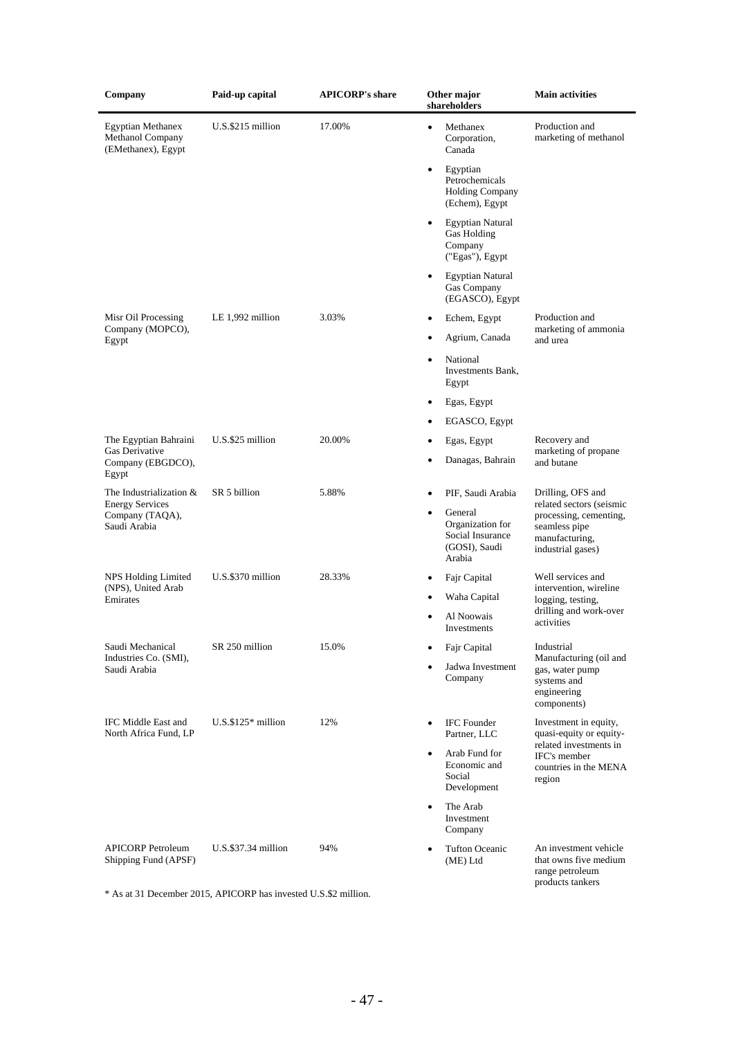| Company                                                            | Paid-up capital          | <b>APICORP's share</b> | Other major<br>shareholders                                                             | <b>Main activities</b>                                                                 |  |  |
|--------------------------------------------------------------------|--------------------------|------------------------|-----------------------------------------------------------------------------------------|----------------------------------------------------------------------------------------|--|--|
| <b>Egyptian Methanex</b><br>Methanol Company<br>(EMethanex), Egypt | U.S.\$215 million        | 17.00%                 | Methanex<br>$\bullet$<br>Corporation,<br>Canada                                         | Production and<br>marketing of methanol                                                |  |  |
|                                                                    |                          |                        | Egyptian<br>$\bullet$<br>Petrochemicals<br><b>Holding Company</b><br>(Echem), Egypt     |                                                                                        |  |  |
|                                                                    |                          |                        | <b>Egyptian Natural</b><br>$\bullet$<br>Gas Holding<br>Company<br>("Egas"), Egypt       |                                                                                        |  |  |
|                                                                    |                          |                        | <b>Egyptian Natural</b><br>$\bullet$<br>Gas Company<br>(EGASCO), Egypt                  |                                                                                        |  |  |
| Misr Oil Processing<br>Company (MOPCO),                            | LE $1,992$ million       | 3.03%                  | Echem, Egypt<br>$\bullet$                                                               | Production and<br>marketing of ammonia                                                 |  |  |
| Egypt                                                              |                          |                        | Agrium, Canada                                                                          | and urea                                                                               |  |  |
|                                                                    |                          |                        | National<br>$\bullet$<br>Investments Bank,<br>Egypt                                     |                                                                                        |  |  |
|                                                                    |                          |                        | Egas, Egypt<br>٠                                                                        |                                                                                        |  |  |
|                                                                    |                          |                        | EGASCO, Egypt<br>٠                                                                      |                                                                                        |  |  |
| The Egyptian Bahraini                                              | U.S.\$25 million         | 20.00%                 | Egas, Egypt                                                                             | Recovery and                                                                           |  |  |
| Gas Derivative<br>Company (EBGDCO),<br>Egypt                       |                          |                        | Danagas, Bahrain<br>$\bullet$                                                           | marketing of propane<br>and butane                                                     |  |  |
| The Industrialization &<br><b>Energy Services</b>                  | SR 5 billion             | 5.88%                  | PIF, Saudi Arabia                                                                       | Drilling, OFS and<br>related sectors (seismic                                          |  |  |
| Company (TAQA),<br>Saudi Arabia                                    |                          |                        | General<br>$\bullet$<br>Organization for<br>Social Insurance<br>(GOSI), Saudi<br>Arabia | processing, cementing,<br>seamless pipe<br>manufacturing,<br>industrial gases)         |  |  |
| NPS Holding Limited<br>(NPS), United Arab                          | U.S.\$370 million        | 28.33%                 | Fajr Capital<br>$\bullet$                                                               | Well services and<br>intervention, wireline                                            |  |  |
| Emirates                                                           |                          |                        | Waha Capital<br>Al Noowais<br>Investments                                               | logging, testing,<br>drilling and work-over<br>activities                              |  |  |
| Saudi Mechanical                                                   | SR 250 million           | 15.0%                  | Fajr Capital                                                                            | Industrial                                                                             |  |  |
| Industries Co. (SMI),<br>Saudi Arabia                              |                          |                        | Jadwa Investment<br>Company                                                             | Manufacturing (oil and<br>gas, water pump<br>systems and<br>engineering<br>components) |  |  |
| IFC Middle East and<br>North Africa Fund, LP                       | $U.S.$ \$125 $*$ million | 12%                    | <b>IFC</b> Founder<br>Partner, LLC                                                      | Investment in equity,<br>quasi-equity or equity-                                       |  |  |
|                                                                    |                          |                        | Arab Fund for<br>$\bullet$<br>Economic and<br>Social<br>Development                     | related investments in<br>IFC's member<br>countries in the MENA<br>region              |  |  |
|                                                                    |                          |                        | The Arab<br>$\bullet$<br>Investment<br>Company                                          |                                                                                        |  |  |
| <b>APICORP</b> Petroleum<br>Shipping Fund (APSF)                   | $U.S.$ \$37.34 million   | 94%                    | <b>Tufton Oceanic</b><br>(ME) Ltd                                                       | An investment vehicle<br>that owns five medium<br>range petroleum                      |  |  |

\* As at 31 December 2015, APICORP has invested U.S.\$2 million.

products tankers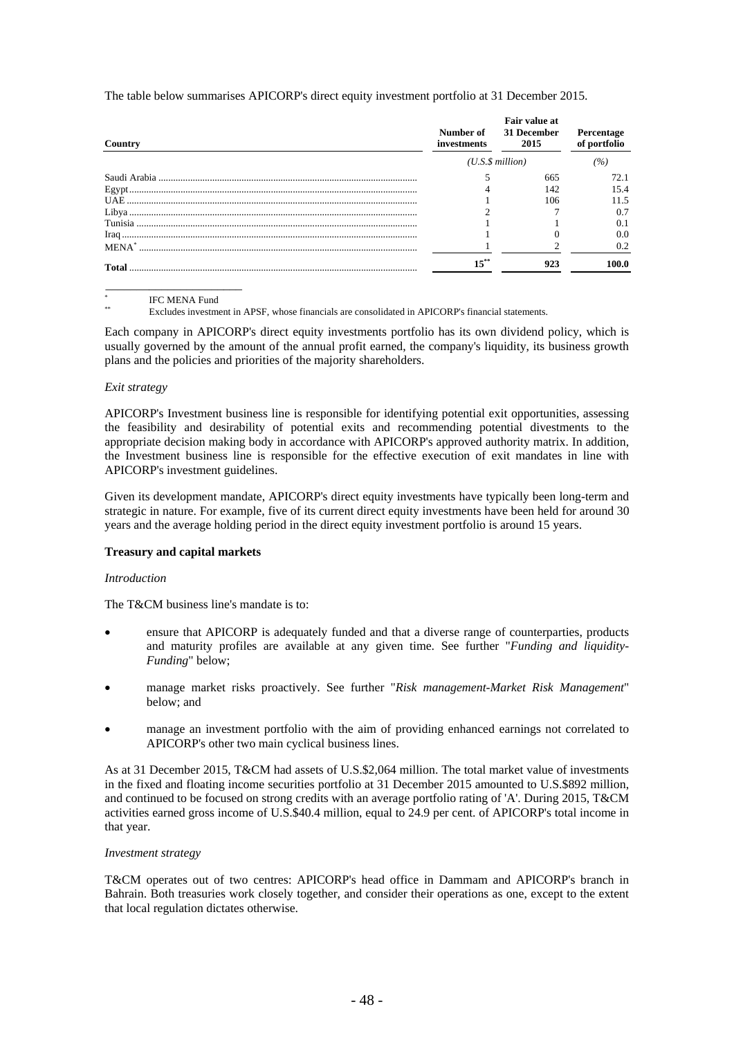The table below summarises APICORP's direct equity investment portfolio at 31 December 2015.

| Country  | investments | Fair value at<br>Number of 31 December<br>2015 | Percentage<br>of portfolio |
|----------|-------------|------------------------------------------------|----------------------------|
|          |             | $(U.S.\$ \$ million)                           | (%)                        |
|          |             | 665                                            | 72.1                       |
|          |             | 142                                            | 15.4                       |
|          |             | 106                                            | 11.5                       |
|          |             |                                                |                            |
|          |             |                                                |                            |
|          |             |                                                | 0.0                        |
| $MENA^*$ |             |                                                | 0.2                        |
|          |             | 923                                            | 100.0                      |

\* IFC MENA Fund

\_\_\_\_\_\_\_\_\_\_\_\_\_\_\_\_\_\_\_\_\_\_

Excludes investment in APSF, whose financials are consolidated in APICORP's financial statements.

Each company in APICORP's direct equity investments portfolio has its own dividend policy, which is usually governed by the amount of the annual profit earned, the company's liquidity, its business growth plans and the policies and priorities of the majority shareholders.

#### *Exit strategy*

APICORP's Investment business line is responsible for identifying potential exit opportunities, assessing the feasibility and desirability of potential exits and recommending potential divestments to the appropriate decision making body in accordance with APICORP's approved authority matrix. In addition, the Investment business line is responsible for the effective execution of exit mandates in line with APICORP's investment guidelines.

Given its development mandate, APICORP's direct equity investments have typically been long-term and strategic in nature. For example, five of its current direct equity investments have been held for around 30 years and the average holding period in the direct equity investment portfolio is around 15 years.

#### **Treasury and capital markets**

#### *Introduction*

The T&CM business line's mandate is to:

- ensure that APICORP is adequately funded and that a diverse range of counterparties, products and maturity profiles are available at any given time. See further "*Funding and liquidity-Funding*" below;
- manage market risks proactively. See further "*Risk management-Market Risk Management*" below; and
- manage an investment portfolio with the aim of providing enhanced earnings not correlated to APICORP's other two main cyclical business lines.

As at 31 December 2015, T&CM had assets of U.S.\$2,064 million. The total market value of investments in the fixed and floating income securities portfolio at 31 December 2015 amounted to U.S.\$892 million, and continued to be focused on strong credits with an average portfolio rating of 'A'. During 2015, T&CM activities earned gross income of U.S.\$40.4 million, equal to 24.9 per cent. of APICORP's total income in that year.

#### *Investment strategy*

T&CM operates out of two centres: APICORP's head office in Dammam and APICORP's branch in Bahrain. Both treasuries work closely together, and consider their operations as one, except to the extent that local regulation dictates otherwise.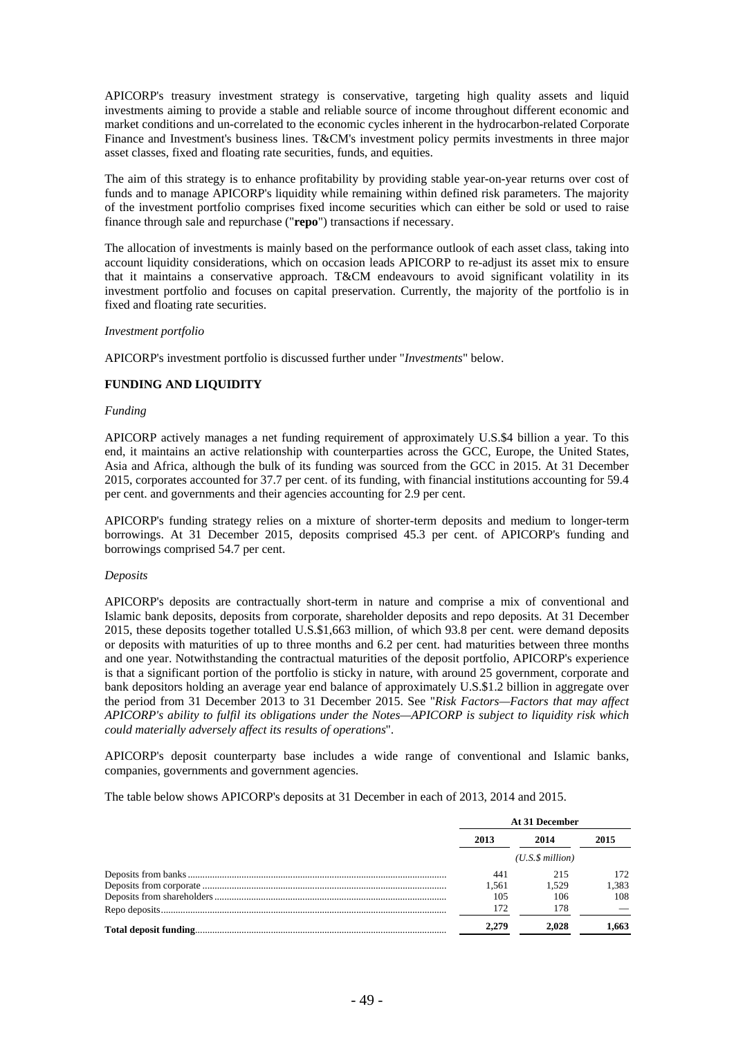APICORP's treasury investment strategy is conservative, targeting high quality assets and liquid investments aiming to provide a stable and reliable source of income throughout different economic and market conditions and un-correlated to the economic cycles inherent in the hydrocarbon-related Corporate Finance and Investment's business lines. T&CM's investment policy permits investments in three major asset classes, fixed and floating rate securities, funds, and equities.

The aim of this strategy is to enhance profitability by providing stable year-on-year returns over cost of funds and to manage APICORP's liquidity while remaining within defined risk parameters. The majority of the investment portfolio comprises fixed income securities which can either be sold or used to raise finance through sale and repurchase ("**repo**") transactions if necessary.

The allocation of investments is mainly based on the performance outlook of each asset class, taking into account liquidity considerations, which on occasion leads APICORP to re-adjust its asset mix to ensure that it maintains a conservative approach. T&CM endeavours to avoid significant volatility in its investment portfolio and focuses on capital preservation. Currently, the majority of the portfolio is in fixed and floating rate securities.

#### *Investment portfolio*

APICORP's investment portfolio is discussed further under "*Investments*" below.

### **FUNDING AND LIQUIDITY**

#### *Funding*

APICORP actively manages a net funding requirement of approximately U.S.\$4 billion a year. To this end, it maintains an active relationship with counterparties across the GCC, Europe, the United States, Asia and Africa, although the bulk of its funding was sourced from the GCC in 2015. At 31 December 2015, corporates accounted for 37.7 per cent. of its funding, with financial institutions accounting for 59.4 per cent. and governments and their agencies accounting for 2.9 per cent.

APICORP's funding strategy relies on a mixture of shorter-term deposits and medium to longer-term borrowings. At 31 December 2015, deposits comprised 45.3 per cent. of APICORP's funding and borrowings comprised 54.7 per cent.

#### *Deposits*

APICORP's deposits are contractually short-term in nature and comprise a mix of conventional and Islamic bank deposits, deposits from corporate, shareholder deposits and repo deposits. At 31 December 2015, these deposits together totalled U.S.\$1,663 million, of which 93.8 per cent. were demand deposits or deposits with maturities of up to three months and 6.2 per cent. had maturities between three months and one year. Notwithstanding the contractual maturities of the deposit portfolio, APICORP's experience is that a significant portion of the portfolio is sticky in nature, with around 25 government, corporate and bank depositors holding an average year end balance of approximately U.S.\$1.2 billion in aggregate over the period from 31 December 2013 to 31 December 2015. See "*Risk Factors—Factors that may affect APICORP's ability to fulfil its obligations under the Notes—APICORP is subject to liquidity risk which could materially adversely affect its results of operations*".

APICORP's deposit counterparty base includes a wide range of conventional and Islamic banks, companies, governments and government agencies.

The table below shows APICORP's deposits at 31 December in each of 2013, 2014 and 2015.

|       | At 31 December  |       |  |  |
|-------|-----------------|-------|--|--|
| 2013  | 2014            | 2015  |  |  |
|       | (U.S.S.million) |       |  |  |
| 441   | 215             | 172.  |  |  |
| 1.561 | 1.529           | 1.383 |  |  |
| 105   | 106             | 108   |  |  |
| 172   | 178             |       |  |  |
| 2.279 | 2.028           | .663  |  |  |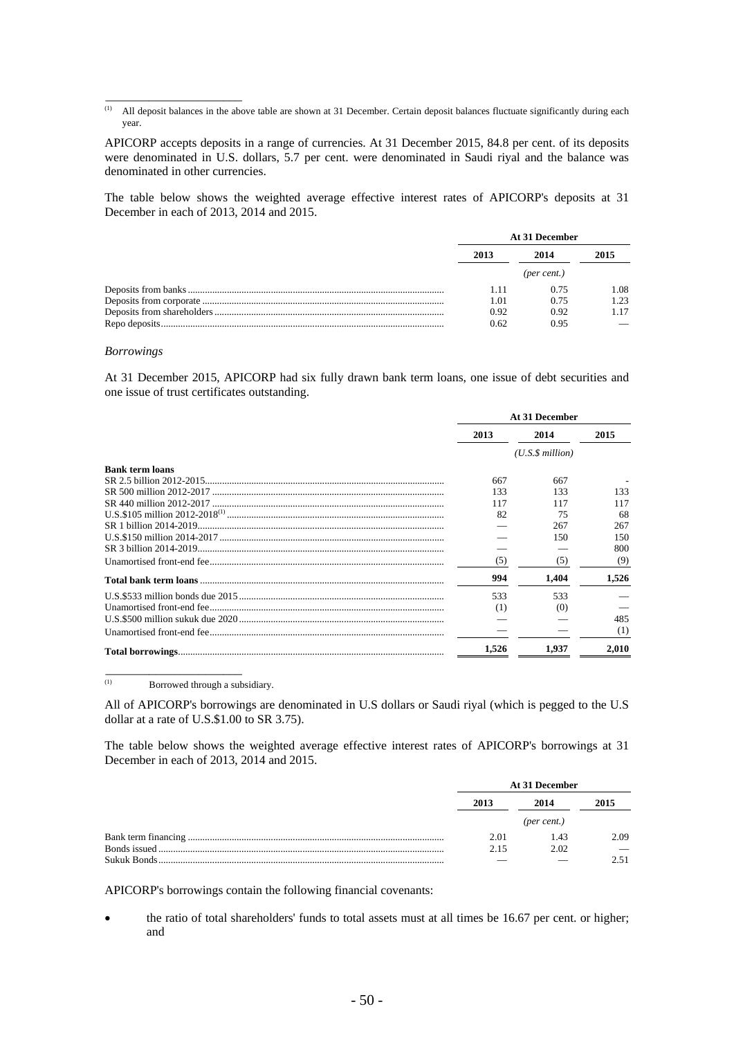APICORP accepts deposits in a range of currencies. At 31 December 2015, 84.8 per cent. of its deposits were denominated in U.S. dollars, 5.7 per cent. were denominated in Saudi riyal and the balance was denominated in other currencies.

The table below shows the weighted average effective interest rates of APICORP's deposits at 31 December in each of 2013, 2014 and 2015.

| At 31 December |             |      |  |
|----------------|-------------|------|--|
| 2013           | 2014        | 2015 |  |
|                | (per cent.) |      |  |
| 1.11           | 0.75        | 1.08 |  |
| 1.01           | 0.75        | 1.23 |  |
| 0.92           | 0.92        |      |  |
| 0.62           | 0.95        |      |  |

#### *Borrowings*

\_\_\_\_\_\_\_\_\_\_\_\_\_\_\_\_\_\_\_\_\_\_

At 31 December 2015, APICORP had six fully drawn bank term loans, one issue of debt securities and one issue of trust certificates outstanding.

|                        |       | At 31 December       |       |
|------------------------|-------|----------------------|-------|
|                        | 2013  | 2014                 | 2015  |
|                        |       | $(U.S.\$ \$ million) |       |
| <b>Bank term loans</b> |       |                      |       |
|                        | 667   | 667                  |       |
|                        | 133   | 133                  | 133   |
|                        | 117   | 117                  | 117   |
|                        | 82    | 75                   | 68    |
|                        |       | 267                  | 267   |
|                        |       | 150                  | 150   |
|                        |       |                      | 800   |
|                        | (5)   | (5)                  | (9)   |
|                        | 994   | 1.404                | 1,526 |
|                        | 533   | 533                  |       |
|                        | (1)   | (0)                  |       |
|                        |       |                      | 485   |
|                        |       |                      | (1)   |
|                        | 1,526 | 1.937                | 2,010 |

(1) Borrowed through a subsidiary.

\_\_\_\_\_\_\_\_\_\_\_\_\_\_\_\_\_\_\_\_\_\_

All of APICORP's borrowings are denominated in U.S dollars or Saudi riyal (which is pegged to the U.S dollar at a rate of U.S.\$1.00 to SR 3.75).

The table below shows the weighted average effective interest rates of APICORP's borrowings at 31 December in each of 2013, 2014 and 2015.

|      | At 31 December |      |
|------|----------------|------|
| 2013 | 2014           | 2015 |
|      | (per cent.)    |      |
| 2.01 | 1.43           | 2.09 |
| 2.15 | 2.02           |      |
|      |                |      |

APICORP's borrowings contain the following financial covenants:

 the ratio of total shareholders' funds to total assets must at all times be 16.67 per cent. or higher; and

 $\overline{p}$  All deposit balances in the above table are shown at 31 December. Certain deposit balances fluctuate significantly during each year.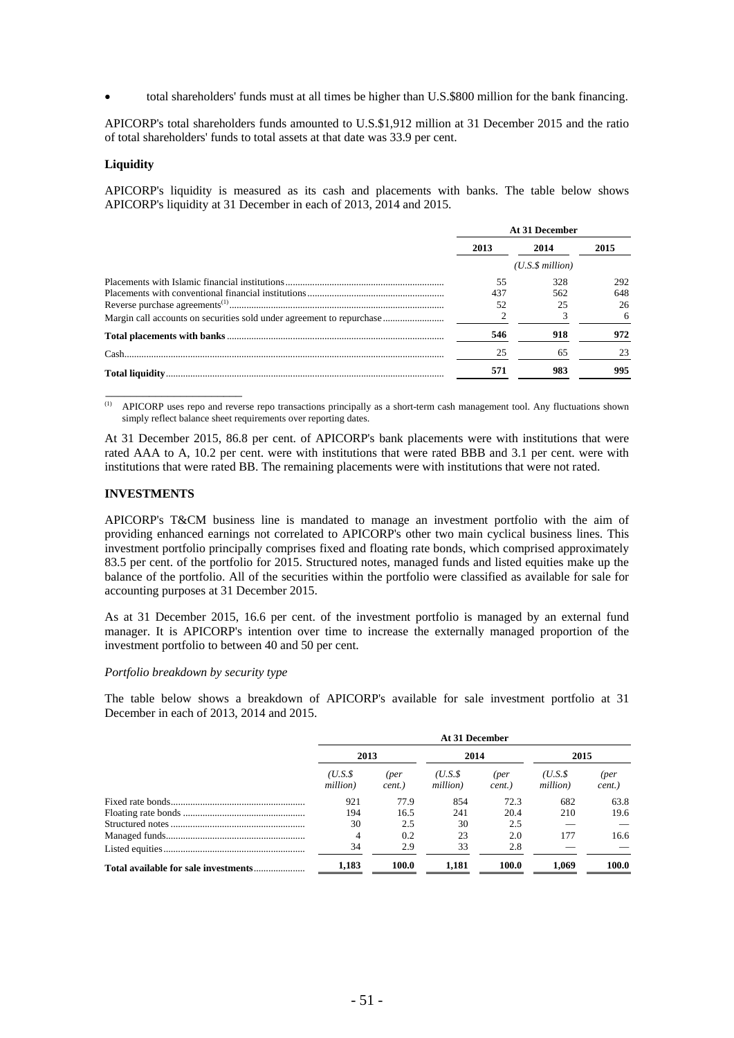total shareholders' funds must at all times be higher than U.S.\$800 million for the bank financing.

APICORP's total shareholders funds amounted to U.S.\$1,912 million at 31 December 2015 and the ratio of total shareholders' funds to total assets at that date was 33.9 per cent.

#### **Liquidity**

APICORP's liquidity is measured as its cash and placements with banks. The table below shows APICORP's liquidity at 31 December in each of 2013, 2014 and 2015.

| At 31 December |                      |      |  |
|----------------|----------------------|------|--|
| 2013           | 2014                 | 2015 |  |
|                | $(U.S.\$ \$ million) |      |  |
| 55             | 328                  | 292  |  |
| 437            | 562                  | 648  |  |
| 52             |                      | 26   |  |
|                |                      | 6    |  |
| 546            | 918                  | 972  |  |
| 25             | 65                   | 23   |  |
| 571            | 983                  | 995  |  |

(1) APICORP uses repo and reverse repo transactions principally as a short-term cash management tool. Any fluctuations shown simply reflect balance sheet requirements over reporting dates.

At 31 December 2015, 86.8 per cent. of APICORP's bank placements were with institutions that were rated AAA to A, 10.2 per cent. were with institutions that were rated BBB and 3.1 per cent. were with institutions that were rated BB. The remaining placements were with institutions that were not rated.

### **INVESTMENTS**

\_\_\_\_\_\_\_\_\_\_\_\_\_\_\_\_\_\_\_\_\_\_

APICORP's T&CM business line is mandated to manage an investment portfolio with the aim of providing enhanced earnings not correlated to APICORP's other two main cyclical business lines. This investment portfolio principally comprises fixed and floating rate bonds, which comprised approximately 83.5 per cent. of the portfolio for 2015. Structured notes, managed funds and listed equities make up the balance of the portfolio. All of the securities within the portfolio were classified as available for sale for accounting purposes at 31 December 2015.

As at 31 December 2015, 16.6 per cent. of the investment portfolio is managed by an external fund manager. It is APICORP's intention over time to increase the externally managed proportion of the investment portfolio to between 40 and 50 per cent.

## *Portfolio breakdown by security type*

The table below shows a breakdown of APICORP's available for sale investment portfolio at 31 December in each of 2013, 2014 and 2015.

| At 31 December     |                |                    |                |                    |                |
|--------------------|----------------|--------------------|----------------|--------------------|----------------|
| 2013               |                | 2014               |                | 2015               |                |
| (U.S.S<br>million) | (per<br>cent.) | (U.S.S<br>million) | (per<br>cent.) | (U.S.S<br>million) | (per<br>cent.) |
| 921                | 77.9           | 854                | 72.3           | 682                | 63.8           |
| 194                | 16.5           | 241                | 20.4           | 210                | 19.6           |
| 30                 | 2.5            | 30                 | 2.5            |                    |                |
| 4                  | 0.2            | 23                 | 2.0            | 177                | 16.6           |
| 34                 | 2.9            | 33                 | 2.8            |                    |                |
| 1,183              | 100.0          | 1.181              | 100.0          | 1.069              | 100.0          |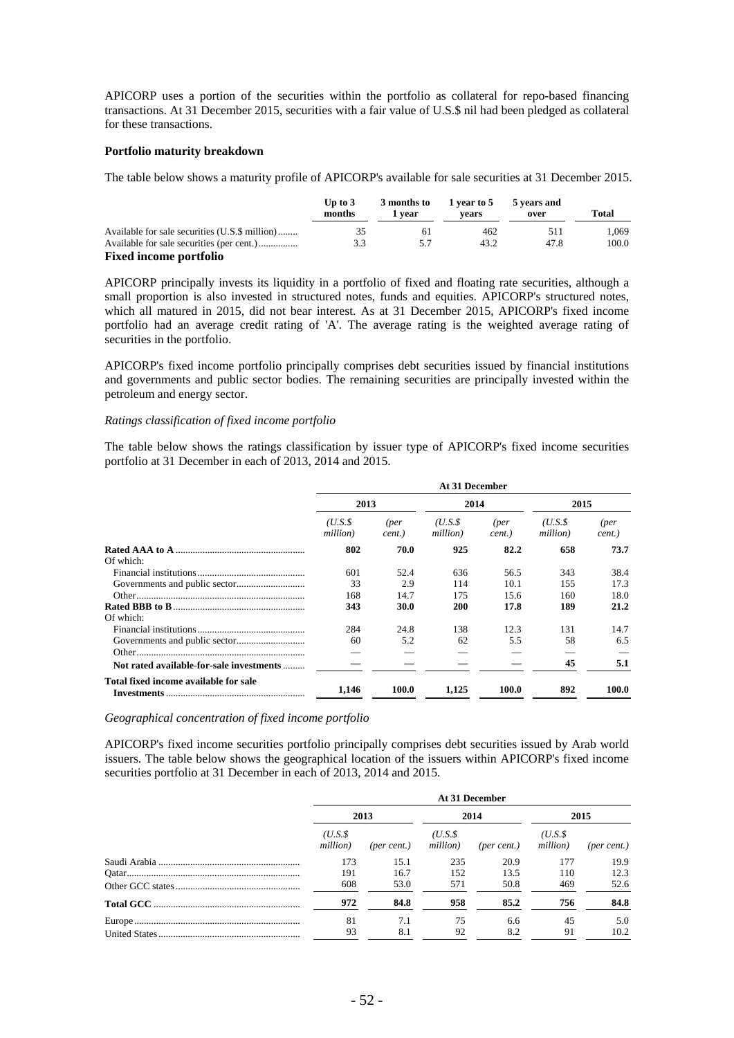APICORP uses a portion of the securities within the portfolio as collateral for repo-based financing transactions. At 31 December 2015, securities with a fair value of U.S.\$ nil had been pledged as collateral for these transactions.

#### **Portfolio maturity breakdown**

The table below shows a maturity profile of APICORP's available for sale securities at 31 December 2015.

|                                                | Up to $3$<br>months | 3 months to<br>i vear | 1 year to 5<br>vears | 5 years and<br>over | Total |
|------------------------------------------------|---------------------|-----------------------|----------------------|---------------------|-------|
| Available for sale securities (U.S.\$ million) | 35                  | -61                   | 462                  | 511                 | 1.069 |
|                                                | 3.3                 | 5.7                   | 43.2                 | 47.8                | 100.0 |
| <b>Fixed income portfolio</b>                  |                     |                       |                      |                     |       |

APICORP principally invests its liquidity in a portfolio of fixed and floating rate securities, although a small proportion is also invested in structured notes, funds and equities. APICORP's structured notes, which all matured in 2015, did not bear interest. As at 31 December 2015, APICORP's fixed income portfolio had an average credit rating of 'A'. The average rating is the weighted average rating of securities in the portfolio.

APICORP's fixed income portfolio principally comprises debt securities issued by financial institutions and governments and public sector bodies. The remaining securities are principally invested within the petroleum and energy sector.

#### *Ratings classification of fixed income portfolio*

The table below shows the ratings classification by issuer type of APICORP's fixed income securities portfolio at 31 December in each of 2013, 2014 and 2015.

|                                          | At 31 December     |                |                    |                |                    |                |
|------------------------------------------|--------------------|----------------|--------------------|----------------|--------------------|----------------|
|                                          | 2013               |                | 2014               |                | 2015               |                |
|                                          | (U.S.S<br>million) | (per<br>cent.) | (U.S.S<br>million) | (per<br>cent.) | (U.S.S<br>million) | (per<br>cent.) |
|                                          | 802                | 70.0           | 925                | 82.2           | 658                | 73.7           |
| Of which:                                |                    |                |                    |                |                    |                |
|                                          | 601                | 52.4           | 636                | 56.5           | 343                | 38.4           |
|                                          | 33                 | 2.9            | 114                | 10.1           | 155                | 17.3           |
|                                          | 168                | 14.7           | 175                | 15.6           | 160                | 18.0           |
|                                          | 343                | 30.0           | 200                | 17.8           | 189                | 21.2           |
| Of which:                                |                    |                |                    |                |                    |                |
|                                          | 284                | 24.8           | 138                | 12.3           | 131                | 14.7           |
|                                          | 60                 | 5.2            | 62                 | 5.5            | 58                 | 6.5            |
|                                          |                    |                |                    |                |                    |                |
| Not rated available-for-sale investments |                    |                |                    |                | 45                 | 5.1            |
| Total fixed income available for sale    | 1.146              | 100.0          | 1.125              | 100.0          | 892                | 100.0          |

*Geographical concentration of fixed income portfolio* 

APICORP's fixed income securities portfolio principally comprises debt securities issued by Arab world issuers. The table below shows the geographical location of the issuers within APICORP's fixed income securities portfolio at 31 December in each of 2013, 2014 and 2015.

| At 31 December     |             |                     |             |                      |                      |
|--------------------|-------------|---------------------|-------------|----------------------|----------------------|
| 2013               |             | 2014                |             | 2015                 |                      |
| (U.S.S<br>million) | (per cent.) | ( U.S.S<br>million) | (per cent.) | $(U.S.\$<br>million) | $(\text{per cent.})$ |
| 173                | 15.1        | 235                 | 20.9        | 177                  | 19.9                 |
| 191                | 16.7        | 152                 | 13.5        | 110                  | 12.3                 |
| 608                | 53.0        | 571                 | 50.8        | 469                  | 52.6                 |
| 972                | 84.8        | 958                 | 85.2        | 756                  | 84.8                 |
| 81                 | 7.1         | 75                  | 6.6         | 45                   | 5.0                  |
| 93                 | 8.1         | 92                  | 8.2         | 91                   | 10.2                 |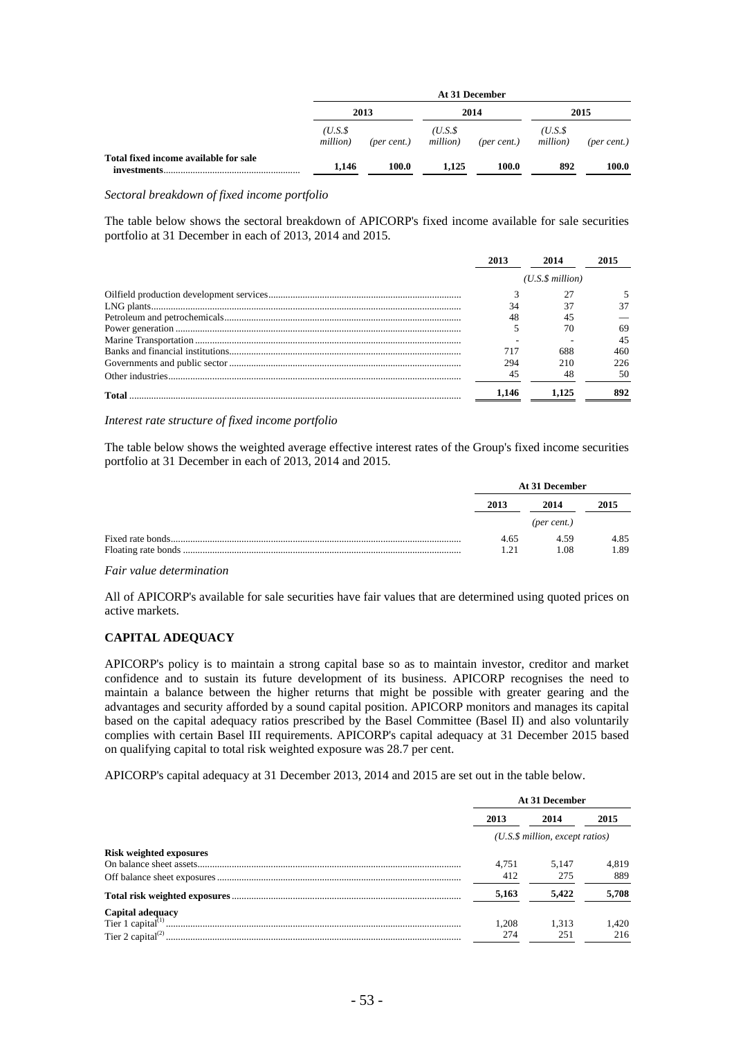|                                                       | At 31 December     |             |                    |             |                    |             |
|-------------------------------------------------------|--------------------|-------------|--------------------|-------------|--------------------|-------------|
|                                                       |                    | 2013        |                    | 2014        |                    | 2015        |
|                                                       | (U.S.S<br>million) | (per cent.) | (U.S.S<br>million) | (per cent.) | (U.S.S<br>million) | (per cent.) |
| Total fixed income available for sale<br>investments. | 1.146              | 100.0       | 1.125              | 100.0       | 892                | 100.0       |

*Sectoral breakdown of fixed income portfolio* 

The table below shows the sectoral breakdown of APICORP's fixed income available for sale securities portfolio at 31 December in each of 2013, 2014 and 2015.

|       |                      | 2014 |     |  |
|-------|----------------------|------|-----|--|
|       | $(U.S.\$ \$ million) |      |     |  |
|       |                      |      |     |  |
|       |                      |      |     |  |
|       |                      |      |     |  |
|       |                      |      | 69  |  |
|       |                      |      | 45  |  |
|       |                      |      | 460 |  |
|       | 294                  |      | 226 |  |
|       |                      |      | 50  |  |
| Total | .146                 |      |     |  |

*Interest rate structure of fixed income portfolio* 

The table below shows the weighted average effective interest rates of the Group's fixed income securities portfolio at 31 December in each of 2013, 2014 and 2015.

|  | At 31 December                       |      |      |
|--|--------------------------------------|------|------|
|  | 2013<br>2014<br>$(\text{per cent.})$ |      | 2015 |
|  |                                      |      |      |
|  | 4.65                                 | 4.59 | 4.85 |
|  | 191                                  | 1.08 | 1.89 |

#### *Fair value determination*

All of APICORP's available for sale securities have fair values that are determined using quoted prices on active markets.

### **CAPITAL ADEQUACY**

APICORP's policy is to maintain a strong capital base so as to maintain investor, creditor and market confidence and to sustain its future development of its business. APICORP recognises the need to maintain a balance between the higher returns that might be possible with greater gearing and the advantages and security afforded by a sound capital position. APICORP monitors and manages its capital based on the capital adequacy ratios prescribed by the Basel Committee (Basel II) and also voluntarily complies with certain Basel III requirements. APICORP's capital adequacy at 31 December 2015 based on qualifying capital to total risk weighted exposure was 28.7 per cent.

APICORP's capital adequacy at 31 December 2013, 2014 and 2015 are set out in the table below.

|                                | At 31 December |                                     |       |
|--------------------------------|----------------|-------------------------------------|-------|
|                                | 2013           | 2014                                | 2015  |
|                                |                | $(U.S.\$ \$ million, except ratios) |       |
| <b>Risk weighted exposures</b> |                |                                     |       |
|                                | 4.751          | 5.147                               | 4.819 |
|                                | 412            | 275                                 | 889   |
|                                | 5,163          | 5.422                               | 5,708 |
| Capital adequacy               |                |                                     |       |
|                                | .208           | 1,313                               | 1,420 |
|                                | 274            | 251                                 | 216   |
|                                |                |                                     |       |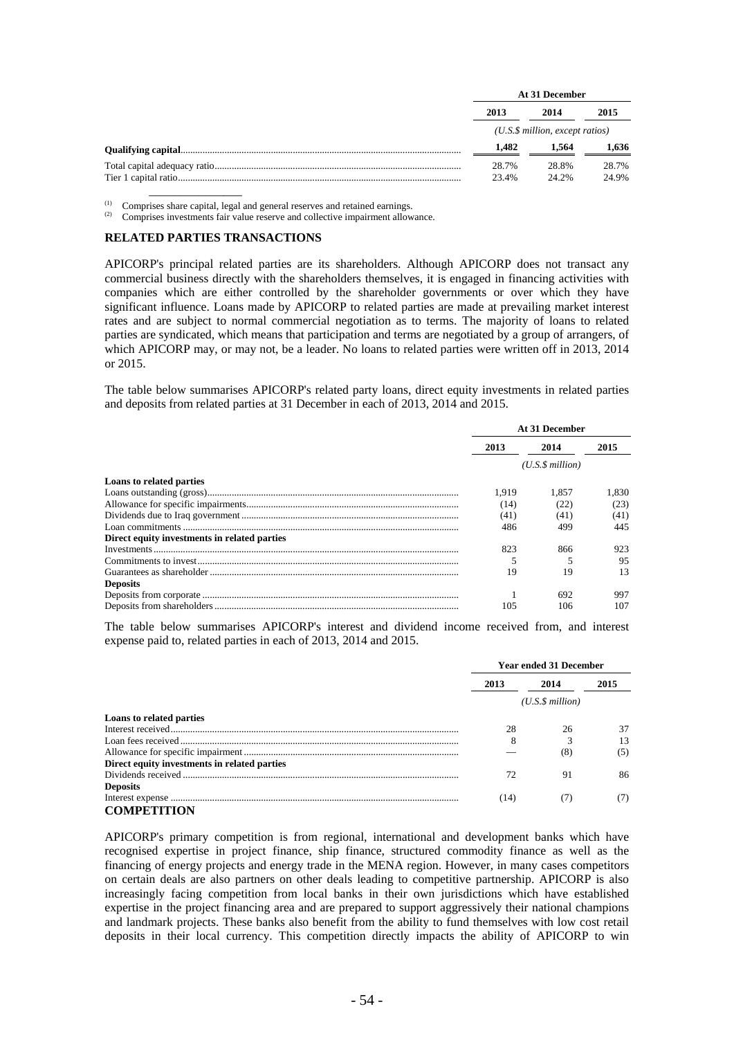|  | At 31 December                                      |                |                |  |
|--|-----------------------------------------------------|----------------|----------------|--|
|  | 2013<br>2014<br>$(U.S.\$ \$ million, except ratios) |                | 2015           |  |
|  |                                                     |                |                |  |
|  | 1.482                                               | 1.564          | 1.636          |  |
|  | 28.7%<br>23.4%                                      | 28.8%<br>24.2% | 28.7%<br>24.9% |  |

\_\_\_\_\_\_\_\_\_\_\_\_\_\_\_ (1) Comprises share capital, legal and general reserves and retained earnings. (2) Comprises investments fair value reserve and collective impairment allowance.

#### **RELATED PARTIES TRANSACTIONS**

APICORP's principal related parties are its shareholders. Although APICORP does not transact any commercial business directly with the shareholders themselves, it is engaged in financing activities with companies which are either controlled by the shareholder governments or over which they have significant influence. Loans made by APICORP to related parties are made at prevailing market interest rates and are subject to normal commercial negotiation as to terms. The majority of loans to related parties are syndicated, which means that participation and terms are negotiated by a group of arrangers, of which APICORP may, or may not, be a leader. No loans to related parties were written off in 2013, 2014 or 2015.

The table below summarises APICORP's related party loans, direct equity investments in related parties and deposits from related parties at 31 December in each of 2013, 2014 and 2015.

|                                              | At 31 December |                 |       |
|----------------------------------------------|----------------|-----------------|-------|
|                                              | 2013           | 2014            | 2015  |
|                                              |                | (U.S.S.million) |       |
| Loans to related parties                     |                |                 |       |
|                                              | 1.919          | 1.857           | 1.830 |
|                                              | (14)           | (22)            | (23)  |
|                                              | (41)           | (41)            | (41)  |
|                                              | 486            | 499             | 445   |
| Direct equity investments in related parties |                |                 |       |
|                                              | 823            | 866             | 923   |
|                                              |                |                 | 95    |
|                                              | 19             | 19              | 13    |
| <b>Deposits</b>                              |                |                 |       |
|                                              |                | 692             | 997   |
|                                              | 105            | 106             | 107   |

The table below summarises APICORP's interest and dividend income received from, and interest expense paid to, related parties in each of 2013, 2014 and 2015.

|                                              | <b>Year ended 31 December</b> |                 |      |
|----------------------------------------------|-------------------------------|-----------------|------|
|                                              | 2013                          | 2014            | 2015 |
|                                              |                               | (U.S.S.million) |      |
| Loans to related parties                     |                               |                 |      |
|                                              | 28                            | 26              | 37   |
|                                              | 8                             |                 | 13   |
|                                              |                               | (8)             | (5)  |
| Direct equity investments in related parties |                               |                 |      |
|                                              |                               | 91              | 86   |
| <b>Deposits</b>                              |                               |                 |      |
|                                              | [14]                          |                 |      |
| <b>COMPETITION</b>                           |                               |                 |      |

APICORP's primary competition is from regional, international and development banks which have recognised expertise in project finance, ship finance, structured commodity finance as well as the financing of energy projects and energy trade in the MENA region. However, in many cases competitors on certain deals are also partners on other deals leading to competitive partnership. APICORP is also increasingly facing competition from local banks in their own jurisdictions which have established expertise in the project financing area and are prepared to support aggressively their national champions and landmark projects. These banks also benefit from the ability to fund themselves with low cost retail deposits in their local currency. This competition directly impacts the ability of APICORP to win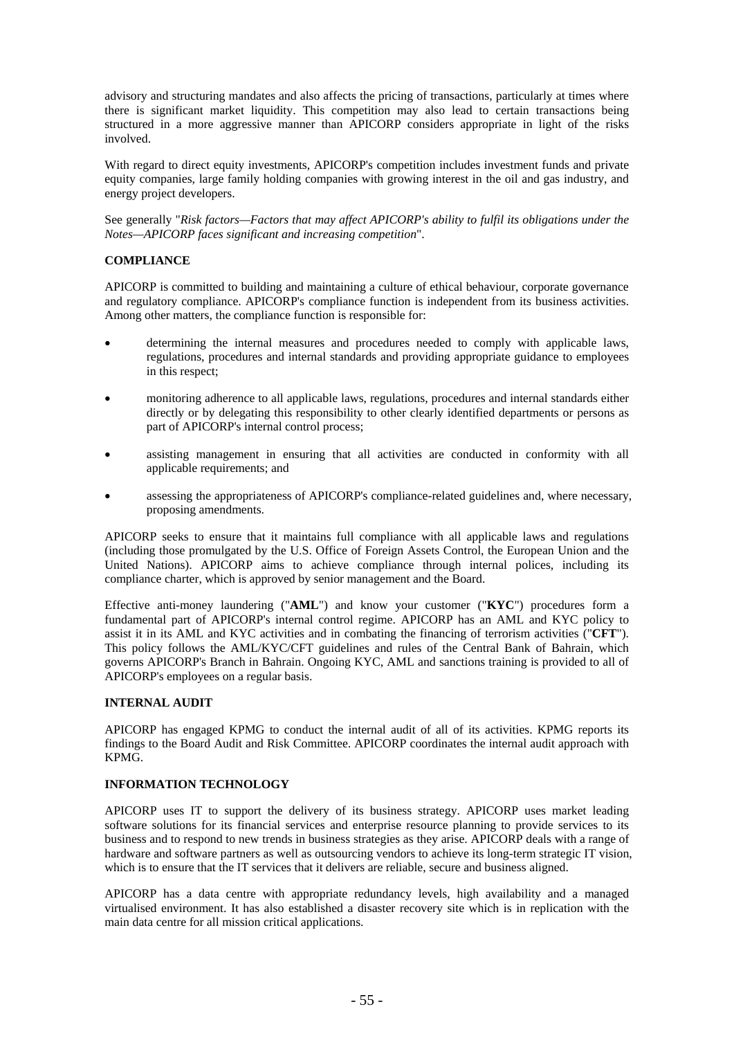advisory and structuring mandates and also affects the pricing of transactions, particularly at times where there is significant market liquidity. This competition may also lead to certain transactions being structured in a more aggressive manner than APICORP considers appropriate in light of the risks involved.

With regard to direct equity investments, APICORP's competition includes investment funds and private equity companies, large family holding companies with growing interest in the oil and gas industry, and energy project developers.

See generally "*Risk factors—Factors that may affect APICORP's ability to fulfil its obligations under the Notes—APICORP faces significant and increasing competition*".

## **COMPLIANCE**

APICORP is committed to building and maintaining a culture of ethical behaviour, corporate governance and regulatory compliance. APICORP's compliance function is independent from its business activities. Among other matters, the compliance function is responsible for:

- determining the internal measures and procedures needed to comply with applicable laws, regulations, procedures and internal standards and providing appropriate guidance to employees in this respect;
- monitoring adherence to all applicable laws, regulations, procedures and internal standards either directly or by delegating this responsibility to other clearly identified departments or persons as part of APICORP's internal control process;
- assisting management in ensuring that all activities are conducted in conformity with all applicable requirements; and
- assessing the appropriateness of APICORP's compliance-related guidelines and, where necessary, proposing amendments.

APICORP seeks to ensure that it maintains full compliance with all applicable laws and regulations (including those promulgated by the U.S. Office of Foreign Assets Control, the European Union and the United Nations). APICORP aims to achieve compliance through internal polices, including its compliance charter, which is approved by senior management and the Board.

Effective anti-money laundering ("**AML**") and know your customer ("**KYC**") procedures form a fundamental part of APICORP's internal control regime. APICORP has an AML and KYC policy to assist it in its AML and KYC activities and in combating the financing of terrorism activities ("**CFT**"). This policy follows the AML/KYC/CFT guidelines and rules of the Central Bank of Bahrain, which governs APICORP's Branch in Bahrain. Ongoing KYC, AML and sanctions training is provided to all of APICORP's employees on a regular basis.

### **INTERNAL AUDIT**

APICORP has engaged KPMG to conduct the internal audit of all of its activities. KPMG reports its findings to the Board Audit and Risk Committee. APICORP coordinates the internal audit approach with KPMG.

### **INFORMATION TECHNOLOGY**

APICORP uses IT to support the delivery of its business strategy. APICORP uses market leading software solutions for its financial services and enterprise resource planning to provide services to its business and to respond to new trends in business strategies as they arise. APICORP deals with a range of hardware and software partners as well as outsourcing vendors to achieve its long-term strategic IT vision, which is to ensure that the IT services that it delivers are reliable, secure and business aligned.

APICORP has a data centre with appropriate redundancy levels, high availability and a managed virtualised environment. It has also established a disaster recovery site which is in replication with the main data centre for all mission critical applications.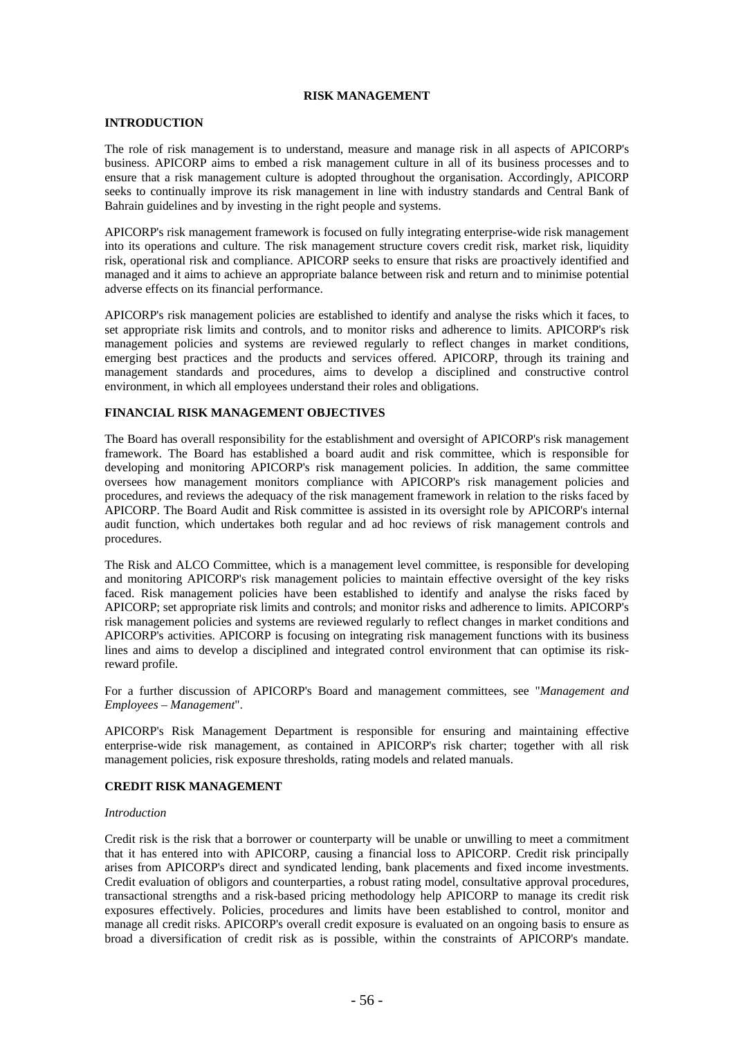#### **RISK MANAGEMENT**

#### **INTRODUCTION**

The role of risk management is to understand, measure and manage risk in all aspects of APICORP's business. APICORP aims to embed a risk management culture in all of its business processes and to ensure that a risk management culture is adopted throughout the organisation. Accordingly, APICORP seeks to continually improve its risk management in line with industry standards and Central Bank of Bahrain guidelines and by investing in the right people and systems.

APICORP's risk management framework is focused on fully integrating enterprise-wide risk management into its operations and culture. The risk management structure covers credit risk, market risk, liquidity risk, operational risk and compliance. APICORP seeks to ensure that risks are proactively identified and managed and it aims to achieve an appropriate balance between risk and return and to minimise potential adverse effects on its financial performance.

APICORP's risk management policies are established to identify and analyse the risks which it faces, to set appropriate risk limits and controls, and to monitor risks and adherence to limits. APICORP's risk management policies and systems are reviewed regularly to reflect changes in market conditions, emerging best practices and the products and services offered. APICORP, through its training and management standards and procedures, aims to develop a disciplined and constructive control environment, in which all employees understand their roles and obligations.

## **FINANCIAL RISK MANAGEMENT OBJECTIVES**

The Board has overall responsibility for the establishment and oversight of APICORP's risk management framework. The Board has established a board audit and risk committee, which is responsible for developing and monitoring APICORP's risk management policies. In addition, the same committee oversees how management monitors compliance with APICORP's risk management policies and procedures, and reviews the adequacy of the risk management framework in relation to the risks faced by APICORP. The Board Audit and Risk committee is assisted in its oversight role by APICORP's internal audit function, which undertakes both regular and ad hoc reviews of risk management controls and procedures.

The Risk and ALCO Committee, which is a management level committee, is responsible for developing and monitoring APICORP's risk management policies to maintain effective oversight of the key risks faced. Risk management policies have been established to identify and analyse the risks faced by APICORP; set appropriate risk limits and controls; and monitor risks and adherence to limits. APICORP's risk management policies and systems are reviewed regularly to reflect changes in market conditions and APICORP's activities. APICORP is focusing on integrating risk management functions with its business lines and aims to develop a disciplined and integrated control environment that can optimise its riskreward profile.

For a further discussion of APICORP's Board and management committees, see "*Management and Employees – Management*".

APICORP's Risk Management Department is responsible for ensuring and maintaining effective enterprise-wide risk management, as contained in APICORP's risk charter; together with all risk management policies, risk exposure thresholds, rating models and related manuals.

### **CREDIT RISK MANAGEMENT**

#### *Introduction*

Credit risk is the risk that a borrower or counterparty will be unable or unwilling to meet a commitment that it has entered into with APICORP, causing a financial loss to APICORP. Credit risk principally arises from APICORP's direct and syndicated lending, bank placements and fixed income investments. Credit evaluation of obligors and counterparties, a robust rating model, consultative approval procedures, transactional strengths and a risk-based pricing methodology help APICORP to manage its credit risk exposures effectively. Policies, procedures and limits have been established to control, monitor and manage all credit risks. APICORP's overall credit exposure is evaluated on an ongoing basis to ensure as broad a diversification of credit risk as is possible, within the constraints of APICORP's mandate.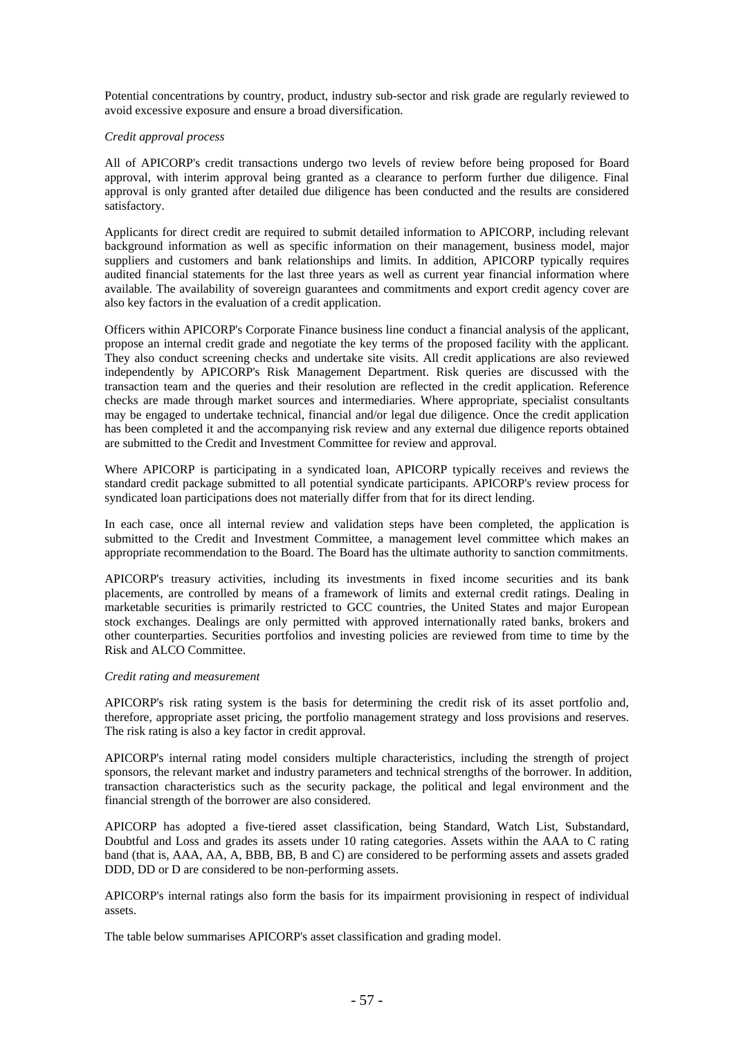Potential concentrations by country, product, industry sub-sector and risk grade are regularly reviewed to avoid excessive exposure and ensure a broad diversification.

#### *Credit approval process*

All of APICORP's credit transactions undergo two levels of review before being proposed for Board approval, with interim approval being granted as a clearance to perform further due diligence. Final approval is only granted after detailed due diligence has been conducted and the results are considered satisfactory.

Applicants for direct credit are required to submit detailed information to APICORP, including relevant background information as well as specific information on their management, business model, major suppliers and customers and bank relationships and limits. In addition, APICORP typically requires audited financial statements for the last three years as well as current year financial information where available. The availability of sovereign guarantees and commitments and export credit agency cover are also key factors in the evaluation of a credit application.

Officers within APICORP's Corporate Finance business line conduct a financial analysis of the applicant, propose an internal credit grade and negotiate the key terms of the proposed facility with the applicant. They also conduct screening checks and undertake site visits. All credit applications are also reviewed independently by APICORP's Risk Management Department. Risk queries are discussed with the transaction team and the queries and their resolution are reflected in the credit application. Reference checks are made through market sources and intermediaries. Where appropriate, specialist consultants may be engaged to undertake technical, financial and/or legal due diligence. Once the credit application has been completed it and the accompanying risk review and any external due diligence reports obtained are submitted to the Credit and Investment Committee for review and approval.

Where APICORP is participating in a syndicated loan, APICORP typically receives and reviews the standard credit package submitted to all potential syndicate participants. APICORP's review process for syndicated loan participations does not materially differ from that for its direct lending.

In each case, once all internal review and validation steps have been completed, the application is submitted to the Credit and Investment Committee, a management level committee which makes an appropriate recommendation to the Board. The Board has the ultimate authority to sanction commitments.

APICORP's treasury activities, including its investments in fixed income securities and its bank placements, are controlled by means of a framework of limits and external credit ratings. Dealing in marketable securities is primarily restricted to GCC countries, the United States and major European stock exchanges. Dealings are only permitted with approved internationally rated banks, brokers and other counterparties. Securities portfolios and investing policies are reviewed from time to time by the Risk and ALCO Committee.

#### *Credit rating and measurement*

APICORP's risk rating system is the basis for determining the credit risk of its asset portfolio and, therefore, appropriate asset pricing, the portfolio management strategy and loss provisions and reserves. The risk rating is also a key factor in credit approval.

APICORP's internal rating model considers multiple characteristics, including the strength of project sponsors, the relevant market and industry parameters and technical strengths of the borrower. In addition, transaction characteristics such as the security package, the political and legal environment and the financial strength of the borrower are also considered.

APICORP has adopted a five-tiered asset classification, being Standard, Watch List, Substandard, Doubtful and Loss and grades its assets under 10 rating categories. Assets within the AAA to C rating band (that is, AAA, AA, A, BBB, BB, B and C) are considered to be performing assets and assets graded DDD, DD or D are considered to be non-performing assets.

APICORP's internal ratings also form the basis for its impairment provisioning in respect of individual assets.

The table below summarises APICORP's asset classification and grading model.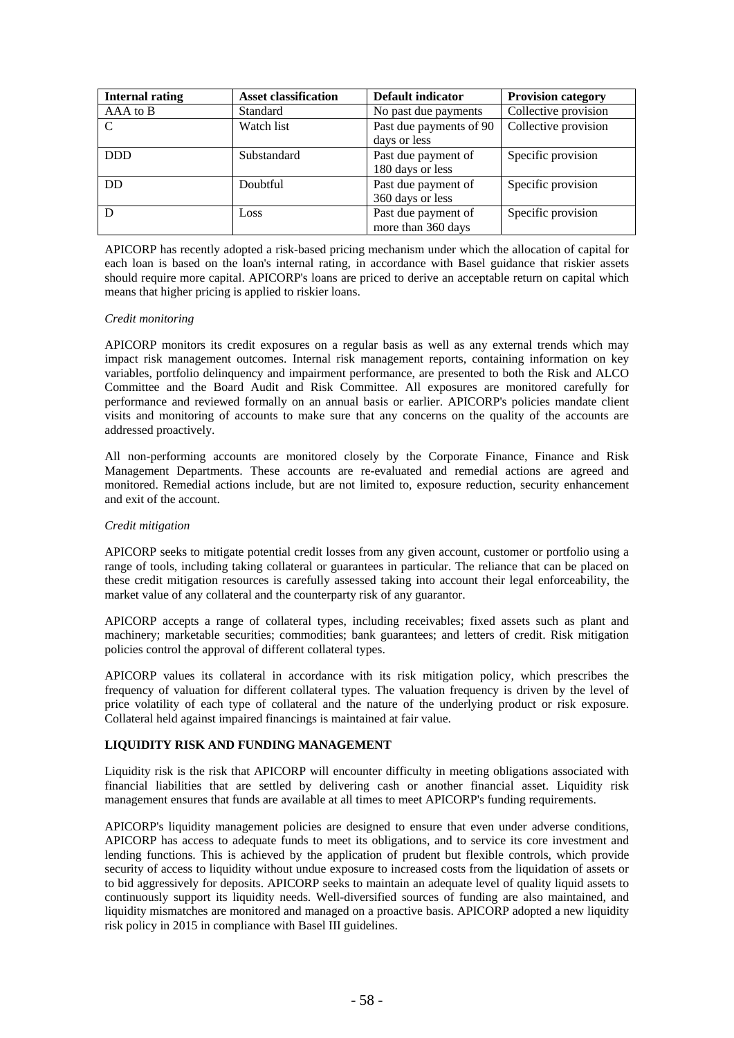| <b>Internal rating</b> | <b>Asset classification</b> | Default indicator       | <b>Provision category</b> |
|------------------------|-----------------------------|-------------------------|---------------------------|
| AAA to B               | Standard                    | No past due payments    | Collective provision      |
| $\mathcal{C}$          | Watch list                  | Past due payments of 90 | Collective provision      |
|                        |                             | days or less            |                           |
| <b>DDD</b>             | Substandard                 | Past due payment of     | Specific provision        |
|                        |                             | 180 days or less        |                           |
| <b>DD</b>              | Doubtful                    | Past due payment of     | Specific provision        |
|                        |                             | 360 days or less        |                           |
| D                      | Loss                        | Past due payment of     | Specific provision        |
|                        |                             | more than 360 days      |                           |

APICORP has recently adopted a risk-based pricing mechanism under which the allocation of capital for each loan is based on the loan's internal rating, in accordance with Basel guidance that riskier assets should require more capital. APICORP's loans are priced to derive an acceptable return on capital which means that higher pricing is applied to riskier loans.

### *Credit monitoring*

APICORP monitors its credit exposures on a regular basis as well as any external trends which may impact risk management outcomes. Internal risk management reports, containing information on key variables, portfolio delinquency and impairment performance, are presented to both the Risk and ALCO Committee and the Board Audit and Risk Committee. All exposures are monitored carefully for performance and reviewed formally on an annual basis or earlier. APICORP's policies mandate client visits and monitoring of accounts to make sure that any concerns on the quality of the accounts are addressed proactively.

All non-performing accounts are monitored closely by the Corporate Finance, Finance and Risk Management Departments. These accounts are re-evaluated and remedial actions are agreed and monitored. Remedial actions include, but are not limited to, exposure reduction, security enhancement and exit of the account.

### *Credit mitigation*

APICORP seeks to mitigate potential credit losses from any given account, customer or portfolio using a range of tools, including taking collateral or guarantees in particular. The reliance that can be placed on these credit mitigation resources is carefully assessed taking into account their legal enforceability, the market value of any collateral and the counterparty risk of any guarantor.

APICORP accepts a range of collateral types, including receivables; fixed assets such as plant and machinery; marketable securities; commodities; bank guarantees; and letters of credit. Risk mitigation policies control the approval of different collateral types.

APICORP values its collateral in accordance with its risk mitigation policy, which prescribes the frequency of valuation for different collateral types. The valuation frequency is driven by the level of price volatility of each type of collateral and the nature of the underlying product or risk exposure. Collateral held against impaired financings is maintained at fair value.

## **LIQUIDITY RISK AND FUNDING MANAGEMENT**

Liquidity risk is the risk that APICORP will encounter difficulty in meeting obligations associated with financial liabilities that are settled by delivering cash or another financial asset. Liquidity risk management ensures that funds are available at all times to meet APICORP's funding requirements.

APICORP's liquidity management policies are designed to ensure that even under adverse conditions, APICORP has access to adequate funds to meet its obligations, and to service its core investment and lending functions. This is achieved by the application of prudent but flexible controls, which provide security of access to liquidity without undue exposure to increased costs from the liquidation of assets or to bid aggressively for deposits. APICORP seeks to maintain an adequate level of quality liquid assets to continuously support its liquidity needs. Well-diversified sources of funding are also maintained, and liquidity mismatches are monitored and managed on a proactive basis. APICORP adopted a new liquidity risk policy in 2015 in compliance with Basel III guidelines.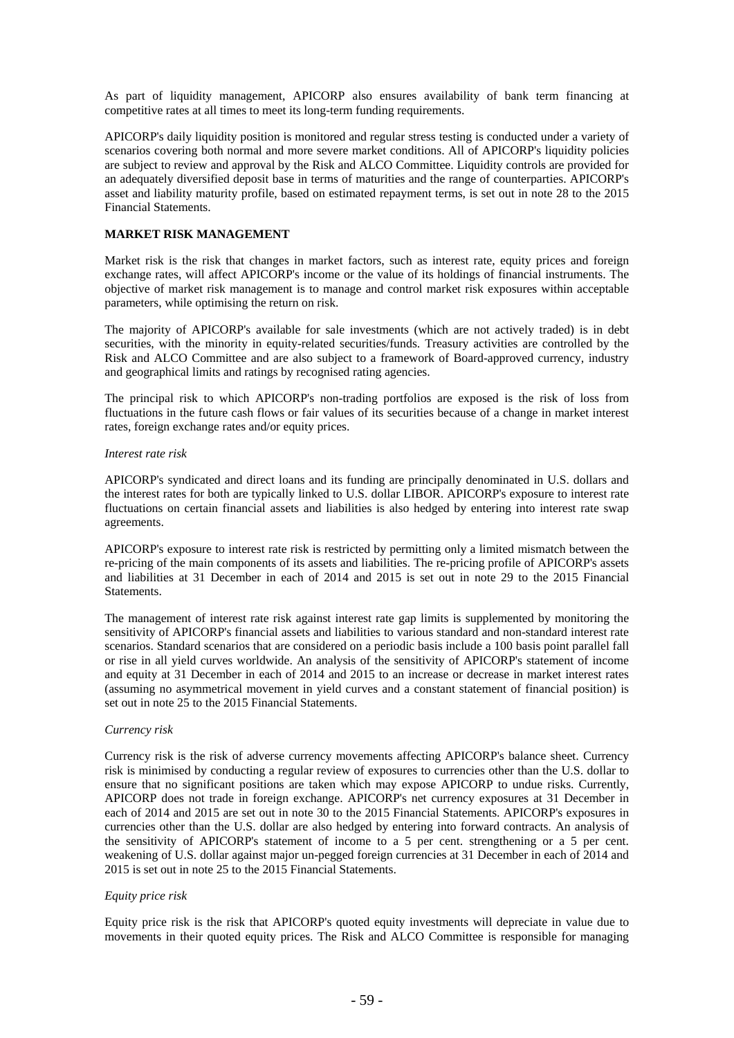As part of liquidity management, APICORP also ensures availability of bank term financing at competitive rates at all times to meet its long-term funding requirements.

APICORP's daily liquidity position is monitored and regular stress testing is conducted under a variety of scenarios covering both normal and more severe market conditions. All of APICORP's liquidity policies are subject to review and approval by the Risk and ALCO Committee. Liquidity controls are provided for an adequately diversified deposit base in terms of maturities and the range of counterparties. APICORP's asset and liability maturity profile, based on estimated repayment terms, is set out in note 28 to the 2015 Financial Statements.

## **MARKET RISK MANAGEMENT**

Market risk is the risk that changes in market factors, such as interest rate, equity prices and foreign exchange rates, will affect APICORP's income or the value of its holdings of financial instruments. The objective of market risk management is to manage and control market risk exposures within acceptable parameters, while optimising the return on risk.

The majority of APICORP's available for sale investments (which are not actively traded) is in debt securities, with the minority in equity-related securities/funds. Treasury activities are controlled by the Risk and ALCO Committee and are also subject to a framework of Board-approved currency, industry and geographical limits and ratings by recognised rating agencies.

The principal risk to which APICORP's non-trading portfolios are exposed is the risk of loss from fluctuations in the future cash flows or fair values of its securities because of a change in market interest rates, foreign exchange rates and/or equity prices.

#### *Interest rate risk*

APICORP's syndicated and direct loans and its funding are principally denominated in U.S. dollars and the interest rates for both are typically linked to U.S. dollar LIBOR. APICORP's exposure to interest rate fluctuations on certain financial assets and liabilities is also hedged by entering into interest rate swap agreements.

APICORP's exposure to interest rate risk is restricted by permitting only a limited mismatch between the re-pricing of the main components of its assets and liabilities. The re-pricing profile of APICORP's assets and liabilities at 31 December in each of 2014 and 2015 is set out in note 29 to the 2015 Financial Statements.

The management of interest rate risk against interest rate gap limits is supplemented by monitoring the sensitivity of APICORP's financial assets and liabilities to various standard and non-standard interest rate scenarios. Standard scenarios that are considered on a periodic basis include a 100 basis point parallel fall or rise in all yield curves worldwide. An analysis of the sensitivity of APICORP's statement of income and equity at 31 December in each of 2014 and 2015 to an increase or decrease in market interest rates (assuming no asymmetrical movement in yield curves and a constant statement of financial position) is set out in note 25 to the 2015 Financial Statements.

### *Currency risk*

Currency risk is the risk of adverse currency movements affecting APICORP's balance sheet. Currency risk is minimised by conducting a regular review of exposures to currencies other than the U.S. dollar to ensure that no significant positions are taken which may expose APICORP to undue risks. Currently, APICORP does not trade in foreign exchange. APICORP's net currency exposures at 31 December in each of 2014 and 2015 are set out in note 30 to the 2015 Financial Statements. APICORP's exposures in currencies other than the U.S. dollar are also hedged by entering into forward contracts. An analysis of the sensitivity of APICORP's statement of income to a 5 per cent. strengthening or a 5 per cent. weakening of U.S. dollar against major un-pegged foreign currencies at 31 December in each of 2014 and 2015 is set out in note 25 to the 2015 Financial Statements.

### *Equity price risk*

Equity price risk is the risk that APICORP's quoted equity investments will depreciate in value due to movements in their quoted equity prices. The Risk and ALCO Committee is responsible for managing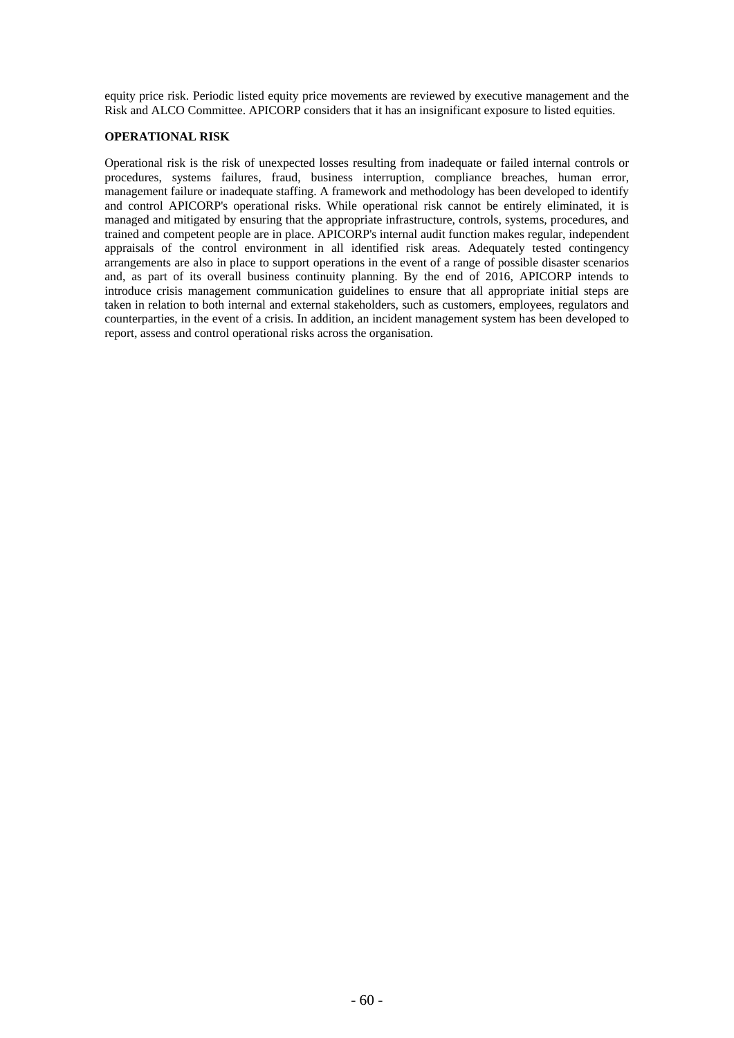equity price risk. Periodic listed equity price movements are reviewed by executive management and the Risk and ALCO Committee. APICORP considers that it has an insignificant exposure to listed equities.

### **OPERATIONAL RISK**

Operational risk is the risk of unexpected losses resulting from inadequate or failed internal controls or procedures, systems failures, fraud, business interruption, compliance breaches, human error, management failure or inadequate staffing. A framework and methodology has been developed to identify and control APICORP's operational risks. While operational risk cannot be entirely eliminated, it is managed and mitigated by ensuring that the appropriate infrastructure, controls, systems, procedures, and trained and competent people are in place. APICORP's internal audit function makes regular, independent appraisals of the control environment in all identified risk areas. Adequately tested contingency arrangements are also in place to support operations in the event of a range of possible disaster scenarios and, as part of its overall business continuity planning. By the end of 2016, APICORP intends to introduce crisis management communication guidelines to ensure that all appropriate initial steps are taken in relation to both internal and external stakeholders, such as customers, employees, regulators and counterparties, in the event of a crisis. In addition, an incident management system has been developed to report, assess and control operational risks across the organisation.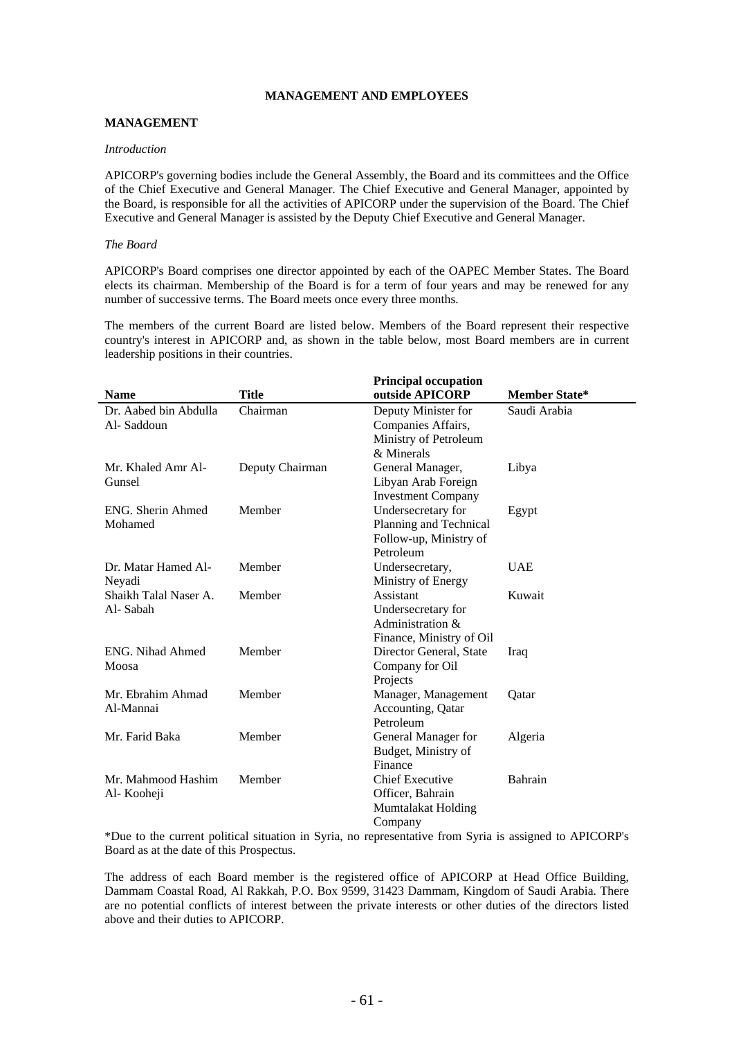### **MANAGEMENT AND EMPLOYEES**

### **MANAGEMENT**

#### *Introduction*

APICORP's governing bodies include the General Assembly, the Board and its committees and the Office of the Chief Executive and General Manager. The Chief Executive and General Manager, appointed by the Board, is responsible for all the activities of APICORP under the supervision of the Board. The Chief Executive and General Manager is assisted by the Deputy Chief Executive and General Manager.

#### *The Board*

APICORP's Board comprises one director appointed by each of the OAPEC Member States. The Board elects its chairman. Membership of the Board is for a term of four years and may be renewed for any number of successive terms. The Board meets once every three months.

The members of the current Board are listed below. Members of the Board represent their respective country's interest in APICORP and, as shown in the table below, most Board members are in current leadership positions in their countries.

| <b>Name</b>                         | <b>Title</b>    | <b>Principal occupation</b><br>outside APICORP                                      | <b>Member State*</b> |
|-------------------------------------|-----------------|-------------------------------------------------------------------------------------|----------------------|
| Dr. Aabed bin Abdulla<br>Al-Saddoun | Chairman        | Deputy Minister for<br>Companies Affairs,<br>Ministry of Petroleum<br>$&$ Minerals  | Saudi Arabia         |
| Mr. Khaled Amr Al-<br>Gunsel        | Deputy Chairman | General Manager,<br>Libyan Arab Foreign<br><b>Investment Company</b>                | Libya                |
| ENG. Sherin Ahmed<br>Mohamed        | Member          | Undersecretary for<br>Planning and Technical<br>Follow-up, Ministry of<br>Petroleum | Egypt                |
| Dr. Matar Hamed Al-<br>Neyadi       | Member          | Undersecretary,<br>Ministry of Energy                                               | <b>UAE</b>           |
| Shaikh Talal Naser A.<br>Al-Sabah   | Member          | Assistant<br>Undersecretary for<br>Administration &<br>Finance, Ministry of Oil     | Kuwait               |
| ENG. Nihad Ahmed<br>Moosa           | Member          | Director General, State<br>Company for Oil<br>Projects                              | Iraq                 |
| Mr. Ebrahim Ahmad<br>Al-Mannai      | Member          | Manager, Management<br>Accounting, Qatar<br>Petroleum                               | Oatar                |
| Mr. Farid Baka                      | Member          | General Manager for<br>Budget, Ministry of<br>Finance                               | Algeria              |
| Mr. Mahmood Hashim<br>Al- Kooheji   | Member          | <b>Chief Executive</b><br>Officer, Bahrain<br>Mumtalakat Holding<br>Company         | Bahrain              |

\*Due to the current political situation in Syria, no representative from Syria is assigned to APICORP's Board as at the date of this Prospectus.

The address of each Board member is the registered office of APICORP at Head Office Building, Dammam Coastal Road, Al Rakkah, P.O. Box 9599, 31423 Dammam, Kingdom of Saudi Arabia. There are no potential conflicts of interest between the private interests or other duties of the directors listed above and their duties to APICORP.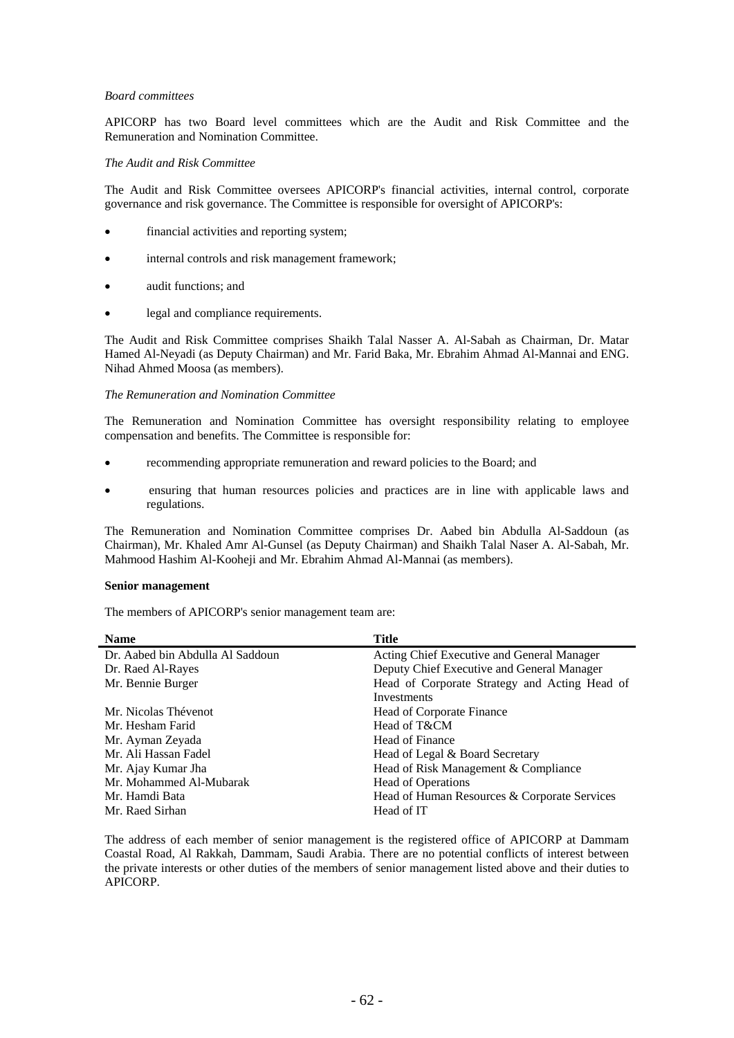#### *Board committees*

APICORP has two Board level committees which are the Audit and Risk Committee and the Remuneration and Nomination Committee.

#### *The Audit and Risk Committee*

The Audit and Risk Committee oversees APICORP's financial activities, internal control, corporate governance and risk governance. The Committee is responsible for oversight of APICORP's:

- financial activities and reporting system;
- internal controls and risk management framework;
- audit functions; and
- legal and compliance requirements.

The Audit and Risk Committee comprises Shaikh Talal Nasser A. Al-Sabah as Chairman, Dr. Matar Hamed Al-Neyadi (as Deputy Chairman) and Mr. Farid Baka, Mr. Ebrahim Ahmad Al-Mannai and ENG. Nihad Ahmed Moosa (as members).

#### *The Remuneration and Nomination Committee*

The Remuneration and Nomination Committee has oversight responsibility relating to employee compensation and benefits. The Committee is responsible for:

- recommending appropriate remuneration and reward policies to the Board; and
- ensuring that human resources policies and practices are in line with applicable laws and regulations.

The Remuneration and Nomination Committee comprises Dr. Aabed bin Abdulla Al-Saddoun (as Chairman), Mr. Khaled Amr Al-Gunsel (as Deputy Chairman) and Shaikh Talal Naser A. Al-Sabah, Mr. Mahmood Hashim Al-Kooheji and Mr. Ebrahim Ahmad Al-Mannai (as members).

#### **Senior management**

The members of APICORP's senior management team are:

| <b>Name</b>                      | Title                                         |
|----------------------------------|-----------------------------------------------|
| Dr. Aabed bin Abdulla Al Saddoun | Acting Chief Executive and General Manager    |
| Dr. Raed Al-Rayes                | Deputy Chief Executive and General Manager    |
| Mr. Bennie Burger                | Head of Corporate Strategy and Acting Head of |
|                                  | Investments                                   |
| Mr. Nicolas Thévenot             | Head of Corporate Finance                     |
| Mr. Hesham Farid                 | Head of T&CM                                  |
| Mr. Ayman Zeyada                 | Head of Finance                               |
| Mr. Ali Hassan Fadel             | Head of Legal & Board Secretary               |
| Mr. Ajay Kumar Jha               | Head of Risk Management & Compliance          |
| Mr. Mohammed Al-Mubarak          | Head of Operations                            |
| Mr. Hamdi Bata                   | Head of Human Resources & Corporate Services  |
| Mr. Raed Sirhan                  | Head of IT                                    |

The address of each member of senior management is the registered office of APICORP at Dammam Coastal Road, Al Rakkah, Dammam, Saudi Arabia. There are no potential conflicts of interest between the private interests or other duties of the members of senior management listed above and their duties to APICORP.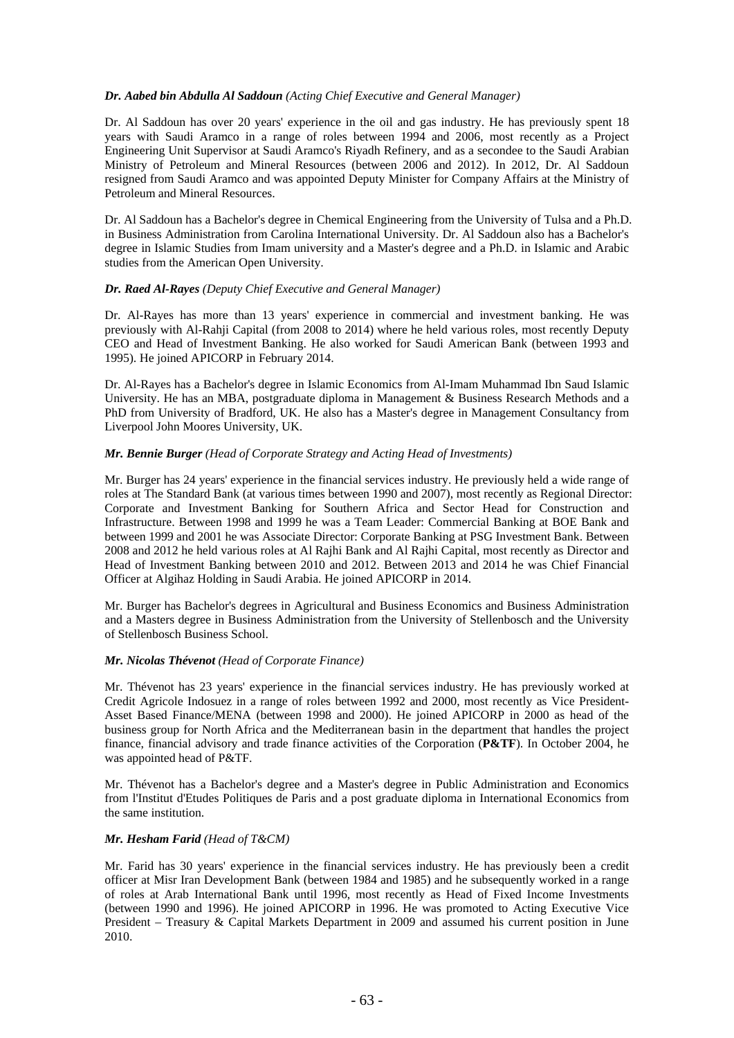### *Dr. Aabed bin Abdulla Al Saddoun (Acting Chief Executive and General Manager)*

Dr. Al Saddoun has over 20 years' experience in the oil and gas industry. He has previously spent 18 years with Saudi Aramco in a range of roles between 1994 and 2006, most recently as a Project Engineering Unit Supervisor at Saudi Aramco's Riyadh Refinery, and as a secondee to the Saudi Arabian Ministry of Petroleum and Mineral Resources (between 2006 and 2012). In 2012, Dr. Al Saddoun resigned from Saudi Aramco and was appointed Deputy Minister for Company Affairs at the Ministry of Petroleum and Mineral Resources.

Dr. Al Saddoun has a Bachelor's degree in Chemical Engineering from the University of Tulsa and a Ph.D. in Business Administration from Carolina International University. Dr. Al Saddoun also has a Bachelor's degree in Islamic Studies from Imam university and a Master's degree and a Ph.D. in Islamic and Arabic studies from the American Open University.

### *Dr. Raed Al-Rayes (Deputy Chief Executive and General Manager)*

Dr. Al-Rayes has more than 13 years' experience in commercial and investment banking. He was previously with Al-Rahji Capital (from 2008 to 2014) where he held various roles, most recently Deputy CEO and Head of Investment Banking. He also worked for Saudi American Bank (between 1993 and 1995). He joined APICORP in February 2014.

Dr. Al-Rayes has a Bachelor's degree in Islamic Economics from Al-Imam Muhammad Ibn Saud Islamic University. He has an MBA, postgraduate diploma in Management & Business Research Methods and a PhD from University of Bradford, UK. He also has a Master's degree in Management Consultancy from Liverpool John Moores University, UK.

### *Mr. Bennie Burger (Head of Corporate Strategy and Acting Head of Investments)*

Mr. Burger has 24 years' experience in the financial services industry. He previously held a wide range of roles at The Standard Bank (at various times between 1990 and 2007), most recently as Regional Director: Corporate and Investment Banking for Southern Africa and Sector Head for Construction and Infrastructure. Between 1998 and 1999 he was a Team Leader: Commercial Banking at BOE Bank and between 1999 and 2001 he was Associate Director: Corporate Banking at PSG Investment Bank. Between 2008 and 2012 he held various roles at Al Rajhi Bank and Al Rajhi Capital, most recently as Director and Head of Investment Banking between 2010 and 2012. Between 2013 and 2014 he was Chief Financial Officer at Algihaz Holding in Saudi Arabia. He joined APICORP in 2014.

Mr. Burger has Bachelor's degrees in Agricultural and Business Economics and Business Administration and a Masters degree in Business Administration from the University of Stellenbosch and the University of Stellenbosch Business School.

### *Mr. Nicolas Thévenot (Head of Corporate Finance)*

Mr. Thévenot has 23 years' experience in the financial services industry. He has previously worked at Credit Agricole Indosuez in a range of roles between 1992 and 2000, most recently as Vice President-Asset Based Finance/MENA (between 1998 and 2000). He joined APICORP in 2000 as head of the business group for North Africa and the Mediterranean basin in the department that handles the project finance, financial advisory and trade finance activities of the Corporation (**P&TF**). In October 2004, he was appointed head of P&TF.

Mr. Thévenot has a Bachelor's degree and a Master's degree in Public Administration and Economics from l'Institut d'Etudes Politiques de Paris and a post graduate diploma in International Economics from the same institution.

### *Mr. Hesham Farid (Head of T&CM)*

Mr. Farid has 30 years' experience in the financial services industry. He has previously been a credit officer at Misr Iran Development Bank (between 1984 and 1985) and he subsequently worked in a range of roles at Arab International Bank until 1996, most recently as Head of Fixed Income Investments (between 1990 and 1996). He joined APICORP in 1996. He was promoted to Acting Executive Vice President – Treasury & Capital Markets Department in 2009 and assumed his current position in June 2010.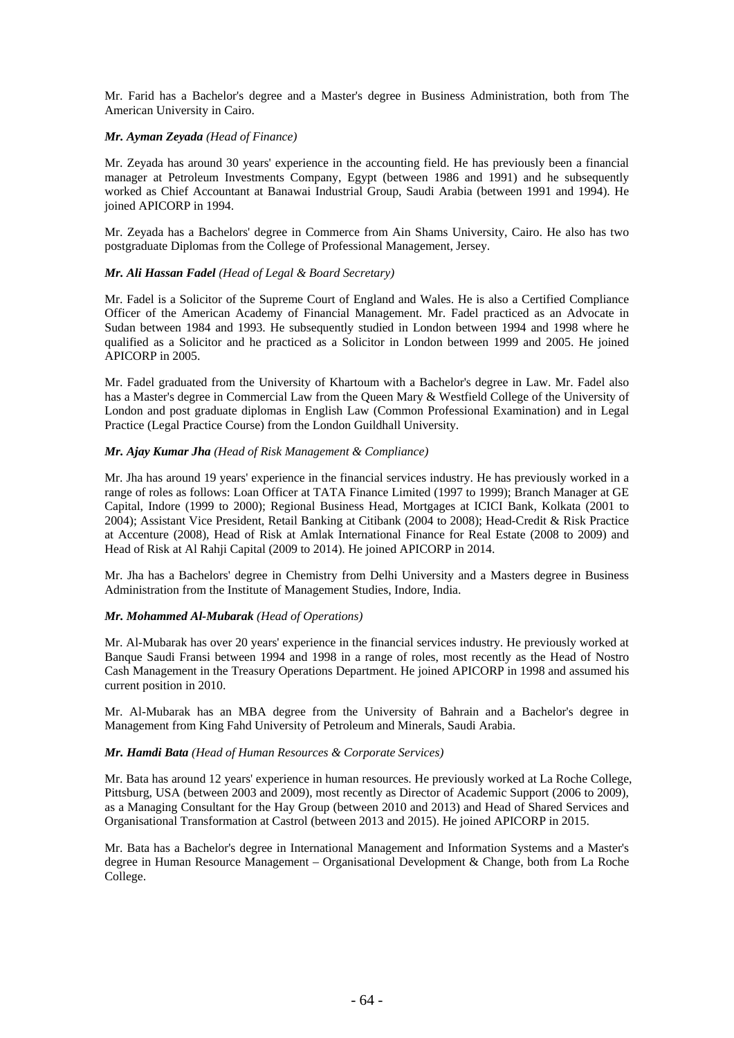Mr. Farid has a Bachelor's degree and a Master's degree in Business Administration, both from The American University in Cairo.

### *Mr. Ayman Zeyada (Head of Finance)*

Mr. Zeyada has around 30 years' experience in the accounting field. He has previously been a financial manager at Petroleum Investments Company, Egypt (between 1986 and 1991) and he subsequently worked as Chief Accountant at Banawai Industrial Group, Saudi Arabia (between 1991 and 1994). He joined APICORP in 1994.

Mr. Zeyada has a Bachelors' degree in Commerce from Ain Shams University, Cairo. He also has two postgraduate Diplomas from the College of Professional Management, Jersey.

## *Mr. Ali Hassan Fadel (Head of Legal & Board Secretary)*

Mr. Fadel is a Solicitor of the Supreme Court of England and Wales. He is also a Certified Compliance Officer of the American Academy of Financial Management. Mr. Fadel practiced as an Advocate in Sudan between 1984 and 1993. He subsequently studied in London between 1994 and 1998 where he qualified as a Solicitor and he practiced as a Solicitor in London between 1999 and 2005. He joined APICORP in 2005.

Mr. Fadel graduated from the University of Khartoum with a Bachelor's degree in Law. Mr. Fadel also has a Master's degree in Commercial Law from the Queen Mary & Westfield College of the University of London and post graduate diplomas in English Law (Common Professional Examination) and in Legal Practice (Legal Practice Course) from the London Guildhall University.

### *Mr. Ajay Kumar Jha (Head of Risk Management & Compliance)*

Mr. Jha has around 19 years' experience in the financial services industry. He has previously worked in a range of roles as follows: Loan Officer at TATA Finance Limited (1997 to 1999); Branch Manager at GE Capital, Indore (1999 to 2000); Regional Business Head, Mortgages at ICICI Bank, Kolkata (2001 to 2004); Assistant Vice President, Retail Banking at Citibank (2004 to 2008); Head-Credit & Risk Practice at Accenture (2008), Head of Risk at Amlak International Finance for Real Estate (2008 to 2009) and Head of Risk at Al Rahji Capital (2009 to 2014). He joined APICORP in 2014.

Mr. Jha has a Bachelors' degree in Chemistry from Delhi University and a Masters degree in Business Administration from the Institute of Management Studies, Indore, India.

### *Mr. Mohammed Al-Mubarak (Head of Operations)*

Mr. Al-Mubarak has over 20 years' experience in the financial services industry. He previously worked at Banque Saudi Fransi between 1994 and 1998 in a range of roles, most recently as the Head of Nostro Cash Management in the Treasury Operations Department. He joined APICORP in 1998 and assumed his current position in 2010.

Mr. Al-Mubarak has an MBA degree from the University of Bahrain and a Bachelor's degree in Management from King Fahd University of Petroleum and Minerals, Saudi Arabia.

### *Mr. Hamdi Bata (Head of Human Resources & Corporate Services)*

Mr. Bata has around 12 years' experience in human resources. He previously worked at La Roche College, Pittsburg, USA (between 2003 and 2009), most recently as Director of Academic Support (2006 to 2009), as a Managing Consultant for the Hay Group (between 2010 and 2013) and Head of Shared Services and Organisational Transformation at Castrol (between 2013 and 2015). He joined APICORP in 2015.

Mr. Bata has a Bachelor's degree in International Management and Information Systems and a Master's degree in Human Resource Management – Organisational Development & Change, both from La Roche College.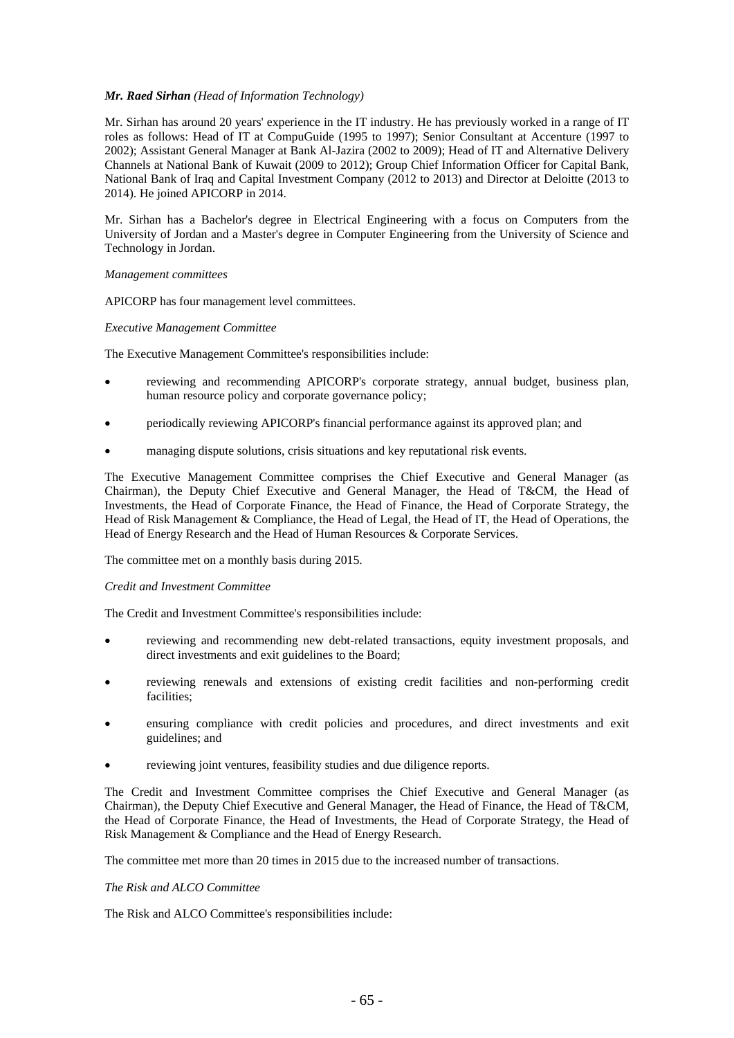#### *Mr. Raed Sirhan (Head of Information Technology)*

Mr. Sirhan has around 20 years' experience in the IT industry. He has previously worked in a range of IT roles as follows: Head of IT at CompuGuide (1995 to 1997); Senior Consultant at Accenture (1997 to 2002); Assistant General Manager at Bank Al-Jazira (2002 to 2009); Head of IT and Alternative Delivery Channels at National Bank of Kuwait (2009 to 2012); Group Chief Information Officer for Capital Bank, National Bank of Iraq and Capital Investment Company (2012 to 2013) and Director at Deloitte (2013 to 2014). He joined APICORP in 2014.

Mr. Sirhan has a Bachelor's degree in Electrical Engineering with a focus on Computers from the University of Jordan and a Master's degree in Computer Engineering from the University of Science and Technology in Jordan.

#### *Management committees*

APICORP has four management level committees.

#### *Executive Management Committee*

The Executive Management Committee's responsibilities include:

- reviewing and recommending APICORP's corporate strategy, annual budget, business plan, human resource policy and corporate governance policy;
- periodically reviewing APICORP's financial performance against its approved plan; and
- managing dispute solutions, crisis situations and key reputational risk events.

The Executive Management Committee comprises the Chief Executive and General Manager (as Chairman), the Deputy Chief Executive and General Manager, the Head of T&CM, the Head of Investments, the Head of Corporate Finance, the Head of Finance, the Head of Corporate Strategy, the Head of Risk Management & Compliance, the Head of Legal, the Head of IT, the Head of Operations, the Head of Energy Research and the Head of Human Resources & Corporate Services.

The committee met on a monthly basis during 2015.

#### *Credit and Investment Committee*

The Credit and Investment Committee's responsibilities include:

- reviewing and recommending new debt-related transactions, equity investment proposals, and direct investments and exit guidelines to the Board;
- reviewing renewals and extensions of existing credit facilities and non-performing credit facilities;
- ensuring compliance with credit policies and procedures, and direct investments and exit guidelines; and
- reviewing joint ventures, feasibility studies and due diligence reports.

The Credit and Investment Committee comprises the Chief Executive and General Manager (as Chairman), the Deputy Chief Executive and General Manager, the Head of Finance, the Head of T&CM, the Head of Corporate Finance, the Head of Investments, the Head of Corporate Strategy, the Head of Risk Management & Compliance and the Head of Energy Research.

The committee met more than 20 times in 2015 due to the increased number of transactions.

### *The Risk and ALCO Committee*

The Risk and ALCO Committee's responsibilities include: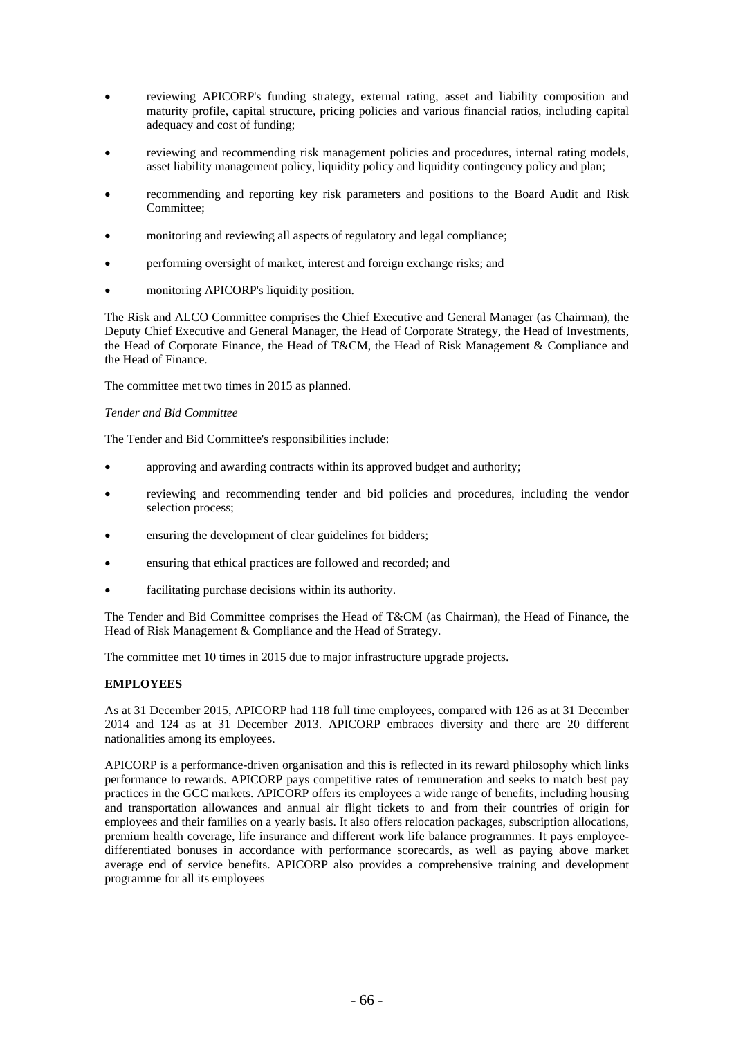- reviewing APICORP's funding strategy, external rating, asset and liability composition and maturity profile, capital structure, pricing policies and various financial ratios, including capital adequacy and cost of funding;
- reviewing and recommending risk management policies and procedures, internal rating models, asset liability management policy, liquidity policy and liquidity contingency policy and plan;
- recommending and reporting key risk parameters and positions to the Board Audit and Risk Committee;
- monitoring and reviewing all aspects of regulatory and legal compliance;
- performing oversight of market, interest and foreign exchange risks; and
- monitoring APICORP's liquidity position.

The Risk and ALCO Committee comprises the Chief Executive and General Manager (as Chairman), the Deputy Chief Executive and General Manager, the Head of Corporate Strategy, the Head of Investments, the Head of Corporate Finance, the Head of T&CM, the Head of Risk Management & Compliance and the Head of Finance.

The committee met two times in 2015 as planned.

### *Tender and Bid Committee*

The Tender and Bid Committee's responsibilities include:

- approving and awarding contracts within its approved budget and authority;
- reviewing and recommending tender and bid policies and procedures, including the vendor selection process;
- ensuring the development of clear guidelines for bidders;
- ensuring that ethical practices are followed and recorded; and
- facilitating purchase decisions within its authority.

The Tender and Bid Committee comprises the Head of T&CM (as Chairman), the Head of Finance, the Head of Risk Management & Compliance and the Head of Strategy.

The committee met 10 times in 2015 due to major infrastructure upgrade projects.

### **EMPLOYEES**

As at 31 December 2015, APICORP had 118 full time employees, compared with 126 as at 31 December 2014 and 124 as at 31 December 2013. APICORP embraces diversity and there are 20 different nationalities among its employees.

APICORP is a performance-driven organisation and this is reflected in its reward philosophy which links performance to rewards. APICORP pays competitive rates of remuneration and seeks to match best pay practices in the GCC markets. APICORP offers its employees a wide range of benefits, including housing and transportation allowances and annual air flight tickets to and from their countries of origin for employees and their families on a yearly basis. It also offers relocation packages, subscription allocations, premium health coverage, life insurance and different work life balance programmes. It pays employeedifferentiated bonuses in accordance with performance scorecards, as well as paying above market average end of service benefits. APICORP also provides a comprehensive training and development programme for all its employees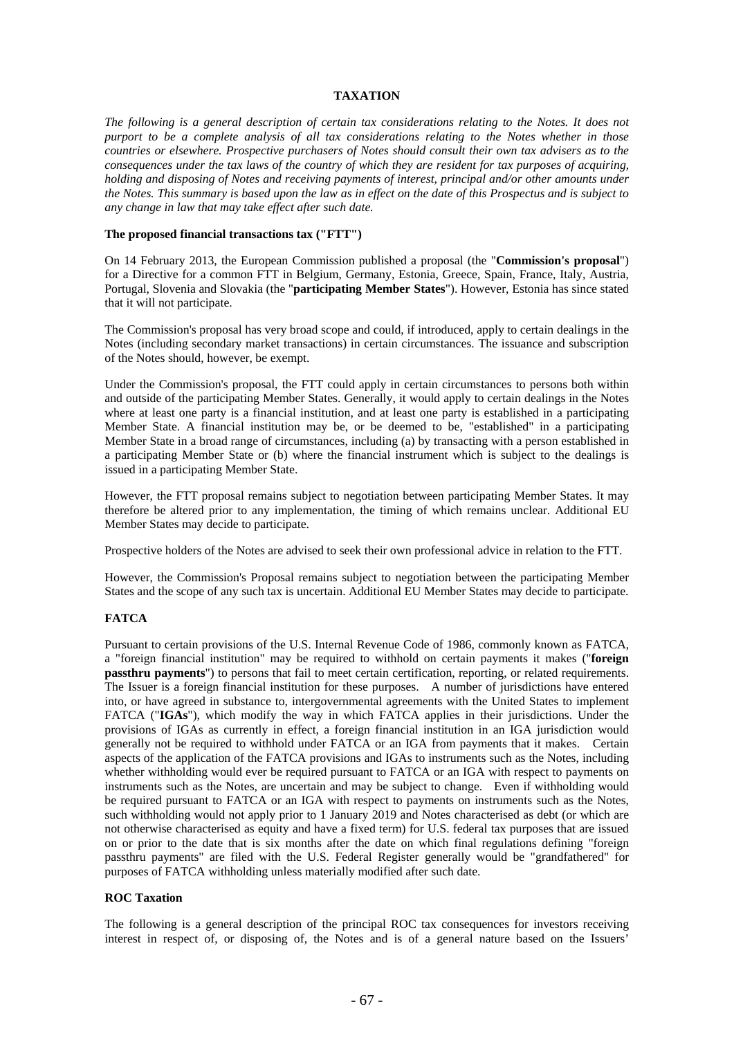#### **TAXATION**

*The following is a general description of certain tax considerations relating to the Notes. It does not purport to be a complete analysis of all tax considerations relating to the Notes whether in those countries or elsewhere. Prospective purchasers of Notes should consult their own tax advisers as to the consequences under the tax laws of the country of which they are resident for tax purposes of acquiring, holding and disposing of Notes and receiving payments of interest, principal and/or other amounts under the Notes. This summary is based upon the law as in effect on the date of this Prospectus and is subject to any change in law that may take effect after such date.* 

#### **The proposed financial transactions tax ("FTT")**

On 14 February 2013, the European Commission published a proposal (the "**Commission's proposal**") for a Directive for a common FTT in Belgium, Germany, Estonia, Greece, Spain, France, Italy, Austria, Portugal, Slovenia and Slovakia (the "**participating Member States**"). However, Estonia has since stated that it will not participate.

The Commission's proposal has very broad scope and could, if introduced, apply to certain dealings in the Notes (including secondary market transactions) in certain circumstances. The issuance and subscription of the Notes should, however, be exempt.

Under the Commission's proposal, the FTT could apply in certain circumstances to persons both within and outside of the participating Member States. Generally, it would apply to certain dealings in the Notes where at least one party is a financial institution, and at least one party is established in a participating Member State. A financial institution may be, or be deemed to be, "established" in a participating Member State in a broad range of circumstances, including (a) by transacting with a person established in a participating Member State or (b) where the financial instrument which is subject to the dealings is issued in a participating Member State.

However, the FTT proposal remains subject to negotiation between participating Member States. It may therefore be altered prior to any implementation, the timing of which remains unclear. Additional EU Member States may decide to participate.

Prospective holders of the Notes are advised to seek their own professional advice in relation to the FTT.

However, the Commission's Proposal remains subject to negotiation between the participating Member States and the scope of any such tax is uncertain. Additional EU Member States may decide to participate.

## **FATCA**

Pursuant to certain provisions of the U.S. Internal Revenue Code of 1986, commonly known as FATCA, a "foreign financial institution" may be required to withhold on certain payments it makes ("**foreign passthru payments**") to persons that fail to meet certain certification, reporting, or related requirements. The Issuer is a foreign financial institution for these purposes. A number of jurisdictions have entered into, or have agreed in substance to, intergovernmental agreements with the United States to implement FATCA ("**IGAs**"), which modify the way in which FATCA applies in their jurisdictions. Under the provisions of IGAs as currently in effect, a foreign financial institution in an IGA jurisdiction would generally not be required to withhold under FATCA or an IGA from payments that it makes. Certain aspects of the application of the FATCA provisions and IGAs to instruments such as the Notes, including whether withholding would ever be required pursuant to FATCA or an IGA with respect to payments on instruments such as the Notes, are uncertain and may be subject to change. Even if withholding would be required pursuant to FATCA or an IGA with respect to payments on instruments such as the Notes, such withholding would not apply prior to 1 January 2019 and Notes characterised as debt (or which are not otherwise characterised as equity and have a fixed term) for U.S. federal tax purposes that are issued on or prior to the date that is six months after the date on which final regulations defining "foreign passthru payments" are filed with the U.S. Federal Register generally would be "grandfathered" for purposes of FATCA withholding unless materially modified after such date.

#### **ROC Taxation**

The following is a general description of the principal ROC tax consequences for investors receiving interest in respect of, or disposing of, the Notes and is of a general nature based on the Issuers'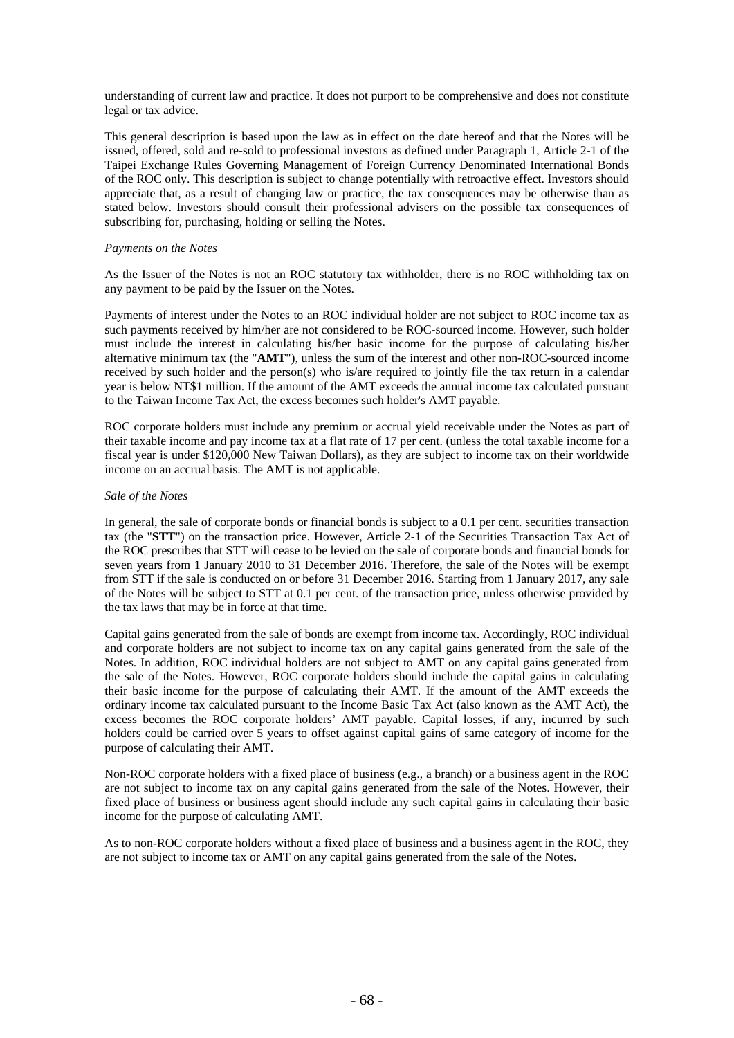understanding of current law and practice. It does not purport to be comprehensive and does not constitute legal or tax advice.

This general description is based upon the law as in effect on the date hereof and that the Notes will be issued, offered, sold and re-sold to professional investors as defined under Paragraph 1, Article 2-1 of the Taipei Exchange Rules Governing Management of Foreign Currency Denominated International Bonds of the ROC only. This description is subject to change potentially with retroactive effect. Investors should appreciate that, as a result of changing law or practice, the tax consequences may be otherwise than as stated below. Investors should consult their professional advisers on the possible tax consequences of subscribing for, purchasing, holding or selling the Notes.

## *Payments on the Notes*

As the Issuer of the Notes is not an ROC statutory tax withholder, there is no ROC withholding tax on any payment to be paid by the Issuer on the Notes.

Payments of interest under the Notes to an ROC individual holder are not subject to ROC income tax as such payments received by him/her are not considered to be ROC-sourced income. However, such holder must include the interest in calculating his/her basic income for the purpose of calculating his/her alternative minimum tax (the "**AMT**"), unless the sum of the interest and other non-ROC-sourced income received by such holder and the person(s) who is/are required to jointly file the tax return in a calendar year is below NT\$1 million. If the amount of the AMT exceeds the annual income tax calculated pursuant to the Taiwan Income Tax Act, the excess becomes such holder's AMT payable.

ROC corporate holders must include any premium or accrual yield receivable under the Notes as part of their taxable income and pay income tax at a flat rate of 17 per cent. (unless the total taxable income for a fiscal year is under \$120,000 New Taiwan Dollars), as they are subject to income tax on their worldwide income on an accrual basis. The AMT is not applicable.

## *Sale of the Notes*

In general, the sale of corporate bonds or financial bonds is subject to a 0.1 per cent. securities transaction tax (the "**STT**") on the transaction price. However, Article 2-1 of the Securities Transaction Tax Act of the ROC prescribes that STT will cease to be levied on the sale of corporate bonds and financial bonds for seven years from 1 January 2010 to 31 December 2016. Therefore, the sale of the Notes will be exempt from STT if the sale is conducted on or before 31 December 2016. Starting from 1 January 2017, any sale of the Notes will be subject to STT at 0.1 per cent. of the transaction price, unless otherwise provided by the tax laws that may be in force at that time.

Capital gains generated from the sale of bonds are exempt from income tax. Accordingly, ROC individual and corporate holders are not subject to income tax on any capital gains generated from the sale of the Notes. In addition, ROC individual holders are not subject to AMT on any capital gains generated from the sale of the Notes. However, ROC corporate holders should include the capital gains in calculating their basic income for the purpose of calculating their AMT. If the amount of the AMT exceeds the ordinary income tax calculated pursuant to the Income Basic Tax Act (also known as the AMT Act), the excess becomes the ROC corporate holders' AMT payable. Capital losses, if any, incurred by such holders could be carried over 5 years to offset against capital gains of same category of income for the purpose of calculating their AMT.

Non-ROC corporate holders with a fixed place of business (e.g., a branch) or a business agent in the ROC are not subject to income tax on any capital gains generated from the sale of the Notes. However, their fixed place of business or business agent should include any such capital gains in calculating their basic income for the purpose of calculating AMT.

As to non-ROC corporate holders without a fixed place of business and a business agent in the ROC, they are not subject to income tax or AMT on any capital gains generated from the sale of the Notes.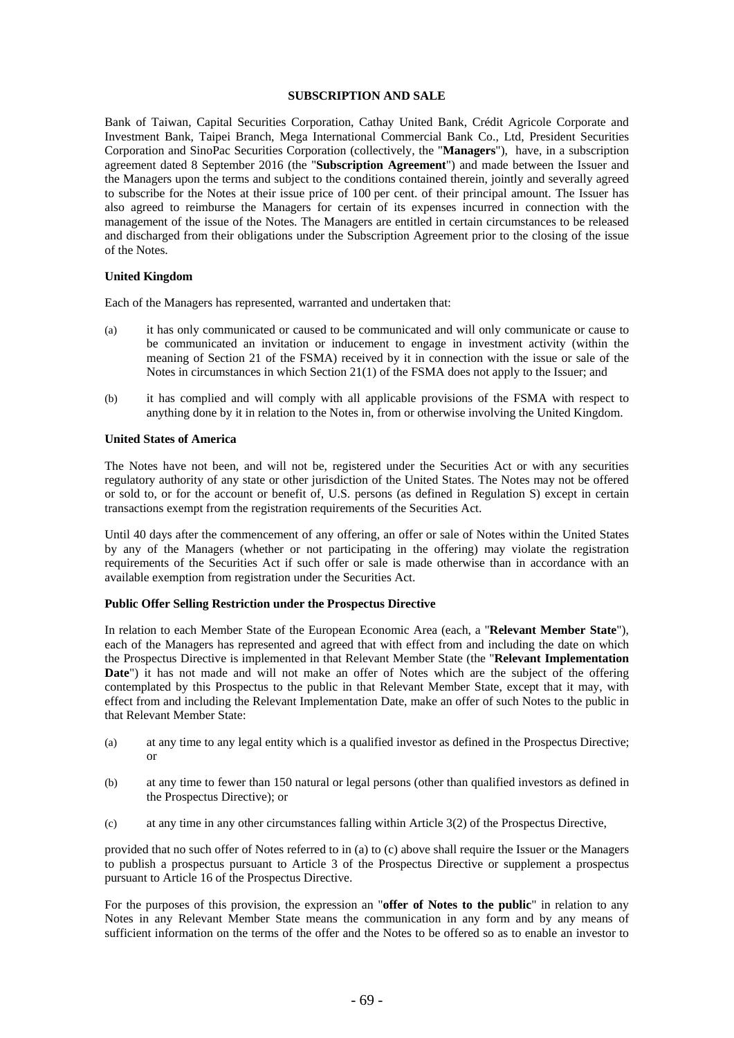## **SUBSCRIPTION AND SALE**

Bank of Taiwan, Capital Securities Corporation, Cathay United Bank, Crédit Agricole Corporate and Investment Bank, Taipei Branch, Mega International Commercial Bank Co., Ltd, President Securities Corporation and SinoPac Securities Corporation (collectively, the "**Managers**"), have, in a subscription agreement dated 8 September 2016 (the "**Subscription Agreement**") and made between the Issuer and the Managers upon the terms and subject to the conditions contained therein, jointly and severally agreed to subscribe for the Notes at their issue price of 100 per cent. of their principal amount. The Issuer has also agreed to reimburse the Managers for certain of its expenses incurred in connection with the management of the issue of the Notes. The Managers are entitled in certain circumstances to be released and discharged from their obligations under the Subscription Agreement prior to the closing of the issue of the Notes.

## **United Kingdom**

Each of the Managers has represented, warranted and undertaken that:

- (a) it has only communicated or caused to be communicated and will only communicate or cause to be communicated an invitation or inducement to engage in investment activity (within the meaning of Section 21 of the FSMA) received by it in connection with the issue or sale of the Notes in circumstances in which Section 21(1) of the FSMA does not apply to the Issuer; and
- (b) it has complied and will comply with all applicable provisions of the FSMA with respect to anything done by it in relation to the Notes in, from or otherwise involving the United Kingdom.

## **United States of America**

The Notes have not been, and will not be, registered under the Securities Act or with any securities regulatory authority of any state or other jurisdiction of the United States. The Notes may not be offered or sold to, or for the account or benefit of, U.S. persons (as defined in Regulation S) except in certain transactions exempt from the registration requirements of the Securities Act.

Until 40 days after the commencement of any offering, an offer or sale of Notes within the United States by any of the Managers (whether or not participating in the offering) may violate the registration requirements of the Securities Act if such offer or sale is made otherwise than in accordance with an available exemption from registration under the Securities Act.

#### **Public Offer Selling Restriction under the Prospectus Directive**

In relation to each Member State of the European Economic Area (each, a "**Relevant Member State**"), each of the Managers has represented and agreed that with effect from and including the date on which the Prospectus Directive is implemented in that Relevant Member State (the "**Relevant Implementation**  Date") it has not made and will not make an offer of Notes which are the subject of the offering contemplated by this Prospectus to the public in that Relevant Member State, except that it may, with effect from and including the Relevant Implementation Date, make an offer of such Notes to the public in that Relevant Member State:

- (a) at any time to any legal entity which is a qualified investor as defined in the Prospectus Directive; or
- (b) at any time to fewer than 150 natural or legal persons (other than qualified investors as defined in the Prospectus Directive); or
- (c) at any time in any other circumstances falling within Article 3(2) of the Prospectus Directive,

provided that no such offer of Notes referred to in (a) to (c) above shall require the Issuer or the Managers to publish a prospectus pursuant to Article 3 of the Prospectus Directive or supplement a prospectus pursuant to Article 16 of the Prospectus Directive.

For the purposes of this provision, the expression an "**offer of Notes to the public**" in relation to any Notes in any Relevant Member State means the communication in any form and by any means of sufficient information on the terms of the offer and the Notes to be offered so as to enable an investor to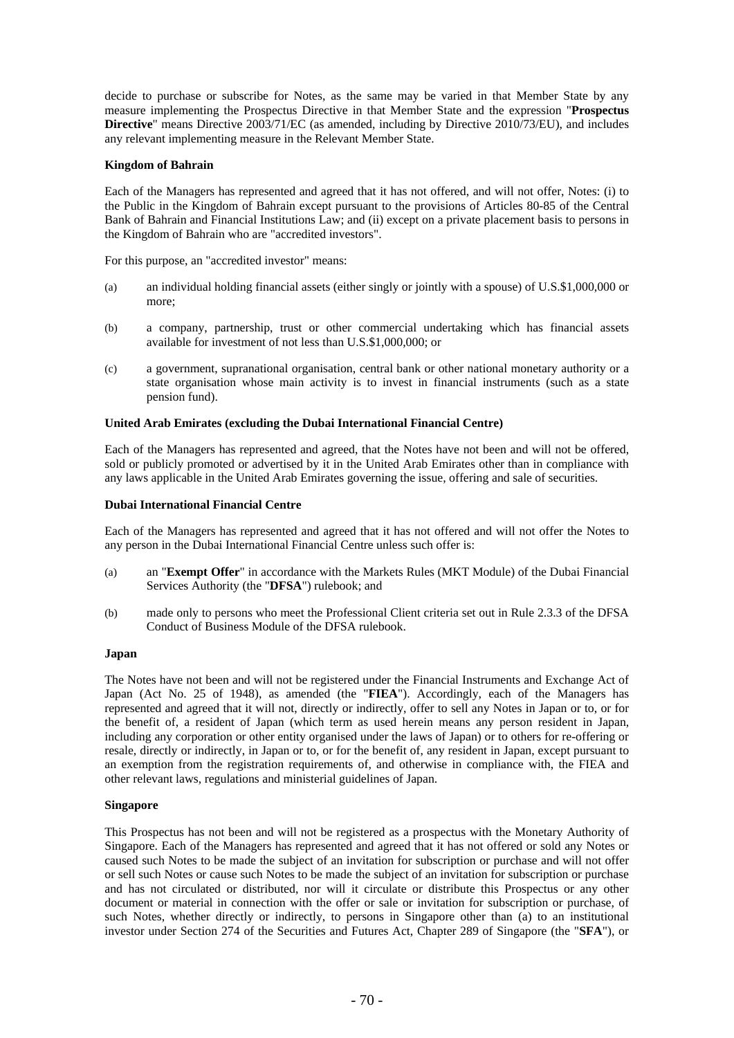decide to purchase or subscribe for Notes, as the same may be varied in that Member State by any measure implementing the Prospectus Directive in that Member State and the expression "**Prospectus Directive**" means Directive 2003/71/EC (as amended, including by Directive 2010/73/EU), and includes any relevant implementing measure in the Relevant Member State.

## **Kingdom of Bahrain**

Each of the Managers has represented and agreed that it has not offered, and will not offer, Notes: (i) to the Public in the Kingdom of Bahrain except pursuant to the provisions of Articles 80-85 of the Central Bank of Bahrain and Financial Institutions Law; and (ii) except on a private placement basis to persons in the Kingdom of Bahrain who are "accredited investors".

For this purpose, an "accredited investor" means:

- (a) an individual holding financial assets (either singly or jointly with a spouse) of U.S.\$1,000,000 or more;
- (b) a company, partnership, trust or other commercial undertaking which has financial assets available for investment of not less than U.S.\$1,000,000; or
- (c) a government, supranational organisation, central bank or other national monetary authority or a state organisation whose main activity is to invest in financial instruments (such as a state pension fund).

## **United Arab Emirates (excluding the Dubai International Financial Centre)**

Each of the Managers has represented and agreed, that the Notes have not been and will not be offered, sold or publicly promoted or advertised by it in the United Arab Emirates other than in compliance with any laws applicable in the United Arab Emirates governing the issue, offering and sale of securities.

#### **Dubai International Financial Centre**

Each of the Managers has represented and agreed that it has not offered and will not offer the Notes to any person in the Dubai International Financial Centre unless such offer is:

- (a) an "**Exempt Offer**" in accordance with the Markets Rules (MKT Module) of the Dubai Financial Services Authority (the "**DFSA**") rulebook; and
- (b) made only to persons who meet the Professional Client criteria set out in Rule 2.3.3 of the DFSA Conduct of Business Module of the DFSA rulebook.

#### **Japan**

The Notes have not been and will not be registered under the Financial Instruments and Exchange Act of Japan (Act No. 25 of 1948), as amended (the "**FIEA**"). Accordingly, each of the Managers has represented and agreed that it will not, directly or indirectly, offer to sell any Notes in Japan or to, or for the benefit of, a resident of Japan (which term as used herein means any person resident in Japan, including any corporation or other entity organised under the laws of Japan) or to others for re-offering or resale, directly or indirectly, in Japan or to, or for the benefit of, any resident in Japan, except pursuant to an exemption from the registration requirements of, and otherwise in compliance with, the FIEA and other relevant laws, regulations and ministerial guidelines of Japan.

#### **Singapore**

This Prospectus has not been and will not be registered as a prospectus with the Monetary Authority of Singapore. Each of the Managers has represented and agreed that it has not offered or sold any Notes or caused such Notes to be made the subject of an invitation for subscription or purchase and will not offer or sell such Notes or cause such Notes to be made the subject of an invitation for subscription or purchase and has not circulated or distributed, nor will it circulate or distribute this Prospectus or any other document or material in connection with the offer or sale or invitation for subscription or purchase, of such Notes, whether directly or indirectly, to persons in Singapore other than (a) to an institutional investor under Section 274 of the Securities and Futures Act, Chapter 289 of Singapore (the "**SFA**"), or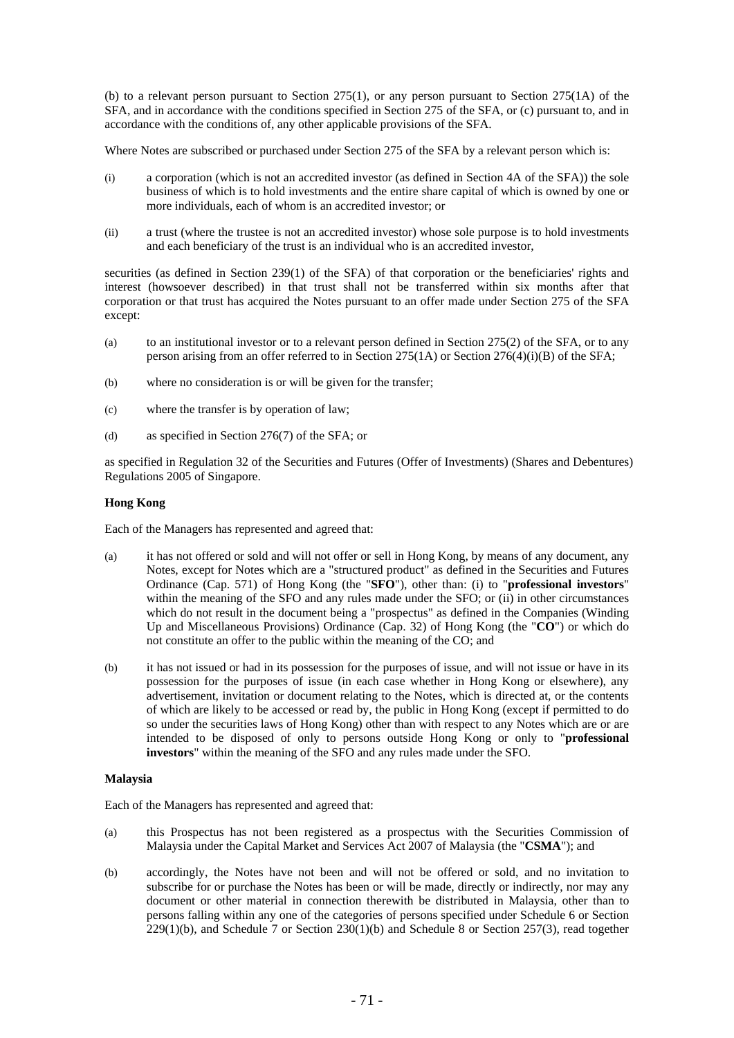(b) to a relevant person pursuant to Section 275(1), or any person pursuant to Section 275(1A) of the SFA, and in accordance with the conditions specified in Section 275 of the SFA, or (c) pursuant to, and in accordance with the conditions of, any other applicable provisions of the SFA.

Where Notes are subscribed or purchased under Section 275 of the SFA by a relevant person which is:

- (i) a corporation (which is not an accredited investor (as defined in Section 4A of the SFA)) the sole business of which is to hold investments and the entire share capital of which is owned by one or more individuals, each of whom is an accredited investor; or
- (ii) a trust (where the trustee is not an accredited investor) whose sole purpose is to hold investments and each beneficiary of the trust is an individual who is an accredited investor,

securities (as defined in Section 239(1) of the SFA) of that corporation or the beneficiaries' rights and interest (howsoever described) in that trust shall not be transferred within six months after that corporation or that trust has acquired the Notes pursuant to an offer made under Section 275 of the SFA except:

- (a) to an institutional investor or to a relevant person defined in Section 275(2) of the SFA, or to any person arising from an offer referred to in Section 275(1A) or Section 276(4)(i)(B) of the SFA;
- (b) where no consideration is or will be given for the transfer;
- (c) where the transfer is by operation of law;
- (d) as specified in Section 276(7) of the SFA; or

as specified in Regulation 32 of the Securities and Futures (Offer of Investments) (Shares and Debentures) Regulations 2005 of Singapore.

## **Hong Kong**

Each of the Managers has represented and agreed that:

- (a) it has not offered or sold and will not offer or sell in Hong Kong, by means of any document, any Notes, except for Notes which are a "structured product" as defined in the Securities and Futures Ordinance (Cap. 571) of Hong Kong (the "**SFO**"), other than: (i) to "**professional investors**" within the meaning of the SFO and any rules made under the SFO; or (ii) in other circumstances which do not result in the document being a "prospectus" as defined in the Companies (Winding Up and Miscellaneous Provisions) Ordinance (Cap. 32) of Hong Kong (the "**CO**") or which do not constitute an offer to the public within the meaning of the CO; and
- (b) it has not issued or had in its possession for the purposes of issue, and will not issue or have in its possession for the purposes of issue (in each case whether in Hong Kong or elsewhere), any advertisement, invitation or document relating to the Notes, which is directed at, or the contents of which are likely to be accessed or read by, the public in Hong Kong (except if permitted to do so under the securities laws of Hong Kong) other than with respect to any Notes which are or are intended to be disposed of only to persons outside Hong Kong or only to "**professional investors**" within the meaning of the SFO and any rules made under the SFO.

#### **Malaysia**

Each of the Managers has represented and agreed that:

- (a) this Prospectus has not been registered as a prospectus with the Securities Commission of Malaysia under the Capital Market and Services Act 2007 of Malaysia (the "**CSMA**"); and
- (b) accordingly, the Notes have not been and will not be offered or sold, and no invitation to subscribe for or purchase the Notes has been or will be made, directly or indirectly, nor may any document or other material in connection therewith be distributed in Malaysia, other than to persons falling within any one of the categories of persons specified under Schedule 6 or Section 229(1)(b), and Schedule 7 or Section 230(1)(b) and Schedule 8 or Section 257(3), read together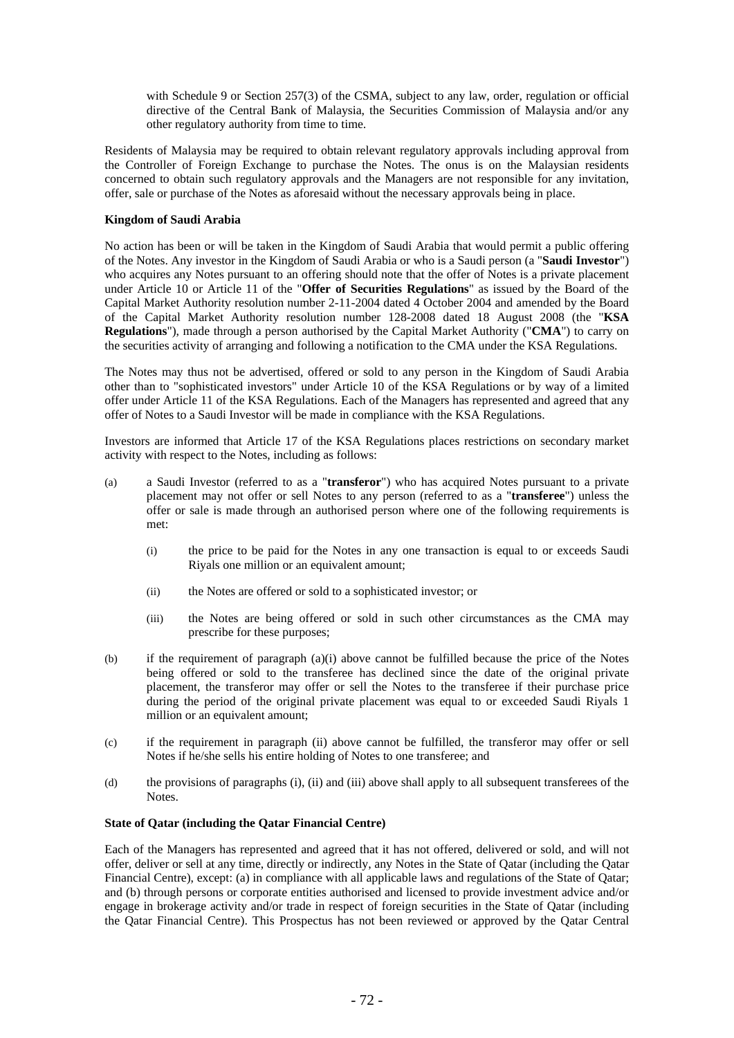with Schedule 9 or Section 257(3) of the CSMA, subject to any law, order, regulation or official directive of the Central Bank of Malaysia, the Securities Commission of Malaysia and/or any other regulatory authority from time to time.

Residents of Malaysia may be required to obtain relevant regulatory approvals including approval from the Controller of Foreign Exchange to purchase the Notes. The onus is on the Malaysian residents concerned to obtain such regulatory approvals and the Managers are not responsible for any invitation, offer, sale or purchase of the Notes as aforesaid without the necessary approvals being in place.

# **Kingdom of Saudi Arabia**

No action has been or will be taken in the Kingdom of Saudi Arabia that would permit a public offering of the Notes. Any investor in the Kingdom of Saudi Arabia or who is a Saudi person (a "**Saudi Investor**") who acquires any Notes pursuant to an offering should note that the offer of Notes is a private placement under Article 10 or Article 11 of the "**Offer of Securities Regulations**" as issued by the Board of the Capital Market Authority resolution number 2-11-2004 dated 4 October 2004 and amended by the Board of the Capital Market Authority resolution number 128-2008 dated 18 August 2008 (the "**KSA Regulations**"), made through a person authorised by the Capital Market Authority ("**CMA**") to carry on the securities activity of arranging and following a notification to the CMA under the KSA Regulations.

The Notes may thus not be advertised, offered or sold to any person in the Kingdom of Saudi Arabia other than to "sophisticated investors" under Article 10 of the KSA Regulations or by way of a limited offer under Article 11 of the KSA Regulations. Each of the Managers has represented and agreed that any offer of Notes to a Saudi Investor will be made in compliance with the KSA Regulations.

Investors are informed that Article 17 of the KSA Regulations places restrictions on secondary market activity with respect to the Notes, including as follows:

- (a) a Saudi Investor (referred to as a "**transferor**") who has acquired Notes pursuant to a private placement may not offer or sell Notes to any person (referred to as a "**transferee**") unless the offer or sale is made through an authorised person where one of the following requirements is met:
	- (i) the price to be paid for the Notes in any one transaction is equal to or exceeds Saudi Riyals one million or an equivalent amount;
	- (ii) the Notes are offered or sold to a sophisticated investor; or
	- (iii) the Notes are being offered or sold in such other circumstances as the CMA may prescribe for these purposes;
- (b) if the requirement of paragraph (a)(i) above cannot be fulfilled because the price of the Notes being offered or sold to the transferee has declined since the date of the original private placement, the transferor may offer or sell the Notes to the transferee if their purchase price during the period of the original private placement was equal to or exceeded Saudi Riyals 1 million or an equivalent amount;
- (c) if the requirement in paragraph (ii) above cannot be fulfilled, the transferor may offer or sell Notes if he/she sells his entire holding of Notes to one transferee; and
- (d) the provisions of paragraphs (i), (ii) and (iii) above shall apply to all subsequent transferees of the Notes.

## **State of Qatar (including the Qatar Financial Centre)**

Each of the Managers has represented and agreed that it has not offered, delivered or sold, and will not offer, deliver or sell at any time, directly or indirectly, any Notes in the State of Qatar (including the Qatar Financial Centre), except: (a) in compliance with all applicable laws and regulations of the State of Qatar; and (b) through persons or corporate entities authorised and licensed to provide investment advice and/or engage in brokerage activity and/or trade in respect of foreign securities in the State of Qatar (including the Qatar Financial Centre). This Prospectus has not been reviewed or approved by the Qatar Central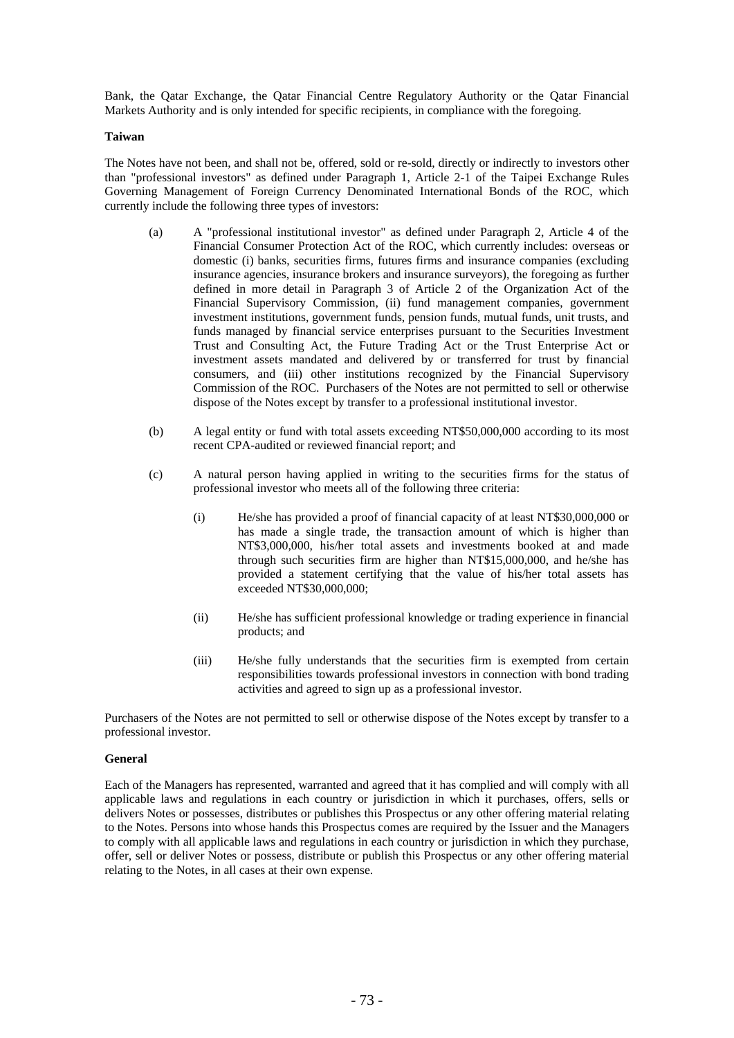Bank, the Qatar Exchange, the Qatar Financial Centre Regulatory Authority or the Qatar Financial Markets Authority and is only intended for specific recipients, in compliance with the foregoing.

## **Taiwan**

The Notes have not been, and shall not be, offered, sold or re-sold, directly or indirectly to investors other than "professional investors" as defined under Paragraph 1, Article 2-1 of the Taipei Exchange Rules Governing Management of Foreign Currency Denominated International Bonds of the ROC, which currently include the following three types of investors:

- (a) A "professional institutional investor" as defined under Paragraph 2, Article 4 of the Financial Consumer Protection Act of the ROC, which currently includes: overseas or domestic (i) banks, securities firms, futures firms and insurance companies (excluding insurance agencies, insurance brokers and insurance surveyors), the foregoing as further defined in more detail in Paragraph 3 of Article 2 of the Organization Act of the Financial Supervisory Commission, (ii) fund management companies, government investment institutions, government funds, pension funds, mutual funds, unit trusts, and funds managed by financial service enterprises pursuant to the Securities Investment Trust and Consulting Act, the Future Trading Act or the Trust Enterprise Act or investment assets mandated and delivered by or transferred for trust by financial consumers, and (iii) other institutions recognized by the Financial Supervisory Commission of the ROC. Purchasers of the Notes are not permitted to sell or otherwise dispose of the Notes except by transfer to a professional institutional investor.
- (b) A legal entity or fund with total assets exceeding NT\$50,000,000 according to its most recent CPA-audited or reviewed financial report; and
- (c) A natural person having applied in writing to the securities firms for the status of professional investor who meets all of the following three criteria:
	- (i) He/she has provided a proof of financial capacity of at least NT\$30,000,000 or has made a single trade, the transaction amount of which is higher than NT\$3,000,000, his/her total assets and investments booked at and made through such securities firm are higher than NT\$15,000,000, and he/she has provided a statement certifying that the value of his/her total assets has exceeded NT\$30,000,000;
	- (ii) He/she has sufficient professional knowledge or trading experience in financial products; and
	- (iii) He/she fully understands that the securities firm is exempted from certain responsibilities towards professional investors in connection with bond trading activities and agreed to sign up as a professional investor.

Purchasers of the Notes are not permitted to sell or otherwise dispose of the Notes except by transfer to a professional investor.

#### **General**

Each of the Managers has represented, warranted and agreed that it has complied and will comply with all applicable laws and regulations in each country or jurisdiction in which it purchases, offers, sells or delivers Notes or possesses, distributes or publishes this Prospectus or any other offering material relating to the Notes. Persons into whose hands this Prospectus comes are required by the Issuer and the Managers to comply with all applicable laws and regulations in each country or jurisdiction in which they purchase, offer, sell or deliver Notes or possess, distribute or publish this Prospectus or any other offering material relating to the Notes, in all cases at their own expense.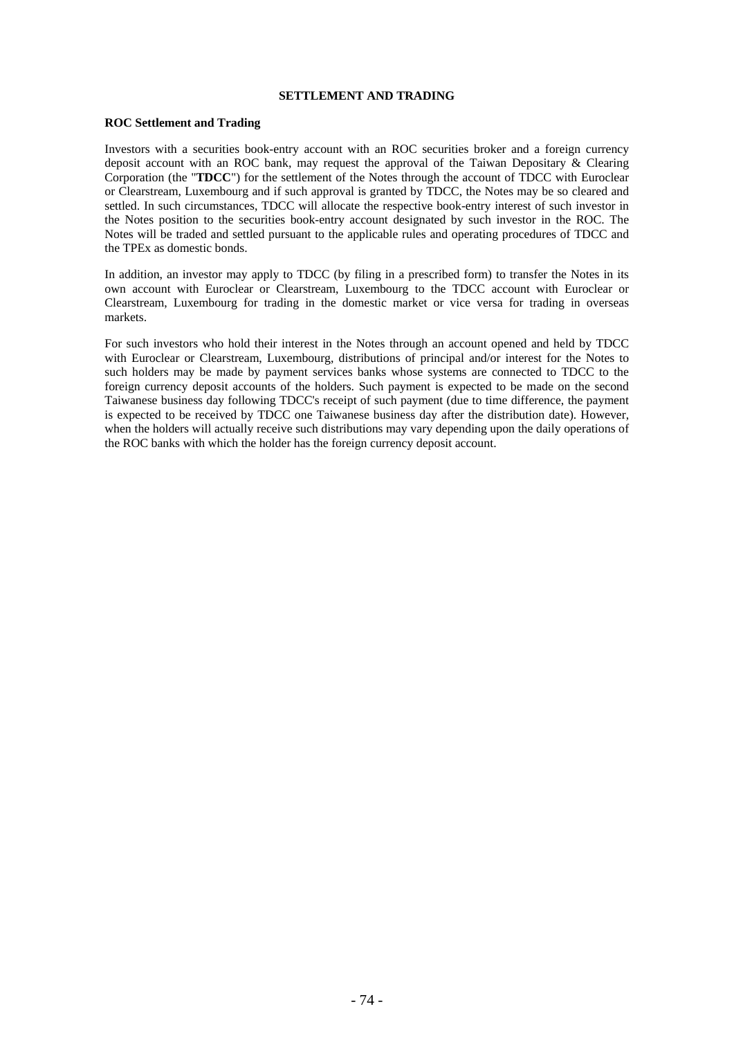## **SETTLEMENT AND TRADING**

## **ROC Settlement and Trading**

Investors with a securities book-entry account with an ROC securities broker and a foreign currency deposit account with an ROC bank, may request the approval of the Taiwan Depositary & Clearing Corporation (the "**TDCC**") for the settlement of the Notes through the account of TDCC with Euroclear or Clearstream, Luxembourg and if such approval is granted by TDCC, the Notes may be so cleared and settled. In such circumstances, TDCC will allocate the respective book-entry interest of such investor in the Notes position to the securities book-entry account designated by such investor in the ROC. The Notes will be traded and settled pursuant to the applicable rules and operating procedures of TDCC and the TPEx as domestic bonds.

In addition, an investor may apply to TDCC (by filing in a prescribed form) to transfer the Notes in its own account with Euroclear or Clearstream, Luxembourg to the TDCC account with Euroclear or Clearstream, Luxembourg for trading in the domestic market or vice versa for trading in overseas markets.

For such investors who hold their interest in the Notes through an account opened and held by TDCC with Euroclear or Clearstream, Luxembourg, distributions of principal and/or interest for the Notes to such holders may be made by payment services banks whose systems are connected to TDCC to the foreign currency deposit accounts of the holders. Such payment is expected to be made on the second Taiwanese business day following TDCC's receipt of such payment (due to time difference, the payment is expected to be received by TDCC one Taiwanese business day after the distribution date). However, when the holders will actually receive such distributions may vary depending upon the daily operations of the ROC banks with which the holder has the foreign currency deposit account.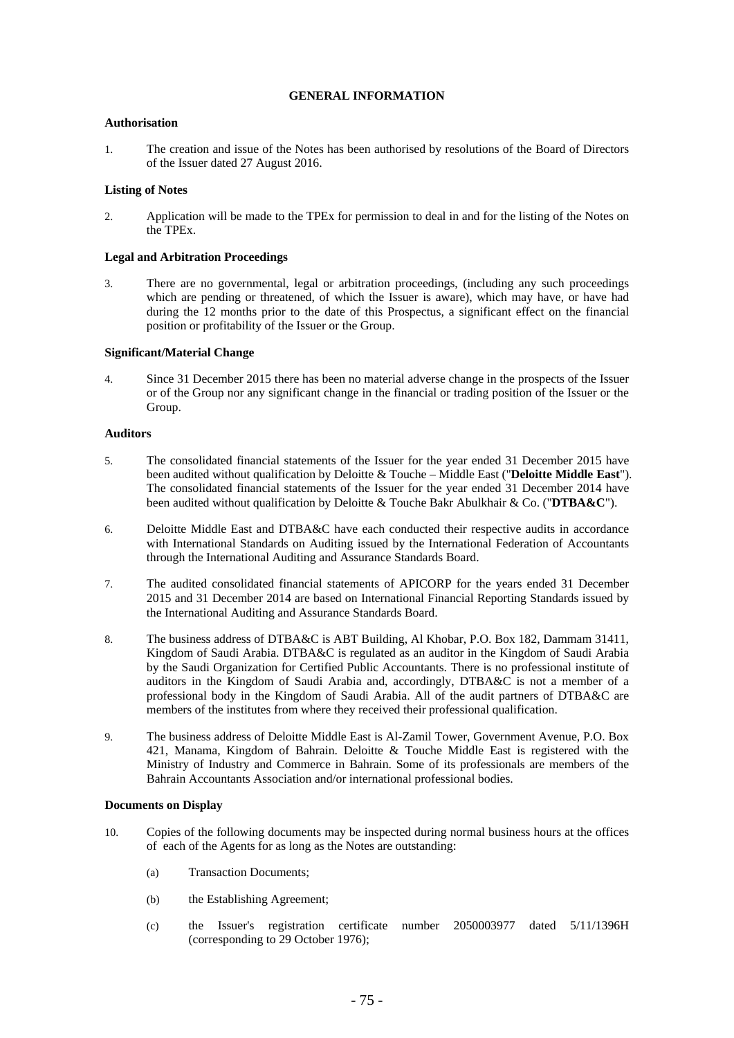## **GENERAL INFORMATION**

## **Authorisation**

1. The creation and issue of the Notes has been authorised by resolutions of the Board of Directors of the Issuer dated 27 August 2016.

## **Listing of Notes**

2. Application will be made to the TPEx for permission to deal in and for the listing of the Notes on the TPEx.

## **Legal and Arbitration Proceedings**

3. There are no governmental, legal or arbitration proceedings, (including any such proceedings which are pending or threatened, of which the Issuer is aware), which may have, or have had during the 12 months prior to the date of this Prospectus, a significant effect on the financial position or profitability of the Issuer or the Group.

#### **Significant/Material Change**

4. Since 31 December 2015 there has been no material adverse change in the prospects of the Issuer or of the Group nor any significant change in the financial or trading position of the Issuer or the Group.

## **Auditors**

- 5. The consolidated financial statements of the Issuer for the year ended 31 December 2015 have been audited without qualification by Deloitte & Touche – Middle East ("**Deloitte Middle East**"). The consolidated financial statements of the Issuer for the year ended 31 December 2014 have been audited without qualification by Deloitte & Touche Bakr Abulkhair & Co. ("**DTBA&C**").
- 6. Deloitte Middle East and DTBA&C have each conducted their respective audits in accordance with International Standards on Auditing issued by the International Federation of Accountants through the International Auditing and Assurance Standards Board.
- 7. The audited consolidated financial statements of APICORP for the years ended 31 December 2015 and 31 December 2014 are based on International Financial Reporting Standards issued by the International Auditing and Assurance Standards Board.
- 8. The business address of DTBA&C is ABT Building, Al Khobar, P.O. Box 182, Dammam 31411, Kingdom of Saudi Arabia. DTBA&C is regulated as an auditor in the Kingdom of Saudi Arabia by the Saudi Organization for Certified Public Accountants. There is no professional institute of auditors in the Kingdom of Saudi Arabia and, accordingly, DTBA&C is not a member of a professional body in the Kingdom of Saudi Arabia. All of the audit partners of DTBA&C are members of the institutes from where they received their professional qualification.
- 9. The business address of Deloitte Middle East is Al-Zamil Tower, Government Avenue, P.O. Box 421, Manama, Kingdom of Bahrain. Deloitte & Touche Middle East is registered with the Ministry of Industry and Commerce in Bahrain. Some of its professionals are members of the Bahrain Accountants Association and/or international professional bodies.

#### **Documents on Display**

- 10. Copies of the following documents may be inspected during normal business hours at the offices of each of the Agents for as long as the Notes are outstanding:
	- (a) Transaction Documents;
	- (b) the Establishing Agreement;
	- (c) the Issuer's registration certificate number 2050003977 dated 5/11/1396H (corresponding to 29 October 1976);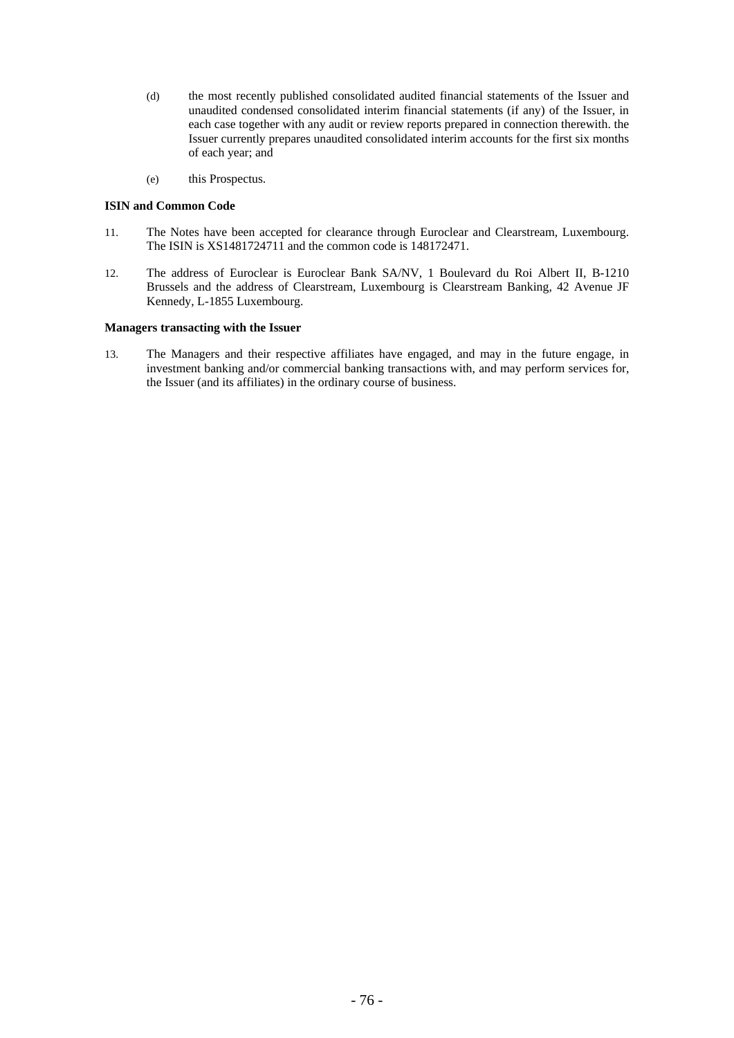- (d) the most recently published consolidated audited financial statements of the Issuer and unaudited condensed consolidated interim financial statements (if any) of the Issuer, in each case together with any audit or review reports prepared in connection therewith. the Issuer currently prepares unaudited consolidated interim accounts for the first six months of each year; and
- (e) this Prospectus.

## **ISIN and Common Code**

- 11. The Notes have been accepted for clearance through Euroclear and Clearstream, Luxembourg. The ISIN is XS1481724711 and the common code is 148172471.
- 12. The address of Euroclear is Euroclear Bank SA/NV, 1 Boulevard du Roi Albert II, B-1210 Brussels and the address of Clearstream, Luxembourg is Clearstream Banking, 42 Avenue JF Kennedy, L-1855 Luxembourg.

## **Managers transacting with the Issuer**

13. The Managers and their respective affiliates have engaged, and may in the future engage, in investment banking and/or commercial banking transactions with, and may perform services for, the Issuer (and its affiliates) in the ordinary course of business.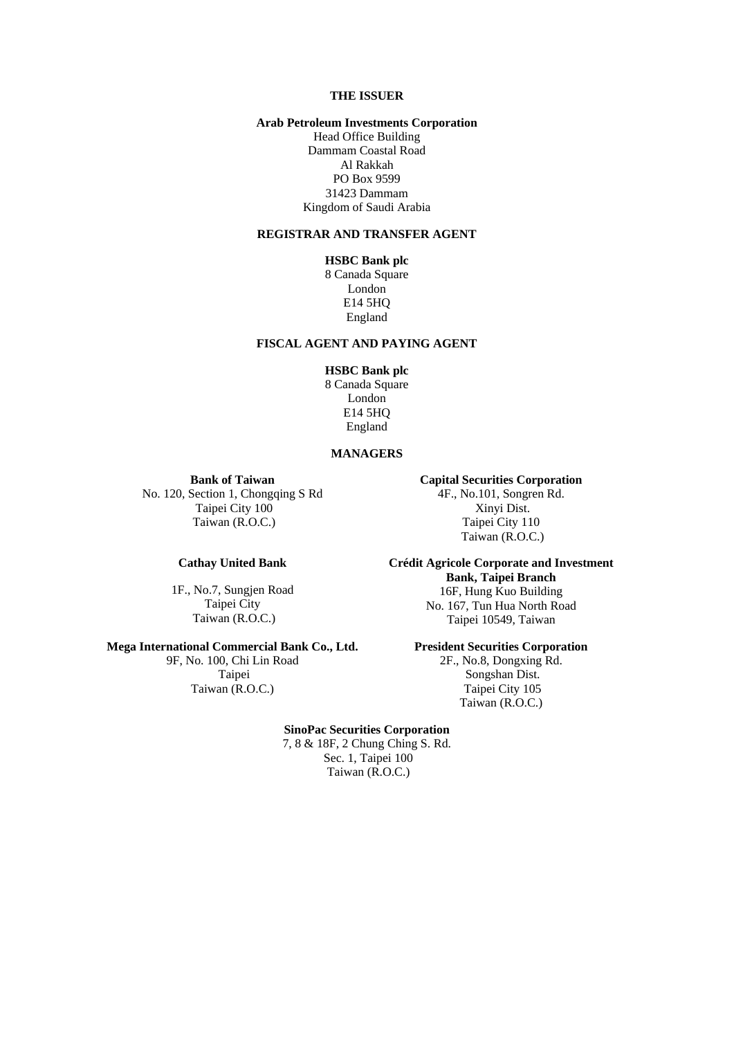# **THE ISSUER**

## **Arab Petroleum Investments Corporation**

Head Office Building Dammam Coastal Road Al Rakkah PO Box 9599 31423 Dammam Kingdom of Saudi Arabia

#### **REGISTRAR AND TRANSFER AGENT**

# **HSBC Bank plc**

8 Canada Square London E14 5HQ England

# **FISCAL AGENT AND PAYING AGENT**

## **HSBC Bank plc**

8 Canada Square London E14 5HQ England

## **MANAGERS**

**Bank of Taiwan** 

**Cathay United Bank** 

1F., No.7, Sungjen Road Taipei City Taiwan (R.O.C.)

## **Capital Securities Corporation**

No. 120, Section 1, Chongqing S Rd Taipei City 100 Taiwan (R.O.C.)

4F., No.101, Songren Rd. Xinyi Dist. Taipei City 110 Taiwan (R.O.C.)

## **Crédit Agricole Corporate and Investment Bank, Taipei Branch**  16F, Hung Kuo Building No. 167, Tun Hua North Road Taipei 10549, Taiwan

## **President Securities Corporation**

2F., No.8, Dongxing Rd. Songshan Dist. Taipei City 105 Taiwan (R.O.C.)

**Mega International Commercial Bank Co., Ltd.** 9F, No. 100, Chi Lin Road

 Taipei Taiwan (R.O.C.)

#### **SinoPac Securities Corporation**

7, 8 & 18F, 2 Chung Ching S. Rd. Sec. 1, Taipei 100 Taiwan (R.O.C.)